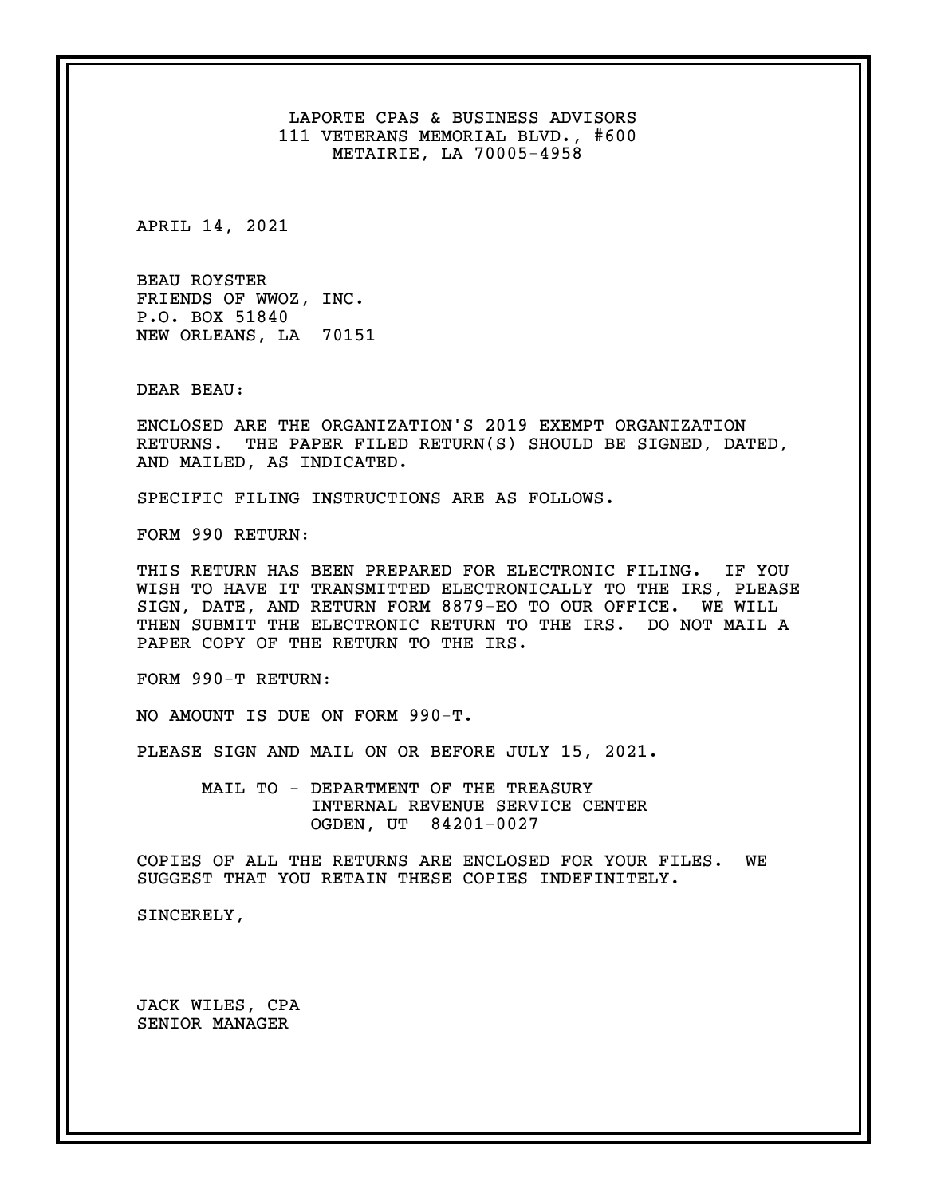LAPORTE CPAS & BUSINESS ADVISORS 111 VETERANS MEMORIAL BLVD., #600 METAIRIE, LA 70005-4958

APRIL 14, 2021

BEAU ROYSTER FRIENDS OF WWOZ, INC. P.O. BOX 51840 NEW ORLEANS, LA 70151

DEAR BEAU:

ENCLOSED ARE THE ORGANIZATION'S 2019 EXEMPT ORGANIZATION RETURNS. THE PAPER FILED RETURN(S) SHOULD BE SIGNED, DATED, AND MAILED, AS INDICATED.

SPECIFIC FILING INSTRUCTIONS ARE AS FOLLOWS.

FORM 990 RETURN:

THIS RETURN HAS BEEN PREPARED FOR ELECTRONIC FILING. IF YOU WISH TO HAVE IT TRANSMITTED ELECTRONICALLY TO THE IRS, PLEASE SIGN, DATE, AND RETURN FORM 8879-EO TO OUR OFFICE. WE WILL THEN SUBMIT THE ELECTRONIC RETURN TO THE IRS. DO NOT MAIL A PAPER COPY OF THE RETURN TO THE IRS.

FORM 990-T RETURN:

NO AMOUNT IS DUE ON FORM 990-T.

PLEASE SIGN AND MAIL ON OR BEFORE JULY 15, 2021.

MAIL TO - DEPARTMENT OF THE TREASURY INTERNAL REVENUE SERVICE CENTER OGDEN, UT 84201-0027

COPIES OF ALL THE RETURNS ARE ENCLOSED FOR YOUR FILES. WE SUGGEST THAT YOU RETAIN THESE COPIES INDEFINITELY.

SINCERELY,

JACK WILES, CPA SENIOR MANAGER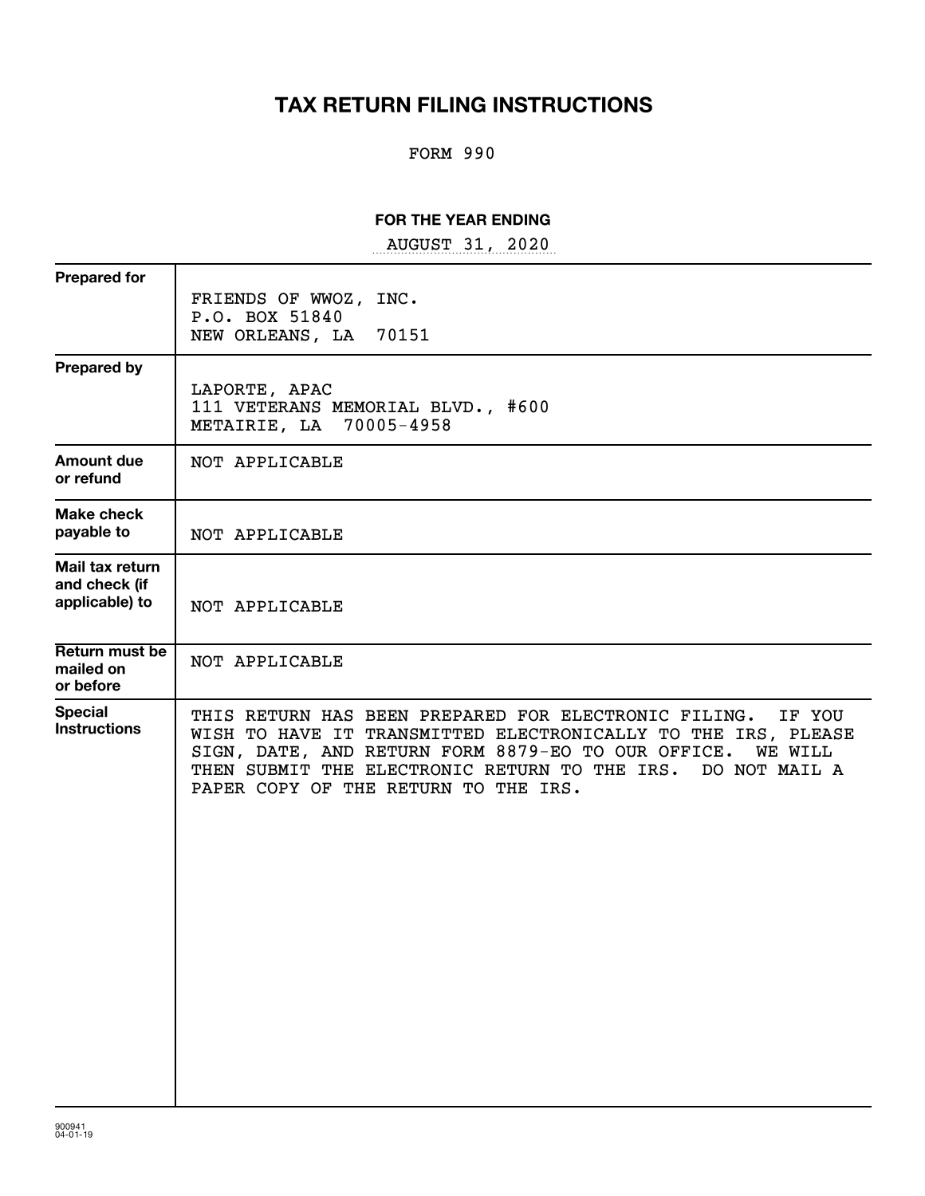# **TAX RETURN FILING INSTRUCTIONS**

# FORM 990

# **FOR THE YEAR ENDING**

~~~~~~~~~~~~~~~~~ AUGUST 31, 2020

| <b>Prepared for</b>                                | FRIENDS OF WWOZ, INC.<br>P.O. BOX 51840                                                                                                                                                                                                                                                              |
|----------------------------------------------------|------------------------------------------------------------------------------------------------------------------------------------------------------------------------------------------------------------------------------------------------------------------------------------------------------|
|                                                    | NEW ORLEANS, LA<br>70151                                                                                                                                                                                                                                                                             |
| <b>Prepared by</b>                                 | LAPORTE, APAC<br>111 VETERANS MEMORIAL BLVD., #600<br>METAIRIE, LA 70005-4958                                                                                                                                                                                                                        |
| <b>Amount due</b><br>or refund                     | NOT APPLICABLE                                                                                                                                                                                                                                                                                       |
| Make check<br>payable to                           | NOT APPLICABLE                                                                                                                                                                                                                                                                                       |
| Mail tax return<br>and check (if<br>applicable) to | NOT APPLICABLE                                                                                                                                                                                                                                                                                       |
| Return must be<br>mailed on<br>or before           | NOT APPLICABLE                                                                                                                                                                                                                                                                                       |
| <b>Special</b><br><b>Instructions</b>              | THIS RETURN HAS BEEN PREPARED FOR ELECTRONIC FILING.<br>IF YOU<br>WISH TO HAVE IT TRANSMITTED ELECTRONICALLY TO THE IRS, PLEASE<br>SIGN, DATE, AND RETURN FORM 8879-EO TO OUR OFFICE. WE WILL<br>THEN SUBMIT THE ELECTRONIC RETURN TO THE IRS. DO NOT MAIL A<br>PAPER COPY OF THE RETURN TO THE IRS. |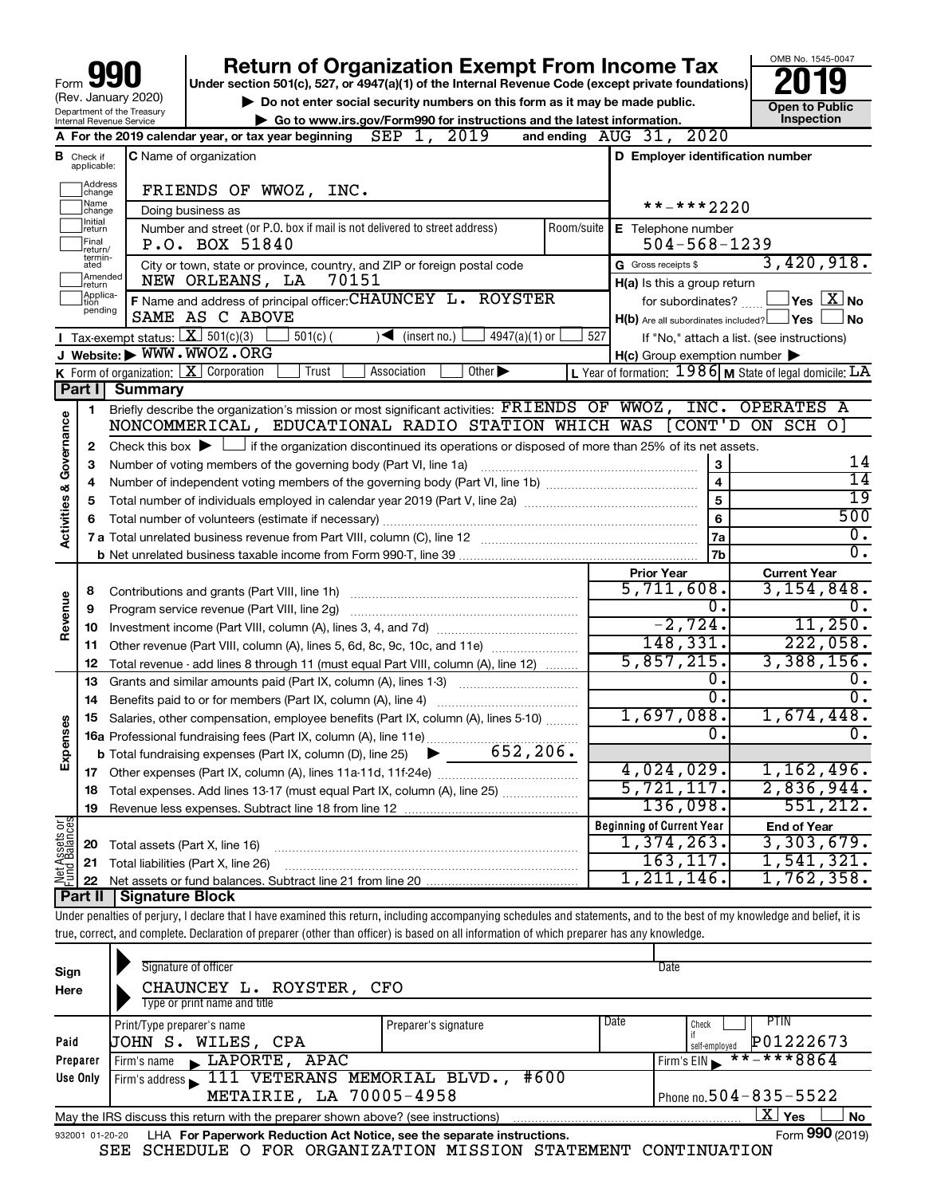| 990<br>Form                                            |
|--------------------------------------------------------|
| (Rev. January 2020)                                    |
| Department of the Treasury<br>Internal Revenue Service |

# **your Section 501(c), 527, or 4947(a)(1) of the Internal Revenue Code (except private foundations) 2019**

▶ Do not enter social security numbers on this form as it may be made public. <br>
inspection and the latest information. **Dependent in the latest information** and the latest information. **| Go to www.irs.gov/Form990 for instructions and the latest information. Inspection**

OMB No. 1545-0047

|                         |                               | 2019<br>SEP<br>A For the 2019 calendar year, or tax year beginning<br>1,                                                                        |            | and ending AUG 31, 2020                                 |                                                           |
|-------------------------|-------------------------------|-------------------------------------------------------------------------------------------------------------------------------------------------|------------|---------------------------------------------------------|-----------------------------------------------------------|
|                         | <b>B</b> Check if applicable: | <b>C</b> Name of organization                                                                                                                   |            | D Employer identification number                        |                                                           |
|                         | Address<br>]change            | FRIENDS OF WWOZ,<br>INC.                                                                                                                        |            |                                                         |                                                           |
|                         | Mame<br>]change               | Doing business as                                                                                                                               |            | **-***2220                                              |                                                           |
|                         | ]Initial<br>]return           | Number and street (or P.O. box if mail is not delivered to street address)                                                                      | Room/suite | E Telephone number                                      |                                                           |
|                         | Final<br> return/             | P.O. BOX 51840                                                                                                                                  |            | $504 - 568 - 1239$                                      |                                                           |
|                         | termin-<br>ated               | City or town, state or province, country, and ZIP or foreign postal code                                                                        |            | G Gross receipts \$                                     | 3,420,918.                                                |
|                         | Amended<br>return             | NEW ORLEANS, LA<br>70151                                                                                                                        |            | $H(a)$ is this a group return                           |                                                           |
|                         | Applica-<br>Ition<br>pending  | F Name and address of principal officer: CHAUNCEY L. ROYSTER                                                                                    |            | for subordinates?                                       | $\sqrt{\ }$ Yes $\sqrt{\ \text{X}}$ No                    |
|                         |                               | SAME AS C ABOVE                                                                                                                                 |            | $H(b)$ Are all subordinates included? $\Box$ Yes $\Box$ | ⊥No                                                       |
|                         |                               | <b>I</b> Tax-exempt status: $X \mid 501(c)(3)$<br>$501(c)$ (<br>$\sqrt{\frac{1}{1}}$ (insert no.)<br>$4947(a)(1)$ or<br>J Website: WWW.WWOZ.ORG | 527        |                                                         | If "No," attach a list. (see instructions)                |
|                         |                               | K Form of organization: $X$ Corporation<br>Other $\blacktriangleright$<br>Trust<br>Association                                                  |            | H(c) Group exemption number                             |                                                           |
|                         | Part I                        | <b>Summary</b>                                                                                                                                  |            |                                                         | L Year of formation: $1986$ M State of legal domicile: LA |
|                         | 1                             | Briefly describe the organization's mission or most significant activities: FRIENDS OF WWOZ, INC. OPERATES A                                    |            |                                                         |                                                           |
|                         |                               | NONCOMMERICAL, EDUCATIONAL RADIO STATION WHICH WAS [CONT'D ON SCH O]                                                                            |            |                                                         |                                                           |
| Activities & Governance | 2                             | Check this box $\blacktriangleright$ $\Box$ if the organization discontinued its operations or disposed of more than 25% of its net assets.     |            |                                                         |                                                           |
|                         | З                             | Number of voting members of the governing body (Part VI, line 1a)                                                                               |            | З                                                       | 14                                                        |
|                         |                               |                                                                                                                                                 |            | $\overline{4}$                                          | 14                                                        |
|                         | 5                             |                                                                                                                                                 |            | 5                                                       | 19                                                        |
|                         | 6                             |                                                                                                                                                 |            | 6                                                       | 500                                                       |
|                         |                               |                                                                                                                                                 |            | 7a                                                      | ο.                                                        |
|                         |                               |                                                                                                                                                 |            | 7b                                                      | 0.                                                        |
|                         |                               |                                                                                                                                                 |            | <b>Prior Year</b>                                       | <b>Current Year</b>                                       |
|                         | 8                             | Contributions and grants (Part VIII, line 1h)                                                                                                   |            | 5,711,608.                                              | 3,154,848.                                                |
| Revenue                 | 9                             | Program service revenue (Part VIII, line 2g)                                                                                                    |            | 0.                                                      | 0.                                                        |
|                         | 10                            |                                                                                                                                                 |            | $-2,724.$                                               | 11,250.                                                   |
|                         | 11                            | Other revenue (Part VIII, column (A), lines 5, 6d, 8c, 9c, 10c, and 11e)                                                                        |            | 148, 331.                                               | 222,058.                                                  |
|                         | 12                            | Total revenue - add lines 8 through 11 (must equal Part VIII, column (A), line 12)                                                              |            | 5,857,215.                                              | 3,388,156.                                                |
|                         | 13                            | Grants and similar amounts paid (Part IX, column (A), lines 1-3)                                                                                |            | 0.                                                      | 0.                                                        |
|                         | 14                            | Benefits paid to or for members (Part IX, column (A), line 4)                                                                                   |            | $\overline{0}$ .                                        | 0.                                                        |
|                         | 15                            | Salaries, other compensation, employee benefits (Part IX, column (A), lines 5-10)                                                               |            | 1,697,088.                                              | 1,674,448.                                                |
| Expenses                |                               | 16a Professional fundraising fees (Part IX, column (A), line 11e)                                                                               |            | 0.                                                      | Ο.                                                        |
|                         |                               | 652, 206.<br><b>b</b> Total fundraising expenses (Part IX, column (D), line 25)<br>▶                                                            |            |                                                         |                                                           |
|                         |                               |                                                                                                                                                 |            | 4,024,029.                                              | 1,162,496.                                                |
|                         |                               | 18 Total expenses. Add lines 13-17 (must equal Part IX, column (A), line 25)                                                                    |            | 5,721,117.<br>136,098.                                  | 2,836,944.<br>551,212.                                    |
|                         | 19                            |                                                                                                                                                 |            |                                                         |                                                           |
| Assets or               |                               |                                                                                                                                                 |            | <b>Beginning of Current Year</b><br>$1,374,263$ .       | <b>End of Year</b><br>3,303,679.                          |
|                         | 20                            | Total assets (Part X, line 16)                                                                                                                  |            | 163, 117.                                               | 1,541,321.                                                |
| <u>Met</u>              | 21<br>22                      | Total liabilities (Part X, line 26)                                                                                                             |            | 1,211,146.                                              | 1,762,358.                                                |
|                         |                               | <b>Part II   Signature Block</b>                                                                                                                |            |                                                         |                                                           |
|                         |                               |                                                                                                                                                 |            |                                                         |                                                           |

Under penalties of perjury, I declare that I have examined this return, including accompanying schedules and statements, and to the best of my knowledge and belief, it is true, correct, and complete. Declaration of preparer (other than officer) is based on all information of which preparer has any knowledge.

| Sign<br>Here    | Signature of officer<br>CHAUNCEY L. ROYSTER, CFO<br>Type or print name and title  |                      |      | Date                                               |
|-----------------|-----------------------------------------------------------------------------------|----------------------|------|----------------------------------------------------|
| Paid            | Print/Type preparer's name<br>JOHN S. WILES, CPA                                  | Preparer's signature | Date | <b>PTIN</b><br>Check<br>P01222673<br>self-emploved |
| Preparer        | LAPORTE, APAC<br>Firm's name                                                      |                      |      | $***$ $***$ 8864<br>Firm's EIN                     |
| Use Only        | Firm's address 111 VETERANS MEMORIAL BLVD.,<br>METAIRIE, LA 70005-4958            | #600                 |      | Phone no. $504 - 835 - 5522$                       |
|                 | May the IRS discuss this return with the preparer shown above? (see instructions) |                      |      | $\mathbf{X}$ Yes<br><b>No</b>                      |
| 932001 01-20-20 | LHA For Paperwork Reduction Act Notice, see the separate instructions.            |                      |      | Form 990 (2019)                                    |

SEE SCHEDULE O FOR ORGANIZATION MISSION STATEMENT CONTINUATION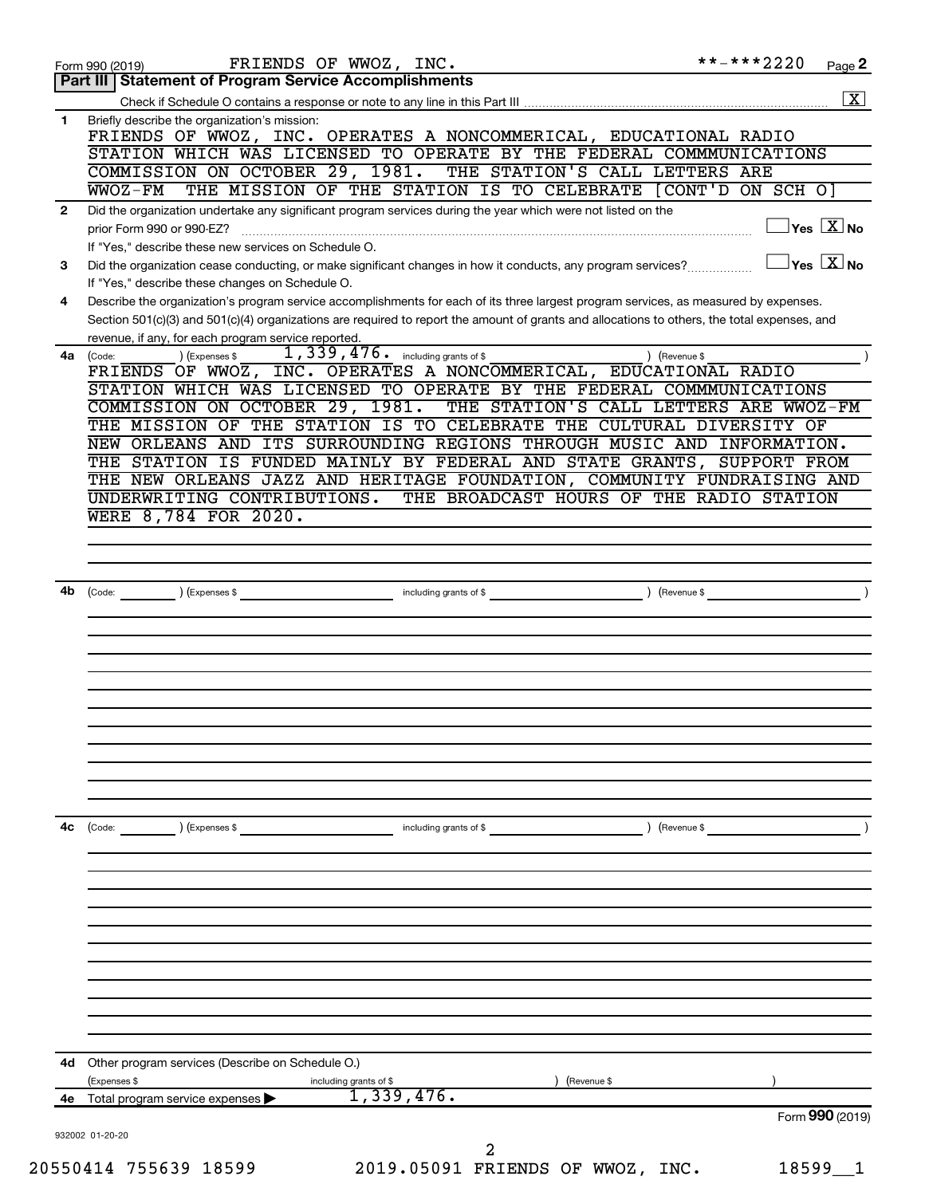|                        | **-***2220<br>FRIENDS OF WWOZ, INC.<br>Form 990 (2019)                                                                                                                                                       | Page 2             |
|------------------------|--------------------------------------------------------------------------------------------------------------------------------------------------------------------------------------------------------------|--------------------|
|                        | Part III Statement of Program Service Accomplishments                                                                                                                                                        |                    |
|                        |                                                                                                                                                                                                              | $\boxed{\text{X}}$ |
| 1                      | Briefly describe the organization's mission:<br>FRIENDS OF WWOZ, INC. OPERATES A NONCOMMERICAL, EDUCATIONAL RADIO                                                                                            |                    |
|                        | STATION WHICH WAS LICENSED TO OPERATE BY THE FEDERAL COMMMUNICATIONS                                                                                                                                         |                    |
|                        | COMMISSION ON OCTOBER 29, 1981.<br>THE STATION'S CALL LETTERS ARE                                                                                                                                            |                    |
|                        | $WOZ-FM$<br>THE MISSION OF THE STATION IS TO CELEBRATE<br>[CONT'D ON SCH O]                                                                                                                                  |                    |
| $\mathbf{2}$           | Did the organization undertake any significant program services during the year which were not listed on the<br>$\overline{\ }$ Yes $\overline{\rm \ }X$ No<br>prior Form 990 or 990-EZ?                     |                    |
|                        | If "Yes," describe these new services on Schedule O.                                                                                                                                                         |                    |
| 3                      | $\overline{\ }$ Yes $\overline{\ \ X}$ No<br>Did the organization cease conducting, or make significant changes in how it conducts, any program services?<br>If "Yes," describe these changes on Schedule O. |                    |
| 4                      | Describe the organization's program service accomplishments for each of its three largest program services, as measured by expenses.                                                                         |                    |
|                        | Section 501(c)(3) and 501(c)(4) organizations are required to report the amount of grants and allocations to others, the total expenses, and<br>revenue, if any, for each program service reported.          |                    |
|                        | 1, 339, 476. including grants of \$<br>(Code:<br>(Expenses \$<br>(Revenue \$                                                                                                                                 |                    |
|                        | FRIENDS OF WWOZ, INC. OPERATES A NONCOMMERICAL, EDUCATIONAL RADIO                                                                                                                                            |                    |
|                        | STATION WHICH WAS LICENSED TO OPERATE BY THE FEDERAL COMMMUNICATIONS                                                                                                                                         |                    |
|                        | THE STATION'S CALL LETTERS ARE WWOZ-FM<br>COMMISSION ON OCTOBER 29, 1981.                                                                                                                                    |                    |
|                        | THE MISSION OF THE STATION IS TO CELEBRATE THE CULTURAL DIVERSITY OF                                                                                                                                         |                    |
|                        | NEW ORLEANS AND ITS SURROUNDING REGIONS THROUGH MUSIC AND INFORMATION.                                                                                                                                       |                    |
| 4a l<br>4b<br>4с<br>4d | THE STATION IS FUNDED MAINLY BY FEDERAL AND STATE GRANTS, SUPPORT FROM                                                                                                                                       |                    |
|                        | THE NEW ORLEANS JAZZ AND HERITAGE FOUNDATION, COMMUNITY FUNDRAISING AND                                                                                                                                      |                    |
|                        | THE BROADCAST HOURS OF THE RADIO STATION<br>UNDERWRITING CONTRIBUTIONS.                                                                                                                                      |                    |
|                        | WERE 8,784 FOR 2020.                                                                                                                                                                                         |                    |
|                        |                                                                                                                                                                                                              |                    |
|                        |                                                                                                                                                                                                              |                    |
|                        |                                                                                                                                                                                                              |                    |
|                        |                                                                                                                                                                                                              |                    |
|                        | (Expenses \$<br>including grants of \$<br>(Revenue \$<br>(Code:                                                                                                                                              |                    |
|                        |                                                                                                                                                                                                              |                    |
|                        |                                                                                                                                                                                                              |                    |
|                        |                                                                                                                                                                                                              |                    |
|                        |                                                                                                                                                                                                              |                    |
|                        |                                                                                                                                                                                                              |                    |
|                        |                                                                                                                                                                                                              |                    |
|                        |                                                                                                                                                                                                              |                    |
|                        |                                                                                                                                                                                                              |                    |
|                        |                                                                                                                                                                                                              |                    |
|                        |                                                                                                                                                                                                              |                    |
|                        |                                                                                                                                                                                                              |                    |
|                        | (Code:                                                                                                                                                                                                       |                    |
|                        | ) (Expenses \$<br>including grants of \$<br>(Revenue \$                                                                                                                                                      |                    |
|                        |                                                                                                                                                                                                              |                    |
|                        |                                                                                                                                                                                                              |                    |
|                        |                                                                                                                                                                                                              |                    |
|                        |                                                                                                                                                                                                              |                    |
|                        |                                                                                                                                                                                                              |                    |
|                        |                                                                                                                                                                                                              |                    |
|                        |                                                                                                                                                                                                              |                    |
|                        |                                                                                                                                                                                                              |                    |
|                        |                                                                                                                                                                                                              |                    |
|                        |                                                                                                                                                                                                              |                    |
|                        |                                                                                                                                                                                                              |                    |
|                        | Other program services (Describe on Schedule O.)                                                                                                                                                             |                    |
|                        | (Expenses \$<br>including grants of \$<br>(Revenue \$                                                                                                                                                        |                    |
| 4е                     | 1,339,476.<br>Total program service expenses                                                                                                                                                                 |                    |
|                        | Form 990 (2019)                                                                                                                                                                                              |                    |
|                        | 932002 01-20-20                                                                                                                                                                                              |                    |
|                        | 2                                                                                                                                                                                                            |                    |
|                        | 2019.05091 FRIENDS OF WWOZ, INC.<br>20550414 755639 18599<br>18599                                                                                                                                           | $\mathbf{1}$       |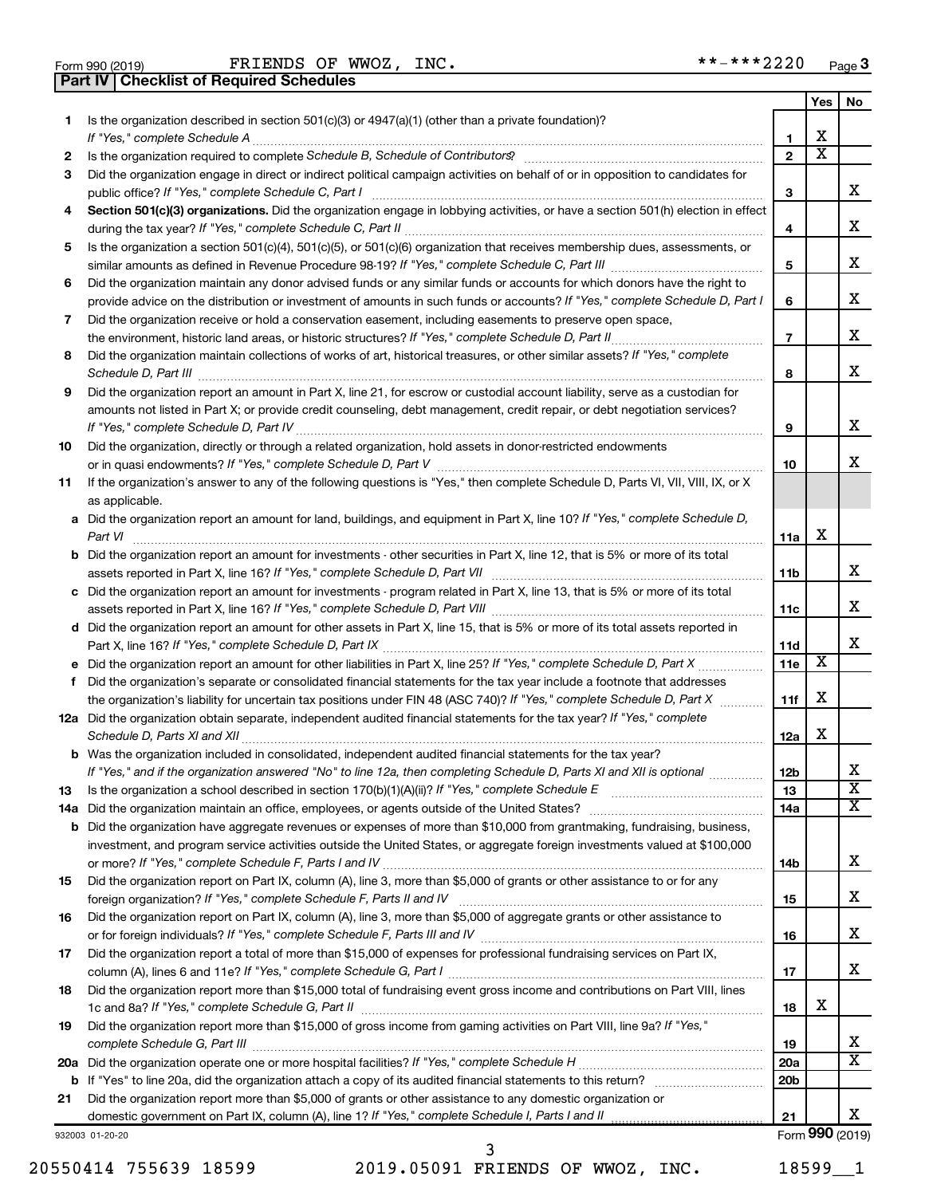| Form 990 (2019) |  |  |
|-----------------|--|--|

Form 990 (2019) FRIENDS OF WWOZ, INC. \*\*-\*\*\*2220 <sub>Page</sub> **Part IV Checklist of Required Schedules**

|           |                                                                                                                                       |                       | Yes                     | No                      |
|-----------|---------------------------------------------------------------------------------------------------------------------------------------|-----------------------|-------------------------|-------------------------|
| 1.        | Is the organization described in section 501(c)(3) or 4947(a)(1) (other than a private foundation)?                                   |                       |                         |                         |
|           |                                                                                                                                       | 1                     | х                       |                         |
| 2         |                                                                                                                                       | $\mathbf{2}$          | $\overline{\textbf{x}}$ |                         |
| 3         | Did the organization engage in direct or indirect political campaign activities on behalf of or in opposition to candidates for       |                       |                         |                         |
|           | public office? If "Yes," complete Schedule C, Part I                                                                                  | 3                     |                         | х                       |
| 4         | Section 501(c)(3) organizations. Did the organization engage in lobbying activities, or have a section 501(h) election in effect      |                       |                         |                         |
|           |                                                                                                                                       | 4                     |                         | х                       |
| 5         | Is the organization a section 501(c)(4), 501(c)(5), or 501(c)(6) organization that receives membership dues, assessments, or          |                       |                         |                         |
|           |                                                                                                                                       | 5                     |                         | х                       |
| 6         | Did the organization maintain any donor advised funds or any similar funds or accounts for which donors have the right to             |                       |                         | х                       |
|           | provide advice on the distribution or investment of amounts in such funds or accounts? If "Yes," complete Schedule D, Part I          | 6                     |                         |                         |
| 7         | Did the organization receive or hold a conservation easement, including easements to preserve open space,                             | $\overline{7}$        |                         | х                       |
| 8         | Did the organization maintain collections of works of art, historical treasures, or other similar assets? If "Yes," complete          |                       |                         |                         |
|           |                                                                                                                                       | 8                     |                         | х                       |
| 9         | Did the organization report an amount in Part X, line 21, for escrow or custodial account liability, serve as a custodian for         |                       |                         |                         |
|           | amounts not listed in Part X; or provide credit counseling, debt management, credit repair, or debt negotiation services?             |                       |                         |                         |
|           |                                                                                                                                       | 9                     |                         | х                       |
| 10        | Did the organization, directly or through a related organization, hold assets in donor-restricted endowments                          |                       |                         |                         |
|           |                                                                                                                                       | 10                    |                         | х                       |
| 11        | If the organization's answer to any of the following questions is "Yes," then complete Schedule D, Parts VI, VII, VIII, IX, or X      |                       |                         |                         |
|           | as applicable.                                                                                                                        |                       |                         |                         |
|           | a Did the organization report an amount for land, buildings, and equipment in Part X, line 10? If "Yes," complete Schedule D,         |                       |                         |                         |
|           | Part VI                                                                                                                               | 11a                   | х                       |                         |
|           | <b>b</b> Did the organization report an amount for investments - other securities in Part X, line 12, that is 5% or more of its total |                       |                         |                         |
|           | assets reported in Part X, line 16? If "Yes," complete Schedule D, Part VII [11] [11] [12] [12] [12] [12] [12] [                      | 11b                   |                         | х                       |
|           | c Did the organization report an amount for investments - program related in Part X, line 13, that is 5% or more of its total         |                       |                         |                         |
|           |                                                                                                                                       |                       |                         | х                       |
|           | d Did the organization report an amount for other assets in Part X, line 15, that is 5% or more of its total assets reported in       |                       |                         |                         |
|           |                                                                                                                                       | 11d                   |                         | x                       |
|           |                                                                                                                                       | 11e                   | х                       |                         |
| f         | Did the organization's separate or consolidated financial statements for the tax year include a footnote that addresses               |                       |                         |                         |
|           | the organization's liability for uncertain tax positions under FIN 48 (ASC 740)? If "Yes," complete Schedule D, Part X                | 11f                   | х                       |                         |
|           | 12a Did the organization obtain separate, independent audited financial statements for the tax year? If "Yes," complete               |                       |                         |                         |
|           |                                                                                                                                       | 12a                   | х                       |                         |
|           | <b>b</b> Was the organization included in consolidated, independent audited financial statements for the tax year?                    |                       |                         | х                       |
|           | If "Yes," and if the organization answered "No" to line 12a, then completing Schedule D, Parts XI and XII is optional                 | 12 <sub>b</sub><br>13 |                         | $\overline{\textbf{x}}$ |
| 13<br>14a |                                                                                                                                       | 14a                   |                         | X                       |
| b         | Did the organization have aggregate revenues or expenses of more than \$10,000 from grantmaking, fundraising, business,               |                       |                         |                         |
|           | investment, and program service activities outside the United States, or aggregate foreign investments valued at \$100,000            |                       |                         |                         |
|           |                                                                                                                                       | 14b                   |                         | x                       |
| 15        | Did the organization report on Part IX, column (A), line 3, more than \$5,000 of grants or other assistance to or for any             |                       |                         |                         |
|           |                                                                                                                                       | 15                    |                         | х                       |
| 16        | Did the organization report on Part IX, column (A), line 3, more than \$5,000 of aggregate grants or other assistance to              |                       |                         |                         |
|           |                                                                                                                                       | 16                    |                         | х                       |
| 17        | Did the organization report a total of more than \$15,000 of expenses for professional fundraising services on Part IX,               |                       |                         |                         |
|           |                                                                                                                                       | 17                    |                         | х                       |
| 18        | Did the organization report more than \$15,000 total of fundraising event gross income and contributions on Part VIII, lines          |                       |                         |                         |
|           |                                                                                                                                       | 18                    | x                       |                         |
| 19        | Did the organization report more than \$15,000 of gross income from gaming activities on Part VIII, line 9a? If "Yes,"                |                       |                         |                         |
|           |                                                                                                                                       | 19                    |                         | x                       |
| 20a       |                                                                                                                                       | 20a                   |                         | X                       |
| b         |                                                                                                                                       | 20 <sub>b</sub>       |                         |                         |
| 21        | Did the organization report more than \$5,000 of grants or other assistance to any domestic organization or                           |                       |                         |                         |
|           |                                                                                                                                       | 21                    |                         | х                       |
|           | 932003 01-20-20                                                                                                                       |                       |                         | Form 990 (2019)         |

20550414 755639 18599 2019.05091 FRIENDS OF WWOZ, INC. 18599\_\_1

3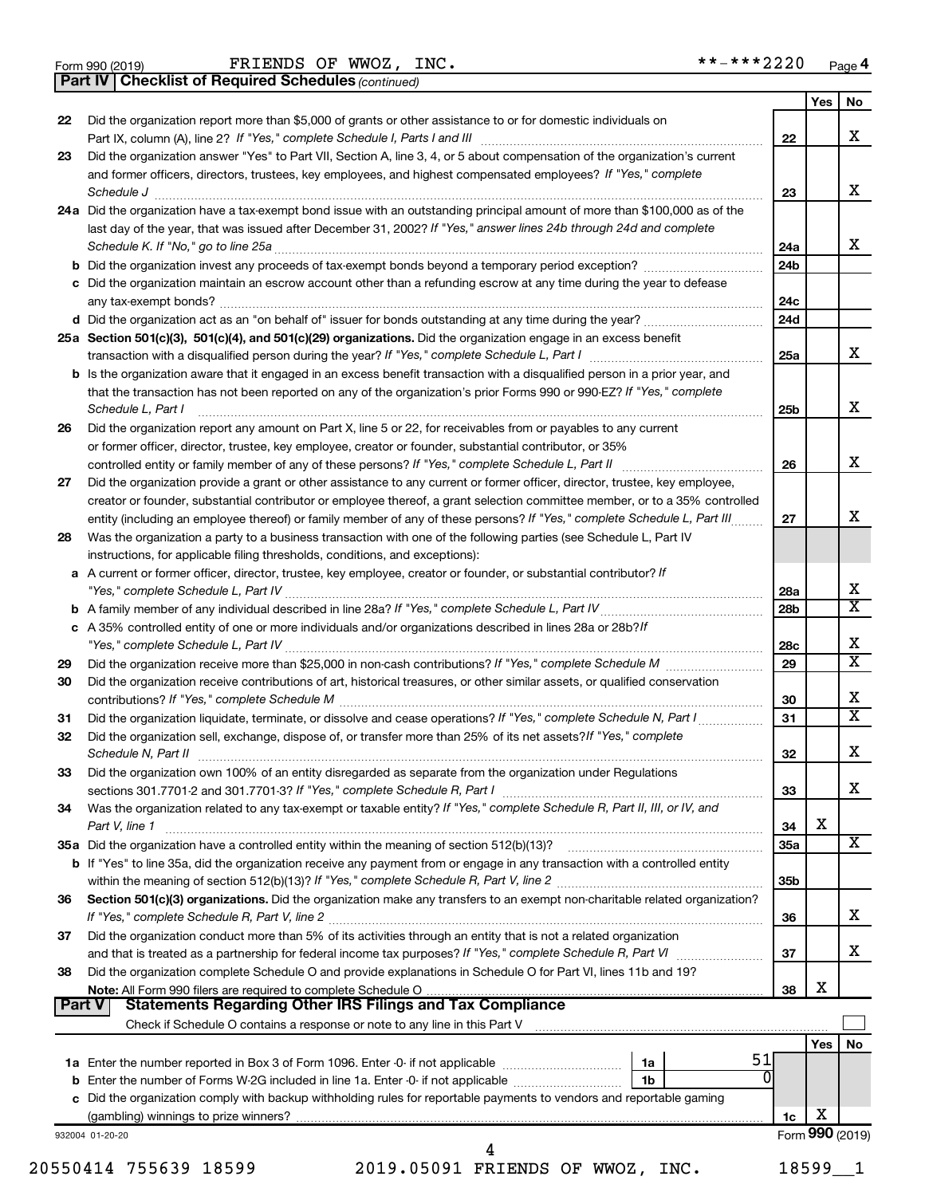Form 990 (2019) FRIENDS OF WWOZ, INC. \*\*-\*\*\*2220 <sub>Page</sub>

*(continued)* **Part IV Checklist of Required Schedules**

| 22 | Did the organization report more than \$5,000 of grants or other assistance to or for domestic individuals on                                                                                                                 |                 | Yes             | No |
|----|-------------------------------------------------------------------------------------------------------------------------------------------------------------------------------------------------------------------------------|-----------------|-----------------|----|
|    |                                                                                                                                                                                                                               | 22              |                 |    |
| 23 | Did the organization answer "Yes" to Part VII, Section A, line 3, 4, or 5 about compensation of the organization's current                                                                                                    |                 |                 |    |
|    | and former officers, directors, trustees, key employees, and highest compensated employees? If "Yes," complete                                                                                                                |                 |                 |    |
|    | Schedule J <b>Execute Schedule J Execute Schedule J</b>                                                                                                                                                                       | 23              |                 |    |
|    | 24a Did the organization have a tax-exempt bond issue with an outstanding principal amount of more than \$100,000 as of the                                                                                                   |                 |                 |    |
|    | last day of the year, that was issued after December 31, 2002? If "Yes," answer lines 24b through 24d and complete                                                                                                            |                 |                 |    |
|    |                                                                                                                                                                                                                               | 24a             |                 |    |
|    | b Did the organization invest any proceeds of tax-exempt bonds beyond a temporary period exception?                                                                                                                           | 24 <sub>b</sub> |                 |    |
|    | c Did the organization maintain an escrow account other than a refunding escrow at any time during the year to defease                                                                                                        |                 |                 |    |
|    |                                                                                                                                                                                                                               | 24c             |                 |    |
|    | d Did the organization act as an "on behalf of" issuer for bonds outstanding at any time during the year?                                                                                                                     | 24d             |                 |    |
|    |                                                                                                                                                                                                                               |                 |                 |    |
|    | 25a Section 501(c)(3), 501(c)(4), and 501(c)(29) organizations. Did the organization engage in an excess benefit                                                                                                              |                 |                 |    |
|    |                                                                                                                                                                                                                               | 25a             |                 |    |
|    | <b>b</b> Is the organization aware that it engaged in an excess benefit transaction with a disqualified person in a prior year, and                                                                                           |                 |                 |    |
|    | that the transaction has not been reported on any of the organization's prior Forms 990 or 990-EZ? If "Yes," complete                                                                                                         |                 |                 |    |
|    | Schedule L, Part I                                                                                                                                                                                                            | 25b             |                 |    |
| 26 | Did the organization report any amount on Part X, line 5 or 22, for receivables from or payables to any current                                                                                                               |                 |                 |    |
|    | or former officer, director, trustee, key employee, creator or founder, substantial contributor, or 35%                                                                                                                       |                 |                 |    |
|    | controlled entity or family member of any of these persons? If "Yes," complete Schedule L, Part II                                                                                                                            | 26              |                 |    |
| 27 | Did the organization provide a grant or other assistance to any current or former officer, director, trustee, key employee,                                                                                                   |                 |                 |    |
|    | creator or founder, substantial contributor or employee thereof, a grant selection committee member, or to a 35% controlled                                                                                                   |                 |                 |    |
|    | entity (including an employee thereof) or family member of any of these persons? If "Yes," complete Schedule L, Part III                                                                                                      | 27              |                 |    |
| 28 | Was the organization a party to a business transaction with one of the following parties (see Schedule L, Part IV                                                                                                             |                 |                 |    |
|    | instructions, for applicable filing thresholds, conditions, and exceptions):                                                                                                                                                  |                 |                 |    |
|    | a A current or former officer, director, trustee, key employee, creator or founder, or substantial contributor? If                                                                                                            |                 |                 |    |
|    |                                                                                                                                                                                                                               | 28a             |                 |    |
|    |                                                                                                                                                                                                                               | 28 <sub>b</sub> |                 |    |
|    | c A 35% controlled entity of one or more individuals and/or organizations described in lines 28a or 28b? If                                                                                                                   |                 |                 |    |
|    |                                                                                                                                                                                                                               | 28c             |                 |    |
| 29 |                                                                                                                                                                                                                               | 29              |                 |    |
|    | Did the organization receive contributions of art, historical treasures, or other similar assets, or qualified conservation                                                                                                   |                 |                 |    |
| 30 |                                                                                                                                                                                                                               |                 |                 |    |
|    |                                                                                                                                                                                                                               | 30              |                 |    |
| 31 | Did the organization liquidate, terminate, or dissolve and cease operations? If "Yes," complete Schedule N, Part I                                                                                                            | 31              |                 |    |
| 32 | Did the organization sell, exchange, dispose of, or transfer more than 25% of its net assets? If "Yes," complete                                                                                                              |                 |                 |    |
|    | Schedule N, Part II et al. 2003. Contract and the contract of the contract of the contract of the contract of the contract of the contract of the contract of the contract of the contract of the contract of the contract of | 32              |                 |    |
| 33 | Did the organization own 100% of an entity disregarded as separate from the organization under Regulations                                                                                                                    |                 |                 |    |
|    | sections 301.7701-2 and 301.7701-3? If "Yes," complete Schedule R, Part I [1] [1] [1] [1] [1] [1] sections 301.7701-2 and 301.7701-3? If "Yes," complete Schedule R, Part I                                                   | 33              |                 |    |
| 34 | Was the organization related to any tax-exempt or taxable entity? If "Yes," complete Schedule R, Part II, III, or IV, and                                                                                                     |                 |                 |    |
|    | Part V, line 1                                                                                                                                                                                                                | 34              | х               |    |
|    |                                                                                                                                                                                                                               | 35a             |                 |    |
|    | b If "Yes" to line 35a, did the organization receive any payment from or engage in any transaction with a controlled entity                                                                                                   |                 |                 |    |
|    |                                                                                                                                                                                                                               | 35 <sub>b</sub> |                 |    |
| 36 | Section 501(c)(3) organizations. Did the organization make any transfers to an exempt non-charitable related organization?                                                                                                    |                 |                 |    |
|    |                                                                                                                                                                                                                               | 36              |                 |    |
| 37 | Did the organization conduct more than 5% of its activities through an entity that is not a related organization                                                                                                              |                 |                 |    |
|    |                                                                                                                                                                                                                               | 37              |                 |    |
| 38 | Did the organization complete Schedule O and provide explanations in Schedule O for Part VI, lines 11b and 19?                                                                                                                |                 |                 |    |
|    |                                                                                                                                                                                                                               | 38              | X               |    |
|    | Part V                                                                                                                                                                                                                        |                 |                 |    |
|    |                                                                                                                                                                                                                               |                 |                 |    |
|    |                                                                                                                                                                                                                               |                 | Yes             |    |
|    | 51                                                                                                                                                                                                                            |                 |                 |    |
|    | 1a<br>0                                                                                                                                                                                                                       |                 |                 |    |
|    | 1 <sub>b</sub>                                                                                                                                                                                                                |                 |                 |    |
|    | c Did the organization comply with backup withholding rules for reportable payments to vendors and reportable gaming                                                                                                          |                 |                 |    |
|    |                                                                                                                                                                                                                               | 1c              | X               |    |
|    | 932004 01-20-20                                                                                                                                                                                                               |                 | Form 990 (2019) |    |
|    | 20550414 755639 18599<br>2019.05091 FRIENDS OF WWOZ, INC.                                                                                                                                                                     |                 | $18599 - 1$     |    |
|    |                                                                                                                                                                                                                               |                 |                 |    |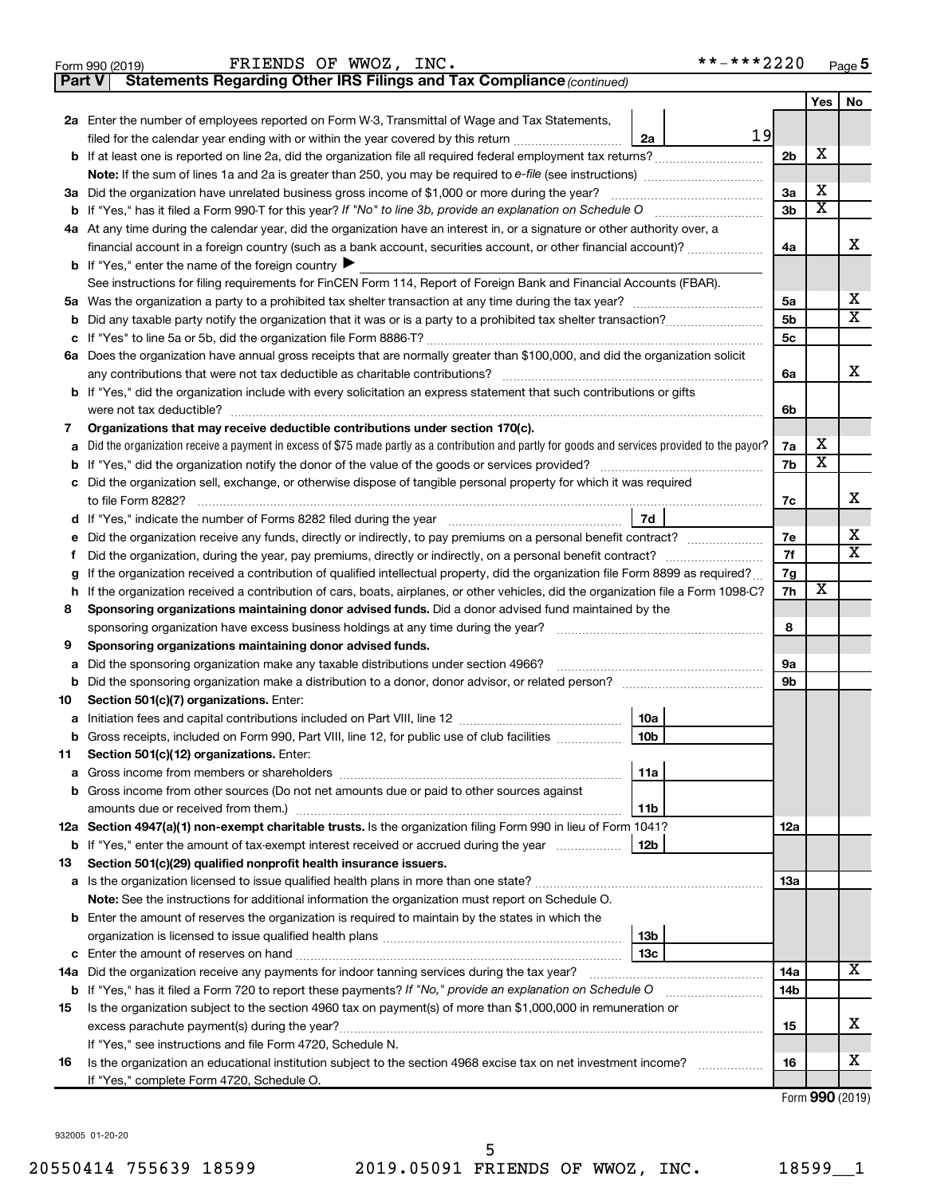|               | **-***2220<br>FRIENDS OF WWOZ, INC.<br>Form 990 (2019)                                                                                                             |                |     | Page 5                  |
|---------------|--------------------------------------------------------------------------------------------------------------------------------------------------------------------|----------------|-----|-------------------------|
| <b>Part V</b> | Statements Regarding Other IRS Filings and Tax Compliance (continued)                                                                                              |                |     |                         |
|               |                                                                                                                                                                    |                | Yes | No                      |
|               | <b>2a</b> Enter the number of employees reported on Form W-3, Transmittal of Wage and Tax Statements,                                                              |                |     |                         |
|               | 19<br>filed for the calendar year ending with or within the year covered by this return<br>2a                                                                      |                |     |                         |
|               | <b>b</b> If at least one is reported on line 2a, did the organization file all required federal employment tax returns?                                            | 2 <sub>b</sub> | х   |                         |
|               | <b>Note:</b> If the sum of lines 1a and 2a is greater than 250, you may be required to e-file (see instructions)                                                   |                |     |                         |
|               | 3a Did the organization have unrelated business gross income of \$1,000 or more during the year?                                                                   | 3a             | х   |                         |
|               | <b>b</b> If "Yes," has it filed a Form 990-T for this year? If "No" to line 3b, provide an explanation on Schedule O                                               | 3 <sub>b</sub> | X   |                         |
|               | 4a At any time during the calendar year, did the organization have an interest in, or a signature or other authority over, a                                       |                |     |                         |
|               | financial account in a foreign country (such as a bank account, securities account, or other financial account)?                                                   | 4a             |     | х                       |
|               | <b>b</b> If "Yes," enter the name of the foreign country $\blacktriangleright$                                                                                     |                |     |                         |
|               | See instructions for filing requirements for FinCEN Form 114, Report of Foreign Bank and Financial Accounts (FBAR).                                                |                |     |                         |
|               |                                                                                                                                                                    | 5a             |     | х                       |
|               |                                                                                                                                                                    | 5 <sub>b</sub> |     | $\overline{\text{X}}$   |
|               |                                                                                                                                                                    | 5c             |     |                         |
|               | 6a Does the organization have annual gross receipts that are normally greater than \$100,000, and did the organization solicit                                     |                |     |                         |
|               | any contributions that were not tax deductible as charitable contributions?                                                                                        | 6a             |     | х                       |
|               | <b>b</b> If "Yes," did the organization include with every solicitation an express statement that such contributions or gifts                                      |                |     |                         |
|               | were not tax deductible?                                                                                                                                           | 6b             |     |                         |
| 7             | Organizations that may receive deductible contributions under section 170(c).                                                                                      |                |     |                         |
| а             | Did the organization receive a payment in excess of \$75 made partly as a contribution and partly for goods and services provided to the payor?                    | 7a             | х   |                         |
| b             | If "Yes," did the organization notify the donor of the value of the goods or services provided?                                                                    | 7b             | х   |                         |
|               | c Did the organization sell, exchange, or otherwise dispose of tangible personal property for which it was required                                                |                |     |                         |
|               | to file Form 8282?                                                                                                                                                 | 7с             |     | х                       |
|               | 7d                                                                                                                                                                 |                |     |                         |
| е             |                                                                                                                                                                    | 7е             |     | х                       |
| Ť.            | Did the organization, during the year, pay premiums, directly or indirectly, on a personal benefit contract?                                                       | 7f             |     | $\overline{\texttt{x}}$ |
| g             | If the organization received a contribution of qualified intellectual property, did the organization file Form 8899 as required?                                   | 7g             |     |                         |
| h             | If the organization received a contribution of cars, boats, airplanes, or other vehicles, did the organization file a Form 1098-C?                                 | 7h             | х   |                         |
| 8             | Sponsoring organizations maintaining donor advised funds. Did a donor advised fund maintained by the                                                               |                |     |                         |
|               | sponsoring organization have excess business holdings at any time during the year?                                                                                 | 8              |     |                         |
| 9             | Sponsoring organizations maintaining donor advised funds.                                                                                                          |                |     |                         |
| а             | Did the sponsoring organization make any taxable distributions under section 4966?                                                                                 | 9а             |     |                         |
|               | b Did the sponsoring organization make a distribution to a donor, donor advisor, or related person? [111] [12]                                                     | 9 <sub>b</sub> |     |                         |
| 10            | Section 501(c)(7) organizations. Enter:                                                                                                                            |                |     |                         |
|               | 10a                                                                                                                                                                |                |     |                         |
|               | b Gross receipts, included on Form 990, Part VIII, line 12, for public use of club facilities<br>10b                                                               |                |     |                         |
| 11            | Section 501(c)(12) organizations. Enter:                                                                                                                           |                |     |                         |
|               | 11a                                                                                                                                                                |                |     |                         |
|               | <b>b</b> Gross income from other sources (Do not net amounts due or paid to other sources against                                                                  |                |     |                         |
|               | 11b<br>12a Section 4947(a)(1) non-exempt charitable trusts. Is the organization filing Form 990 in lieu of Form 1041?                                              | 12a            |     |                         |
|               | 12b                                                                                                                                                                |                |     |                         |
| 13            | <b>b</b> If "Yes," enter the amount of tax-exempt interest received or accrued during the year<br>Section 501(c)(29) qualified nonprofit health insurance issuers. |                |     |                         |
|               |                                                                                                                                                                    | 13a            |     |                         |
|               | Note: See the instructions for additional information the organization must report on Schedule O.                                                                  |                |     |                         |
|               | <b>b</b> Enter the amount of reserves the organization is required to maintain by the states in which the                                                          |                |     |                         |
|               | 13 <sub>b</sub>                                                                                                                                                    |                |     |                         |
|               | 13с                                                                                                                                                                |                |     |                         |
|               |                                                                                                                                                                    | 14a            |     | X                       |
|               | <b>b</b> If "Yes," has it filed a Form 720 to report these payments? If "No," provide an explanation on Schedule O                                                 | 14b            |     |                         |
| 15            | Is the organization subject to the section 4960 tax on payment(s) of more than \$1,000,000 in remuneration or                                                      |                |     |                         |
|               |                                                                                                                                                                    | 15             |     | х                       |
|               | If "Yes," see instructions and file Form 4720, Schedule N.                                                                                                         |                |     |                         |
| 16            | Is the organization an educational institution subject to the section 4968 excise tax on net investment income?                                                    | 16             |     | х                       |
|               | If "Yes," complete Form 4720, Schedule O.                                                                                                                          |                |     |                         |
|               |                                                                                                                                                                    |                |     | $Form$ QQQ $(2010)$     |

Form (2019) **990**

932005 01-20-20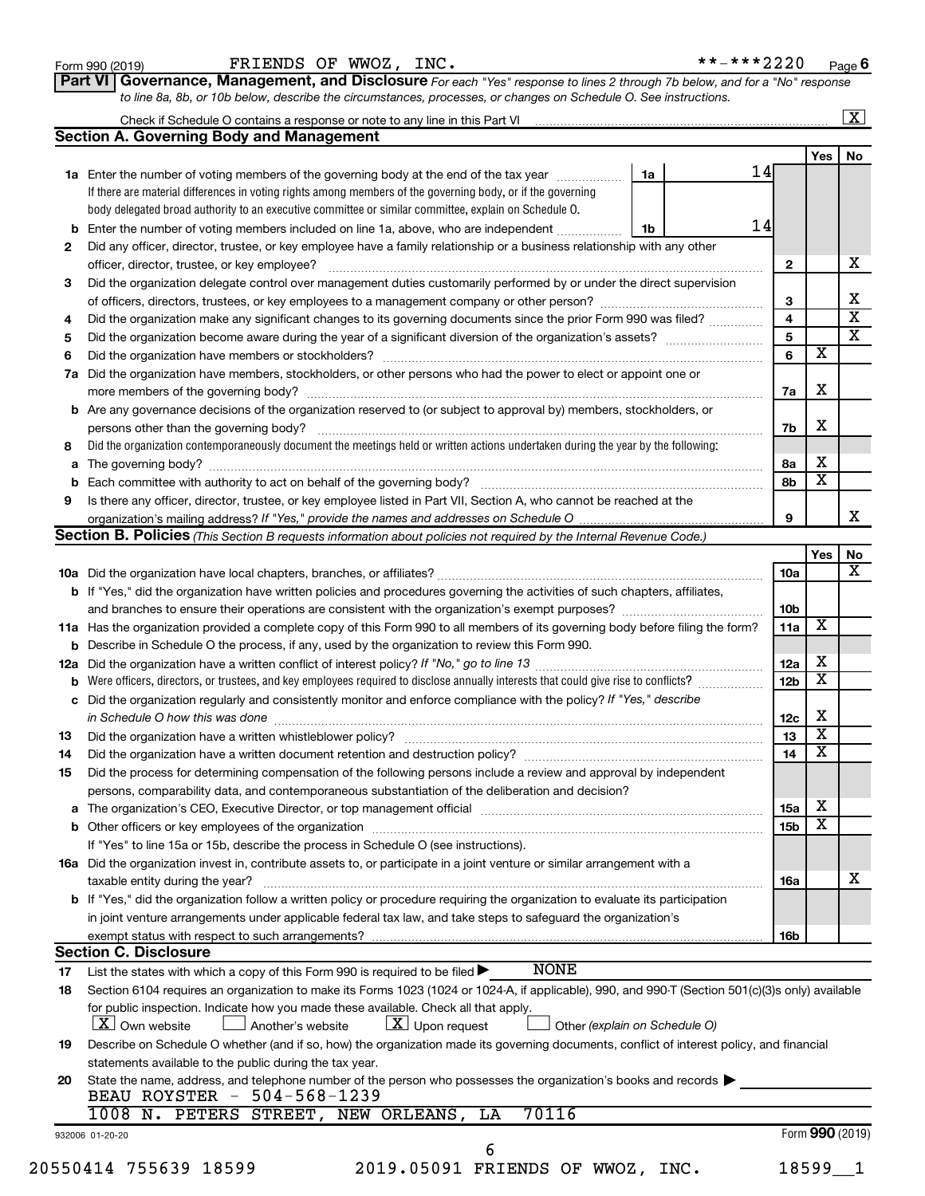| Form 990 (2019) |  |
|-----------------|--|
|-----------------|--|

Form 990 (2019) FRIENDS OF WWOZ, INC. \*\*-\*\*\*2220 <sub>Page</sub>

**6**

| Part VI   Governance, Management, and Disclosure For each "Yes" response to lines 2 through 7b below, and for a "No" response |
|-------------------------------------------------------------------------------------------------------------------------------|
| to line 8a, 8b, or 10b below, describe the circumstances, processes, or changes on Schedule O. See instructions.              |

|    | Check if Schedule O contains a response or note to any line in this Part VI [1] [1] [1] [1] [1] [1] [1] [1] [1                                                    |    |    |                 |                         | $\mathbf{X}$ |
|----|-------------------------------------------------------------------------------------------------------------------------------------------------------------------|----|----|-----------------|-------------------------|--------------|
|    | <b>Section A. Governing Body and Management</b>                                                                                                                   |    |    |                 |                         |              |
|    |                                                                                                                                                                   |    |    |                 | Yes                     | No           |
|    | 1a Enter the number of voting members of the governing body at the end of the tax year                                                                            | 1a | 14 |                 |                         |              |
|    | If there are material differences in voting rights among members of the governing body, or if the governing                                                       |    |    |                 |                         |              |
|    | body delegated broad authority to an executive committee or similar committee, explain on Schedule O.                                                             |    |    |                 |                         |              |
|    | <b>b</b> Enter the number of voting members included on line 1a, above, who are independent                                                                       | 1b | 14 |                 |                         |              |
| 2  | Did any officer, director, trustee, or key employee have a family relationship or a business relationship with any other                                          |    |    |                 |                         |              |
|    |                                                                                                                                                                   |    |    | 2               |                         |              |
| 3  | Did the organization delegate control over management duties customarily performed by or under the direct supervision                                             |    |    |                 |                         |              |
|    |                                                                                                                                                                   |    |    | 3               |                         |              |
| 4  | Did the organization make any significant changes to its governing documents since the prior Form 990 was filed?                                                  |    |    | 4               |                         |              |
| 5  |                                                                                                                                                                   |    |    | 5               |                         |              |
| 6  |                                                                                                                                                                   |    |    | 6               | $\overline{\mathbf{x}}$ |              |
|    |                                                                                                                                                                   |    |    |                 |                         |              |
| 7a | Did the organization have members, stockholders, or other persons who had the power to elect or appoint one or                                                    |    |    |                 | X                       |              |
|    |                                                                                                                                                                   |    |    | 7a              |                         |              |
|    | <b>b</b> Are any governance decisions of the organization reserved to (or subject to approval by) members, stockholders, or                                       |    |    |                 |                         |              |
|    |                                                                                                                                                                   |    |    | 7b              | X                       |              |
| 8  | Did the organization contemporaneously document the meetings held or written actions undertaken during the year by the following:                                 |    |    |                 |                         |              |
|    |                                                                                                                                                                   |    |    | 8а              | х                       |              |
|    |                                                                                                                                                                   |    |    | 8b              | $\overline{\mathbf{x}}$ |              |
| 9  | Is there any officer, director, trustee, or key employee listed in Part VII, Section A, who cannot be reached at the                                              |    |    |                 |                         |              |
|    |                                                                                                                                                                   |    |    | 9               |                         |              |
|    | Section B. Policies (This Section B requests information about policies not required by the Internal Revenue Code.)                                               |    |    |                 |                         |              |
|    |                                                                                                                                                                   |    |    |                 | Yes                     |              |
|    |                                                                                                                                                                   |    |    | 10a             |                         |              |
|    | b If "Yes," did the organization have written policies and procedures governing the activities of such chapters, affiliates,                                      |    |    |                 |                         |              |
|    |                                                                                                                                                                   |    |    | 10b             |                         |              |
|    | 11a Has the organization provided a complete copy of this Form 990 to all members of its governing body before filing the form?                                   |    |    | 11a             | X                       |              |
|    |                                                                                                                                                                   |    |    |                 |                         |              |
|    | <b>b</b> Describe in Schedule O the process, if any, used by the organization to review this Form 990.                                                            |    |    |                 | х                       |              |
|    |                                                                                                                                                                   |    |    | 12a             | х                       |              |
|    | <b>b</b> Were officers, directors, or trustees, and key employees required to disclose annually interests that could give rise to conflicts?                      |    |    | 12 <sub>b</sub> |                         |              |
|    | c Did the organization regularly and consistently monitor and enforce compliance with the policy? If "Yes," describe                                              |    |    |                 |                         |              |
|    | in Schedule O how this was done <i>manufacture contract to the set of the set of the set of the set of the set of t</i>                                           |    |    | 12c             | X                       |              |
| 13 |                                                                                                                                                                   |    |    | 13              | $\overline{\textbf{x}}$ |              |
| 14 |                                                                                                                                                                   |    |    | 14              | $\overline{\mathbf{X}}$ |              |
| 15 | Did the process for determining compensation of the following persons include a review and approval by independent                                                |    |    |                 |                         |              |
|    | persons, comparability data, and contemporaneous substantiation of the deliberation and decision?                                                                 |    |    |                 |                         |              |
|    |                                                                                                                                                                   |    |    | 15a             | х                       |              |
|    |                                                                                                                                                                   |    |    | 15 <sub>b</sub> | $\overline{\textbf{x}}$ |              |
|    | If "Yes" to line 15a or 15b, describe the process in Schedule O (see instructions).                                                                               |    |    |                 |                         |              |
|    | 16a Did the organization invest in, contribute assets to, or participate in a joint venture or similar arrangement with a                                         |    |    |                 |                         |              |
|    |                                                                                                                                                                   |    |    |                 |                         |              |
|    | taxable entity during the year?<br>b If "Yes," did the organization follow a written policy or procedure requiring the organization to evaluate its participation |    |    | 16a             |                         |              |
|    |                                                                                                                                                                   |    |    |                 |                         |              |
|    | in joint venture arrangements under applicable federal tax law, and take steps to safeguard the organization's                                                    |    |    |                 |                         |              |
|    | exempt status with respect to such arrangements?                                                                                                                  |    |    | 16b             |                         |              |
|    | <b>Section C. Disclosure</b>                                                                                                                                      |    |    |                 |                         |              |
| 17 | <b>NONE</b><br>List the states with which a copy of this Form 990 is required to be filed $\blacktriangleright$                                                   |    |    |                 |                         |              |
| 18 | Section 6104 requires an organization to make its Forms 1023 (1024 or 1024-A, if applicable), 990, and 990-T (Section 501(c)(3)s only) available                  |    |    |                 |                         |              |
|    | for public inspection. Indicate how you made these available. Check all that apply.                                                                               |    |    |                 |                         |              |
|    | $\lfloor x \rfloor$ Upon request<br><b>X</b> Own website<br>Another's website<br>Other (explain on Schedule O)                                                    |    |    |                 |                         |              |
| 19 | Describe on Schedule O whether (and if so, how) the organization made its governing documents, conflict of interest policy, and financial                         |    |    |                 |                         |              |
|    | statements available to the public during the tax year.                                                                                                           |    |    |                 |                         |              |
| 20 | State the name, address, and telephone number of the person who possesses the organization's books and records                                                    |    |    |                 |                         |              |
|    | BEAU ROYSTER - 504-568-1239                                                                                                                                       |    |    |                 |                         |              |
|    | 70116<br>1008 N. PETERS STREET, NEW ORLEANS,<br>LA                                                                                                                |    |    |                 |                         |              |
|    | 932006 01-20-20                                                                                                                                                   |    |    |                 | Form 990 (2019)         |              |
|    | 6                                                                                                                                                                 |    |    |                 |                         |              |
|    | 20550414 755639 18599<br>2019.05091 FRIENDS OF WWOZ, INC.                                                                                                         |    |    |                 | 18599 1                 |              |
|    |                                                                                                                                                                   |    |    |                 |                         |              |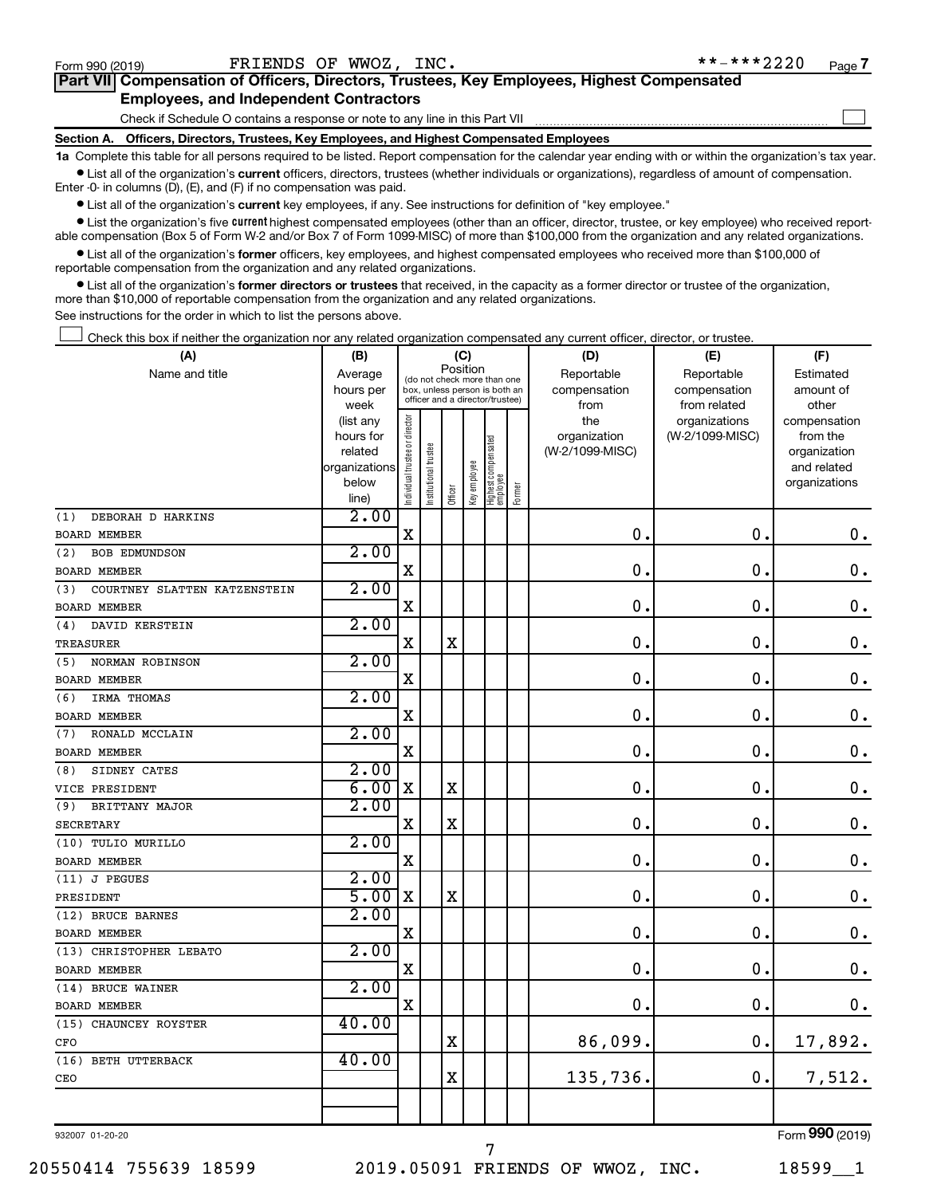$\Box$ 

| Part VII Compensation of Officers, Directors, Trustees, Key Employees, Highest Compensated |  |
|--------------------------------------------------------------------------------------------|--|
| <b>Employees, and Independent Contractors</b>                                              |  |

Check if Schedule O contains a response or note to any line in this Part VII

**Section A. Officers, Directors, Trustees, Key Employees, and Highest Compensated Employees**

**1a**  Complete this table for all persons required to be listed. Report compensation for the calendar year ending with or within the organization's tax year.  $\bullet$  List all of the organization's current officers, directors, trustees (whether individuals or organizations), regardless of amount of compensation.

Enter -0- in columns (D), (E), and (F) if no compensation was paid.

**•** List all of the organization's current key employees, if any. See instructions for definition of "key employee."

• List the organization's five *current* highest compensated employees (other than an officer, director, trustee, or key employee) who received reportable compensation (Box 5 of Form W-2 and/or Box 7 of Form 1099-MISC) of more than \$100,000 from the organization and any related organizations.

 $\bullet$  List all of the organization's former officers, key employees, and highest compensated employees who received more than \$100,000 of reportable compensation from the organization and any related organizations.

**•** List all of the organization's former directors or trustees that received, in the capacity as a former director or trustee of the organization, more than \$10,000 of reportable compensation from the organization and any related organizations.

See instructions for the order in which to list the persons above.

Check this box if neither the organization nor any related organization compensated any current officer, director, or trustee.  $\Box$ 

| (A)                                 | (B)                    |                                         |                                                                  | (C)         |              |                                   |        | (D)                             | (E)             | (F)                      |
|-------------------------------------|------------------------|-----------------------------------------|------------------------------------------------------------------|-------------|--------------|-----------------------------------|--------|---------------------------------|-----------------|--------------------------|
| Name and title                      | Average                | Position<br>(do not check more than one |                                                                  |             |              |                                   |        | Reportable                      | Reportable      | Estimated                |
|                                     | hours per              |                                         | box, unless person is both an<br>officer and a director/trustee) |             |              |                                   |        | compensation                    | compensation    | amount of                |
|                                     | week                   |                                         |                                                                  |             |              |                                   |        | from                            | from related    | other                    |
|                                     | (list any<br>hours for |                                         |                                                                  |             |              |                                   |        | the                             | organizations   | compensation<br>from the |
|                                     | related                |                                         |                                                                  |             |              |                                   |        | organization<br>(W-2/1099-MISC) | (W-2/1099-MISC) | organization             |
|                                     | organizations          |                                         | trustee                                                          |             |              |                                   |        |                                 |                 | and related              |
|                                     | below                  |                                         |                                                                  |             |              |                                   |        |                                 |                 | organizations            |
|                                     | line)                  | Individual trustee or director          | Institutional t                                                  | Officer     | Key employee | Highest compensated<br>  employee | Former |                                 |                 |                          |
| DEBORAH D HARKINS<br>(1)            | 2.00                   |                                         |                                                                  |             |              |                                   |        |                                 |                 |                          |
| <b>BOARD MEMBER</b>                 |                        | $\mathbf X$                             |                                                                  |             |              |                                   |        | $\mathbf 0$ .                   | $\mathbf 0$ .   | $\boldsymbol{0}$ .       |
| <b>BOB EDMUNDSON</b><br>(2)         | 2.00                   |                                         |                                                                  |             |              |                                   |        |                                 |                 |                          |
| <b>BOARD MEMBER</b>                 |                        | $\mathbf X$                             |                                                                  |             |              |                                   |        | $\mathbf 0$ .                   | $\mathbf 0$ .   | $\mathbf 0$ .            |
| COURTNEY SLATTEN KATZENSTEIN<br>(3) | 2.00                   |                                         |                                                                  |             |              |                                   |        |                                 |                 |                          |
| <b>BOARD MEMBER</b>                 |                        | $\mathbf X$                             |                                                                  |             |              |                                   |        | $\mathbf 0$ .                   | $\mathbf 0$ .   | $\mathbf 0$ .            |
| DAVID KERSTEIN<br>(4)               | 2.00                   |                                         |                                                                  |             |              |                                   |        |                                 |                 |                          |
| TREASURER                           |                        | $\mathbf X$                             |                                                                  | $\mathbf X$ |              |                                   |        | 0.                              | $\mathbf 0$ .   | $\mathbf 0$ .            |
| NORMAN ROBINSON<br>(5)              | 2.00                   |                                         |                                                                  |             |              |                                   |        |                                 |                 |                          |
| BOARD MEMBER                        |                        | $\mathbf X$                             |                                                                  |             |              |                                   |        | $\mathbf 0$ .                   | $\mathbf 0$ .   | $\mathbf 0$ .            |
| IRMA THOMAS<br>(6)                  | 2.00                   |                                         |                                                                  |             |              |                                   |        |                                 |                 |                          |
| <b>BOARD MEMBER</b>                 |                        | X                                       |                                                                  |             |              |                                   |        | $\mathbf 0$ .                   | $\mathbf 0$ .   | $\mathbf 0$ .            |
| RONALD MCCLAIN<br>(7)               | 2.00                   |                                         |                                                                  |             |              |                                   |        |                                 |                 |                          |
| <b>BOARD MEMBER</b>                 |                        | X                                       |                                                                  |             |              |                                   |        | $\mathbf 0$ .                   | $\mathbf 0$ .   | $\mathbf 0$ .            |
| (8)<br>SIDNEY CATES                 | 2.00                   |                                         |                                                                  |             |              |                                   |        |                                 |                 |                          |
| VICE PRESIDENT                      | 6.00                   | X                                       |                                                                  | $\mathbf X$ |              |                                   |        | $\mathbf 0$ .                   | $\mathbf 0$ .   | $\mathbf 0$ .            |
| BRITTANY MAJOR<br>(9)               | 2.00                   |                                         |                                                                  |             |              |                                   |        |                                 |                 |                          |
| <b>SECRETARY</b>                    |                        | $\mathbf X$                             |                                                                  | X           |              |                                   |        | $\mathbf 0$ .                   | $\mathbf 0$ .   | $\mathbf 0$ .            |
| (10) TULIO MURILLO                  | 2.00                   |                                         |                                                                  |             |              |                                   |        |                                 |                 |                          |
| <b>BOARD MEMBER</b>                 |                        | $\mathbf X$                             |                                                                  |             |              |                                   |        | $\mathbf{0}$ .                  | $\mathbf 0$ .   | $\mathbf 0$ .            |
| (11) J PEGUES                       | 2.00                   |                                         |                                                                  |             |              |                                   |        |                                 |                 |                          |
| PRESIDENT                           | 5.00                   | X                                       |                                                                  | X           |              |                                   |        | $\mathbf 0$ .                   | $\mathbf 0$ .   | $\boldsymbol{0}$ .       |
| (12) BRUCE BARNES                   | 2.00                   |                                         |                                                                  |             |              |                                   |        |                                 |                 |                          |
| <b>BOARD MEMBER</b>                 |                        | $\mathbf X$                             |                                                                  |             |              |                                   |        | 0.                              | $\mathbf 0$ .   | $\mathbf 0$ .            |
| (13) CHRISTOPHER LEBATO             | 2.00                   |                                         |                                                                  |             |              |                                   |        |                                 |                 |                          |
| <b>BOARD MEMBER</b>                 |                        | Χ                                       |                                                                  |             |              |                                   |        | $\mathbf 0$ .                   | $\mathbf 0$ .   | $\mathbf 0$ .            |
| (14) BRUCE WAINER                   | 2.00                   |                                         |                                                                  |             |              |                                   |        |                                 |                 |                          |
| <b>BOARD MEMBER</b>                 |                        | $\mathbf X$                             |                                                                  |             |              |                                   |        | 0.                              | $\mathbf 0$ .   | 0.                       |
| (15) CHAUNCEY ROYSTER               | 40.00                  |                                         |                                                                  |             |              |                                   |        |                                 |                 |                          |
| CFO                                 |                        |                                         |                                                                  | X           |              |                                   |        | 86,099.                         | $\mathbf 0$ .   | 17,892.                  |
| (16) BETH UTTERBACK                 | 40.00                  |                                         |                                                                  |             |              |                                   |        |                                 |                 |                          |
| CEO                                 |                        |                                         |                                                                  | $\mathbf X$ |              |                                   |        | 135,736.                        | $\mathbf 0$ .   | 7,512.                   |
|                                     |                        |                                         |                                                                  |             |              |                                   |        |                                 |                 |                          |
|                                     |                        |                                         |                                                                  |             |              |                                   |        |                                 |                 |                          |
|                                     |                        |                                         |                                                                  |             |              |                                   |        |                                 |                 | $\sim$                   |

932007 01-20-20

7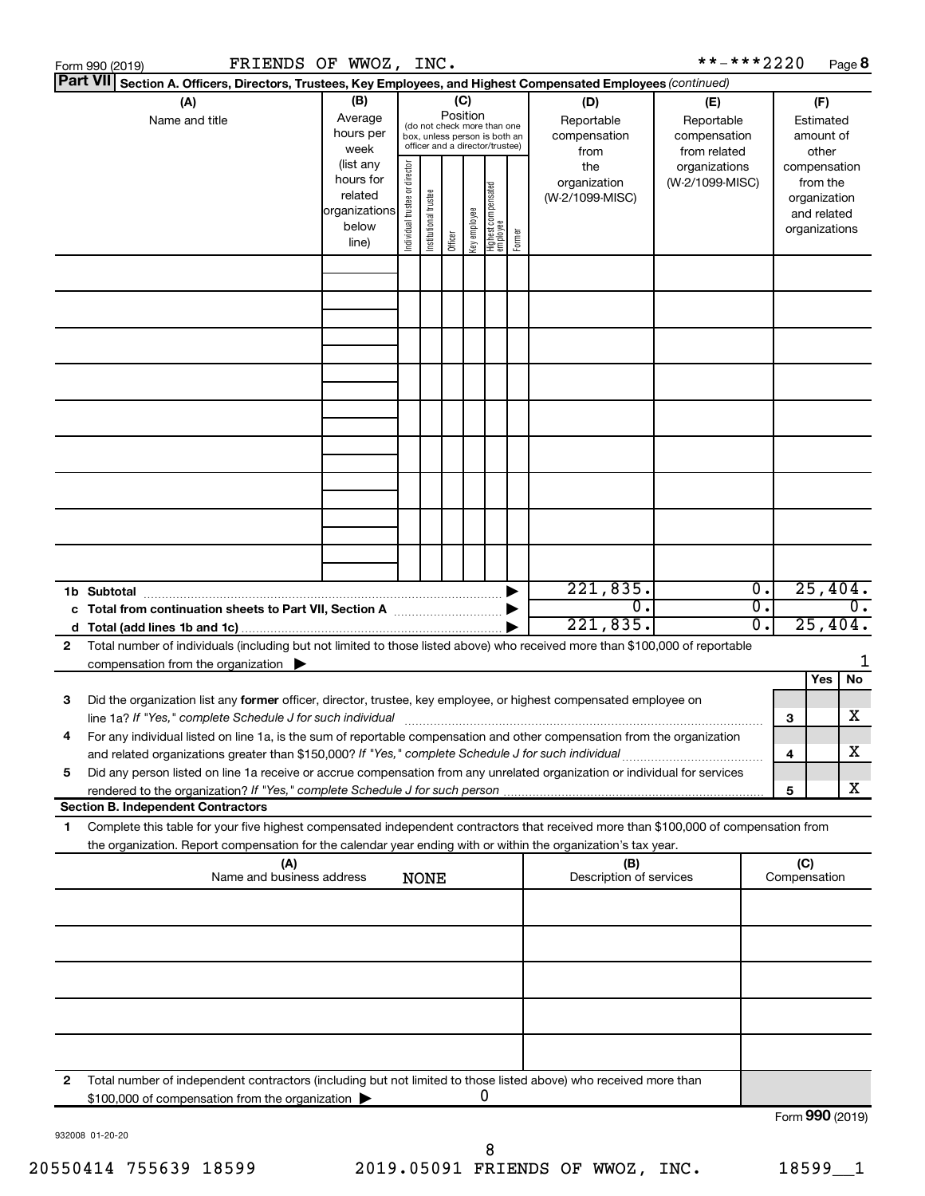|                 | FRIENDS OF WWOZ, INC.<br>Form 990 (2019)                                                                                                                                                                                        |                                                                          |                                |                       |                 |              |                                                                                                 |        |                                                                                     | **-***2220                                                                            |          |                     |                                                                                    | Page 8         |
|-----------------|---------------------------------------------------------------------------------------------------------------------------------------------------------------------------------------------------------------------------------|--------------------------------------------------------------------------|--------------------------------|-----------------------|-----------------|--------------|-------------------------------------------------------------------------------------------------|--------|-------------------------------------------------------------------------------------|---------------------------------------------------------------------------------------|----------|---------------------|------------------------------------------------------------------------------------|----------------|
| <b>Part VII</b> | Section A. Officers, Directors, Trustees, Key Employees, and Highest Compensated Employees (continued)                                                                                                                          |                                                                          |                                |                       |                 |              |                                                                                                 |        |                                                                                     |                                                                                       |          |                     |                                                                                    |                |
|                 | (A)<br>Name and title                                                                                                                                                                                                           | (B)<br>Average<br>hours per<br>week<br>(list any<br>hours for<br>related |                                |                       | (C)<br>Position |              | (do not check more than one<br>box, unless person is both an<br>officer and a director/trustee) |        | (D)<br>Reportable<br>compensation<br>from<br>the<br>organization<br>(W-2/1099-MISC) | (E)<br>Reportable<br>compensation<br>from related<br>organizations<br>(W-2/1099-MISC) |          |                     | (F)<br>Estimated<br>amount of<br>other<br>compensation<br>from the<br>organization |                |
|                 |                                                                                                                                                                                                                                 | organizations<br>below<br>line)                                          | Individual trustee or director | Institutional trustee | Officer         | Key employee | Highest compensated<br>employee                                                                 | Former |                                                                                     |                                                                                       |          |                     | and related<br>organizations                                                       |                |
|                 |                                                                                                                                                                                                                                 |                                                                          |                                |                       |                 |              |                                                                                                 |        |                                                                                     |                                                                                       |          |                     |                                                                                    |                |
|                 |                                                                                                                                                                                                                                 |                                                                          |                                |                       |                 |              |                                                                                                 |        |                                                                                     |                                                                                       |          |                     |                                                                                    |                |
|                 |                                                                                                                                                                                                                                 |                                                                          |                                |                       |                 |              |                                                                                                 |        |                                                                                     |                                                                                       |          |                     |                                                                                    |                |
|                 | 1b Subtotal                                                                                                                                                                                                                     |                                                                          |                                |                       |                 |              |                                                                                                 |        | 221,835.                                                                            |                                                                                       | 0.       |                     | 25,404.                                                                            |                |
| 2               | c Total from continuation sheets to Part VII, Section A manuscreen continuum<br>Total number of individuals (including but not limited to those listed above) who received more than \$100,000 of reportable                    |                                                                          |                                |                       |                 |              |                                                                                                 |        | $\mathbf 0$ .<br>221,835.                                                           |                                                                                       | σ.<br>σ. |                     | 25,404.                                                                            | $0$ .          |
|                 | compensation from the organization $\blacktriangleright$                                                                                                                                                                        |                                                                          |                                |                       |                 |              |                                                                                                 |        |                                                                                     |                                                                                       |          |                     | Yes                                                                                | 1<br><b>No</b> |
| 3               | Did the organization list any former officer, director, trustee, key employee, or highest compensated employee on                                                                                                               |                                                                          |                                |                       |                 |              |                                                                                                 |        |                                                                                     |                                                                                       |          | з                   |                                                                                    | x              |
|                 | For any individual listed on line 1a, is the sum of reportable compensation and other compensation from the organization<br>and related organizations greater than \$150,000? If "Yes," complete Schedule J for such individual |                                                                          |                                |                       |                 |              |                                                                                                 |        |                                                                                     |                                                                                       |          | 4                   |                                                                                    | х              |
| 5               | Did any person listed on line 1a receive or accrue compensation from any unrelated organization or individual for services<br>rendered to the organization? If "Yes," complete Schedule J for such person                       |                                                                          |                                |                       |                 |              |                                                                                                 |        |                                                                                     |                                                                                       |          | 5                   |                                                                                    | x              |
| 1               | <b>Section B. Independent Contractors</b><br>Complete this table for your five highest compensated independent contractors that received more than \$100,000 of compensation from                                               |                                                                          |                                |                       |                 |              |                                                                                                 |        |                                                                                     |                                                                                       |          |                     |                                                                                    |                |
|                 | the organization. Report compensation for the calendar year ending with or within the organization's tax year.<br>(A)<br>Name and business address                                                                              |                                                                          |                                | <b>NONE</b>           |                 |              |                                                                                                 |        | (B)<br>Description of services                                                      |                                                                                       |          | (C)<br>Compensation |                                                                                    |                |
|                 |                                                                                                                                                                                                                                 |                                                                          |                                |                       |                 |              |                                                                                                 |        |                                                                                     |                                                                                       |          |                     |                                                                                    |                |
|                 |                                                                                                                                                                                                                                 |                                                                          |                                |                       |                 |              |                                                                                                 |        |                                                                                     |                                                                                       |          |                     |                                                                                    |                |
|                 |                                                                                                                                                                                                                                 |                                                                          |                                |                       |                 |              |                                                                                                 |        |                                                                                     |                                                                                       |          |                     |                                                                                    |                |
|                 |                                                                                                                                                                                                                                 |                                                                          |                                |                       |                 |              |                                                                                                 |        |                                                                                     |                                                                                       |          |                     |                                                                                    |                |
| $\mathbf{2}$    | Total number of independent contractors (including but not limited to those listed above) who received more than<br>\$100,000 of compensation from the organization                                                             |                                                                          |                                |                       |                 |              | 0                                                                                               |        |                                                                                     |                                                                                       |          |                     |                                                                                    |                |
|                 |                                                                                                                                                                                                                                 |                                                                          |                                |                       |                 |              |                                                                                                 |        |                                                                                     |                                                                                       |          | Form 990 (2019)     |                                                                                    |                |

932008 01-20-20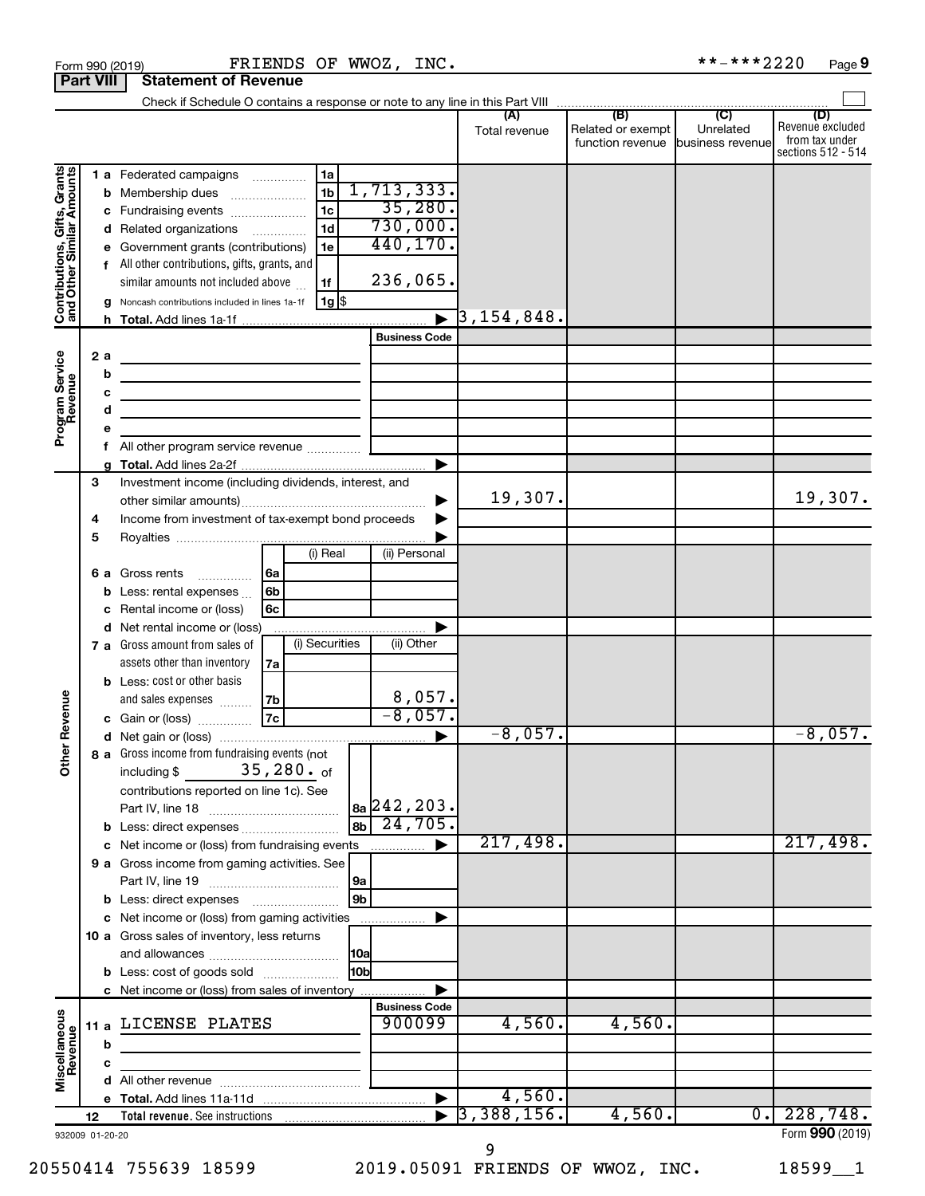|                                                           | <b>Part VIII</b>      | <b>Statement of Revenue</b>                                                                                                                                                                               |                                                                                                                                                            |
|-----------------------------------------------------------|-----------------------|-----------------------------------------------------------------------------------------------------------------------------------------------------------------------------------------------------------|------------------------------------------------------------------------------------------------------------------------------------------------------------|
|                                                           |                       |                                                                                                                                                                                                           |                                                                                                                                                            |
|                                                           |                       |                                                                                                                                                                                                           | (D)<br>Revenue excluded<br>Related or exempt<br>Unrelated<br>Total revenue<br>from tax under<br>function revenue<br>business revenue<br>sections 512 - 514 |
|                                                           | b                     | 1 a Federated campaigns<br>1a<br>1,713,333.<br>1 <sub>b</sub><br>Membership dues<br>$\ldots \ldots \ldots \ldots \ldots$<br>35,280.<br>1 <sub>c</sub><br>c Fundraising events<br>730,000.                 |                                                                                                                                                            |
| Contributions, Gifts, Grants<br>and Other Similar Amounts |                       | 1 <sub>d</sub><br>d Related organizations<br>440,170.<br>Government grants (contributions)<br>1e<br>f All other contributions, gifts, grants, and<br>236,065.<br>similar amounts not included above<br>1f |                                                                                                                                                            |
|                                                           |                       | 1g  \$<br>Noncash contributions included in lines 1a-1f                                                                                                                                                   | $\overline{3}$ ,154,848.                                                                                                                                   |
|                                                           | h.                    | <b>Business Code</b>                                                                                                                                                                                      |                                                                                                                                                            |
| Program Service<br>Revenue                                | 2 a<br>b              | <u> 1989 - Johann Barbara, martin a</u>                                                                                                                                                                   |                                                                                                                                                            |
|                                                           | с<br>d                | the control of the control of the control of the control of the control of<br>the control of the control of the control of the control of the control of                                                  |                                                                                                                                                            |
|                                                           | е<br>f                | All other program service revenue                                                                                                                                                                         |                                                                                                                                                            |
|                                                           |                       |                                                                                                                                                                                                           | ▶                                                                                                                                                          |
|                                                           | 3<br>4                | Investment income (including dividends, interest, and<br>Income from investment of tax-exempt bond proceeds                                                                                               | 19,307.<br>19,307.<br>▶                                                                                                                                    |
|                                                           | 5                     | (i) Real<br>(ii) Personal                                                                                                                                                                                 |                                                                                                                                                            |
|                                                           | b                     | <b>6 a</b> Gross rents<br>l6a<br>6b<br>Less: rental expenses                                                                                                                                              |                                                                                                                                                            |
|                                                           |                       | Rental income or (loss)<br>6с<br>d Net rental income or (loss)                                                                                                                                            |                                                                                                                                                            |
|                                                           |                       | (i) Securities<br>(ii) Other<br>7 a Gross amount from sales of<br>assets other than inventory<br>7a                                                                                                       |                                                                                                                                                            |
| Revenue                                                   |                       | <b>b</b> Less: cost or other basis<br>$\frac{8,057}{-8,057}$<br>and sales expenses<br>7b<br> 7c <br>c Gain or (loss)                                                                                      |                                                                                                                                                            |
|                                                           |                       |                                                                                                                                                                                                           | $-8,057.$<br>$-8,057.$                                                                                                                                     |
| ৯<br>$\check{\bar{\epsilon}}$                             |                       | 8 a Gross income from fundraising events (not<br>35,280. of<br>including \$<br>contributions reported on line 1c). See<br> 8a 242, 203.                                                                   |                                                                                                                                                            |
|                                                           |                       | 24,705.<br> 8 <sub>b</sub>  <br>b Less: direct expenses                                                                                                                                                   |                                                                                                                                                            |
|                                                           |                       | c Net income or (loss) from fundraising events<br>.                                                                                                                                                       | 217,498.<br>217,498.<br>▶                                                                                                                                  |
|                                                           |                       | 9 a Gross income from gaming activities. See<br> 9a                                                                                                                                                       |                                                                                                                                                            |
|                                                           |                       | 9b<br><b>b</b> Less: direct expenses <b>manually</b><br>c Net income or (loss) from gaming activities                                                                                                     |                                                                                                                                                            |
|                                                           |                       | 10 a Gross sales of inventory, less returns                                                                                                                                                               |                                                                                                                                                            |
|                                                           |                       | 10a <br>l10bl<br><b>b</b> Less: cost of goods sold                                                                                                                                                        |                                                                                                                                                            |
|                                                           |                       | c Net income or (loss) from sales of inventory                                                                                                                                                            |                                                                                                                                                            |
| Miscellaneous<br>Revenue                                  | b                     | <b>Business Code</b><br>900099<br>11 a LICENSE PLATES                                                                                                                                                     | 4,560.<br>4,560.                                                                                                                                           |
|                                                           | с                     |                                                                                                                                                                                                           |                                                                                                                                                            |
|                                                           |                       |                                                                                                                                                                                                           |                                                                                                                                                            |
|                                                           |                       |                                                                                                                                                                                                           | 4,560.<br>$\blacktriangleright$                                                                                                                            |
|                                                           | 12<br>932009 01-20-20 |                                                                                                                                                                                                           | 3,388,156.<br>228,748.<br>4,560.<br>$\overline{\phantom{0}}$ .<br>Form 990 (2019)                                                                          |
|                                                           |                       |                                                                                                                                                                                                           |                                                                                                                                                            |

Form 990 (2019) FRIENDS OF WWOZ, INC. \*\*-\*\*\*2220 Page

9

 $***$  -\*\*\* 2220 Page 9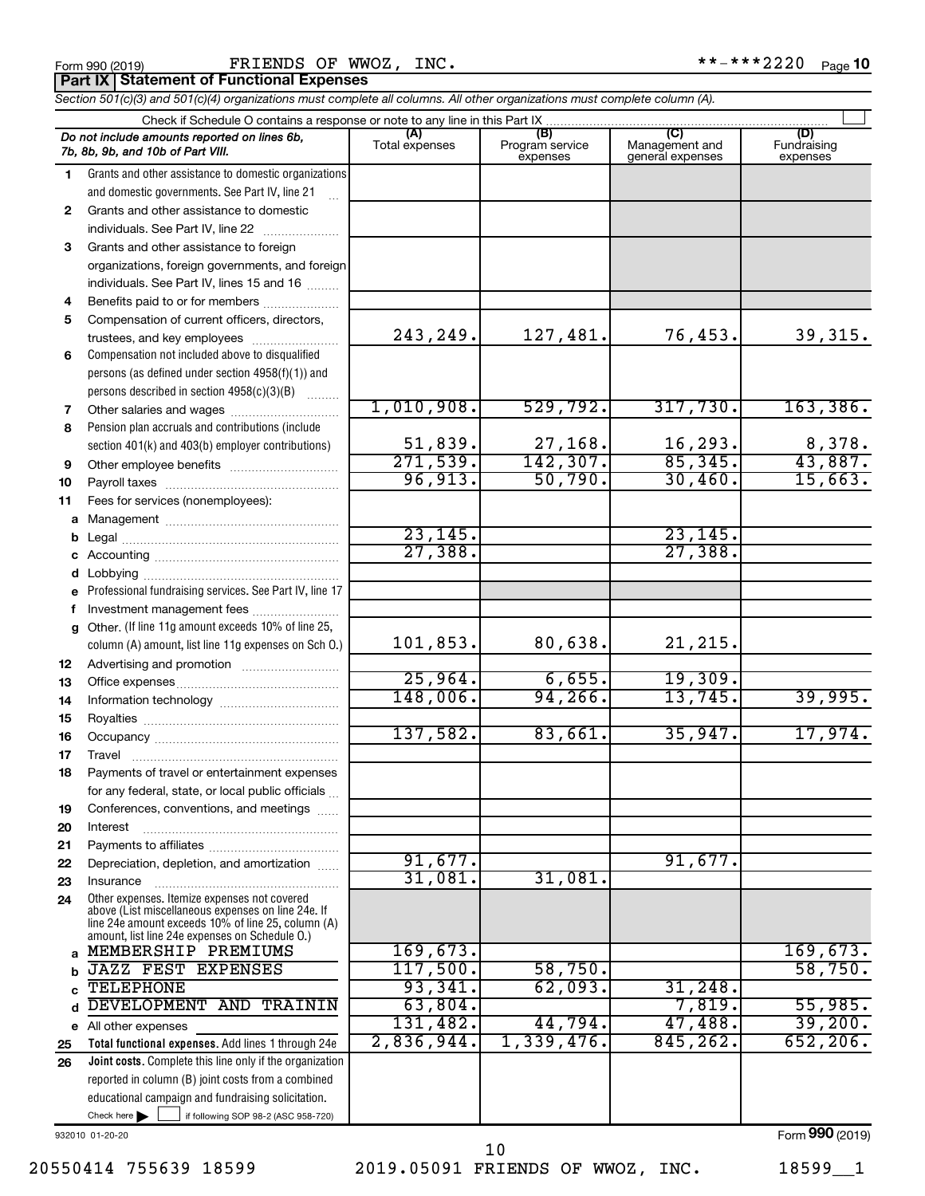|              | FRIENDS OF WWOZ, INC.<br>Form 990 (2019)                                                                                                                                        |                |                             |                                    | **-***2220<br>Page 10   |
|--------------|---------------------------------------------------------------------------------------------------------------------------------------------------------------------------------|----------------|-----------------------------|------------------------------------|-------------------------|
|              | <b>Part IX   Statement of Functional Expenses</b><br>Section 501(c)(3) and 501(c)(4) organizations must complete all columns. All other organizations must complete column (A). |                |                             |                                    |                         |
|              |                                                                                                                                                                                 |                |                             |                                    |                         |
|              | Do not include amounts reported on lines 6b,<br>7b, 8b, 9b, and 10b of Part VIII.                                                                                               | Total expenses | Program service<br>expenses | Management and<br>general expenses | Fundraising<br>expenses |
| $\mathbf{1}$ | Grants and other assistance to domestic organizations                                                                                                                           |                |                             |                                    |                         |
|              | and domestic governments. See Part IV, line 21                                                                                                                                  |                |                             |                                    |                         |
| $\mathbf{2}$ | Grants and other assistance to domestic                                                                                                                                         |                |                             |                                    |                         |
|              | individuals. See Part IV, line 22                                                                                                                                               |                |                             |                                    |                         |
| 3            | Grants and other assistance to foreign                                                                                                                                          |                |                             |                                    |                         |
|              | organizations, foreign governments, and foreign                                                                                                                                 |                |                             |                                    |                         |
|              | individuals. See Part IV, lines 15 and 16                                                                                                                                       |                |                             |                                    |                         |
| 4            | Benefits paid to or for members                                                                                                                                                 |                |                             |                                    |                         |
| 5            | Compensation of current officers, directors,                                                                                                                                    |                |                             |                                    |                         |
|              | trustees, and key employees                                                                                                                                                     | 243,249.       | 127,481.                    | 76,453.                            | 39,315.                 |
| 6            | Compensation not included above to disqualified                                                                                                                                 |                |                             |                                    |                         |
|              | persons (as defined under section 4958(f)(1)) and                                                                                                                               |                |                             |                                    |                         |
|              | persons described in section 4958(c)(3)(B)                                                                                                                                      |                |                             |                                    |                         |
| 7            |                                                                                                                                                                                 | 1,010,908.     | 529,792.                    | 317,730.                           | 163,386.                |
| 8            | Pension plan accruals and contributions (include                                                                                                                                |                |                             |                                    |                         |
|              | section 401(k) and 403(b) employer contributions)                                                                                                                               | 51,839.        | 27,168.                     | 16,293.                            | 8,378.                  |
| 9            |                                                                                                                                                                                 | 271,539.       | 142,307.                    | 85,345.                            | 43,887.                 |
| 10           |                                                                                                                                                                                 | 96,913.        | 50,790.                     | 30,460.                            | 15,663.                 |
| 11           | Fees for services (nonemployees):                                                                                                                                               |                |                             |                                    |                         |
| a            |                                                                                                                                                                                 | 23, 145.       |                             | 23, 145.                           |                         |
| b            |                                                                                                                                                                                 | 27,388.        |                             | 27,388.                            |                         |
|              |                                                                                                                                                                                 |                |                             |                                    |                         |
| е            | Professional fundraising services. See Part IV, line 17                                                                                                                         |                |                             |                                    |                         |
| f            | Investment management fees                                                                                                                                                      |                |                             |                                    |                         |
| g            | Other. (If line 11g amount exceeds 10% of line 25,                                                                                                                              |                |                             |                                    |                         |
|              | column (A) amount, list line 11g expenses on Sch O.)                                                                                                                            | 101,853.       | 80,638.                     | 21, 215.                           |                         |
| 12           |                                                                                                                                                                                 |                |                             |                                    |                         |
|              | 12 Office expenses                                                                                                                                                              | 25.964         | 6.655                       | 19.309.                            |                         |

Check here if following SOP 98-2 (ASC 958-720) 932010 01-20-20 **Total functional expenses.**  Add lines 1 through 24e **Joint costs.** Complete this line only if the organization **13 14 15 16 17 18 19 20 21 22 23 24 a b c d e 25 26** Other expenses. Itemize expenses not covered above (List miscellaneous expenses on line 24e. If line 24e amount exceeds 10% of line 25, column (A) amount, list line 24e expenses on Schedule O.) reported in column (B) joint costs from a combined educational campaign and fundraising solicitation. Office expenses ~~~~~~~~~~~~~~~ Information technology ~~~~~~~~~~~ Royalties ~~~~~~~~~~~~~~~~~~ Occupancy ~~~~~~~~~~~~~~~~~ Travel ~~~~~~~~~~~~~~~~~~~ Payments of travel or entertainment expenses for any federal, state, or local public officials ... Conferences, conventions, and meetings ...... Interest ~~~~~~~~~~~~~~~~~~ Payments to affiliates ~~~~~~~~~~~~ Depreciation, depletion, and amortization ...... Insurance ~~~~~~~~~~~~~~~~~ All other expenses 25,964. 6,655. 19,309. 148,006. 94,266. 13,745. 39,995. 137,582. 83,661. 35,947. 17,974. 91,677. 91,677. 31,081. 31,081. MEMBERSHIP PREMIUMS 169,673. JAZZ FEST EXPENSES | 117,500. 58,750. | 58,750. TELEPHONE 703,341. 62,093. 31,248. DEVELOPMENT AND TRAININ 63,804. 7,819. 55,985. 131,482. 44,794. 47,488. 39,200. 2,836,944. 1,339,476. 845,262. 652,206.

20550414 755639 18599 2019.05091 FRIENDS OF WWOZ, INC. 18599\_\_1 10

Form (2019) **990**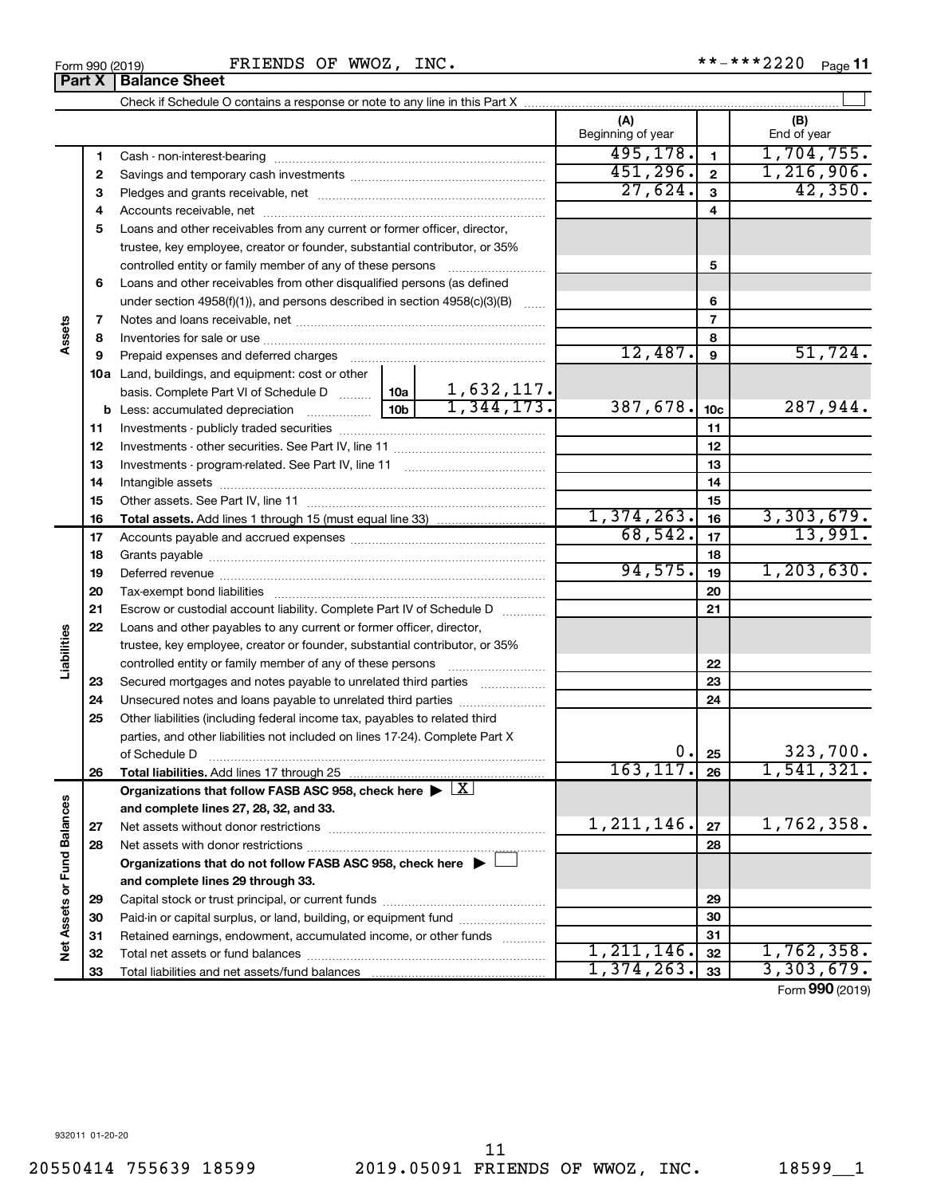|    | controlled entity or family member of any of these persons [                                                   |              | 5               |                 |
|----|----------------------------------------------------------------------------------------------------------------|--------------|-----------------|-----------------|
| 6  | Loans and other receivables from other disqualified persons (as defined                                        |              |                 |                 |
|    | under section 4958(f)(1)), and persons described in section 4958(c)(3)(B)<br>$\sim$                            |              | 6               |                 |
| 7  |                                                                                                                |              | $\overline{7}$  |                 |
| 8  |                                                                                                                |              | 8               |                 |
| 9  | Prepaid expenses and deferred charges [11] [11] [11] [12] [12] [12] [12] [13] [13] [13] [13] [13] [13] [13] [1 | 12,487.      | 9               | 51,724.         |
|    | <b>10a</b> Land, buildings, and equipment: cost or other                                                       |              |                 |                 |
|    | $\frac{1,632,117.}{1,344,173.}$<br>basis. Complete Part VI of Schedule D  10a                                  |              |                 |                 |
|    |                                                                                                                | 387,678.     | 10 <sub>c</sub> | 287,944.        |
| 11 |                                                                                                                |              | 11              |                 |
| 12 |                                                                                                                |              | 12              |                 |
| 13 |                                                                                                                |              | 13              |                 |
| 14 |                                                                                                                |              | 14              |                 |
| 15 |                                                                                                                |              | 15              |                 |
| 16 |                                                                                                                | 1,374,263.   | 16              | 3,303,679.      |
| 17 |                                                                                                                | 68,542.      | 17              | 13,991.         |
| 18 |                                                                                                                |              | 18              |                 |
| 19 |                                                                                                                | 94,575.      | 19              | 1, 203, 630.    |
| 20 |                                                                                                                |              | 20              |                 |
| 21 | Escrow or custodial account liability. Complete Part IV of Schedule D                                          |              | 21              |                 |
| 22 | Loans and other payables to any current or former officer, director,                                           |              |                 |                 |
|    | trustee, key employee, creator or founder, substantial contributor, or 35%                                     |              |                 |                 |
|    | controlled entity or family member of any of these persons                                                     |              | 22              |                 |
| 23 | Secured mortgages and notes payable to unrelated third parties                                                 |              | 23              |                 |
| 24 | Unsecured notes and loans payable to unrelated third parties                                                   |              | 24              |                 |
| 25 | Other liabilities (including federal income tax, payables to related third                                     |              |                 |                 |
|    | parties, and other liabilities not included on lines 17-24). Complete Part X                                   |              |                 |                 |
|    | of Schedule D                                                                                                  | О.           | 25              | 323,700.        |
| 26 | <b>Total liabilities.</b> Add lines 17 through 25                                                              | 163, 117.    | 26              | 1,541,321.      |
|    | Organizations that follow FASB ASC 958, check here $\blacktriangleright \lfloor X \rfloor$                     |              |                 |                 |
|    | and complete lines 27, 28, 32, and 33.                                                                         |              |                 |                 |
| 27 |                                                                                                                | 1, 211, 146. | 27              | 1,762,358.      |
| 28 |                                                                                                                |              | 28              |                 |
|    | Organizations that do not follow FASB ASC 958, check here $\blacktriangleright$                                |              |                 |                 |
|    | and complete lines 29 through 33.                                                                              |              |                 |                 |
| 29 |                                                                                                                |              | 29              |                 |
| 30 | Paid-in or capital surplus, or land, building, or equipment fund <i></i>                                       |              | 30              |                 |
| 31 | Retained earnings, endowment, accumulated income, or other funds                                               |              | 31              |                 |
| 32 |                                                                                                                | 1, 211, 146. | 32              | 1,762,358.      |
| 33 |                                                                                                                | 1,374,263.   | 33              | 3,303,679.      |
|    |                                                                                                                |              |                 | Form 990 (2019) |
|    |                                                                                                                |              |                 |                 |

Check if Schedule O contains a response or note to any line in this Part X **Part X** | Balance Sheet

**5** Loans and other receivables from any current or former officer, director,

trustee, key employee, creator or founder, substantial contributor, or 35%

Cash - non-interest-bearing ~~~~~~~~~~~~~~~~~~~~~~~~~ Savings and temporary cash investments ~~~~~~~~~~~~~~~~~~ Pledges and grants receivable, net ~~~~~~~~~~~~~~~~~~~~~ Accounts receivable, net ~~~~~~~~~~~~~~~~~~~~~~~~~~

FRIENDS OF WWOZ, INC.

 $\perp$ 

**(A) (B)**

Beginning of year  $\vert$  | End of year

495,178. 1,704,755.  $451,296$ .  $2 \mid 1,216,906$ .  $27,624.$  3 42,350.

**Assets**

**Liabilities**

**Net Assets or Fund Balances**

Net Assets or Fund Balances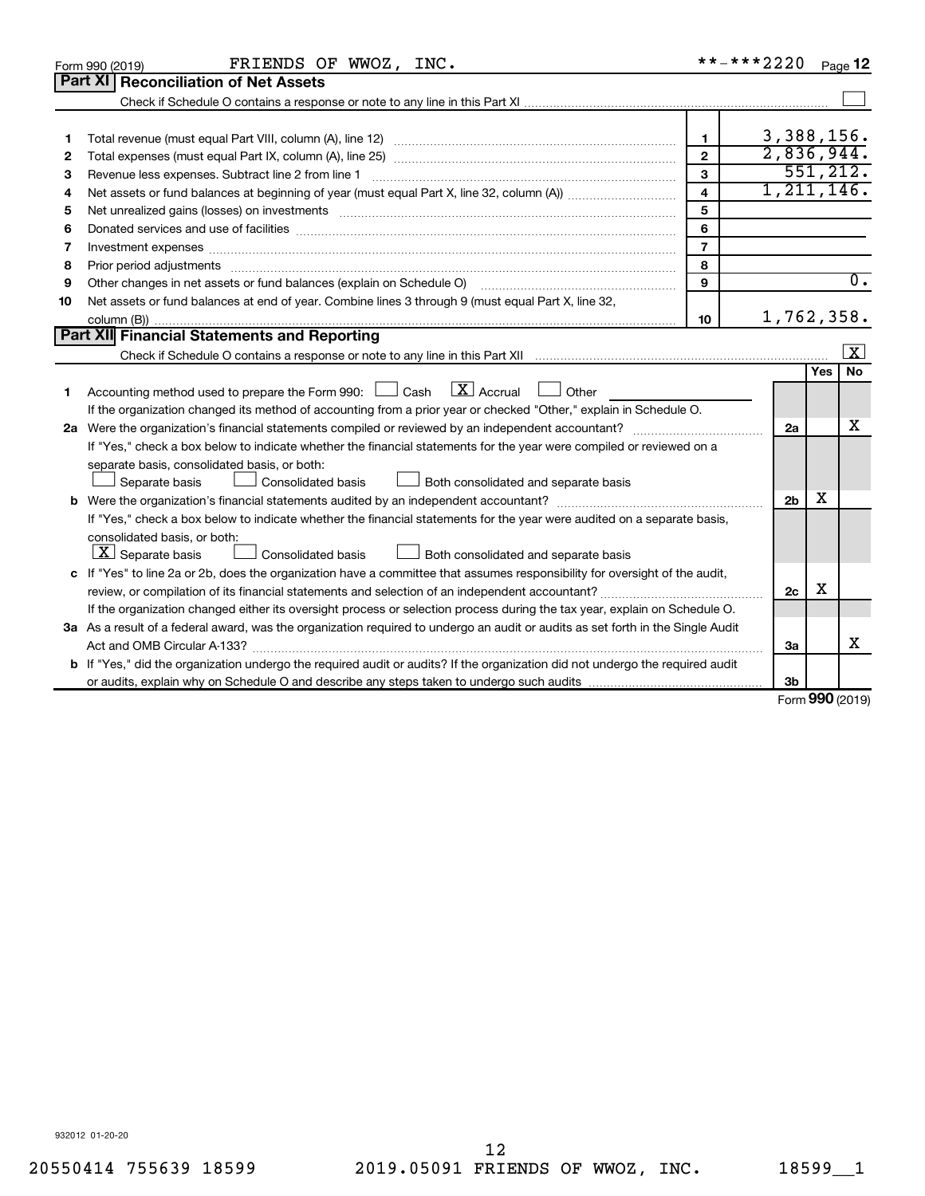|    | FRIENDS OF WWOZ, INC.<br>Form 990 (2019)                                                                                             |                         | **-***2220     |        | Page 12          |
|----|--------------------------------------------------------------------------------------------------------------------------------------|-------------------------|----------------|--------|------------------|
|    | <b>Part XI   Reconciliation of Net Assets</b>                                                                                        |                         |                |        |                  |
|    |                                                                                                                                      |                         |                |        |                  |
|    |                                                                                                                                      |                         |                |        |                  |
| 1  |                                                                                                                                      | $\mathbf{1}$            | 3,388,156.     |        |                  |
| 2  |                                                                                                                                      | $\overline{2}$          | 2,836,944.     |        |                  |
| з  | Revenue less expenses. Subtract line 2 from line 1                                                                                   | 3                       |                |        | 551, 212.        |
| 4  |                                                                                                                                      | $\overline{\mathbf{4}}$ | 1, 211, 146.   |        |                  |
| 5  |                                                                                                                                      | 5                       |                |        |                  |
| 6  | Donated services and use of facilities [[111] matter contracts and all the services and use of facilities [[11                       | 6                       |                |        |                  |
| 7  |                                                                                                                                      | $\overline{7}$          |                |        |                  |
| 8  |                                                                                                                                      | 8                       |                |        |                  |
| 9  | Other changes in net assets or fund balances (explain on Schedule O)                                                                 | 9                       |                |        | $\overline{0}$ . |
| 10 | Net assets or fund balances at end of year. Combine lines 3 through 9 (must equal Part X, line 32,                                   |                         |                |        |                  |
|    |                                                                                                                                      | 10                      | 1,762,358.     |        |                  |
|    | Part XII Financial Statements and Reporting                                                                                          |                         |                |        |                  |
|    |                                                                                                                                      |                         |                |        | X                |
|    |                                                                                                                                      |                         |                | Yes    | <b>No</b>        |
| 1  | $\lfloor \mathbf{X} \rfloor$ Accrual<br>Accounting method used to prepare the Form 990: $\Box$ Cash<br>Other<br>$\perp$              |                         |                |        |                  |
|    | If the organization changed its method of accounting from a prior year or checked "Other," explain in Schedule O.                    |                         |                |        |                  |
|    |                                                                                                                                      |                         | 2a             |        | x                |
|    | If "Yes," check a box below to indicate whether the financial statements for the year were compiled or reviewed on a                 |                         |                |        |                  |
|    | separate basis, consolidated basis, or both:                                                                                         |                         |                |        |                  |
|    | Both consolidated and separate basis<br>Separate basis<br>Consolidated basis                                                         |                         |                |        |                  |
|    |                                                                                                                                      |                         | 2 <sub>b</sub> | x      |                  |
|    | If "Yes," check a box below to indicate whether the financial statements for the year were audited on a separate basis,              |                         |                |        |                  |
|    | consolidated basis, or both:                                                                                                         |                         |                |        |                  |
|    | $ \mathbf{X} $ Separate basis<br>Consolidated basis<br>Both consolidated and separate basis                                          |                         |                |        |                  |
|    | c If "Yes" to line 2a or 2b, does the organization have a committee that assumes responsibility for oversight of the audit,          |                         |                |        |                  |
|    |                                                                                                                                      |                         | 2c             | X      |                  |
|    | If the organization changed either its oversight process or selection process during the tax year, explain on Schedule O.            |                         |                |        |                  |
|    | 3a As a result of a federal award, was the organization required to undergo an audit or audits as set forth in the Single Audit      |                         |                |        |                  |
|    |                                                                                                                                      |                         | 3a             |        | x                |
|    | <b>b</b> If "Yes," did the organization undergo the required audit or audits? If the organization did not undergo the required audit |                         |                |        |                  |
|    |                                                                                                                                      |                         | 3b             | $\sim$ |                  |

Form (2019) **990**

932012 01-20-20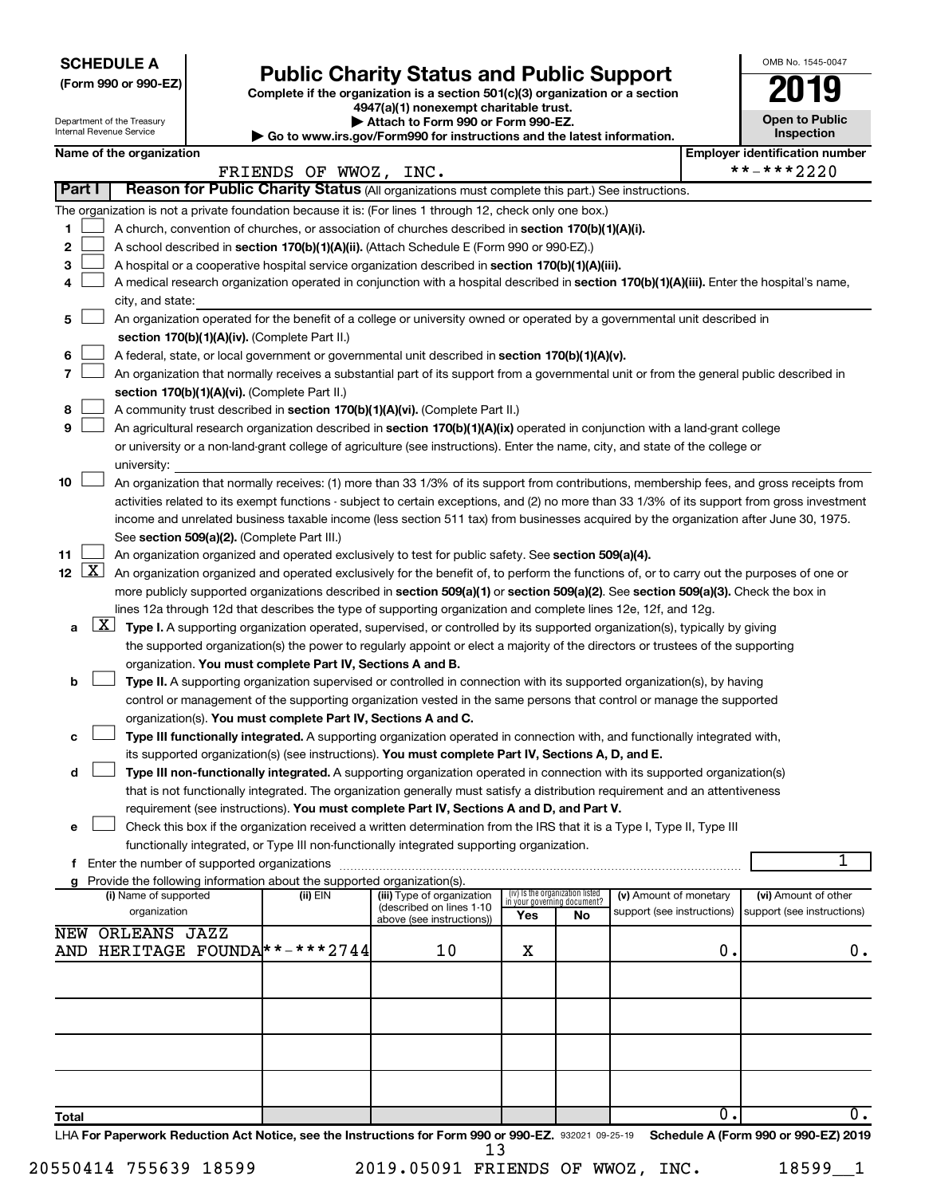**SCHEDULE A**

Department of the Treasury Internation

# Form 990 or 990-EZ) **Public Charity Status and Public Support**<br>
Complete if the organization is a section 501(c)(3) organization or a section<br> **2019**

**4947(a)(1) nonexempt charitable trust. | Attach to Form 990 or Form 990-EZ.** 

| <b>Open to Public</b><br>Inspection |
|-------------------------------------|
| er identification numbe             |

OMB No. 1545-0047

|                 |                                                                                                                                                                                            | internal Revenue Service              |  |                                                                        | $\blacktriangleright$ Go to www.irs.gov/Form990 for instructions and the latest information.                                               |                                                                |    |                                                      |                  | <b>Inspection</b>                                                                                                                             |  |
|-----------------|--------------------------------------------------------------------------------------------------------------------------------------------------------------------------------------------|---------------------------------------|--|------------------------------------------------------------------------|--------------------------------------------------------------------------------------------------------------------------------------------|----------------------------------------------------------------|----|------------------------------------------------------|------------------|-----------------------------------------------------------------------------------------------------------------------------------------------|--|
|                 |                                                                                                                                                                                            | Name of the organization              |  | FRIENDS OF WWOZ, INC.                                                  |                                                                                                                                            |                                                                |    |                                                      |                  | <b>Employer identification number</b><br>**-***2220                                                                                           |  |
| Part I          |                                                                                                                                                                                            |                                       |  |                                                                        | Reason for Public Charity Status (All organizations must complete this part.) See instructions.                                            |                                                                |    |                                                      |                  |                                                                                                                                               |  |
|                 |                                                                                                                                                                                            |                                       |  |                                                                        | The organization is not a private foundation because it is: (For lines 1 through 12, check only one box.)                                  |                                                                |    |                                                      |                  |                                                                                                                                               |  |
| 1               |                                                                                                                                                                                            |                                       |  |                                                                        | A church, convention of churches, or association of churches described in section 170(b)(1)(A)(i).                                         |                                                                |    |                                                      |                  |                                                                                                                                               |  |
| 2               |                                                                                                                                                                                            |                                       |  |                                                                        | A school described in section 170(b)(1)(A)(ii). (Attach Schedule E (Form 990 or 990-EZ).)                                                  |                                                                |    |                                                      |                  |                                                                                                                                               |  |
| 3               |                                                                                                                                                                                            |                                       |  |                                                                        | A hospital or a cooperative hospital service organization described in section 170(b)(1)(A)(iii).                                          |                                                                |    |                                                      |                  |                                                                                                                                               |  |
| 4               |                                                                                                                                                                                            |                                       |  |                                                                        | A medical research organization operated in conjunction with a hospital described in section 170(b)(1)(A)(iii). Enter the hospital's name, |                                                                |    |                                                      |                  |                                                                                                                                               |  |
|                 |                                                                                                                                                                                            | city, and state:                      |  |                                                                        |                                                                                                                                            |                                                                |    |                                                      |                  |                                                                                                                                               |  |
| 5               |                                                                                                                                                                                            |                                       |  | section 170(b)(1)(A)(iv). (Complete Part II.)                          | An organization operated for the benefit of a college or university owned or operated by a governmental unit described in                  |                                                                |    |                                                      |                  |                                                                                                                                               |  |
| 6               |                                                                                                                                                                                            |                                       |  |                                                                        | A federal, state, or local government or governmental unit described in section 170(b)(1)(A)(v).                                           |                                                                |    |                                                      |                  |                                                                                                                                               |  |
| 7               |                                                                                                                                                                                            |                                       |  |                                                                        |                                                                                                                                            |                                                                |    |                                                      |                  |                                                                                                                                               |  |
|                 | An organization that normally receives a substantial part of its support from a governmental unit or from the general public described in<br>section 170(b)(1)(A)(vi). (Complete Part II.) |                                       |  |                                                                        |                                                                                                                                            |                                                                |    |                                                      |                  |                                                                                                                                               |  |
| 8               |                                                                                                                                                                                            |                                       |  |                                                                        | A community trust described in section 170(b)(1)(A)(vi). (Complete Part II.)                                                               |                                                                |    |                                                      |                  |                                                                                                                                               |  |
| 9               |                                                                                                                                                                                            |                                       |  |                                                                        | An agricultural research organization described in section 170(b)(1)(A)(ix) operated in conjunction with a land-grant college              |                                                                |    |                                                      |                  |                                                                                                                                               |  |
|                 |                                                                                                                                                                                            |                                       |  |                                                                        | or university or a non-land-grant college of agriculture (see instructions). Enter the name, city, and state of the college or             |                                                                |    |                                                      |                  |                                                                                                                                               |  |
|                 |                                                                                                                                                                                            | university:                           |  |                                                                        |                                                                                                                                            |                                                                |    |                                                      |                  |                                                                                                                                               |  |
| 10              |                                                                                                                                                                                            |                                       |  |                                                                        | An organization that normally receives: (1) more than 33 1/3% of its support from contributions, membership fees, and gross receipts from  |                                                                |    |                                                      |                  |                                                                                                                                               |  |
|                 |                                                                                                                                                                                            |                                       |  |                                                                        |                                                                                                                                            |                                                                |    |                                                      |                  | activities related to its exempt functions - subject to certain exceptions, and (2) no more than 33 1/3% of its support from gross investment |  |
|                 |                                                                                                                                                                                            |                                       |  |                                                                        | income and unrelated business taxable income (less section 511 tax) from businesses acquired by the organization after June 30, 1975.      |                                                                |    |                                                      |                  |                                                                                                                                               |  |
|                 |                                                                                                                                                                                            |                                       |  | See section 509(a)(2). (Complete Part III.)                            |                                                                                                                                            |                                                                |    |                                                      |                  |                                                                                                                                               |  |
| 11              |                                                                                                                                                                                            |                                       |  |                                                                        | An organization organized and operated exclusively to test for public safety. See section 509(a)(4).                                       |                                                                |    |                                                      |                  |                                                                                                                                               |  |
| 12 <sub>2</sub> | <u>  X</u>                                                                                                                                                                                 |                                       |  |                                                                        | An organization organized and operated exclusively for the benefit of, to perform the functions of, or to carry out the purposes of one or |                                                                |    |                                                      |                  |                                                                                                                                               |  |
|                 |                                                                                                                                                                                            |                                       |  |                                                                        | more publicly supported organizations described in section 509(a)(1) or section 509(a)(2). See section 509(a)(3). Check the box in         |                                                                |    |                                                      |                  |                                                                                                                                               |  |
|                 |                                                                                                                                                                                            |                                       |  |                                                                        | lines 12a through 12d that describes the type of supporting organization and complete lines 12e, 12f, and 12g.                             |                                                                |    |                                                      |                  |                                                                                                                                               |  |
| а               | $\lfloor x \rfloor$                                                                                                                                                                        |                                       |  |                                                                        | Type I. A supporting organization operated, supervised, or controlled by its supported organization(s), typically by giving                |                                                                |    |                                                      |                  |                                                                                                                                               |  |
|                 |                                                                                                                                                                                            |                                       |  |                                                                        | the supported organization(s) the power to regularly appoint or elect a majority of the directors or trustees of the supporting            |                                                                |    |                                                      |                  |                                                                                                                                               |  |
|                 |                                                                                                                                                                                            |                                       |  | organization. You must complete Part IV, Sections A and B.             |                                                                                                                                            |                                                                |    |                                                      |                  |                                                                                                                                               |  |
| b               |                                                                                                                                                                                            |                                       |  |                                                                        | Type II. A supporting organization supervised or controlled in connection with its supported organization(s), by having                    |                                                                |    |                                                      |                  |                                                                                                                                               |  |
|                 |                                                                                                                                                                                            |                                       |  |                                                                        | control or management of the supporting organization vested in the same persons that control or manage the supported                       |                                                                |    |                                                      |                  |                                                                                                                                               |  |
|                 |                                                                                                                                                                                            |                                       |  | organization(s). You must complete Part IV, Sections A and C.          |                                                                                                                                            |                                                                |    |                                                      |                  |                                                                                                                                               |  |
| c               |                                                                                                                                                                                            |                                       |  |                                                                        | Type III functionally integrated. A supporting organization operated in connection with, and functionally integrated with,                 |                                                                |    |                                                      |                  |                                                                                                                                               |  |
|                 |                                                                                                                                                                                            |                                       |  |                                                                        | its supported organization(s) (see instructions). You must complete Part IV, Sections A, D, and E.                                         |                                                                |    |                                                      |                  |                                                                                                                                               |  |
| d               |                                                                                                                                                                                            |                                       |  |                                                                        | Type III non-functionally integrated. A supporting organization operated in connection with its supported organization(s)                  |                                                                |    |                                                      |                  |                                                                                                                                               |  |
|                 |                                                                                                                                                                                            |                                       |  |                                                                        | that is not functionally integrated. The organization generally must satisfy a distribution requirement and an attentiveness               |                                                                |    |                                                      |                  |                                                                                                                                               |  |
|                 |                                                                                                                                                                                            |                                       |  |                                                                        | requirement (see instructions). You must complete Part IV, Sections A and D, and Part V.                                                   |                                                                |    |                                                      |                  |                                                                                                                                               |  |
| е               |                                                                                                                                                                                            |                                       |  |                                                                        | Check this box if the organization received a written determination from the IRS that it is a Type I, Type II, Type III                    |                                                                |    |                                                      |                  |                                                                                                                                               |  |
|                 |                                                                                                                                                                                            |                                       |  |                                                                        | functionally integrated, or Type III non-functionally integrated supporting organization.                                                  |                                                                |    |                                                      |                  |                                                                                                                                               |  |
|                 |                                                                                                                                                                                            |                                       |  |                                                                        |                                                                                                                                            |                                                                |    |                                                      |                  | 1                                                                                                                                             |  |
| a               |                                                                                                                                                                                            |                                       |  | Provide the following information about the supported organization(s). |                                                                                                                                            |                                                                |    |                                                      |                  |                                                                                                                                               |  |
|                 |                                                                                                                                                                                            | (i) Name of supported<br>organization |  | (ii) EIN                                                               | (iii) Type of organization<br>(described on lines 1-10                                                                                     | (iv) Is the organization listed<br>in your governing document? |    | (v) Amount of monetary<br>support (see instructions) |                  | (vi) Amount of other<br>support (see instructions)                                                                                            |  |
|                 |                                                                                                                                                                                            |                                       |  |                                                                        | above (see instructions))                                                                                                                  | Yes                                                            | No |                                                      |                  |                                                                                                                                               |  |
| NEW             |                                                                                                                                                                                            | ORLEANS JAZZ                          |  |                                                                        |                                                                                                                                            |                                                                |    |                                                      |                  |                                                                                                                                               |  |
|                 |                                                                                                                                                                                            |                                       |  | AND HERITAGE FOUNDA *-*** 2744                                         | 10                                                                                                                                         | х                                                              |    |                                                      | 0.               | 0.                                                                                                                                            |  |
|                 |                                                                                                                                                                                            |                                       |  |                                                                        |                                                                                                                                            |                                                                |    |                                                      |                  |                                                                                                                                               |  |
|                 |                                                                                                                                                                                            |                                       |  |                                                                        |                                                                                                                                            |                                                                |    |                                                      |                  |                                                                                                                                               |  |
|                 |                                                                                                                                                                                            |                                       |  |                                                                        |                                                                                                                                            |                                                                |    |                                                      |                  |                                                                                                                                               |  |
|                 |                                                                                                                                                                                            |                                       |  |                                                                        |                                                                                                                                            |                                                                |    |                                                      |                  |                                                                                                                                               |  |
|                 |                                                                                                                                                                                            |                                       |  |                                                                        |                                                                                                                                            |                                                                |    |                                                      |                  |                                                                                                                                               |  |
|                 |                                                                                                                                                                                            |                                       |  |                                                                        |                                                                                                                                            |                                                                |    |                                                      |                  |                                                                                                                                               |  |
|                 |                                                                                                                                                                                            |                                       |  |                                                                        |                                                                                                                                            |                                                                |    |                                                      |                  |                                                                                                                                               |  |
|                 |                                                                                                                                                                                            |                                       |  |                                                                        |                                                                                                                                            |                                                                |    |                                                      | $\overline{0}$ . | 0.                                                                                                                                            |  |
| <b>Total</b>    |                                                                                                                                                                                            |                                       |  |                                                                        |                                                                                                                                            |                                                                |    |                                                      |                  |                                                                                                                                               |  |

LHA For Paperwork Reduction Act Notice, see the Instructions for Form 990 or 990-EZ. 932021 09-25-19 Schedule A (Form 990 or 990-EZ) 2019 13

| 9.05091 FRIENDS OF W |  |
|----------------------|--|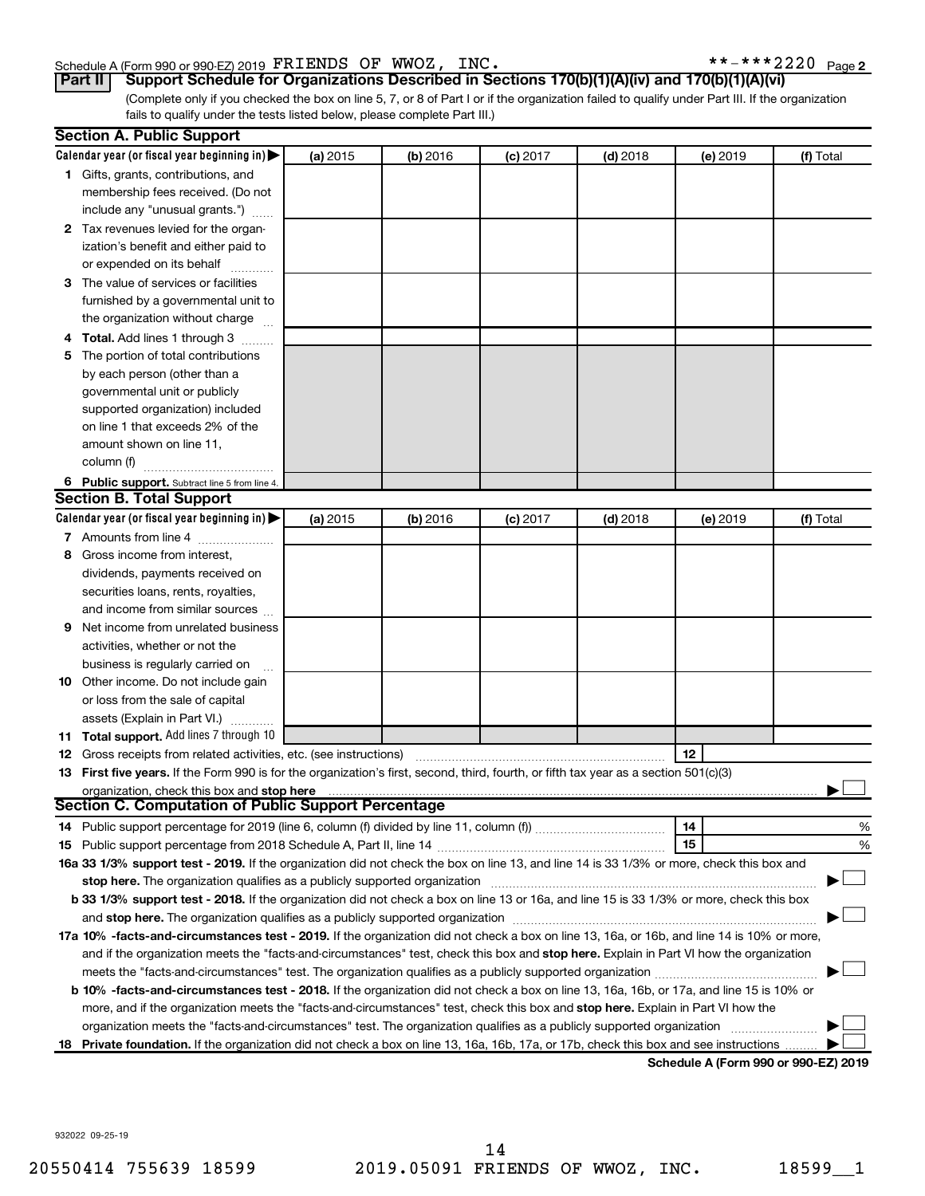## Schedule A (Form 990 or 990-EZ) 2019  $\texttt{FRIENDS OF WWOZ}$ ,  $\texttt{INC.} \quad \texttt{***2220 Page}$

 $***$   $***$  2220 Page 2

(Complete only if you checked the box on line 5, 7, or 8 of Part I or if the organization failed to qualify under Part III. If the organization fails to qualify under the tests listed below, please complete Part III.) **Part II Support Schedule for Organizations Described in Sections 170(b)(1)(A)(iv) and 170(b)(1)(A)(vi)**

|   | <b>Section A. Public Support</b>                                                                                                                                                                                               |          |          |            |            |          |                                      |
|---|--------------------------------------------------------------------------------------------------------------------------------------------------------------------------------------------------------------------------------|----------|----------|------------|------------|----------|--------------------------------------|
|   | Calendar year (or fiscal year beginning in)                                                                                                                                                                                    | (a) 2015 | (b) 2016 | $(c)$ 2017 | $(d)$ 2018 | (e) 2019 | (f) Total                            |
|   | 1 Gifts, grants, contributions, and                                                                                                                                                                                            |          |          |            |            |          |                                      |
|   | membership fees received. (Do not                                                                                                                                                                                              |          |          |            |            |          |                                      |
|   | include any "unusual grants.")                                                                                                                                                                                                 |          |          |            |            |          |                                      |
|   | 2 Tax revenues levied for the organ-                                                                                                                                                                                           |          |          |            |            |          |                                      |
|   | ization's benefit and either paid to                                                                                                                                                                                           |          |          |            |            |          |                                      |
|   | or expended on its behalf                                                                                                                                                                                                      |          |          |            |            |          |                                      |
|   | 3 The value of services or facilities                                                                                                                                                                                          |          |          |            |            |          |                                      |
|   | furnished by a governmental unit to                                                                                                                                                                                            |          |          |            |            |          |                                      |
|   | the organization without charge                                                                                                                                                                                                |          |          |            |            |          |                                      |
|   | 4 Total. Add lines 1 through 3                                                                                                                                                                                                 |          |          |            |            |          |                                      |
|   | 5 The portion of total contributions                                                                                                                                                                                           |          |          |            |            |          |                                      |
|   | by each person (other than a                                                                                                                                                                                                   |          |          |            |            |          |                                      |
|   | governmental unit or publicly                                                                                                                                                                                                  |          |          |            |            |          |                                      |
|   | supported organization) included                                                                                                                                                                                               |          |          |            |            |          |                                      |
|   | on line 1 that exceeds 2% of the                                                                                                                                                                                               |          |          |            |            |          |                                      |
|   | amount shown on line 11,                                                                                                                                                                                                       |          |          |            |            |          |                                      |
|   | column (f)                                                                                                                                                                                                                     |          |          |            |            |          |                                      |
|   | 6 Public support. Subtract line 5 from line 4.                                                                                                                                                                                 |          |          |            |            |          |                                      |
|   | <b>Section B. Total Support</b>                                                                                                                                                                                                |          |          |            |            |          |                                      |
|   | Calendar year (or fiscal year beginning in) $\blacktriangleright$                                                                                                                                                              | (a) 2015 | (b) 2016 | $(c)$ 2017 | $(d)$ 2018 | (e) 2019 | (f) Total                            |
|   | 7 Amounts from line 4                                                                                                                                                                                                          |          |          |            |            |          |                                      |
|   | 8 Gross income from interest,                                                                                                                                                                                                  |          |          |            |            |          |                                      |
|   | dividends, payments received on                                                                                                                                                                                                |          |          |            |            |          |                                      |
|   | securities loans, rents, royalties,                                                                                                                                                                                            |          |          |            |            |          |                                      |
|   | and income from similar sources                                                                                                                                                                                                |          |          |            |            |          |                                      |
| 9 | Net income from unrelated business                                                                                                                                                                                             |          |          |            |            |          |                                      |
|   | activities, whether or not the                                                                                                                                                                                                 |          |          |            |            |          |                                      |
|   | business is regularly carried on                                                                                                                                                                                               |          |          |            |            |          |                                      |
|   | 10 Other income. Do not include gain                                                                                                                                                                                           |          |          |            |            |          |                                      |
|   | or loss from the sale of capital                                                                                                                                                                                               |          |          |            |            |          |                                      |
|   | assets (Explain in Part VI.)                                                                                                                                                                                                   |          |          |            |            |          |                                      |
|   | 11 Total support. Add lines 7 through 10                                                                                                                                                                                       |          |          |            |            |          |                                      |
|   | <b>12</b> Gross receipts from related activities, etc. (see instructions)                                                                                                                                                      |          |          |            |            | 12       |                                      |
|   | 13 First five years. If the Form 990 is for the organization's first, second, third, fourth, or fifth tax year as a section 501(c)(3)                                                                                          |          |          |            |            |          |                                      |
|   | organization, check this box and stop here                                                                                                                                                                                     |          |          |            |            |          |                                      |
|   | <b>Section C. Computation of Public Support Percentage</b>                                                                                                                                                                     |          |          |            |            |          |                                      |
|   |                                                                                                                                                                                                                                |          |          |            |            | 14       | %                                    |
|   |                                                                                                                                                                                                                                |          |          |            |            | 15       | %                                    |
|   | 16a 33 1/3% support test - 2019. If the organization did not check the box on line 13, and line 14 is 33 1/3% or more, check this box and                                                                                      |          |          |            |            |          |                                      |
|   | stop here. The organization qualifies as a publicly supported organization manufactured content and the support of the state state of the state of the state state of the state state of the state state of the state state of |          |          |            |            |          |                                      |
|   | b 33 1/3% support test - 2018. If the organization did not check a box on line 13 or 16a, and line 15 is 33 1/3% or more, check this box                                                                                       |          |          |            |            |          |                                      |
|   |                                                                                                                                                                                                                                |          |          |            |            |          |                                      |
|   | 17a 10% -facts-and-circumstances test - 2019. If the organization did not check a box on line 13, 16a, or 16b, and line 14 is 10% or more,                                                                                     |          |          |            |            |          |                                      |
|   | and if the organization meets the "facts-and-circumstances" test, check this box and stop here. Explain in Part VI how the organization                                                                                        |          |          |            |            |          |                                      |
|   | meets the "facts-and-circumstances" test. The organization qualifies as a publicly supported organization <i>community content</i>                                                                                             |          |          |            |            |          |                                      |
|   | b 10% -facts-and-circumstances test - 2018. If the organization did not check a box on line 13, 16a, 16b, or 17a, and line 15 is 10% or                                                                                        |          |          |            |            |          |                                      |
|   | more, and if the organization meets the "facts-and-circumstances" test, check this box and stop here. Explain in Part VI how the                                                                                               |          |          |            |            |          |                                      |
|   | organization meets the "facts-and-circumstances" test. The organization qualifies as a publicly supported organization                                                                                                         |          |          |            |            |          |                                      |
|   | 18 Private foundation. If the organization did not check a box on line 13, 16a, 16b, 17a, or 17b, check this box and see instructions                                                                                          |          |          |            |            |          |                                      |
|   |                                                                                                                                                                                                                                |          |          |            |            |          | Schodule A (Form 000 or 000 F7) 2010 |

**Schedule A (Form 990 or 990-EZ) 2019**

932022 09-25-19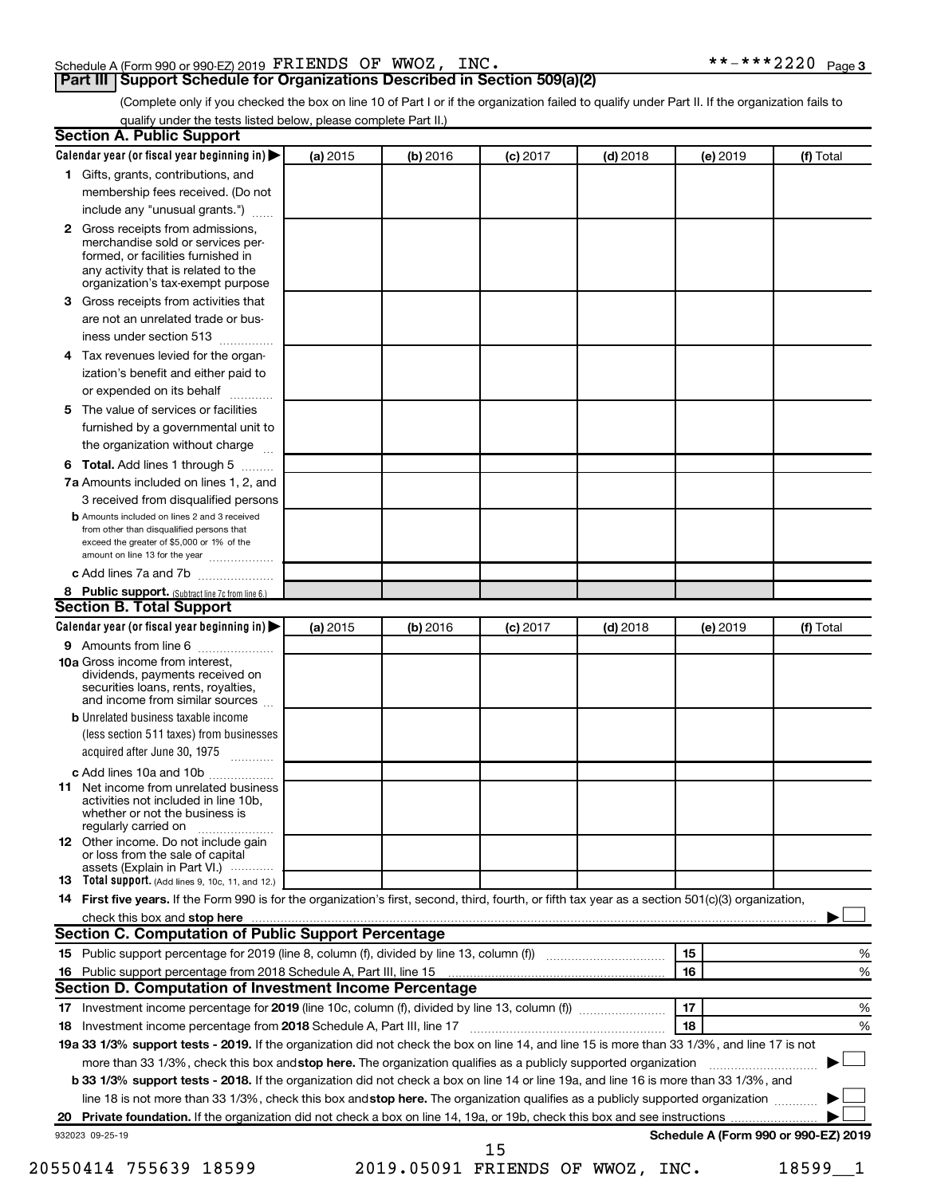# Schedule A (Form 990 or 990-EZ) 2019  $\texttt{FRIENDS OF WWOZ}$ ,  $\texttt{INC.} \quad \texttt{***2220 Page}$

# **Part III Support Schedule for Organizations Described in Section 509(a)(2)**

(Complete only if you checked the box on line 10 of Part I or if the organization failed to qualify under Part II. If the organization fails to qualify under the tests listed below, please complete Part II.)

|              | Calendar year (or fiscal year beginning in)                                                                                                                     | (a) 2015 | (b) 2016 | $(c)$ 2017 | $(d)$ 2018                       | (e) 2019 | (f) Total                            |
|--------------|-----------------------------------------------------------------------------------------------------------------------------------------------------------------|----------|----------|------------|----------------------------------|----------|--------------------------------------|
|              | 1 Gifts, grants, contributions, and                                                                                                                             |          |          |            |                                  |          |                                      |
|              | membership fees received. (Do not                                                                                                                               |          |          |            |                                  |          |                                      |
|              | include any "unusual grants.")                                                                                                                                  |          |          |            |                                  |          |                                      |
| $\mathbf{2}$ | Gross receipts from admissions,<br>merchandise sold or services per-<br>formed, or facilities furnished in                                                      |          |          |            |                                  |          |                                      |
|              | any activity that is related to the<br>organization's tax-exempt purpose                                                                                        |          |          |            |                                  |          |                                      |
| 3            | Gross receipts from activities that                                                                                                                             |          |          |            |                                  |          |                                      |
|              | are not an unrelated trade or bus-                                                                                                                              |          |          |            |                                  |          |                                      |
|              | iness under section 513                                                                                                                                         |          |          |            |                                  |          |                                      |
| 4            | Tax revenues levied for the organ-                                                                                                                              |          |          |            |                                  |          |                                      |
|              | ization's benefit and either paid to                                                                                                                            |          |          |            |                                  |          |                                      |
|              | or expended on its behalf<br>.                                                                                                                                  |          |          |            |                                  |          |                                      |
| 5            | The value of services or facilities                                                                                                                             |          |          |            |                                  |          |                                      |
|              | furnished by a governmental unit to                                                                                                                             |          |          |            |                                  |          |                                      |
|              | the organization without charge                                                                                                                                 |          |          |            |                                  |          |                                      |
| 6            | Total. Add lines 1 through 5                                                                                                                                    |          |          |            |                                  |          |                                      |
|              | 7a Amounts included on lines 1, 2, and                                                                                                                          |          |          |            |                                  |          |                                      |
|              | 3 received from disqualified persons                                                                                                                            |          |          |            |                                  |          |                                      |
|              | <b>b</b> Amounts included on lines 2 and 3 received                                                                                                             |          |          |            |                                  |          |                                      |
|              | from other than disqualified persons that<br>exceed the greater of \$5,000 or 1% of the<br>amount on line 13 for the year                                       |          |          |            |                                  |          |                                      |
|              | c Add lines 7a and 7b                                                                                                                                           |          |          |            |                                  |          |                                      |
|              | 8 Public support. (Subtract line 7c from line 6.)                                                                                                               |          |          |            |                                  |          |                                      |
|              | <b>Section B. Total Support</b>                                                                                                                                 |          |          |            |                                  |          |                                      |
|              | Calendar year (or fiscal year beginning in)                                                                                                                     | (a) 2015 | (b) 2016 | $(c)$ 2017 | $(d)$ 2018                       | (e) 2019 | (f) Total                            |
|              | 9 Amounts from line 6                                                                                                                                           |          |          |            |                                  |          |                                      |
|              | <b>10a</b> Gross income from interest,<br>dividends, payments received on<br>securities loans, rents, royalties,<br>and income from similar sources             |          |          |            |                                  |          |                                      |
|              | <b>b</b> Unrelated business taxable income                                                                                                                      |          |          |            |                                  |          |                                      |
|              | (less section 511 taxes) from businesses<br>acquired after June 30, 1975                                                                                        |          |          |            |                                  |          |                                      |
|              | c Add lines 10a and 10b                                                                                                                                         |          |          |            |                                  |          |                                      |
| 11           | Net income from unrelated business<br>activities not included in line 10b.<br>whether or not the business is                                                    |          |          |            |                                  |          |                                      |
|              | regularly carried on<br><b>12</b> Other income. Do not include gain<br>or loss from the sale of capital                                                         |          |          |            |                                  |          |                                      |
|              | assets (Explain in Part VI.)                                                                                                                                    |          |          |            |                                  |          |                                      |
|              | <b>13</b> Total support. (Add lines 9, 10c, 11, and 12.)                                                                                                        |          |          |            |                                  |          |                                      |
|              | 14 First five years. If the Form 990 is for the organization's first, second, third, fourth, or fifth tax year as a section 501(c)(3) organization,             |          |          |            |                                  |          |                                      |
|              |                                                                                                                                                                 |          |          |            |                                  |          |                                      |
|              | Section C. Computation of Public Support Percentage                                                                                                             |          |          |            |                                  |          |                                      |
|              |                                                                                                                                                                 |          |          |            |                                  | 15       | %                                    |
|              | 16 Public support percentage from 2018 Schedule A, Part III, line 15 [11] [10] [10] [10] [10] Public support percentage from 2018 Schedule A, Part III, line 15 |          |          |            |                                  | 16       | %                                    |
|              | Section D. Computation of Investment Income Percentage                                                                                                          |          |          |            |                                  |          |                                      |
|              |                                                                                                                                                                 |          |          |            |                                  | 17       | %                                    |
|              |                                                                                                                                                                 |          |          |            |                                  | 18       | %                                    |
|              | 19a 33 1/3% support tests - 2019. If the organization did not check the box on line 14, and line 15 is more than 33 1/3%, and line 17 is not                    |          |          |            |                                  |          |                                      |
|              | more than 33 1/3%, check this box and stop here. The organization qualifies as a publicly supported organization                                                |          |          |            |                                  |          |                                      |
|              | <b>b 33 1/3% support tests - 2018.</b> If the organization did not check a box on line 14 or line 19a, and line 16 is more than 33 1/3%, and                    |          |          |            |                                  |          |                                      |
|              | line 18 is not more than 33 1/3%, check this box and stop here. The organization qualifies as a publicly supported organization                                 |          |          |            |                                  |          |                                      |
|              |                                                                                                                                                                 |          |          |            |                                  |          |                                      |
|              | 932023 09-25-19                                                                                                                                                 |          |          |            |                                  |          | Schedule A (Form 990 or 990-EZ) 2019 |
|              |                                                                                                                                                                 |          |          | 15         |                                  |          |                                      |
|              | 20550414 755639 18599                                                                                                                                           |          |          |            | 2019.05091 FRIENDS OF WWOZ, INC. |          | 18599 1                              |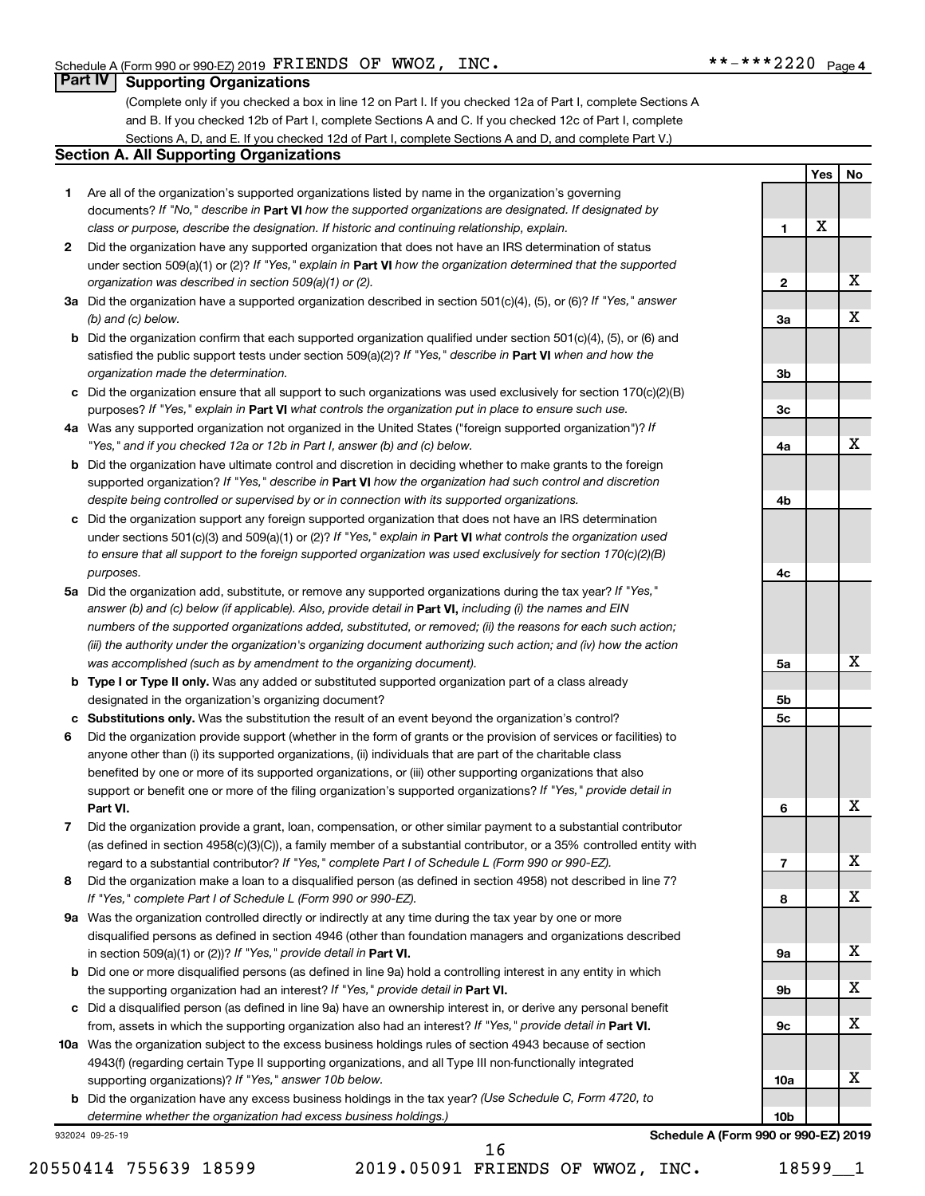**1**

**2**

**3a**

**3b**

**3c**

**4a**

**4b**

**4c**

**5a**

**5b 5c**

**6**

**7**

**8**

**9a**

**9b**

**9c**

**10a**

**Yes No**

X

X

X

X

X

X

X

X

X

X

X

X

# **Part IV Supporting Organizations**

(Complete only if you checked a box in line 12 on Part I. If you checked 12a of Part I, complete Sections A and B. If you checked 12b of Part I, complete Sections A and C. If you checked 12c of Part I, complete Sections A, D, and E. If you checked 12d of Part I, complete Sections A and D, and complete Part V.)

### **Section A. All Supporting Organizations**

- **1** Are all of the organization's supported organizations listed by name in the organization's governing documents? If "No," describe in Part VI how the supported organizations are designated. If designated by *class or purpose, describe the designation. If historic and continuing relationship, explain.*
- **2** Did the organization have any supported organization that does not have an IRS determination of status under section 509(a)(1) or (2)? If "Yes," explain in Part **VI** how the organization determined that the supported *organization was described in section 509(a)(1) or (2).*
- **3a** Did the organization have a supported organization described in section 501(c)(4), (5), or (6)? If "Yes," answer *(b) and (c) below.*
- **b** Did the organization confirm that each supported organization qualified under section 501(c)(4), (5), or (6) and satisfied the public support tests under section 509(a)(2)? If "Yes," describe in Part VI when and how the *organization made the determination.*
- **c** Did the organization ensure that all support to such organizations was used exclusively for section 170(c)(2)(B) purposes? If "Yes," explain in Part VI what controls the organization put in place to ensure such use.
- **4 a** *If* Was any supported organization not organized in the United States ("foreign supported organization")? *"Yes," and if you checked 12a or 12b in Part I, answer (b) and (c) below.*
- **b** Did the organization have ultimate control and discretion in deciding whether to make grants to the foreign supported organization? If "Yes," describe in Part VI how the organization had such control and discretion *despite being controlled or supervised by or in connection with its supported organizations.*
- **c** Did the organization support any foreign supported organization that does not have an IRS determination under sections 501(c)(3) and 509(a)(1) or (2)? If "Yes," explain in Part VI what controls the organization used *to ensure that all support to the foreign supported organization was used exclusively for section 170(c)(2)(B) purposes.*
- **5a** Did the organization add, substitute, or remove any supported organizations during the tax year? If "Yes," answer (b) and (c) below (if applicable). Also, provide detail in **Part VI,** including (i) the names and EIN *numbers of the supported organizations added, substituted, or removed; (ii) the reasons for each such action; (iii) the authority under the organization's organizing document authorizing such action; and (iv) how the action was accomplished (such as by amendment to the organizing document).*
- **b Type I or Type II only.** Was any added or substituted supported organization part of a class already designated in the organization's organizing document?
- **c Substitutions only.**  Was the substitution the result of an event beyond the organization's control?
- **6** Did the organization provide support (whether in the form of grants or the provision of services or facilities) to **Part VI.** support or benefit one or more of the filing organization's supported organizations? If "Yes," provide detail in anyone other than (i) its supported organizations, (ii) individuals that are part of the charitable class benefited by one or more of its supported organizations, or (iii) other supporting organizations that also
- **7** Did the organization provide a grant, loan, compensation, or other similar payment to a substantial contributor regard to a substantial contributor? If "Yes," complete Part I of Schedule L (Form 990 or 990-EZ). (as defined in section 4958(c)(3)(C)), a family member of a substantial contributor, or a 35% controlled entity with
- **8** Did the organization make a loan to a disqualified person (as defined in section 4958) not described in line 7? *If "Yes," complete Part I of Schedule L (Form 990 or 990-EZ).*
- **9 a** Was the organization controlled directly or indirectly at any time during the tax year by one or more in section 509(a)(1) or (2))? If "Yes," provide detail in **Part VI.** disqualified persons as defined in section 4946 (other than foundation managers and organizations described
- **b** Did one or more disqualified persons (as defined in line 9a) hold a controlling interest in any entity in which the supporting organization had an interest? If "Yes," provide detail in Part VI.
- **c** Did a disqualified person (as defined in line 9a) have an ownership interest in, or derive any personal benefit from, assets in which the supporting organization also had an interest? If "Yes," provide detail in Part VI.
- **10 a** Was the organization subject to the excess business holdings rules of section 4943 because of section supporting organizations)? If "Yes," answer 10b below. 4943(f) (regarding certain Type II supporting organizations, and all Type III non-functionally integrated
	- **b** Did the organization have any excess business holdings in the tax year? (Use Schedule C, Form 4720, to *determine whether the organization had excess business holdings.)*

932024 09-25-19

20550414 755639 18599 2019.05091 FRIENDS OF WWOZ, INC. 38599 1 16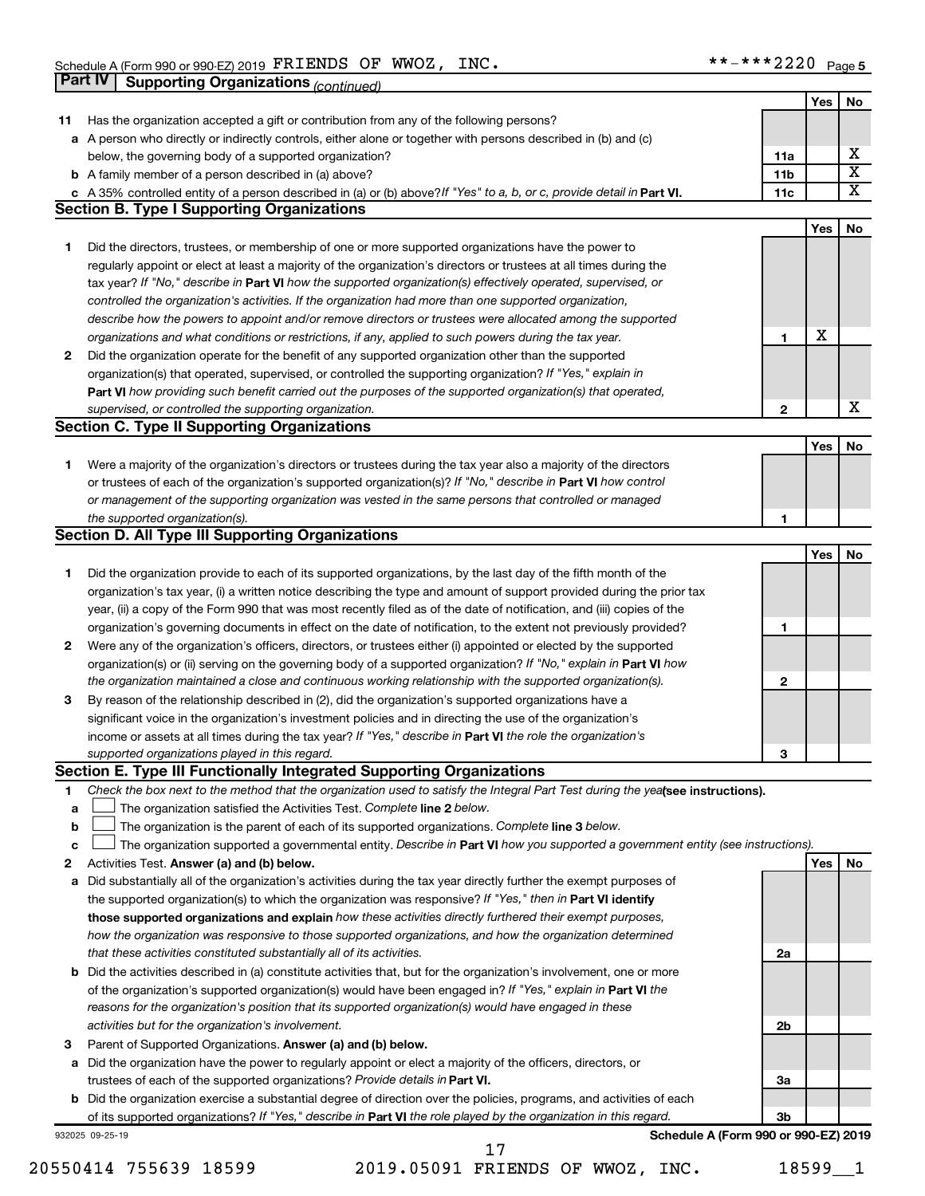|    | <b>Part IV</b>  | <b>Supporting Organizations (continued)</b>                                                                                                                                                                                       |                 |            |    |
|----|-----------------|-----------------------------------------------------------------------------------------------------------------------------------------------------------------------------------------------------------------------------------|-----------------|------------|----|
|    |                 |                                                                                                                                                                                                                                   |                 | Yes        | No |
| 11 |                 | Has the organization accepted a gift or contribution from any of the following persons?                                                                                                                                           |                 |            |    |
| а  |                 | A person who directly or indirectly controls, either alone or together with persons described in (b) and (c)                                                                                                                      |                 |            |    |
|    |                 | below, the governing body of a supported organization?                                                                                                                                                                            | 11a             |            | х  |
|    |                 | <b>b</b> A family member of a person described in (a) above?                                                                                                                                                                      | 11 <sub>b</sub> |            | X  |
|    |                 | c A 35% controlled entity of a person described in (a) or (b) above? If "Yes" to a, b, or c, provide detail in Part VI.                                                                                                           | 11c             |            | х  |
|    |                 | <b>Section B. Type I Supporting Organizations</b>                                                                                                                                                                                 |                 |            |    |
|    |                 |                                                                                                                                                                                                                                   |                 | Yes        | No |
| 1. |                 | Did the directors, trustees, or membership of one or more supported organizations have the power to                                                                                                                               |                 |            |    |
|    |                 | regularly appoint or elect at least a majority of the organization's directors or trustees at all times during the                                                                                                                |                 |            |    |
|    |                 | tax year? If "No," describe in Part VI how the supported organization(s) effectively operated, supervised, or                                                                                                                     |                 |            |    |
|    |                 | controlled the organization's activities. If the organization had more than one supported organization,                                                                                                                           |                 |            |    |
|    |                 | describe how the powers to appoint and/or remove directors or trustees were allocated among the supported                                                                                                                         |                 |            |    |
|    |                 | organizations and what conditions or restrictions, if any, applied to such powers during the tax year.                                                                                                                            | 1               | X          |    |
| 2  |                 | Did the organization operate for the benefit of any supported organization other than the supported                                                                                                                               |                 |            |    |
|    |                 | organization(s) that operated, supervised, or controlled the supporting organization? If "Yes," explain in                                                                                                                        |                 |            |    |
|    |                 | Part VI how providing such benefit carried out the purposes of the supported organization(s) that operated,                                                                                                                       |                 |            |    |
|    |                 | supervised, or controlled the supporting organization.                                                                                                                                                                            | 2               |            | X  |
|    |                 | <b>Section C. Type II Supporting Organizations</b>                                                                                                                                                                                |                 |            |    |
|    |                 |                                                                                                                                                                                                                                   |                 | Yes        | No |
|    |                 |                                                                                                                                                                                                                                   |                 |            |    |
| 1. |                 | Were a majority of the organization's directors or trustees during the tax year also a majority of the directors<br>or trustees of each of the organization's supported organization(s)? If "No," describe in Part VI how control |                 |            |    |
|    |                 | or management of the supporting organization was vested in the same persons that controlled or managed                                                                                                                            |                 |            |    |
|    |                 |                                                                                                                                                                                                                                   | 1               |            |    |
|    |                 | the supported organization(s).<br><b>Section D. All Type III Supporting Organizations</b>                                                                                                                                         |                 |            |    |
|    |                 |                                                                                                                                                                                                                                   |                 | Yes        | No |
|    |                 | Did the organization provide to each of its supported organizations, by the last day of the fifth month of the                                                                                                                    |                 |            |    |
| 1  |                 |                                                                                                                                                                                                                                   |                 |            |    |
|    |                 | organization's tax year, (i) a written notice describing the type and amount of support provided during the prior tax                                                                                                             |                 |            |    |
|    |                 | year, (ii) a copy of the Form 990 that was most recently filed as of the date of notification, and (iii) copies of the                                                                                                            |                 |            |    |
|    |                 | organization's governing documents in effect on the date of notification, to the extent not previously provided?                                                                                                                  | 1               |            |    |
| 2  |                 | Were any of the organization's officers, directors, or trustees either (i) appointed or elected by the supported                                                                                                                  |                 |            |    |
|    |                 | organization(s) or (ii) serving on the governing body of a supported organization? If "No," explain in Part VI how                                                                                                                | 2               |            |    |
|    |                 | the organization maintained a close and continuous working relationship with the supported organization(s).                                                                                                                       |                 |            |    |
| 3  |                 | By reason of the relationship described in (2), did the organization's supported organizations have a                                                                                                                             |                 |            |    |
|    |                 | significant voice in the organization's investment policies and in directing the use of the organization's<br>income or assets at all times during the tax year? If "Yes," describe in Part VI the role the organization's        |                 |            |    |
|    |                 | supported organizations played in this regard.                                                                                                                                                                                    |                 |            |    |
|    |                 | Section E. Type III Functionally Integrated Supporting Organizations                                                                                                                                                              | з               |            |    |
| 1  |                 | Check the box next to the method that the organization used to satisfy the Integral Part Test during the yealsee instructions).                                                                                                   |                 |            |    |
| a  |                 | The organization satisfied the Activities Test. Complete line 2 below.                                                                                                                                                            |                 |            |    |
| b  |                 | The organization is the parent of each of its supported organizations. Complete line 3 below.                                                                                                                                     |                 |            |    |
| c  |                 | The organization supported a governmental entity. Describe in Part VI how you supported a government entity (see instructions).                                                                                                   |                 |            |    |
| 2  |                 | Activities Test. Answer (a) and (b) below.                                                                                                                                                                                        |                 | <b>Yes</b> | No |
| а  |                 | Did substantially all of the organization's activities during the tax year directly further the exempt purposes of                                                                                                                |                 |            |    |
|    |                 | the supported organization(s) to which the organization was responsive? If "Yes," then in Part VI identify                                                                                                                        |                 |            |    |
|    |                 | those supported organizations and explain how these activities directly furthered their exempt purposes,                                                                                                                          |                 |            |    |
|    |                 | how the organization was responsive to those supported organizations, and how the organization determined                                                                                                                         |                 |            |    |
|    |                 | that these activities constituted substantially all of its activities.                                                                                                                                                            | 2a              |            |    |
| b  |                 | Did the activities described in (a) constitute activities that, but for the organization's involvement, one or more                                                                                                               |                 |            |    |
|    |                 | of the organization's supported organization(s) would have been engaged in? If "Yes," explain in Part VI the                                                                                                                      |                 |            |    |
|    |                 | reasons for the organization's position that its supported organization(s) would have engaged in these                                                                                                                            |                 |            |    |
|    |                 | activities but for the organization's involvement.                                                                                                                                                                                | 2b              |            |    |
| з  |                 | Parent of Supported Organizations. Answer (a) and (b) below.                                                                                                                                                                      |                 |            |    |
| а  |                 | Did the organization have the power to regularly appoint or elect a majority of the officers, directors, or                                                                                                                       |                 |            |    |
|    |                 | trustees of each of the supported organizations? Provide details in Part VI.                                                                                                                                                      | За              |            |    |
| b  |                 | Did the organization exercise a substantial degree of direction over the policies, programs, and activities of each                                                                                                               |                 |            |    |
|    |                 | of its supported organizations? If "Yes," describe in Part VI the role played by the organization in this regard.                                                                                                                 | Зb              |            |    |
|    | 932025 09-25-19 | Schedule A (Form 990 or 990-EZ) 2019                                                                                                                                                                                              |                 |            |    |

20550414 755639 18599 2019.05091 FRIENDS OF WWOZ, INC. 18599\_\_1

17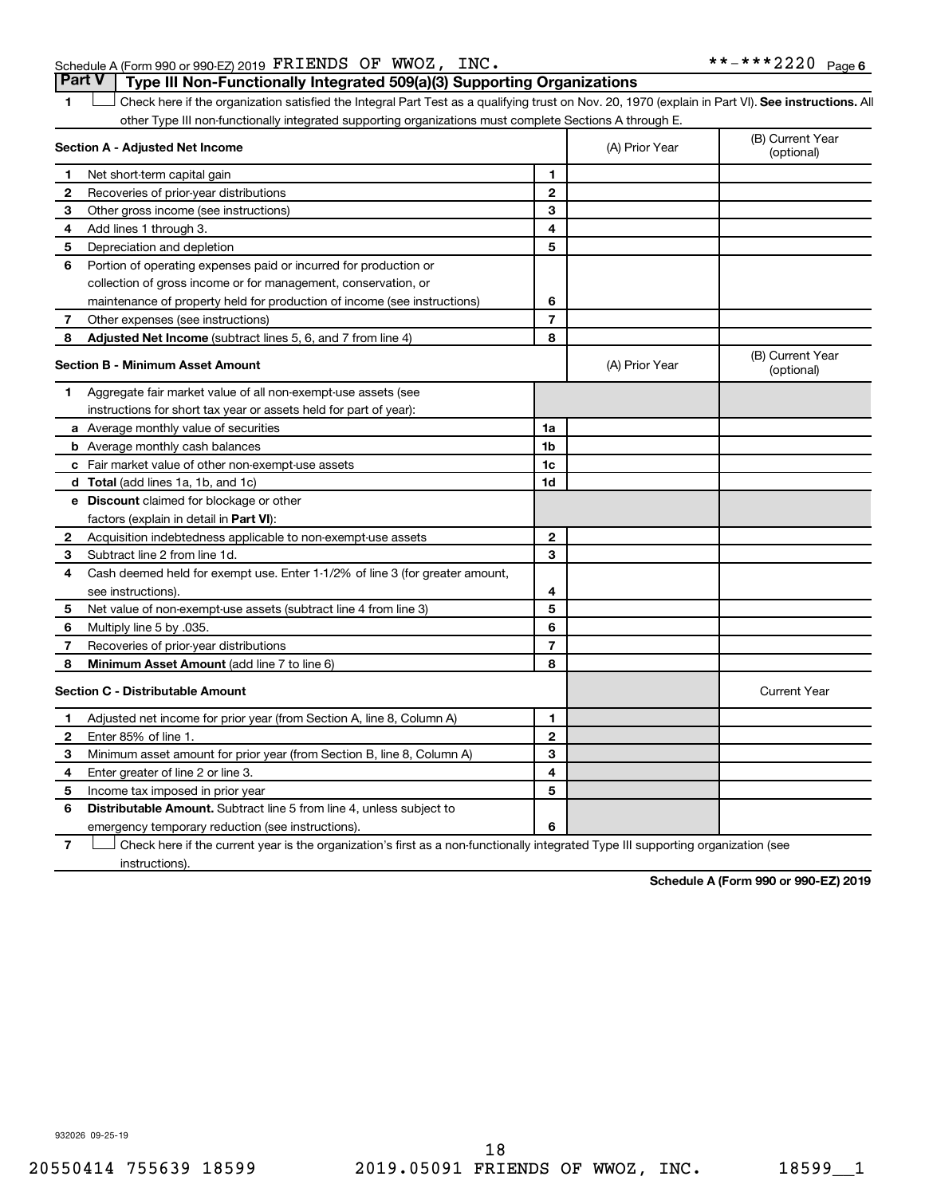# Schedule A (Form 990 or 990-EZ) 2019  $\texttt{FRIENDS OF WWOZ}$ ,  $\texttt{INC.} \quad \texttt{***2220 Page}$ **Part V Type III Non-Functionally Integrated 509(a)(3) Supporting Organizations**

1 **Letter See instructions.** All Check here if the organization satisfied the Integral Part Test as a qualifying trust on Nov. 20, 1970 (explain in Part VI). See instructions. All other Type III non-functionally integrated supporting organizations must complete Sections A through E.

|   | Section A - Adjusted Net Income                                                                                                   |                | (A) Prior Year | (B) Current Year<br>(optional) |
|---|-----------------------------------------------------------------------------------------------------------------------------------|----------------|----------------|--------------------------------|
| 1 | Net short-term capital gain                                                                                                       | 1              |                |                                |
| 2 | Recoveries of prior-year distributions                                                                                            | $\mathbf{2}$   |                |                                |
| 3 | Other gross income (see instructions)                                                                                             | 3              |                |                                |
| 4 | Add lines 1 through 3.                                                                                                            | 4              |                |                                |
| 5 | Depreciation and depletion                                                                                                        | 5              |                |                                |
| 6 | Portion of operating expenses paid or incurred for production or                                                                  |                |                |                                |
|   | collection of gross income or for management, conservation, or                                                                    |                |                |                                |
|   | maintenance of property held for production of income (see instructions)                                                          | 6              |                |                                |
| 7 | Other expenses (see instructions)                                                                                                 | $\overline{7}$ |                |                                |
| 8 | Adjusted Net Income (subtract lines 5, 6, and 7 from line 4)                                                                      | 8              |                |                                |
|   | <b>Section B - Minimum Asset Amount</b>                                                                                           |                | (A) Prior Year | (B) Current Year<br>(optional) |
| 1 | Aggregate fair market value of all non-exempt-use assets (see                                                                     |                |                |                                |
|   | instructions for short tax year or assets held for part of year):                                                                 |                |                |                                |
|   | <b>a</b> Average monthly value of securities                                                                                      | 1a             |                |                                |
|   | <b>b</b> Average monthly cash balances                                                                                            | 1b             |                |                                |
|   | <b>c</b> Fair market value of other non-exempt-use assets                                                                         | 1 <sub>c</sub> |                |                                |
|   | <b>d</b> Total (add lines 1a, 1b, and 1c)                                                                                         | 1d             |                |                                |
|   | e Discount claimed for blockage or other                                                                                          |                |                |                                |
|   | factors (explain in detail in <b>Part VI</b> ):                                                                                   |                |                |                                |
| 2 | Acquisition indebtedness applicable to non-exempt-use assets                                                                      | $\mathbf{2}$   |                |                                |
| 3 | Subtract line 2 from line 1d.                                                                                                     | 3              |                |                                |
| 4 | Cash deemed held for exempt use. Enter 1-1/2% of line 3 (for greater amount,                                                      |                |                |                                |
|   | see instructions).                                                                                                                | 4              |                |                                |
| 5 | Net value of non-exempt-use assets (subtract line 4 from line 3)                                                                  | 5              |                |                                |
| 6 | Multiply line 5 by .035.                                                                                                          | 6              |                |                                |
| 7 | Recoveries of prior-year distributions                                                                                            | $\overline{7}$ |                |                                |
| 8 | <b>Minimum Asset Amount (add line 7 to line 6)</b>                                                                                | 8              |                |                                |
|   | <b>Section C - Distributable Amount</b>                                                                                           |                |                | <b>Current Year</b>            |
| 1 | Adjusted net income for prior year (from Section A, line 8, Column A)                                                             | 1              |                |                                |
| 2 | Enter 85% of line 1.                                                                                                              | $\mathbf{2}$   |                |                                |
| 3 | Minimum asset amount for prior year (from Section B, line 8, Column A)                                                            | 3              |                |                                |
| 4 | Enter greater of line 2 or line 3.                                                                                                | 4              |                |                                |
| 5 | Income tax imposed in prior year                                                                                                  | 5              |                |                                |
| 6 | <b>Distributable Amount.</b> Subtract line 5 from line 4, unless subject to                                                       |                |                |                                |
|   | emergency temporary reduction (see instructions).                                                                                 | 6              |                |                                |
| 7 | Check here if the current year is the organization's first as a non-functionally integrated Type III supporting organization (see |                |                |                                |

instructions).

**Schedule A (Form 990 or 990-EZ) 2019**

932026 09-25-19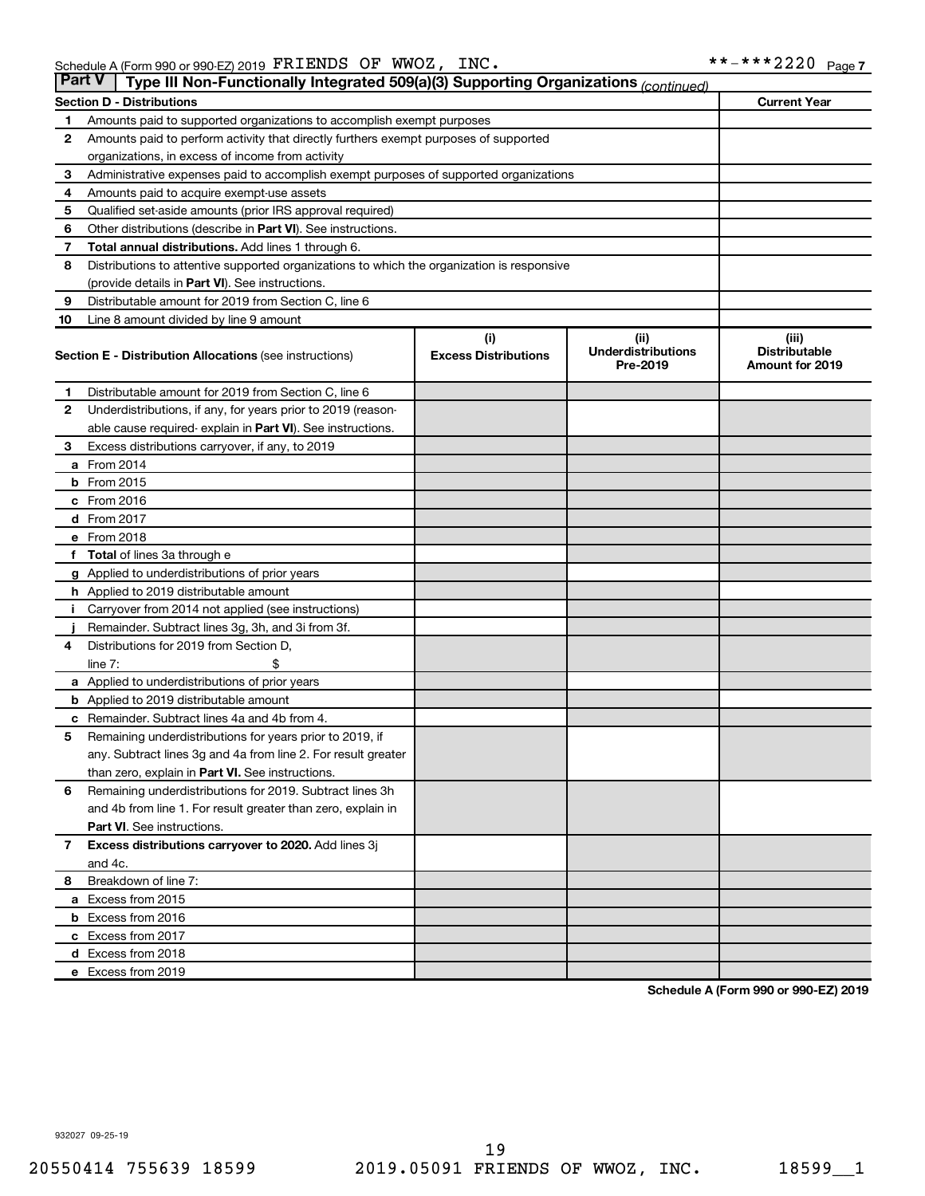| <b>Part V</b> | Type III Non-Functionally Integrated 509(a)(3) Supporting Organizations (continued)        |                             |                                       |                                                |
|---------------|--------------------------------------------------------------------------------------------|-----------------------------|---------------------------------------|------------------------------------------------|
|               | <b>Section D - Distributions</b>                                                           |                             |                                       | <b>Current Year</b>                            |
| 1             | Amounts paid to supported organizations to accomplish exempt purposes                      |                             |                                       |                                                |
| $\mathbf{2}$  | Amounts paid to perform activity that directly furthers exempt purposes of supported       |                             |                                       |                                                |
|               | organizations, in excess of income from activity                                           |                             |                                       |                                                |
| 3             | Administrative expenses paid to accomplish exempt purposes of supported organizations      |                             |                                       |                                                |
| 4             | Amounts paid to acquire exempt-use assets                                                  |                             |                                       |                                                |
| 5             | Qualified set-aside amounts (prior IRS approval required)                                  |                             |                                       |                                                |
| 6             | Other distributions (describe in Part VI). See instructions.                               |                             |                                       |                                                |
| 7             | Total annual distributions. Add lines 1 through 6.                                         |                             |                                       |                                                |
| 8             | Distributions to attentive supported organizations to which the organization is responsive |                             |                                       |                                                |
|               | (provide details in Part VI). See instructions.                                            |                             |                                       |                                                |
| 9             | Distributable amount for 2019 from Section C, line 6                                       |                             |                                       |                                                |
| 10            | Line 8 amount divided by line 9 amount                                                     |                             |                                       |                                                |
|               |                                                                                            | (i)                         | (ii)                                  | (iii)                                          |
|               | <b>Section E - Distribution Allocations (see instructions)</b>                             | <b>Excess Distributions</b> | <b>Underdistributions</b><br>Pre-2019 | <b>Distributable</b><br><b>Amount for 2019</b> |
| 1             | Distributable amount for 2019 from Section C, line 6                                       |                             |                                       |                                                |
| $\mathbf{2}$  | Underdistributions, if any, for years prior to 2019 (reason-                               |                             |                                       |                                                |
|               | able cause required- explain in Part VI). See instructions.                                |                             |                                       |                                                |
| 3             | Excess distributions carryover, if any, to 2019                                            |                             |                                       |                                                |
|               | a From 2014                                                                                |                             |                                       |                                                |
|               | <b>b</b> From 2015                                                                         |                             |                                       |                                                |
|               | c From 2016                                                                                |                             |                                       |                                                |
|               | d From 2017                                                                                |                             |                                       |                                                |
|               | e From 2018                                                                                |                             |                                       |                                                |
|               | f Total of lines 3a through e                                                              |                             |                                       |                                                |
|               | <b>g</b> Applied to underdistributions of prior years                                      |                             |                                       |                                                |
|               | h Applied to 2019 distributable amount                                                     |                             |                                       |                                                |
| Ť.            | Carryover from 2014 not applied (see instructions)                                         |                             |                                       |                                                |
|               | Remainder. Subtract lines 3g, 3h, and 3i from 3f.                                          |                             |                                       |                                                |
| 4             | Distributions for 2019 from Section D,                                                     |                             |                                       |                                                |
|               | line $7:$                                                                                  |                             |                                       |                                                |
|               | a Applied to underdistributions of prior years                                             |                             |                                       |                                                |
|               | <b>b</b> Applied to 2019 distributable amount                                              |                             |                                       |                                                |
| с             | Remainder. Subtract lines 4a and 4b from 4.                                                |                             |                                       |                                                |
| 5             | Remaining underdistributions for years prior to 2019, if                                   |                             |                                       |                                                |
|               | any. Subtract lines 3g and 4a from line 2. For result greater                              |                             |                                       |                                                |
|               | than zero, explain in Part VI. See instructions.                                           |                             |                                       |                                                |
| 6             | Remaining underdistributions for 2019. Subtract lines 3h                                   |                             |                                       |                                                |
|               | and 4b from line 1. For result greater than zero, explain in                               |                             |                                       |                                                |
|               | <b>Part VI.</b> See instructions.                                                          |                             |                                       |                                                |
| $\mathbf{7}$  | Excess distributions carryover to 2020. Add lines 3j                                       |                             |                                       |                                                |
|               | and 4c.                                                                                    |                             |                                       |                                                |
| 8             | Breakdown of line 7:                                                                       |                             |                                       |                                                |
|               | a Excess from 2015                                                                         |                             |                                       |                                                |
|               | <b>b</b> Excess from 2016                                                                  |                             |                                       |                                                |
|               | c Excess from 2017                                                                         |                             |                                       |                                                |
|               | d Excess from 2018                                                                         |                             |                                       |                                                |
|               | e Excess from 2019                                                                         |                             |                                       |                                                |

**Schedule A (Form 990 or 990-EZ) 2019**

932027 09-25-19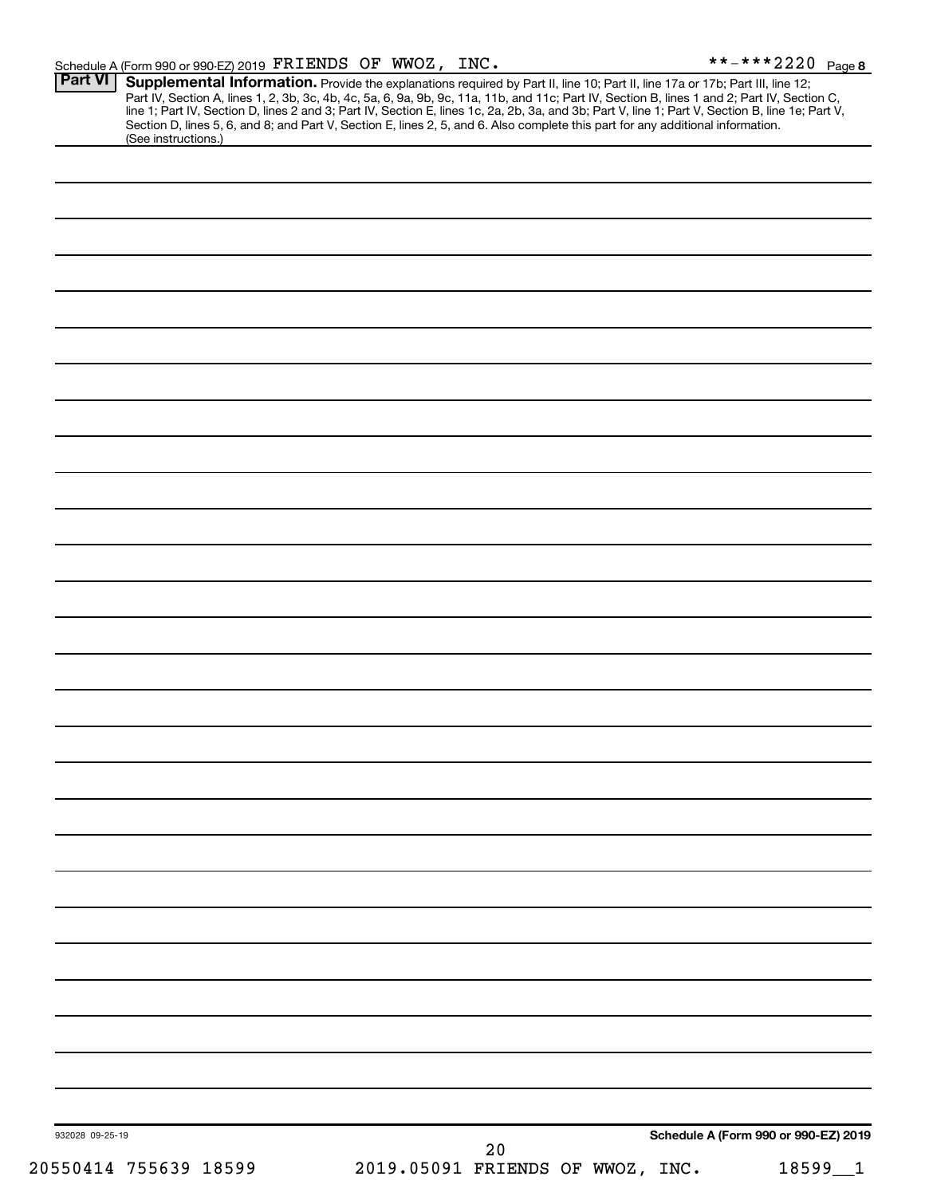| 932028 09-25-19 |                     | 20 | Schedule A (Form 990 or 990-EZ) 2019 |  |
|-----------------|---------------------|----|--------------------------------------|--|
|                 |                     |    |                                      |  |
|                 |                     |    |                                      |  |
|                 |                     |    |                                      |  |
|                 |                     |    |                                      |  |
|                 |                     |    |                                      |  |
|                 |                     |    |                                      |  |
|                 |                     |    |                                      |  |
|                 |                     |    |                                      |  |
|                 |                     |    |                                      |  |
|                 |                     |    |                                      |  |
|                 |                     |    |                                      |  |
|                 |                     |    |                                      |  |
|                 |                     |    |                                      |  |
|                 |                     |    |                                      |  |
|                 |                     |    |                                      |  |
|                 |                     |    |                                      |  |
|                 |                     |    |                                      |  |
|                 |                     |    |                                      |  |
|                 |                     |    |                                      |  |
|                 |                     |    |                                      |  |
|                 |                     |    |                                      |  |
|                 |                     |    |                                      |  |
|                 |                     |    |                                      |  |
|                 |                     |    |                                      |  |
|                 |                     |    |                                      |  |
|                 |                     |    |                                      |  |
|                 |                     |    |                                      |  |
|                 |                     |    |                                      |  |
|                 | (See instructions.) |    |                                      |  |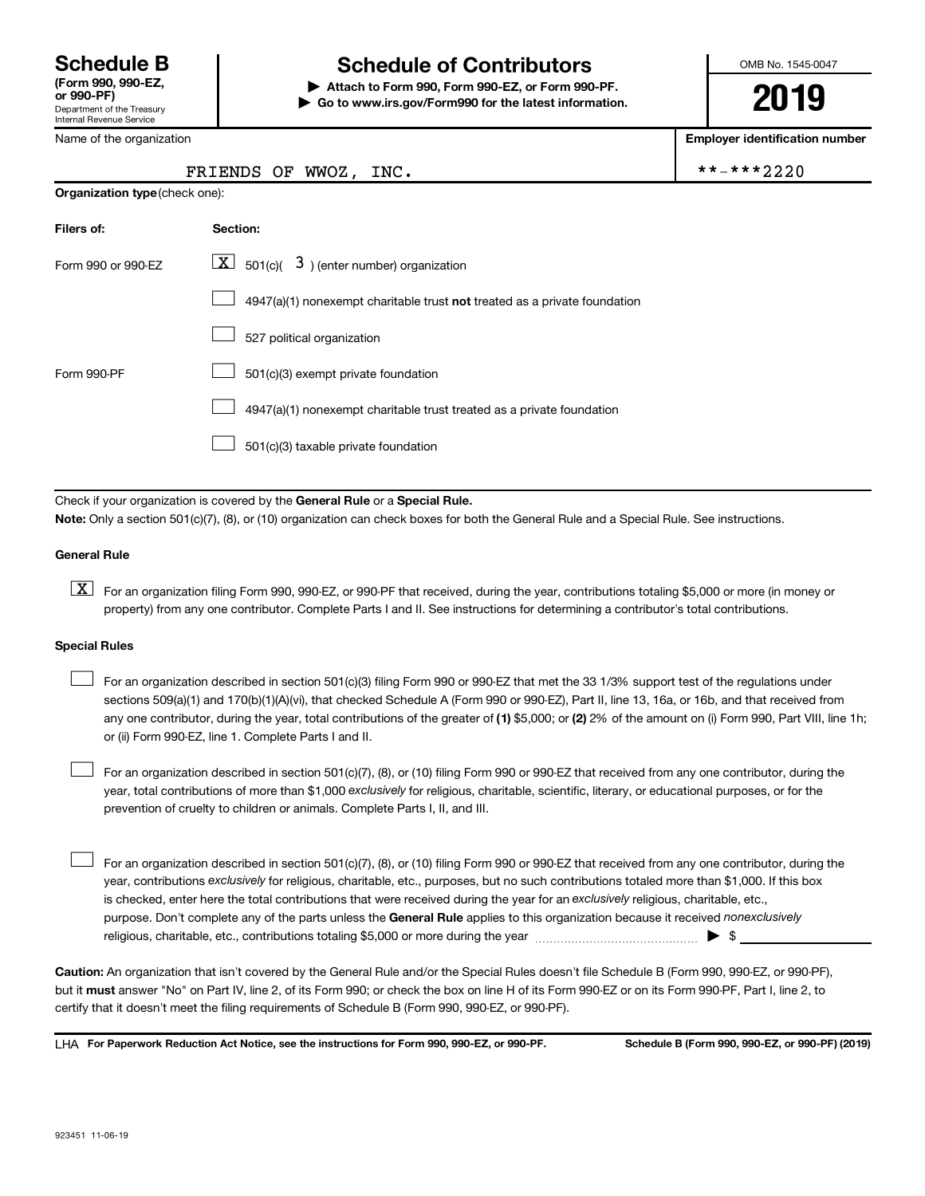Department of the Treasury

# **Schedule B Schedule of Contributors**

**or 990-PF) | Attach to Form 990, Form 990-EZ, or Form 990-PF. | Go to www.irs.gov/Form990 for the latest information.**

FRIENDS OF WWOZ, INC.  $\qquad \qquad \mid$  \*

OMB No. 1545-0047

**2019**

**Employer identification number**

|  |  |  | *-***2220 |  |
|--|--|--|-----------|--|
|  |  |  |           |  |

| <b>Internal Revenue Service</b> |
|---------------------------------|
| Name of the organization        |

| <b>Organization type (check one):</b> |                                                                             |
|---------------------------------------|-----------------------------------------------------------------------------|
| Filers of:                            | Section:                                                                    |
| Form 990 or 990-EZ                    | $\lfloor x \rfloor$ 501(c)( 3) (enter number) organization                  |
|                                       | $4947(a)(1)$ nonexempt charitable trust not treated as a private foundation |
|                                       | 527 political organization                                                  |
| Form 990-PF                           | 501(c)(3) exempt private foundation                                         |
|                                       | 4947(a)(1) nonexempt charitable trust treated as a private foundation       |
|                                       | 501(c)(3) taxable private foundation                                        |

Check if your organization is covered by the General Rule or a Special Rule. **Note:**  Only a section 501(c)(7), (8), or (10) organization can check boxes for both the General Rule and a Special Rule. See instructions.

#### **General Rule**

**K** For an organization filing Form 990, 990-EZ, or 990-PF that received, during the year, contributions totaling \$5,000 or more (in money or property) from any one contributor. Complete Parts I and II. See instructions for determining a contributor's total contributions.

#### **Special Rules**

 $\Box$ 

any one contributor, during the year, total contributions of the greater of (1) \$5,000; or (2) 2% of the amount on (i) Form 990, Part VIII, line 1h; For an organization described in section 501(c)(3) filing Form 990 or 990-EZ that met the 33 1/3% support test of the regulations under sections 509(a)(1) and 170(b)(1)(A)(vi), that checked Schedule A (Form 990 or 990-EZ), Part II, line 13, 16a, or 16b, and that received from or (ii) Form 990-EZ, line 1. Complete Parts I and II.  $\Box$ 

year, total contributions of more than \$1,000 *exclusively* for religious, charitable, scientific, literary, or educational purposes, or for the For an organization described in section 501(c)(7), (8), or (10) filing Form 990 or 990-EZ that received from any one contributor, during the prevention of cruelty to children or animals. Complete Parts I, II, and III.  $\Box$ 

purpose. Don't complete any of the parts unless the General Rule applies to this organization because it received nonexclusively year, contributions exclusively for religious, charitable, etc., purposes, but no such contributions totaled more than \$1,000. If this box is checked, enter here the total contributions that were received during the year for an exclusively religious, charitable, etc., For an organization described in section 501(c)(7), (8), or (10) filing Form 990 or 990-EZ that received from any one contributor, during the religious, charitable, etc., contributions totaling \$5,000 or more during the year  $~\ldots\ldots\ldots\ldots\ldots\ldots\ldots\ldots\blacktriangleright~$ \$

**Caution:**  An organization that isn't covered by the General Rule and/or the Special Rules doesn't file Schedule B (Form 990, 990-EZ, or 990-PF),  **must** but it answer "No" on Part IV, line 2, of its Form 990; or check the box on line H of its Form 990-EZ or on its Form 990-PF, Part I, line 2, to certify that it doesn't meet the filing requirements of Schedule B (Form 990, 990-EZ, or 990-PF).

**For Paperwork Reduction Act Notice, see the instructions for Form 990, 990-EZ, or 990-PF. Schedule B (Form 990, 990-EZ, or 990-PF) (2019)** LHA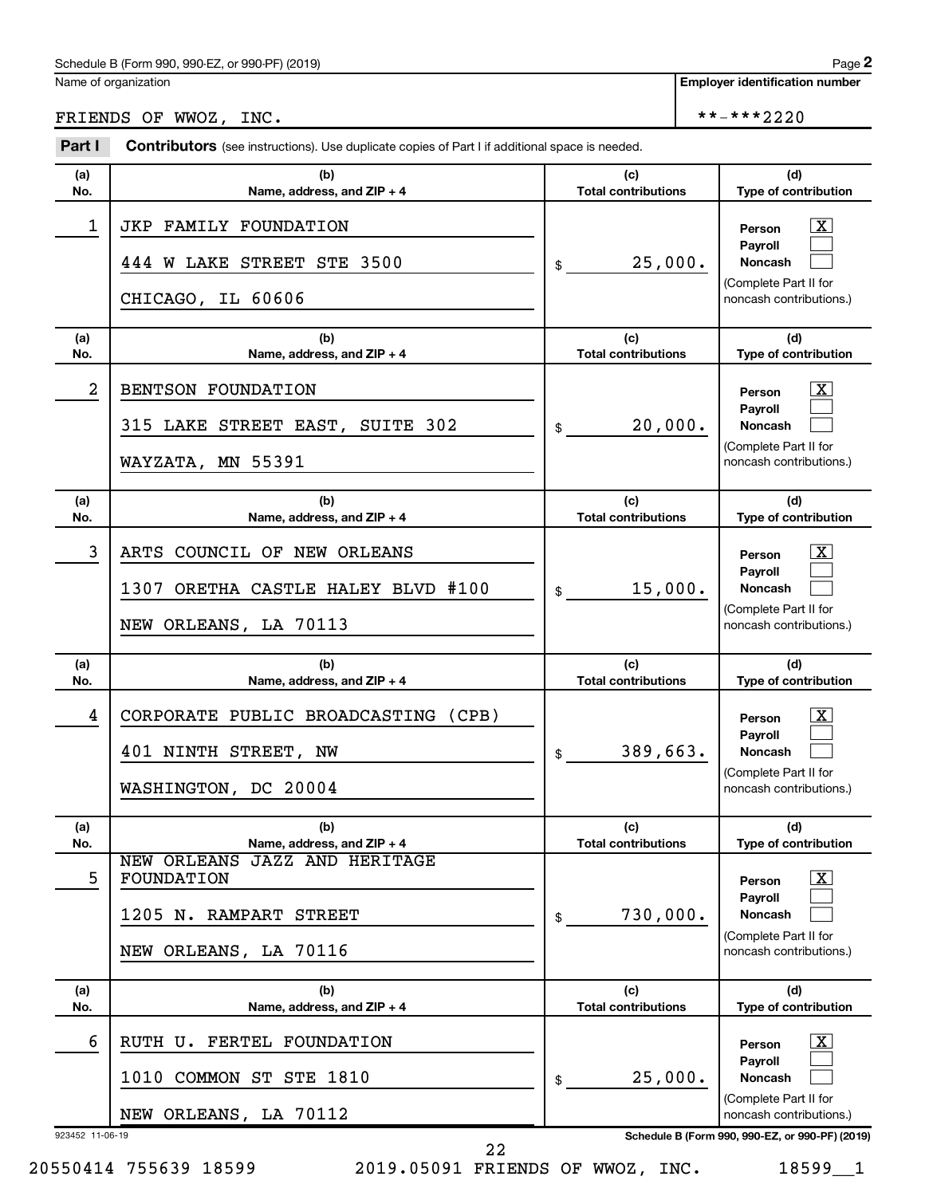# FRIENDS OF WWOZ, INC.  $****2220$

| Part I               | <b>Contributors</b> (see instructions). Use duplicate copies of Part I if additional space is needed. |                                   |                                                                                                                                                                       |  |  |
|----------------------|-------------------------------------------------------------------------------------------------------|-----------------------------------|-----------------------------------------------------------------------------------------------------------------------------------------------------------------------|--|--|
| (a)<br>No.           | (b)<br>Name, address, and ZIP + 4                                                                     | (c)<br><b>Total contributions</b> | (d)<br>Type of contribution                                                                                                                                           |  |  |
| 1                    | JKP FAMILY FOUNDATION<br>444 W LAKE STREET STE 3500<br>CHICAGO, IL 60606                              | 25,000.<br>\$                     | $\overline{\mathbf{x}}$<br>Person<br>Payroll<br><b>Noncash</b><br>(Complete Part II for<br>noncash contributions.)                                                    |  |  |
| (a)<br>No.           | (b)<br>Name, address, and $ZIP + 4$                                                                   | (c)<br><b>Total contributions</b> | (d)<br>Type of contribution                                                                                                                                           |  |  |
| 2                    | BENTSON FOUNDATION<br>315 LAKE STREET EAST, SUITE 302<br>WAYZATA, MN 55391                            | 20,000.<br>\$                     | $\overline{\mathbf{x}}$<br>Person<br>Payroll<br><b>Noncash</b><br>(Complete Part II for<br>noncash contributions.)                                                    |  |  |
| (a)<br>No.           | (b)<br>Name, address, and ZIP + 4                                                                     | (c)<br><b>Total contributions</b> | (d)<br>Type of contribution                                                                                                                                           |  |  |
| 3                    | ARTS COUNCIL OF NEW ORLEANS<br>ORETHA CASTLE HALEY BLVD #100<br>1307<br>NEW ORLEANS, LA 70113         | 15,000.<br>\$                     | $\overline{\mathbf{x}}$<br>Person<br>Payroll<br><b>Noncash</b><br>(Complete Part II for<br>noncash contributions.)                                                    |  |  |
|                      |                                                                                                       |                                   |                                                                                                                                                                       |  |  |
| (a)<br>No.           | (b)<br>Name, address, and ZIP + 4                                                                     | (c)<br><b>Total contributions</b> | (d)<br>Type of contribution                                                                                                                                           |  |  |
| 4                    | CORPORATE PUBLIC BROADCASTING (CPB)<br>401 NINTH STREET, NW<br>WASHINGTON, DC 20004                   | 389,663.<br>\$                    | $\overline{\mathbf{x}}$<br>Person<br>Payroll<br><b>Noncash</b><br>(Complete Part II for<br>noncash contributions.)                                                    |  |  |
| (a)<br>No.           | (b)<br>Name, address, and ZIP + 4                                                                     | (c)<br><b>Total contributions</b> | (d)<br>Type of contribution                                                                                                                                           |  |  |
| 5                    | NEW ORLEANS JAZZ AND HERITAGE<br>FOUNDATION<br>1205<br>RAMPART STREET<br>N.<br>NEW ORLEANS, LA 70116  | 730,000.<br>\$                    | $\overline{\mathbf{X}}$<br>Person<br>Payroll<br>Noncash<br>(Complete Part II for<br>noncash contributions.)                                                           |  |  |
| (a)<br>No.           | (b)<br>Name, address, and ZIP + 4                                                                     | (c)<br><b>Total contributions</b> | (d)<br>Type of contribution                                                                                                                                           |  |  |
| 6<br>923452 11-06-19 | FERTEL FOUNDATION<br>RUTH U.<br>COMMON ST STE 1810<br>1010<br>NEW ORLEANS, LA 70112                   | 25,000.<br>\$                     | $\overline{\mathbf{X}}$<br>Person<br>Payroll<br><b>Noncash</b><br>(Complete Part II for<br>noncash contributions.)<br>Schedule B (Form 990, 990-EZ, or 990-PF) (2019) |  |  |

20550414 755639 18599 2019.05091 FRIENDS OF WWOZ, INC. 18599\_\_1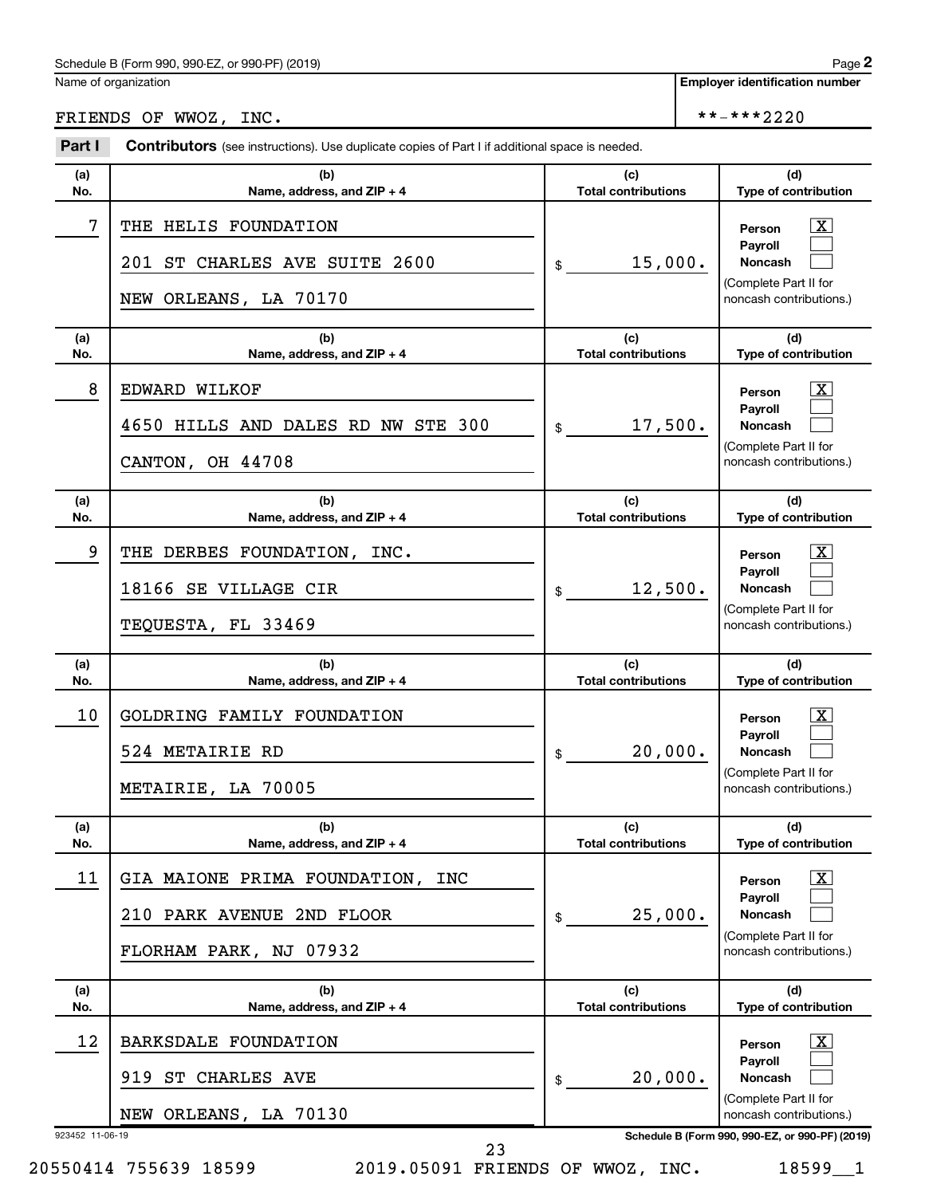# FRIENDS OF WWOZ, INC.  $****2220$

| Part I                | <b>Contributors</b> (see instructions). Use duplicate copies of Part I if additional space is needed. |                                   |                                                                                                                                                 |
|-----------------------|-------------------------------------------------------------------------------------------------------|-----------------------------------|-------------------------------------------------------------------------------------------------------------------------------------------------|
| (a)<br>No.            | (b)<br>Name, address, and ZIP + 4                                                                     | (c)<br><b>Total contributions</b> | (d)<br>Type of contribution                                                                                                                     |
| 7                     | THE HELIS FOUNDATION<br>201 ST CHARLES AVE SUITE 2600<br>NEW ORLEANS, LA 70170                        | 15,000.<br>\$                     | $\mathbf{X}$<br>Person<br>Payroll<br><b>Noncash</b><br>(Complete Part II for<br>noncash contributions.)                                         |
| (a)<br>No.            | (b)<br>Name, address, and ZIP + 4                                                                     | (c)<br><b>Total contributions</b> | (d)<br>Type of contribution                                                                                                                     |
| 8                     | EDWARD WILKOF<br>4650 HILLS AND DALES RD NW STE 300<br>CANTON, OH 44708                               | 17,500.<br>\$                     | $\mathbf{X}$<br>Person<br>Payroll<br><b>Noncash</b><br>(Complete Part II for<br>noncash contributions.)                                         |
| (a)<br>No.            | (b)<br>Name, address, and ZIP + 4                                                                     | (c)<br><b>Total contributions</b> | (d)<br>Type of contribution                                                                                                                     |
| 9                     | THE DERBES FOUNDATION, INC.<br>18166 SE VILLAGE CIR<br>TEQUESTA, FL 33469                             | 12,500.<br>\$                     | $\mathbf{X}$<br>Person<br>Payroll<br><b>Noncash</b><br>(Complete Part II for<br>noncash contributions.)                                         |
|                       |                                                                                                       |                                   |                                                                                                                                                 |
| (a)<br>No.            | (b)<br>Name, address, and ZIP + 4                                                                     | (c)<br><b>Total contributions</b> | (d)<br>Type of contribution                                                                                                                     |
| 10                    | GOLDRING FAMILY FOUNDATION<br>524 METAIRIE RD<br>METAIRIE, LA 70005                                   | 20,000.<br>\$                     | $\mathbf{X}$<br>Person<br>Payroll<br>Noncash<br>(Complete Part II for<br>noncash contributions.)                                                |
| (a)<br>No.            | (b)<br>Name, address, and ZIP + 4                                                                     | (c)<br><b>Total contributions</b> | (d)<br>Type of contribution                                                                                                                     |
| 11                    | GIA MAIONE PRIMA FOUNDATION,<br>INC<br>210 PARK AVENUE 2ND FLOOR<br>FLORHAM PARK, NJ 07932            | 25,000.<br>\$                     | $\overline{\mathbf{X}}$<br>Person<br>Payroll<br>Noncash<br>(Complete Part II for<br>noncash contributions.)                                     |
| (a)<br>No.            | (b)<br>Name, address, and ZIP + 4                                                                     | (c)<br><b>Total contributions</b> | (d)<br>Type of contribution                                                                                                                     |
| 12<br>923452 11-06-19 | BARKSDALE FOUNDATION<br>919<br>ST CHARLES AVE<br>NEW ORLEANS, LA 70130                                | 20,000.<br>\$                     | <u>x</u><br>Person<br>Payroll<br>Noncash<br>(Complete Part II for<br>noncash contributions.)<br>Schedule B (Form 990, 990-EZ, or 990-PF) (2019) |

20550414 755639 18599 2019.05091 FRIENDS OF WWOZ, INC. 18599\_\_1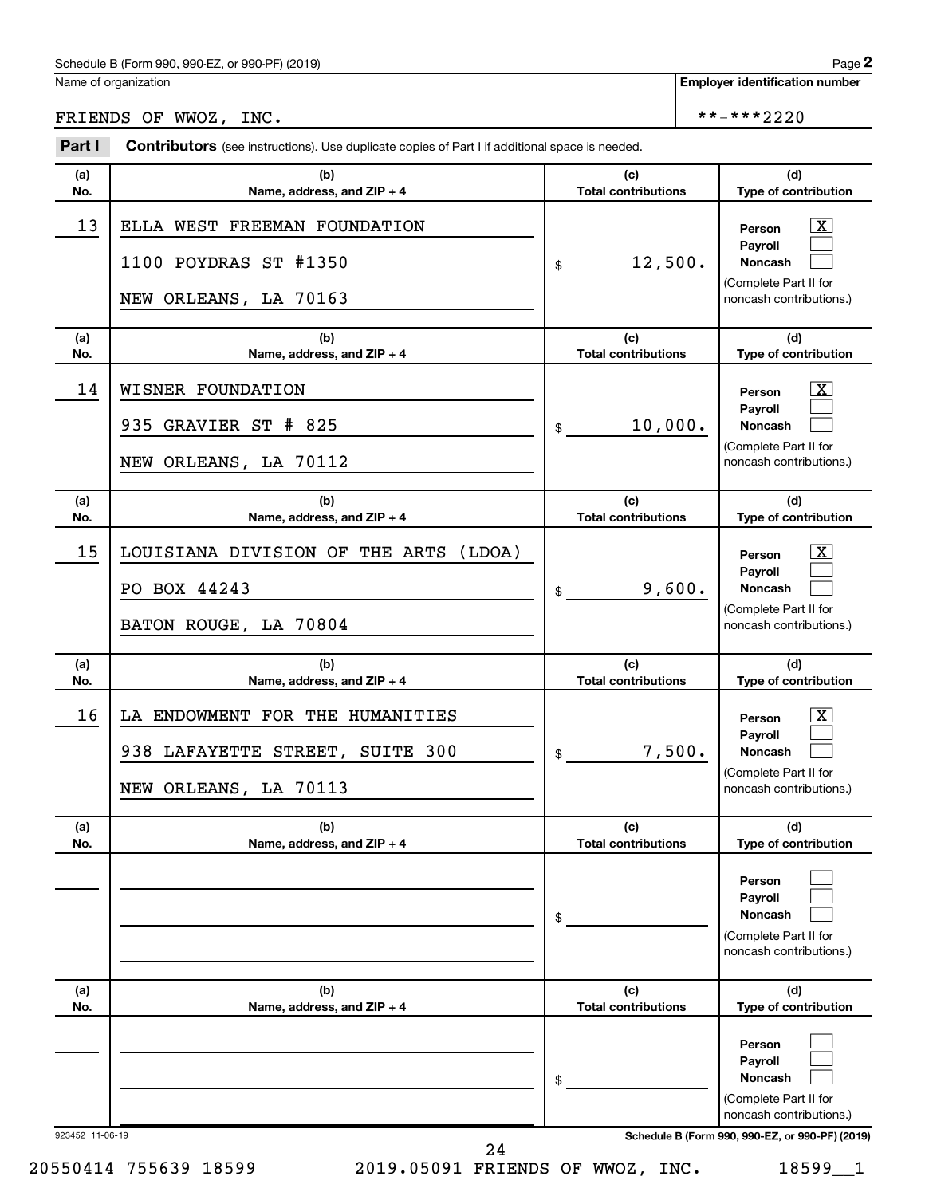**Employer identification number**

# FRIENDS OF WWOZ, INC.  $***2220$

| Part I     | <b>Contributors</b> (see instructions). Use duplicate copies of Part I if additional space is needed. |                                   |                                                                                                                  |
|------------|-------------------------------------------------------------------------------------------------------|-----------------------------------|------------------------------------------------------------------------------------------------------------------|
| (a)<br>No. | (b)<br>Name, address, and ZIP + 4                                                                     | (c)<br><b>Total contributions</b> | (d)<br>Type of contribution                                                                                      |
| 13         | ELLA WEST FREEMAN FOUNDATION<br>1100 POYDRAS ST #1350<br>NEW ORLEANS, LA 70163                        | 12,500.<br>\$                     | $\mathbf{X}$<br>Person<br><b>Payroll</b><br><b>Noncash</b><br>(Complete Part II for<br>noncash contributions.)   |
| (a)<br>No. | (b)<br>Name, address, and $ZIP + 4$                                                                   | (c)<br><b>Total contributions</b> | (d)<br>Type of contribution                                                                                      |
| 14         | WISNER FOUNDATION<br>935 GRAVIER ST # 825<br>NEW ORLEANS, LA 70112                                    | 10,000.<br>\$                     | $\mathbf{X}$<br>Person<br>Payroll<br><b>Noncash</b><br>(Complete Part II for<br>noncash contributions.)          |
| (a)<br>No. | (b)<br>Name, address, and ZIP + 4                                                                     | (c)<br><b>Total contributions</b> | (d)<br>Type of contribution                                                                                      |
| 15         | LOUISIANA DIVISION OF THE ARTS<br>(LDOA)<br>PO BOX 44243<br>BATON ROUGE, LA 70804                     | 9,600.<br>\$                      | $\overline{\text{X}}$<br>Person<br>Payroll<br><b>Noncash</b><br>(Complete Part II for<br>noncash contributions.) |
| (a)<br>No. | (b)<br>Name, address, and $ZIP + 4$                                                                   | (c)<br><b>Total contributions</b> | (d)<br><b>Type of contribution</b>                                                                               |
| 16         | LA ENDOWMENT FOR THE HUMANITIES<br>938 LAFAYETTE STREET, SUITE 300<br>NEW ORLEANS, LA 70113           | 7,500.<br>\$                      | $\mathbf{X}$<br>Person<br>Payroll<br><b>Noncash</b><br>(Complete Part II for<br>noncash contributions.)          |
| (a)<br>No. | (b)<br>Name, address, and ZIP + 4                                                                     | (c)<br><b>Total contributions</b> | (d)<br>Type of contribution                                                                                      |
|            |                                                                                                       | \$                                | Person<br>Payroll<br><b>Noncash</b><br>(Complete Part II for<br>noncash contributions.)                          |
| (a)<br>No. | (b)<br>Name, address, and ZIP + 4                                                                     | (c)<br><b>Total contributions</b> | (d)<br>Type of contribution                                                                                      |
|            |                                                                                                       | \$                                | Person<br><b>Payroll</b><br><b>Noncash</b><br>(Complete Part II for<br>noncash contributions.)                   |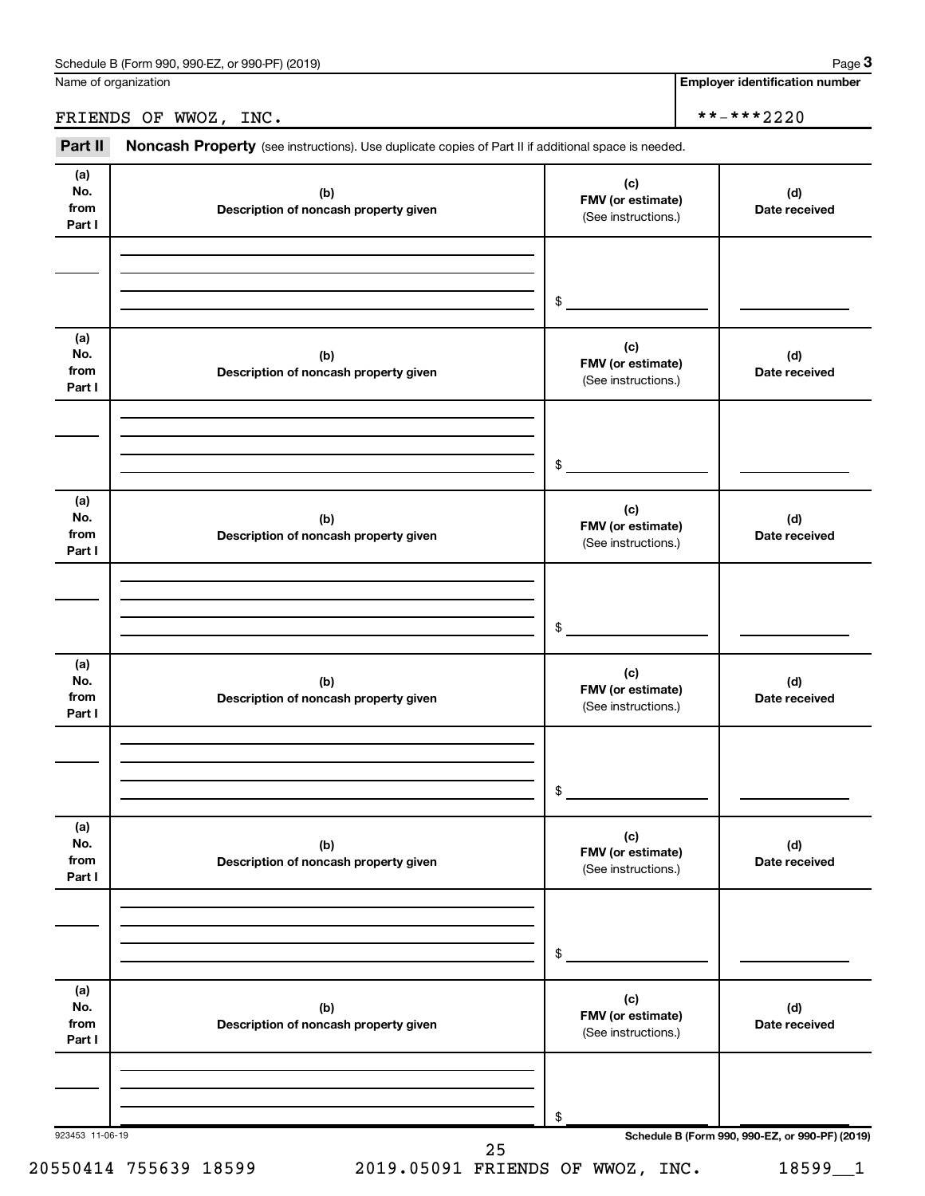**Employer identification number**

FRIENDS OF WWOZ, INC.  $***2220$ 

Part II Noncash Property (see instructions). Use duplicate copies of Part II if additional space is needed.

| No.<br>from<br>Part I        | (b)<br>Description of noncash property given | (c)<br>FMV (or estimate)<br>(See instructions.) | (d)<br>Date received |
|------------------------------|----------------------------------------------|-------------------------------------------------|----------------------|
|                              |                                              | $$\circ$$                                       |                      |
| (a)<br>No.<br>from<br>Part I | (b)<br>Description of noncash property given | (c)<br>FMV (or estimate)<br>(See instructions.) | (d)<br>Date received |
|                              |                                              | $$\circ$$                                       |                      |
| (a)<br>No.<br>from<br>Part I | (b)<br>Description of noncash property given | (c)<br>FMV (or estimate)<br>(See instructions.) | (d)<br>Date received |
|                              |                                              | $$^{\circ}$                                     |                      |
| (a)<br>No.<br>from<br>Part I | (b)<br>Description of noncash property given | (c)<br>FMV (or estimate)<br>(See instructions.) | (d)<br>Date received |
|                              |                                              | $\frac{1}{2}$                                   |                      |
| (a)<br>No.<br>from<br>Part I | (b)<br>Description of noncash property given | (c)<br>FMV (or estimate)<br>(See instructions.) | (d)<br>Date received |
|                              |                                              | \$                                              |                      |
| (a)<br>No.<br>from<br>Part I | (b)<br>Description of noncash property given | (c)<br>FMV (or estimate)<br>(See instructions.) | (d)<br>Date received |
|                              |                                              | \$                                              |                      |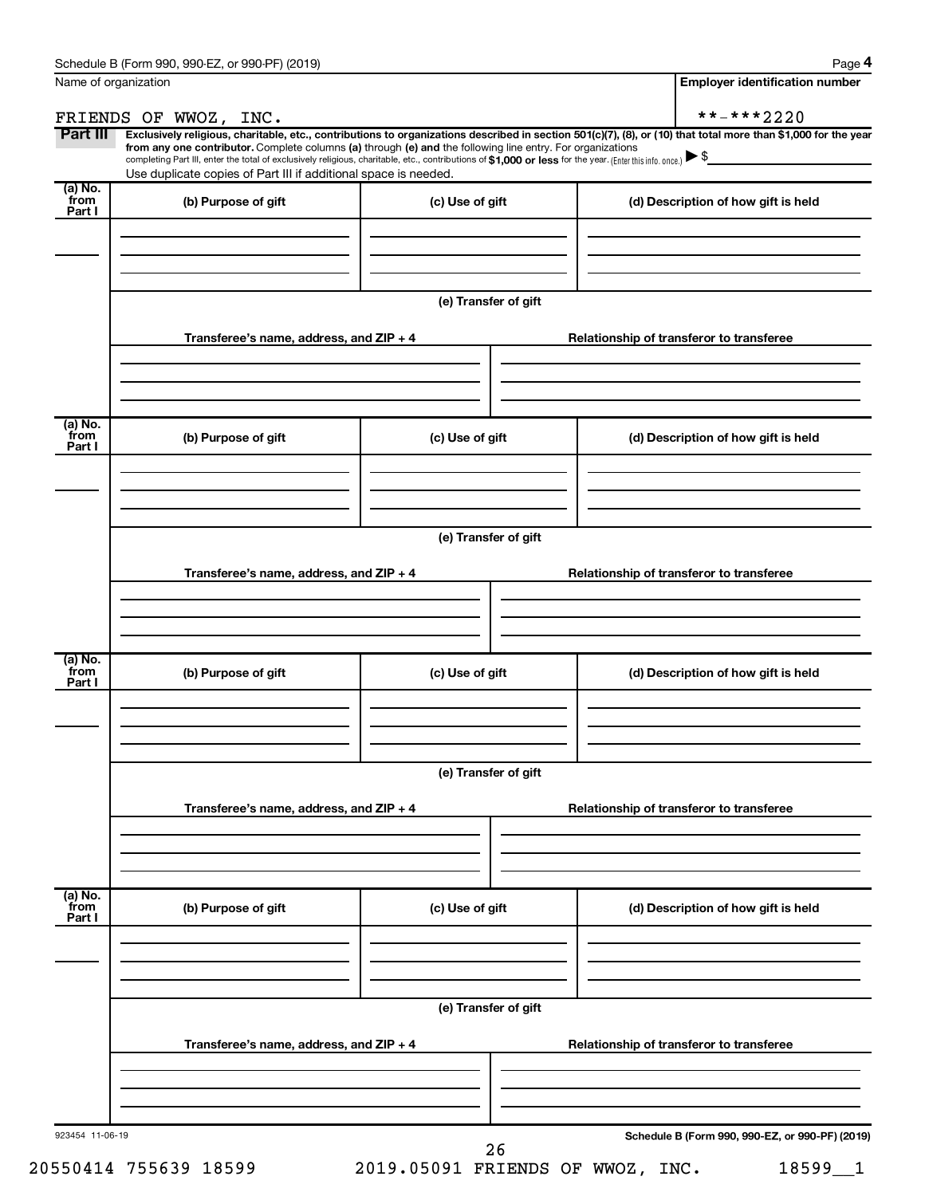**4**

| Name of organization      |                                                                                                                                                                                                                                                                                                 |                      | <b>Employer identification number</b>                                                                                                                          |
|---------------------------|-------------------------------------------------------------------------------------------------------------------------------------------------------------------------------------------------------------------------------------------------------------------------------------------------|----------------------|----------------------------------------------------------------------------------------------------------------------------------------------------------------|
|                           | FRIENDS OF WWOZ, INC.                                                                                                                                                                                                                                                                           |                      | **-***2220                                                                                                                                                     |
| Part III                  |                                                                                                                                                                                                                                                                                                 |                      | Exclusively religious, charitable, etc., contributions to organizations described in section 501(c)(7), (8), or (10) that total more than \$1,000 for the year |
|                           | from any one contributor. Complete columns (a) through (e) and the following line entry. For organizations<br>completing Part III, enter the total of exclusively religious, charitable, etc., contributions of \$1,000 or less for the year. (Enter this info. once.) $\blacktriangleright$ \$ |                      |                                                                                                                                                                |
|                           | Use duplicate copies of Part III if additional space is needed.                                                                                                                                                                                                                                 |                      |                                                                                                                                                                |
| (a) No.<br>from           | (b) Purpose of gift                                                                                                                                                                                                                                                                             | (c) Use of gift      | (d) Description of how gift is held                                                                                                                            |
| Part I                    |                                                                                                                                                                                                                                                                                                 |                      |                                                                                                                                                                |
|                           |                                                                                                                                                                                                                                                                                                 |                      |                                                                                                                                                                |
|                           |                                                                                                                                                                                                                                                                                                 |                      |                                                                                                                                                                |
|                           |                                                                                                                                                                                                                                                                                                 |                      |                                                                                                                                                                |
|                           |                                                                                                                                                                                                                                                                                                 | (e) Transfer of gift |                                                                                                                                                                |
|                           |                                                                                                                                                                                                                                                                                                 |                      |                                                                                                                                                                |
|                           | Transferee's name, address, and $ZIP + 4$                                                                                                                                                                                                                                                       |                      | Relationship of transferor to transferee                                                                                                                       |
|                           |                                                                                                                                                                                                                                                                                                 |                      |                                                                                                                                                                |
|                           |                                                                                                                                                                                                                                                                                                 |                      |                                                                                                                                                                |
|                           |                                                                                                                                                                                                                                                                                                 |                      |                                                                                                                                                                |
| $(a)$ No.<br>from         | (b) Purpose of gift                                                                                                                                                                                                                                                                             | (c) Use of gift      | (d) Description of how gift is held                                                                                                                            |
| Part I                    |                                                                                                                                                                                                                                                                                                 |                      |                                                                                                                                                                |
|                           |                                                                                                                                                                                                                                                                                                 |                      |                                                                                                                                                                |
|                           |                                                                                                                                                                                                                                                                                                 |                      |                                                                                                                                                                |
|                           |                                                                                                                                                                                                                                                                                                 |                      |                                                                                                                                                                |
|                           |                                                                                                                                                                                                                                                                                                 | (e) Transfer of gift |                                                                                                                                                                |
|                           |                                                                                                                                                                                                                                                                                                 |                      |                                                                                                                                                                |
|                           | Transferee's name, address, and ZIP + 4                                                                                                                                                                                                                                                         |                      | Relationship of transferor to transferee                                                                                                                       |
|                           |                                                                                                                                                                                                                                                                                                 |                      |                                                                                                                                                                |
|                           |                                                                                                                                                                                                                                                                                                 |                      |                                                                                                                                                                |
|                           |                                                                                                                                                                                                                                                                                                 |                      |                                                                                                                                                                |
| (a) No.                   |                                                                                                                                                                                                                                                                                                 |                      |                                                                                                                                                                |
| from<br>Part I            | (b) Purpose of gift                                                                                                                                                                                                                                                                             | (c) Use of gift      | (d) Description of how gift is held                                                                                                                            |
|                           |                                                                                                                                                                                                                                                                                                 |                      |                                                                                                                                                                |
|                           |                                                                                                                                                                                                                                                                                                 |                      |                                                                                                                                                                |
|                           |                                                                                                                                                                                                                                                                                                 |                      |                                                                                                                                                                |
|                           |                                                                                                                                                                                                                                                                                                 | (e) Transfer of gift |                                                                                                                                                                |
|                           |                                                                                                                                                                                                                                                                                                 |                      |                                                                                                                                                                |
|                           | Transferee's name, address, and ZIP + 4                                                                                                                                                                                                                                                         |                      | Relationship of transferor to transferee                                                                                                                       |
|                           |                                                                                                                                                                                                                                                                                                 |                      |                                                                                                                                                                |
|                           |                                                                                                                                                                                                                                                                                                 |                      |                                                                                                                                                                |
|                           |                                                                                                                                                                                                                                                                                                 |                      |                                                                                                                                                                |
|                           |                                                                                                                                                                                                                                                                                                 |                      |                                                                                                                                                                |
|                           | (b) Purpose of gift                                                                                                                                                                                                                                                                             | (c) Use of gift      | (d) Description of how gift is held                                                                                                                            |
|                           |                                                                                                                                                                                                                                                                                                 |                      |                                                                                                                                                                |
|                           |                                                                                                                                                                                                                                                                                                 |                      |                                                                                                                                                                |
|                           |                                                                                                                                                                                                                                                                                                 |                      |                                                                                                                                                                |
|                           |                                                                                                                                                                                                                                                                                                 |                      |                                                                                                                                                                |
|                           |                                                                                                                                                                                                                                                                                                 |                      |                                                                                                                                                                |
|                           |                                                                                                                                                                                                                                                                                                 | (e) Transfer of gift |                                                                                                                                                                |
|                           | Transferee's name, address, and ZIP + 4                                                                                                                                                                                                                                                         |                      | Relationship of transferor to transferee                                                                                                                       |
|                           |                                                                                                                                                                                                                                                                                                 |                      |                                                                                                                                                                |
|                           |                                                                                                                                                                                                                                                                                                 |                      |                                                                                                                                                                |
| (a) No.<br>from<br>Part I |                                                                                                                                                                                                                                                                                                 |                      |                                                                                                                                                                |

20550414 755639 18599 2019.05091 FRIENDS OF WWOZ, INC. 18599\_\_1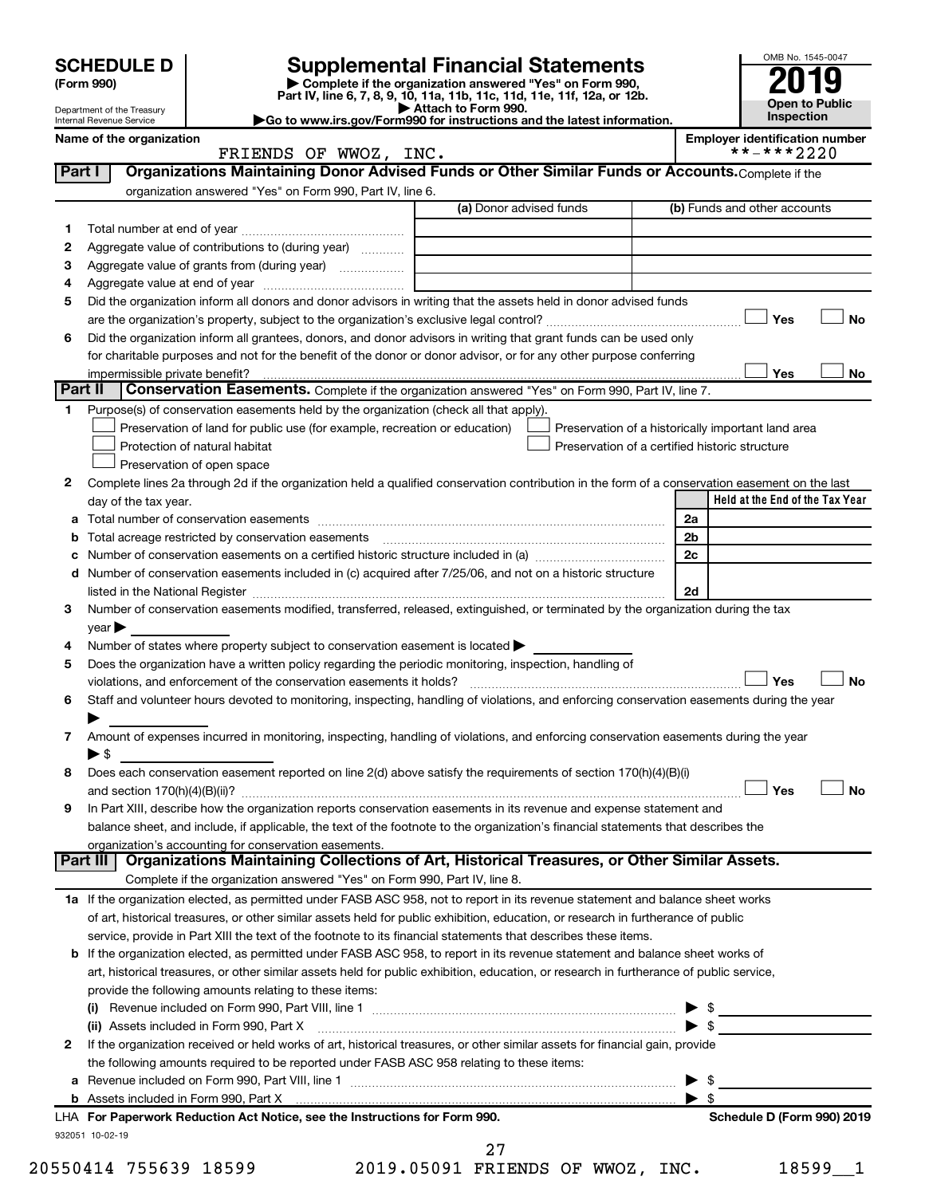|         |                                                        |                                                                                                                                                                                         |                                                                                                                                                | OMB No. 1545-0047                                   |
|---------|--------------------------------------------------------|-----------------------------------------------------------------------------------------------------------------------------------------------------------------------------------------|------------------------------------------------------------------------------------------------------------------------------------------------|-----------------------------------------------------|
|         | <b>SCHEDULE D</b><br>(Form 990)                        |                                                                                                                                                                                         | <b>Supplemental Financial Statements</b><br>Complete if the organization answered "Yes" on Form 990,                                           |                                                     |
|         |                                                        |                                                                                                                                                                                         | Part IV, line 6, 7, 8, 9, 10, 11a, 11b, 11c, 11d, 11e, 11f, 12a, or 12b.<br>Attach to Form 990.                                                | <b>Open to Public</b>                               |
|         | Department of the Treasury<br>Internal Revenue Service |                                                                                                                                                                                         | Go to www.irs.gov/Form990 for instructions and the latest information.                                                                         | Inspection                                          |
|         | Name of the organization                               | FRIENDS OF WWOZ, INC.                                                                                                                                                                   |                                                                                                                                                | <b>Employer identification number</b><br>**-***2220 |
| Part I  |                                                        |                                                                                                                                                                                         | Organizations Maintaining Donor Advised Funds or Other Similar Funds or Accounts. Complete if the                                              |                                                     |
|         |                                                        | organization answered "Yes" on Form 990, Part IV, line 6.                                                                                                                               |                                                                                                                                                |                                                     |
|         |                                                        |                                                                                                                                                                                         | (a) Donor advised funds                                                                                                                        | (b) Funds and other accounts                        |
| 1       |                                                        |                                                                                                                                                                                         |                                                                                                                                                |                                                     |
| 2       |                                                        | Aggregate value of contributions to (during year)                                                                                                                                       |                                                                                                                                                |                                                     |
| з       |                                                        |                                                                                                                                                                                         | <u> 1980 - Johann Barbara, martin amerikan basal dan berasal dalam basal dalam basal dalam basal dalam basal dala</u>                          |                                                     |
| 4       |                                                        |                                                                                                                                                                                         |                                                                                                                                                |                                                     |
| 5       |                                                        |                                                                                                                                                                                         | Did the organization inform all donors and donor advisors in writing that the assets held in donor advised funds                               |                                                     |
|         |                                                        |                                                                                                                                                                                         |                                                                                                                                                | Yes<br>No                                           |
| 6       |                                                        |                                                                                                                                                                                         | Did the organization inform all grantees, donors, and donor advisors in writing that grant funds can be used only                              |                                                     |
|         |                                                        |                                                                                                                                                                                         | for charitable purposes and not for the benefit of the donor or donor advisor, or for any other purpose conferring                             |                                                     |
| Part II | impermissible private benefit?                         |                                                                                                                                                                                         | Conservation Easements. Complete if the organization answered "Yes" on Form 990, Part IV, line 7.                                              | <b>Yes</b><br>No                                    |
| 1.      |                                                        | Purpose(s) of conservation easements held by the organization (check all that apply).                                                                                                   |                                                                                                                                                |                                                     |
|         |                                                        | Preservation of land for public use (for example, recreation or education)                                                                                                              |                                                                                                                                                | Preservation of a historically important land area  |
|         |                                                        | Protection of natural habitat                                                                                                                                                           | Preservation of a certified historic structure                                                                                                 |                                                     |
|         |                                                        | Preservation of open space                                                                                                                                                              |                                                                                                                                                |                                                     |
| 2       |                                                        |                                                                                                                                                                                         | Complete lines 2a through 2d if the organization held a qualified conservation contribution in the form of a conservation easement on the last |                                                     |
|         | day of the tax year.                                   |                                                                                                                                                                                         |                                                                                                                                                | Held at the End of the Tax Year                     |
| а       |                                                        |                                                                                                                                                                                         |                                                                                                                                                | 2a                                                  |
| b       |                                                        | Total acreage restricted by conservation easements                                                                                                                                      |                                                                                                                                                | 2 <sub>b</sub>                                      |
| c       |                                                        |                                                                                                                                                                                         | Number of conservation easements on a certified historic structure included in (a) manufacture included in (a)                                 | 2c                                                  |
|         |                                                        |                                                                                                                                                                                         | d Number of conservation easements included in (c) acquired after 7/25/06, and not on a historic structure                                     |                                                     |
|         |                                                        |                                                                                                                                                                                         |                                                                                                                                                | 2d                                                  |
| 3       |                                                        |                                                                                                                                                                                         | Number of conservation easements modified, transferred, released, extinguished, or terminated by the organization during the tax               |                                                     |
|         | $\gamma$ ear                                           |                                                                                                                                                                                         |                                                                                                                                                |                                                     |
| 4<br>5  |                                                        | Number of states where property subject to conservation easement is located ><br>Does the organization have a written policy regarding the periodic monitoring, inspection, handling of |                                                                                                                                                |                                                     |
|         |                                                        | violations, and enforcement of the conservation easements it holds?                                                                                                                     |                                                                                                                                                | Yes<br><b>No</b>                                    |
| 6       |                                                        |                                                                                                                                                                                         | Staff and volunteer hours devoted to monitoring, inspecting, handling of violations, and enforcing conservation easements during the year      |                                                     |
|         |                                                        |                                                                                                                                                                                         |                                                                                                                                                |                                                     |
| 7       |                                                        |                                                                                                                                                                                         | Amount of expenses incurred in monitoring, inspecting, handling of violations, and enforcing conservation easements during the year            |                                                     |
|         | $\blacktriangleright$ \$                               |                                                                                                                                                                                         |                                                                                                                                                |                                                     |
| 8       |                                                        |                                                                                                                                                                                         | Does each conservation easement reported on line 2(d) above satisfy the requirements of section 170(h)(4)(B)(i)                                |                                                     |
|         |                                                        |                                                                                                                                                                                         |                                                                                                                                                | Yes<br><b>No</b>                                    |
| 9       |                                                        |                                                                                                                                                                                         | In Part XIII, describe how the organization reports conservation easements in its revenue and expense statement and                            |                                                     |
|         |                                                        |                                                                                                                                                                                         | balance sheet, and include, if applicable, the text of the footnote to the organization's financial statements that describes the              |                                                     |
|         |                                                        | organization's accounting for conservation easements.                                                                                                                                   | Part III   Organizations Maintaining Collections of Art, Historical Treasures, or Other Similar Assets.                                        |                                                     |
|         |                                                        | Complete if the organization answered "Yes" on Form 990, Part IV, line 8.                                                                                                               |                                                                                                                                                |                                                     |
|         |                                                        |                                                                                                                                                                                         | 1a If the organization elected, as permitted under FASB ASC 958, not to report in its revenue statement and balance sheet works                |                                                     |
|         |                                                        |                                                                                                                                                                                         | of art, historical treasures, or other similar assets held for public exhibition, education, or research in furtherance of public              |                                                     |
|         |                                                        |                                                                                                                                                                                         | service, provide in Part XIII the text of the footnote to its financial statements that describes these items.                                 |                                                     |
|         |                                                        |                                                                                                                                                                                         | <b>b</b> If the organization elected, as permitted under FASB ASC 958, to report in its revenue statement and balance sheet works of           |                                                     |
|         |                                                        |                                                                                                                                                                                         | art, historical treasures, or other similar assets held for public exhibition, education, or research in furtherance of public service,        |                                                     |
|         |                                                        | provide the following amounts relating to these items:                                                                                                                                  |                                                                                                                                                |                                                     |
|         |                                                        |                                                                                                                                                                                         |                                                                                                                                                | $\triangleright$ \$                                 |
|         |                                                        |                                                                                                                                                                                         |                                                                                                                                                | $\blacktriangleright$ \$                            |
| 2       |                                                        |                                                                                                                                                                                         | If the organization received or held works of art, historical treasures, or other similar assets for financial gain, provide                   |                                                     |
|         |                                                        | the following amounts required to be reported under FASB ASC 958 relating to these items:                                                                                               |                                                                                                                                                |                                                     |
|         |                                                        |                                                                                                                                                                                         | a Revenue included on Form 990, Part VIII, line 1 [2000] [2000] [2000] [2000] [2000] [2000] [2000] [2000] [200                                 | - \$<br>▶                                           |
|         |                                                        |                                                                                                                                                                                         |                                                                                                                                                | $\blacktriangleright$ s                             |
|         |                                                        | LHA For Paperwork Reduction Act Notice, see the Instructions for Form 990.                                                                                                              |                                                                                                                                                | Schedule D (Form 990) 2019                          |

932051 10-02-19

20550414 755639 18599 2019.05091 FRIENDS OF WWOZ, INC. 18599\_\_1 27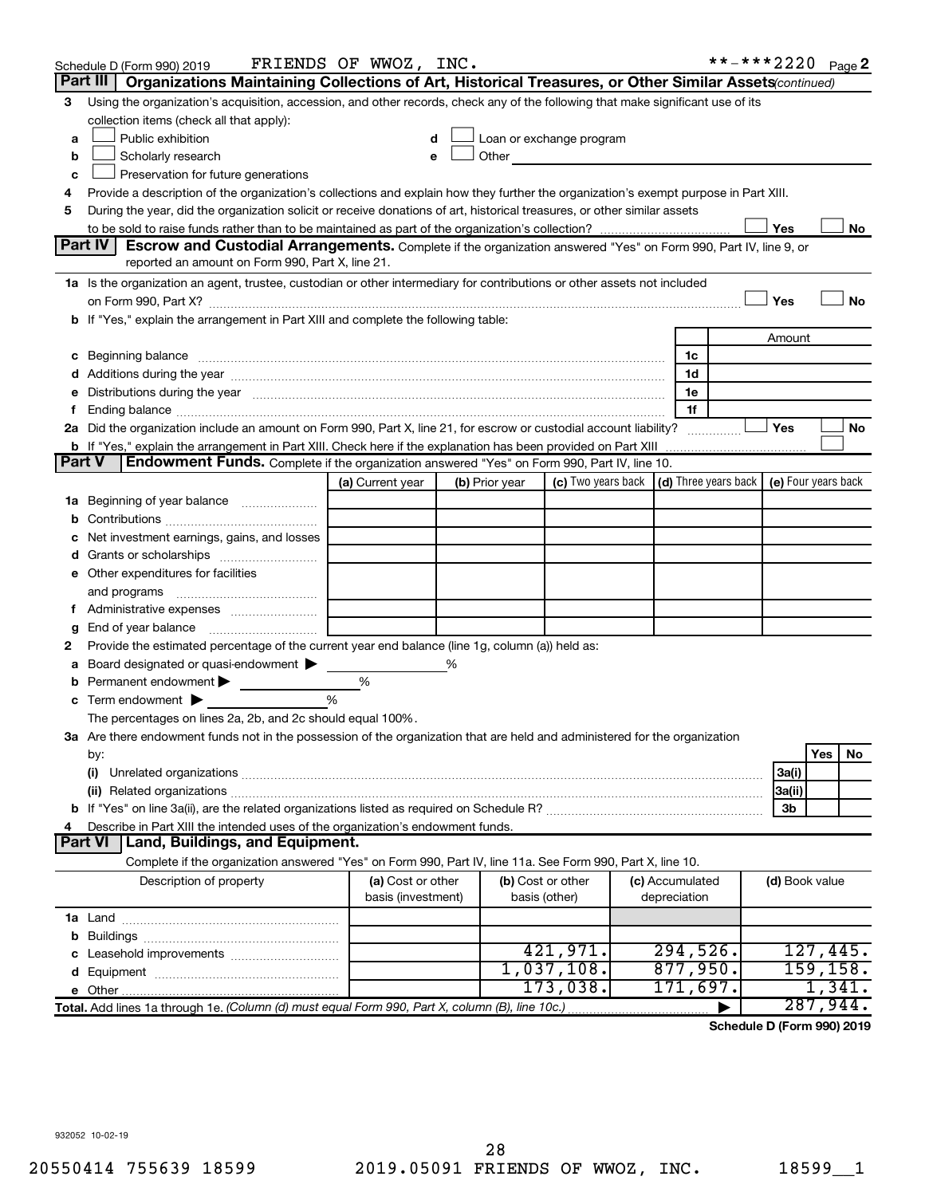|        | Schedule D (Form 990) 2019                                                                                                                                                                                                     | FRIENDS OF WWOZ, INC.                   |   |                |                                                                                                                                                                                                                               |                                 |                | **-***2220 Page 2 |
|--------|--------------------------------------------------------------------------------------------------------------------------------------------------------------------------------------------------------------------------------|-----------------------------------------|---|----------------|-------------------------------------------------------------------------------------------------------------------------------------------------------------------------------------------------------------------------------|---------------------------------|----------------|-------------------|
|        | Part III  <br>Organizations Maintaining Collections of Art, Historical Treasures, or Other Similar Assets (continued)                                                                                                          |                                         |   |                |                                                                                                                                                                                                                               |                                 |                |                   |
| 3      | Using the organization's acquisition, accession, and other records, check any of the following that make significant use of its                                                                                                |                                         |   |                |                                                                                                                                                                                                                               |                                 |                |                   |
|        | collection items (check all that apply):                                                                                                                                                                                       |                                         |   |                |                                                                                                                                                                                                                               |                                 |                |                   |
| a      | Public exhibition                                                                                                                                                                                                              |                                         |   |                | Loan or exchange program                                                                                                                                                                                                      |                                 |                |                   |
| b      | Scholarly research                                                                                                                                                                                                             |                                         |   |                | Other and the contract of the contract of the contract of the contract of the contract of the contract of the contract of the contract of the contract of the contract of the contract of the contract of the contract of the |                                 |                |                   |
| c      | Preservation for future generations                                                                                                                                                                                            |                                         |   |                |                                                                                                                                                                                                                               |                                 |                |                   |
| 4      | Provide a description of the organization's collections and explain how they further the organization's exempt purpose in Part XIII.                                                                                           |                                         |   |                |                                                                                                                                                                                                                               |                                 |                |                   |
| 5      | During the year, did the organization solicit or receive donations of art, historical treasures, or other similar assets                                                                                                       |                                         |   |                |                                                                                                                                                                                                                               |                                 |                |                   |
|        | Part IV<br><b>Escrow and Custodial Arrangements.</b> Complete if the organization answered "Yes" on Form 990, Part IV, line 9, or                                                                                              |                                         |   |                |                                                                                                                                                                                                                               |                                 | Yes            | No                |
|        | reported an amount on Form 990, Part X, line 21.                                                                                                                                                                               |                                         |   |                |                                                                                                                                                                                                                               |                                 |                |                   |
|        | 1a Is the organization an agent, trustee, custodian or other intermediary for contributions or other assets not included                                                                                                       |                                         |   |                |                                                                                                                                                                                                                               |                                 |                |                   |
|        |                                                                                                                                                                                                                                |                                         |   |                |                                                                                                                                                                                                                               |                                 | Yes            | No                |
|        | b If "Yes," explain the arrangement in Part XIII and complete the following table:                                                                                                                                             |                                         |   |                |                                                                                                                                                                                                                               |                                 |                |                   |
|        |                                                                                                                                                                                                                                |                                         |   |                |                                                                                                                                                                                                                               |                                 | Amount         |                   |
|        |                                                                                                                                                                                                                                |                                         |   |                |                                                                                                                                                                                                                               | 1c                              |                |                   |
|        |                                                                                                                                                                                                                                |                                         |   |                |                                                                                                                                                                                                                               | 1d                              |                |                   |
|        | e Distributions during the year manufactured and continuum control of the control of the control of the control of the control of the control of the control of the control of the control of the control of the control of th |                                         |   |                |                                                                                                                                                                                                                               | 1е                              |                |                   |
| Ť.     |                                                                                                                                                                                                                                |                                         |   |                |                                                                                                                                                                                                                               | 1f                              |                |                   |
|        | 2a Did the organization include an amount on Form 990, Part X, line 21, for escrow or custodial account liability?                                                                                                             |                                         |   |                |                                                                                                                                                                                                                               |                                 | Yes            | No                |
|        |                                                                                                                                                                                                                                |                                         |   |                |                                                                                                                                                                                                                               |                                 |                |                   |
| Part V | <b>Endowment Funds.</b> Complete if the organization answered "Yes" on Form 990, Part IV, line 10.                                                                                                                             |                                         |   |                |                                                                                                                                                                                                                               |                                 |                |                   |
|        |                                                                                                                                                                                                                                | (a) Current year                        |   | (b) Prior year | (c) Two years back $\vert$ (d) Three years back $\vert$ (e) Four years back                                                                                                                                                   |                                 |                |                   |
|        | 1a Beginning of year balance                                                                                                                                                                                                   |                                         |   |                |                                                                                                                                                                                                                               |                                 |                |                   |
| b      |                                                                                                                                                                                                                                |                                         |   |                |                                                                                                                                                                                                                               |                                 |                |                   |
|        | Net investment earnings, gains, and losses                                                                                                                                                                                     |                                         |   |                |                                                                                                                                                                                                                               |                                 |                |                   |
| d      | Grants or scholarships                                                                                                                                                                                                         |                                         |   |                |                                                                                                                                                                                                                               |                                 |                |                   |
|        | e Other expenditures for facilities                                                                                                                                                                                            |                                         |   |                |                                                                                                                                                                                                                               |                                 |                |                   |
|        | and programs                                                                                                                                                                                                                   |                                         |   |                |                                                                                                                                                                                                                               |                                 |                |                   |
|        |                                                                                                                                                                                                                                |                                         |   |                |                                                                                                                                                                                                                               |                                 |                |                   |
| g<br>2 | Provide the estimated percentage of the current year end balance (line 1g, column (a)) held as:                                                                                                                                |                                         |   |                |                                                                                                                                                                                                                               |                                 |                |                   |
| а      | Board designated or quasi-endowment >                                                                                                                                                                                          |                                         | % |                |                                                                                                                                                                                                                               |                                 |                |                   |
| b      | Permanent endowment                                                                                                                                                                                                            | %                                       |   |                |                                                                                                                                                                                                                               |                                 |                |                   |
|        | $\mathbf c$ Term endowment $\blacktriangleright$                                                                                                                                                                               | %                                       |   |                |                                                                                                                                                                                                                               |                                 |                |                   |
|        | The percentages on lines 2a, 2b, and 2c should equal 100%.                                                                                                                                                                     |                                         |   |                |                                                                                                                                                                                                                               |                                 |                |                   |
|        | 3a Are there endowment funds not in the possession of the organization that are held and administered for the organization                                                                                                     |                                         |   |                |                                                                                                                                                                                                                               |                                 |                |                   |
|        | by:                                                                                                                                                                                                                            |                                         |   |                |                                                                                                                                                                                                                               |                                 |                | Yes<br>No         |
|        | (i)                                                                                                                                                                                                                            |                                         |   |                |                                                                                                                                                                                                                               |                                 | 3a(i)          |                   |
|        | (ii) Related organizations [11] Related organizations [11] Maximum material contract to the contract of the contract of the contract of the contract of the contract of the contract of the contract of the contract of the co |                                         |   |                |                                                                                                                                                                                                                               |                                 | 3a(ii)         |                   |
|        |                                                                                                                                                                                                                                |                                         |   |                |                                                                                                                                                                                                                               |                                 | 3b             |                   |
| 4      | Describe in Part XIII the intended uses of the organization's endowment funds.                                                                                                                                                 |                                         |   |                |                                                                                                                                                                                                                               |                                 |                |                   |
|        | <b>Land, Buildings, and Equipment.</b><br><b>Part VI</b>                                                                                                                                                                       |                                         |   |                |                                                                                                                                                                                                                               |                                 |                |                   |
|        | Complete if the organization answered "Yes" on Form 990, Part IV, line 11a. See Form 990, Part X, line 10.                                                                                                                     |                                         |   |                |                                                                                                                                                                                                                               |                                 |                |                   |
|        | Description of property                                                                                                                                                                                                        | (a) Cost or other<br>basis (investment) |   |                | (b) Cost or other<br>basis (other)                                                                                                                                                                                            | (c) Accumulated<br>depreciation | (d) Book value |                   |
|        |                                                                                                                                                                                                                                |                                         |   |                |                                                                                                                                                                                                                               |                                 |                |                   |
|        |                                                                                                                                                                                                                                |                                         |   |                |                                                                                                                                                                                                                               |                                 |                |                   |
|        |                                                                                                                                                                                                                                |                                         |   |                | 421,971.                                                                                                                                                                                                                      | 294,526.                        |                | 127,445.          |
|        |                                                                                                                                                                                                                                |                                         |   |                | 1,037,108.                                                                                                                                                                                                                    | 877,950.                        |                | 159,158.          |
|        |                                                                                                                                                                                                                                |                                         |   |                | 173,038.                                                                                                                                                                                                                      | 171,697.                        |                | 1,341.            |
|        | Total. Add lines 1a through 1e. (Column (d) must equal Form 990, Part X, column (B), line 10c.)                                                                                                                                |                                         |   |                |                                                                                                                                                                                                                               |                                 |                | 287,944.          |

**Schedule D (Form 990) 2019**

932052 10-02-19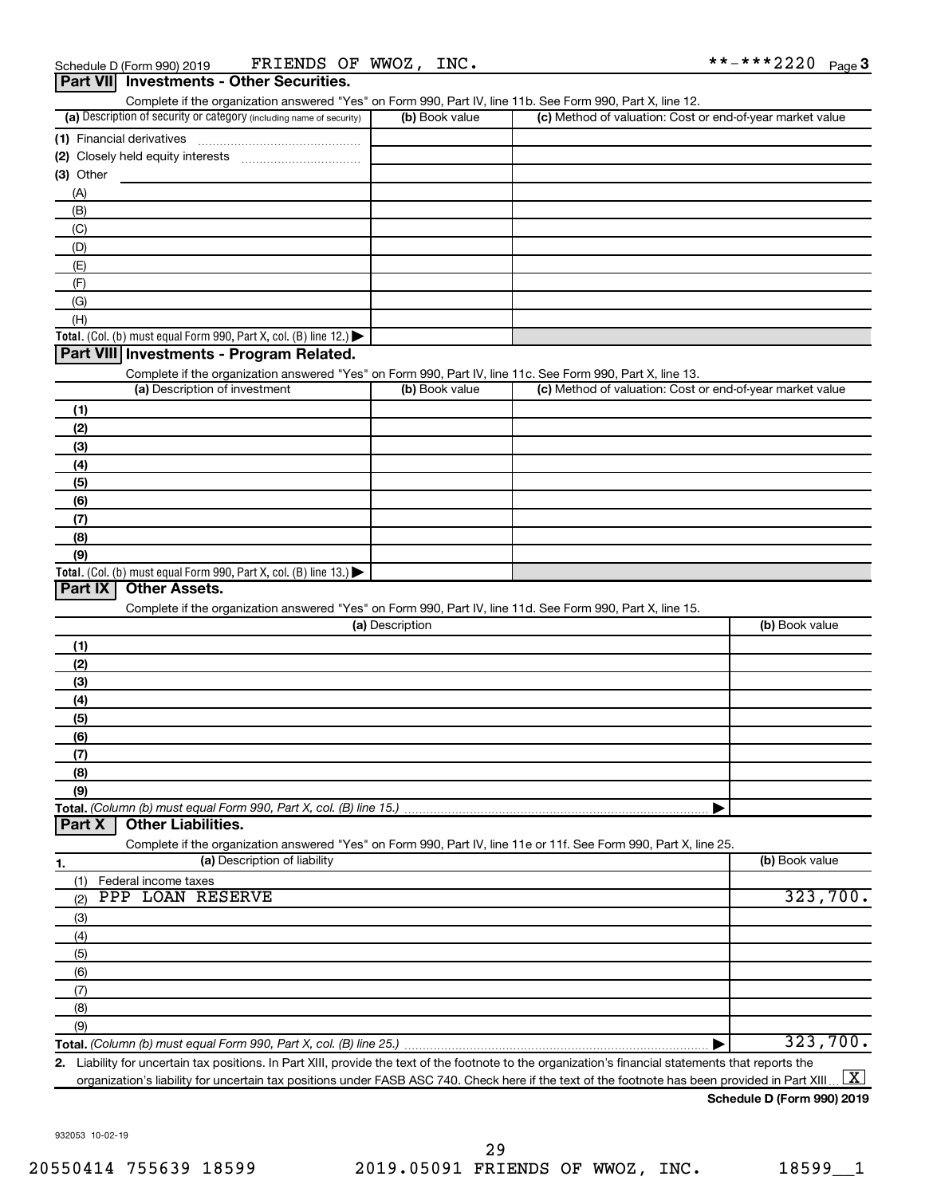| Part VII Investments - Other Securities.                                                                                                                                           |                 |                                                           |                |
|------------------------------------------------------------------------------------------------------------------------------------------------------------------------------------|-----------------|-----------------------------------------------------------|----------------|
| Complete if the organization answered "Yes" on Form 990, Part IV, line 11b. See Form 990, Part X, line 12.<br>(a) Description of security or category (including name of security) | (b) Book value  | (c) Method of valuation: Cost or end-of-year market value |                |
|                                                                                                                                                                                    |                 |                                                           |                |
| (1) Financial derivatives                                                                                                                                                          |                 |                                                           |                |
| $(3)$ Other                                                                                                                                                                        |                 |                                                           |                |
| (A)                                                                                                                                                                                |                 |                                                           |                |
| (B)                                                                                                                                                                                |                 |                                                           |                |
| (C)                                                                                                                                                                                |                 |                                                           |                |
| (D)                                                                                                                                                                                |                 |                                                           |                |
| (E)                                                                                                                                                                                |                 |                                                           |                |
| (F)                                                                                                                                                                                |                 |                                                           |                |
| (G)                                                                                                                                                                                |                 |                                                           |                |
| (H)                                                                                                                                                                                |                 |                                                           |                |
| Total. (Col. (b) must equal Form 990, Part X, col. (B) line 12.)                                                                                                                   |                 |                                                           |                |
| Part VIII Investments - Program Related.                                                                                                                                           |                 |                                                           |                |
| Complete if the organization answered "Yes" on Form 990, Part IV, line 11c. See Form 990, Part X, line 13.                                                                         |                 |                                                           |                |
| (a) Description of investment                                                                                                                                                      | (b) Book value  | (c) Method of valuation: Cost or end-of-year market value |                |
| (1)                                                                                                                                                                                |                 |                                                           |                |
| (2)                                                                                                                                                                                |                 |                                                           |                |
| (3)                                                                                                                                                                                |                 |                                                           |                |
| (4)<br>(5)                                                                                                                                                                         |                 |                                                           |                |
| (6)                                                                                                                                                                                |                 |                                                           |                |
| (7)                                                                                                                                                                                |                 |                                                           |                |
| (8)                                                                                                                                                                                |                 |                                                           |                |
| (9)                                                                                                                                                                                |                 |                                                           |                |
| Total. (Col. (b) must equal Form 990, Part X, col. (B) line 13.) $\blacktriangleright$                                                                                             |                 |                                                           |                |
| Part IX<br><b>Other Assets.</b>                                                                                                                                                    |                 |                                                           |                |
| Complete if the organization answered "Yes" on Form 990, Part IV, line 11d. See Form 990, Part X, line 15.                                                                         |                 |                                                           |                |
|                                                                                                                                                                                    | (a) Description |                                                           | (b) Book value |
| (1)                                                                                                                                                                                |                 |                                                           |                |
| (2)                                                                                                                                                                                |                 |                                                           |                |
| (3)                                                                                                                                                                                |                 |                                                           |                |
| (4)                                                                                                                                                                                |                 |                                                           |                |
| (5)                                                                                                                                                                                |                 |                                                           |                |
| (6)                                                                                                                                                                                |                 |                                                           |                |
| (7)<br>(8)                                                                                                                                                                         |                 |                                                           |                |
| (9)                                                                                                                                                                                |                 |                                                           |                |
| Total. (Column (b) must equal Form 990, Part X, col. (B) line 15.)                                                                                                                 |                 |                                                           |                |
| <b>Other Liabilities.</b><br>Part X                                                                                                                                                |                 |                                                           |                |
| Complete if the organization answered "Yes" on Form 990, Part IV, line 11e or 11f. See Form 990, Part X, line 25.                                                                  |                 |                                                           |                |
| (a) Description of liability<br>1.                                                                                                                                                 |                 |                                                           | (b) Book value |
| Federal income taxes<br>(1)                                                                                                                                                        |                 |                                                           |                |
| PPP LOAN RESERVE<br>(2)                                                                                                                                                            |                 |                                                           | 323,700.       |
| (3)                                                                                                                                                                                |                 |                                                           |                |
| (4)                                                                                                                                                                                |                 |                                                           |                |
| (5)                                                                                                                                                                                |                 |                                                           |                |
| (6)                                                                                                                                                                                |                 |                                                           |                |
| (7)                                                                                                                                                                                |                 |                                                           |                |
| (8)                                                                                                                                                                                |                 |                                                           |                |
| (9)                                                                                                                                                                                |                 |                                                           |                |
| Total. (Column (b) must equal Form 990, Part X, col. (B) line 25.)                                                                                                                 |                 |                                                           | 323,700.       |

**Total.**  *(Column (b) must equal Form 990, Part X, col. (B) line 25.)* |

**2.** Liability for uncertain tax positions. In Part XIII, provide the text of the footnote to the organization's financial statements that reports the organization's liability for uncertain tax positions under FASB ASC 740. Check here if the text of the footnote has been provided in Part XIII ...  $\fbox{\bf X}$ 

**Schedule D (Form 990) 2019**

932053 10-02-19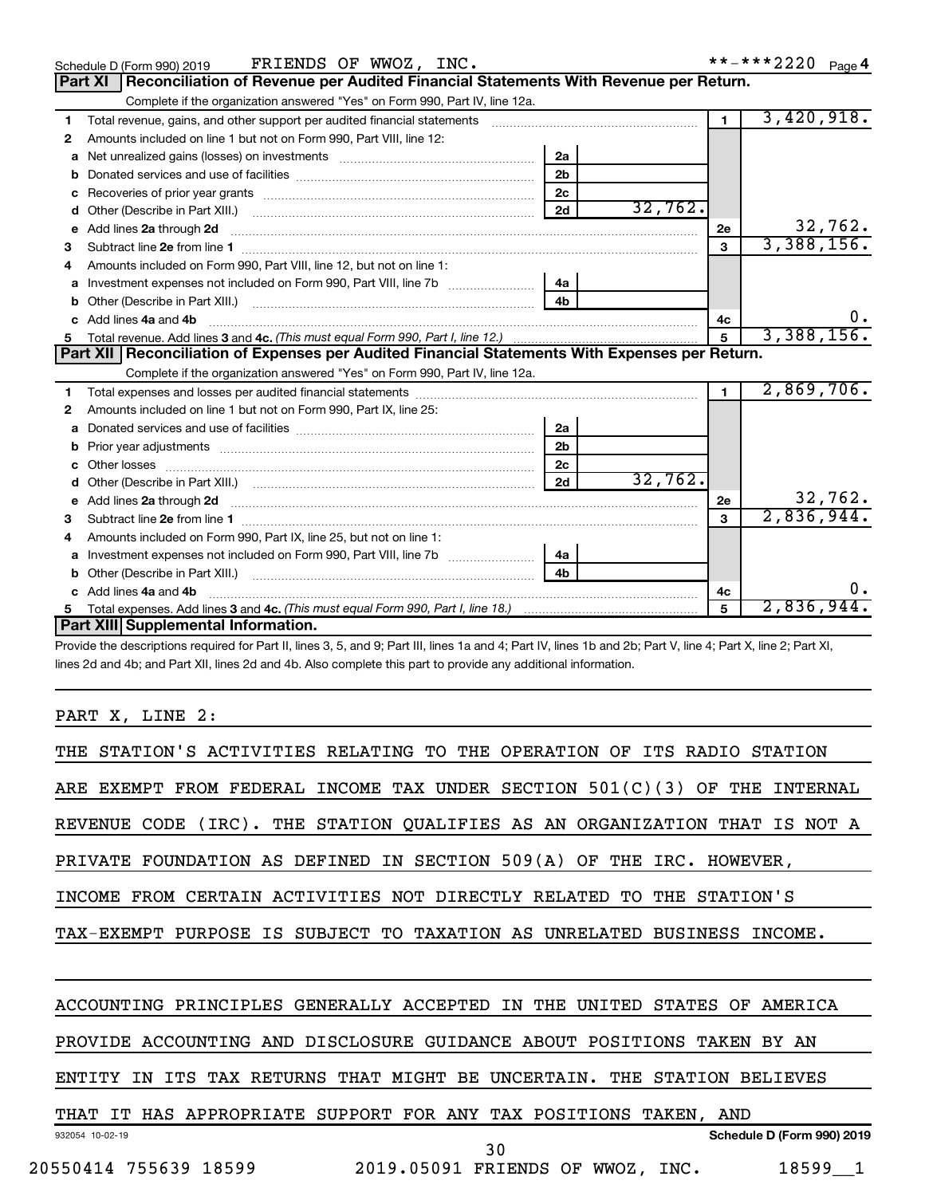|    | FRIENDS OF WWOZ, INC.<br>Schedule D (Form 990) 2019                                                                                                                                                                                                                          |         | **-***2220 Page 4 |            |
|----|------------------------------------------------------------------------------------------------------------------------------------------------------------------------------------------------------------------------------------------------------------------------------|---------|-------------------|------------|
|    | Reconciliation of Revenue per Audited Financial Statements With Revenue per Return.<br><b>Part XI</b>                                                                                                                                                                        |         |                   |            |
|    | Complete if the organization answered "Yes" on Form 990, Part IV, line 12a.                                                                                                                                                                                                  |         |                   |            |
| 1  | Total revenue, gains, and other support per audited financial statements [11] [11] Total revenue, gains, and other support per audited financial statements                                                                                                                  |         | $\mathbf 1$       | 3,420,918. |
| 2  | Amounts included on line 1 but not on Form 990, Part VIII, line 12:                                                                                                                                                                                                          |         |                   |            |
| a  | 2a                                                                                                                                                                                                                                                                           |         |                   |            |
| b  | 2 <sub>b</sub>                                                                                                                                                                                                                                                               |         |                   |            |
| с  | 2 <sub>c</sub>                                                                                                                                                                                                                                                               |         |                   |            |
| d  | 2d                                                                                                                                                                                                                                                                           | 32,762. |                   |            |
| e  |                                                                                                                                                                                                                                                                              | 2е      |                   | 32,762.    |
| З  |                                                                                                                                                                                                                                                                              | 3       |                   | 3,388,156. |
|    | Amounts included on Form 990, Part VIII, line 12, but not on line 1:                                                                                                                                                                                                         |         |                   |            |
| a  | 4a                                                                                                                                                                                                                                                                           |         |                   |            |
| b  |                                                                                                                                                                                                                                                                              |         |                   |            |
| c. | Add lines 4a and 4b                                                                                                                                                                                                                                                          | 4c      |                   | υ.         |
| 5  |                                                                                                                                                                                                                                                                              | 5       |                   | 3,388,156. |
|    | Part XII   Reconciliation of Expenses per Audited Financial Statements With Expenses per Return.                                                                                                                                                                             |         |                   |            |
|    | Complete if the organization answered "Yes" on Form 990, Part IV, line 12a.                                                                                                                                                                                                  |         |                   |            |
| 1  |                                                                                                                                                                                                                                                                              |         | $\blacksquare$    | 2,869,706. |
| 2  | Amounts included on line 1 but not on Form 990, Part IX, line 25:                                                                                                                                                                                                            |         |                   |            |
| a  | 2a                                                                                                                                                                                                                                                                           |         |                   |            |
| b  | 2 <sub>b</sub>                                                                                                                                                                                                                                                               |         |                   |            |
| c. | 2 <sub>c</sub>                                                                                                                                                                                                                                                               |         |                   |            |
| d  | 2d                                                                                                                                                                                                                                                                           | 32,762. |                   |            |
|    | e Add lines 2a through 2d <b>[10]</b> [20] <b>All and Provide 20</b> [10] <b>All and Provide 20</b> [10] <b>All and Provide 20</b> [10] <b>All and Provide 20</b> [10] <b>All and Provide 20</b> [10] <b>All and Provide 20</b> [10] <b>All and Provide 20</b> [10] <b>A</b> | 2e      |                   | 32,762.    |
| З  |                                                                                                                                                                                                                                                                              | 3       |                   | 2,836,944. |
| 4  | Amounts included on Form 990, Part IX, line 25, but not on line 1:                                                                                                                                                                                                           |         |                   |            |
| a  | 4a                                                                                                                                                                                                                                                                           |         |                   |            |
| b  | 4h                                                                                                                                                                                                                                                                           |         |                   |            |
|    | Add lines 4a and 4b                                                                                                                                                                                                                                                          | 4с      |                   |            |
|    |                                                                                                                                                                                                                                                                              | 5       |                   | 2,836,944  |
|    | Part XIII Supplemental Information.                                                                                                                                                                                                                                          |         |                   |            |

Provide the descriptions required for Part II, lines 3, 5, and 9; Part III, lines 1a and 4; Part IV, lines 1b and 2b; Part V, line 4; Part X, line 2; Part XI, lines 2d and 4b; and Part XII, lines 2d and 4b. Also complete this part to provide any additional information.

PART X, LINE 2:

| THE STATION'S ACTIVITIES RELATING TO THE OPERATION OF<br>TTS RADIO<br>STATION              |
|--------------------------------------------------------------------------------------------|
| ARE EXEMPT FROM FEDERAL INCOME TAX UNDER SECTION $501(C)(3)$<br>OF THE<br>INTERNAL         |
| REVENUE CODE (IRC). THE STATION QUALIFIES AS AN ORGANIZATION THAT IS<br>NOT A              |
| PRIVATE FOUNDATION AS DEFINED IN SECTION 509(A) OF THE IRC. HOWEVER,                       |
| CERTAIN ACTIVITIES NOT DIRECTLY RELATED TO<br>THE STATION'S<br>INCOME<br>FROM              |
| TAX-EXEMPT PURPOSE IS SUBJECT TO TAXATION AS UNRELATED BUSINESS<br>INCOME.                 |
|                                                                                            |
| ACCOUNTING PRINCIPLES GENERALLY ACCEPTED<br>AMERICA<br>IN<br>THE<br>UNITED<br>STATES<br>OF |
| PROVIDE ACCOUNTING AND DISCLOSURE GUIDANCE ABOUT POSITIONS TAKEN<br>BY AN                  |
| ITS TAX RETURNS THAT MIGHT BE UNCERTAIN.<br>ENTITY<br>ΙN<br>THE STATION BELIEVES           |
| THAT IT HAS APPROPRIATE SUPPORT FOR ANY TAX POSITIONS TAKEN, AND                           |
| Schedule D (Form 990) 2019<br>932054 10-02-19<br>30                                        |
| 2019.05091 FRIENDS OF WWOZ, INC.<br>20550414 755639 18599<br>18599 1                       |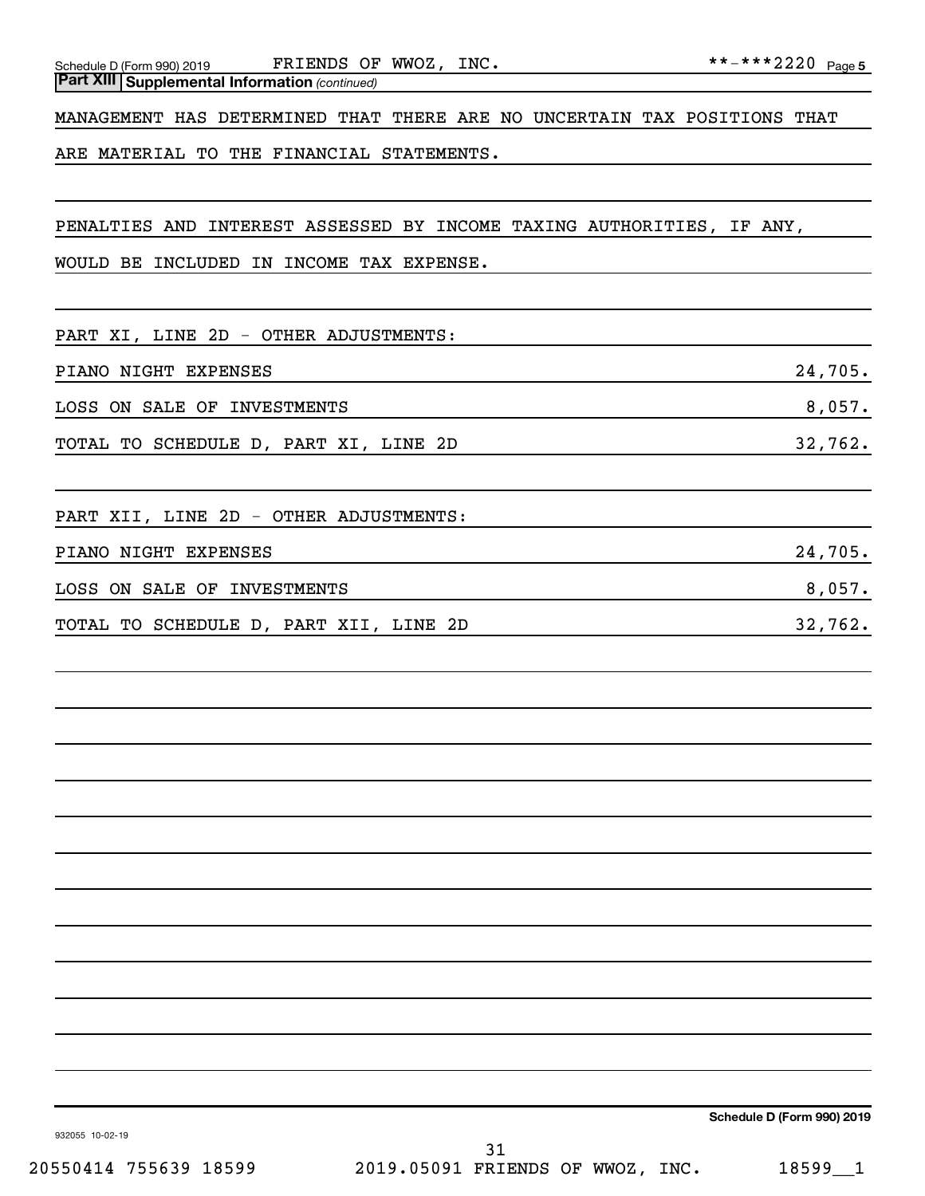MANAGEMENT HAS DETERMINED THAT THERE ARE NO UNCERTAIN TAX POSITIONS THAT

ARE MATERIAL TO THE FINANCIAL STATEMENTS.

PENALTIES AND INTEREST ASSESSED BY INCOME TAXING AUTHORITIES, IF ANY,

WOULD BE INCLUDED IN INCOME TAX EXPENSE.

PART XI, LINE 2D - OTHER ADJUSTMENTS:

PIANO NIGHT EXPENSES 24,705.

LOSS ON SALE OF INVESTMENTS **8,057.** SALE OF INVESTMENTS

TOTAL TO SCHEDULE D, PART XI, LINE 2D 32,762.

PART XII, LINE 2D - OTHER ADJUSTMENTS:

PIANO NIGHT EXPENSES 24,705.

LOSS ON SALE OF INVESTMENTS **8,057.** SALE OF INVESTMENTS

TOTAL TO SCHEDULE D, PART XII, LINE 2D 32,762.

**Schedule D (Form 990) 2019**

932055 10-02-19

20550414 755639 18599 2019.05091 FRIENDS OF WWOZ, INC. 18599\_\_1 31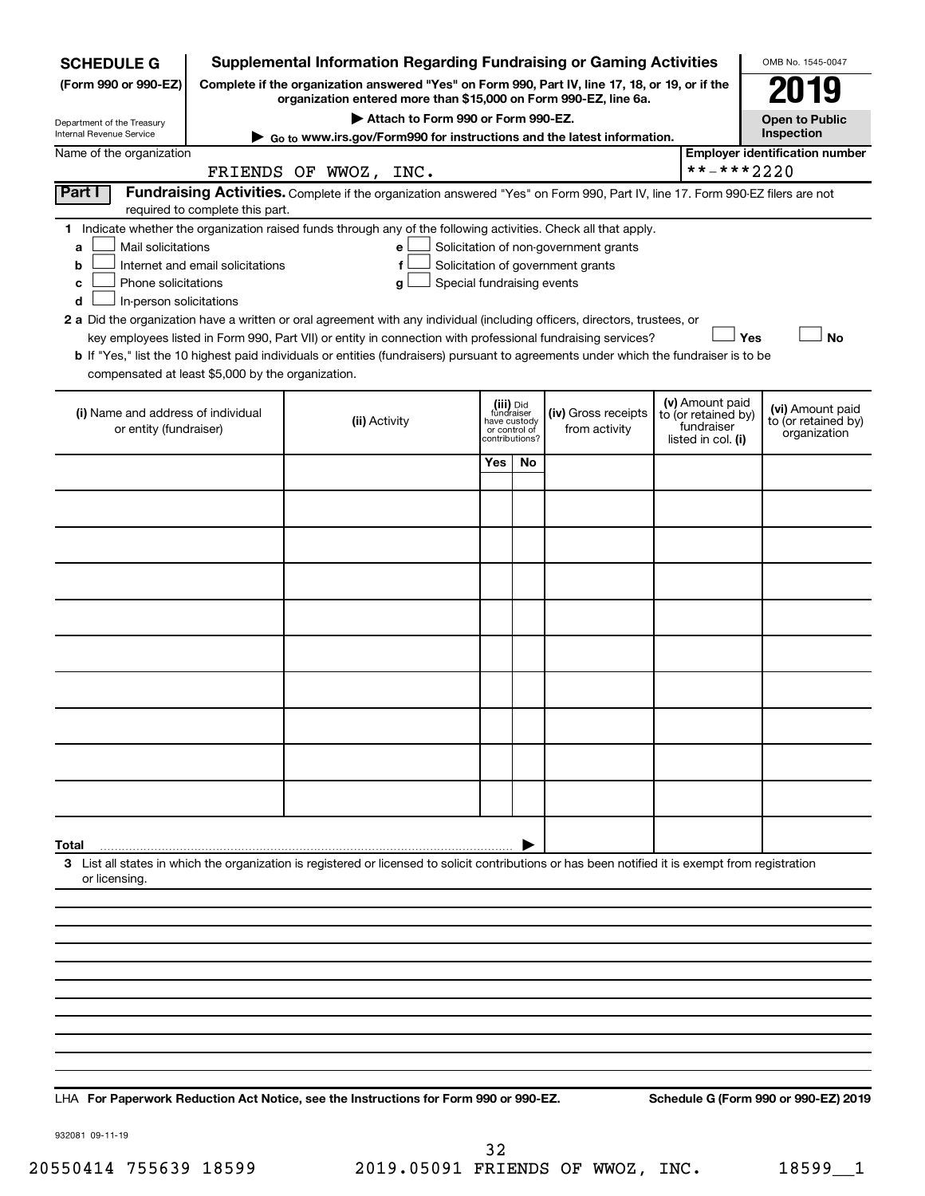| <b>SCHEDULE G</b>                                                                        |                                  | <b>Supplemental Information Regarding Fundraising or Gaming Activities</b>                                                                                                                                                                                                                                                                                                                                                                                                                                                                         |                                         |                                 |                                                                            |                                                                            | OMB No. 1545-0047                                       |
|------------------------------------------------------------------------------------------|----------------------------------|----------------------------------------------------------------------------------------------------------------------------------------------------------------------------------------------------------------------------------------------------------------------------------------------------------------------------------------------------------------------------------------------------------------------------------------------------------------------------------------------------------------------------------------------------|-----------------------------------------|---------------------------------|----------------------------------------------------------------------------|----------------------------------------------------------------------------|---------------------------------------------------------|
| (Form 990 or 990-EZ)                                                                     |                                  | Complete if the organization answered "Yes" on Form 990, Part IV, line 17, 18, or 19, or if the<br>organization entered more than \$15,000 on Form 990-EZ, line 6a.                                                                                                                                                                                                                                                                                                                                                                                |                                         |                                 |                                                                            |                                                                            | 119                                                     |
| Department of the Treasury                                                               |                                  | Attach to Form 990 or Form 990-EZ.                                                                                                                                                                                                                                                                                                                                                                                                                                                                                                                 |                                         |                                 |                                                                            |                                                                            | <b>Open to Public</b>                                   |
| Internal Revenue Service                                                                 |                                  | ► Go to www.irs.gov/Form990 for instructions and the latest information.                                                                                                                                                                                                                                                                                                                                                                                                                                                                           |                                         |                                 |                                                                            |                                                                            | Inspection                                              |
| Name of the organization                                                                 |                                  | FRIENDS OF WWOZ, INC.                                                                                                                                                                                                                                                                                                                                                                                                                                                                                                                              |                                         |                                 |                                                                            | **-***2220                                                                 | <b>Employer identification number</b>                   |
| Part I                                                                                   | required to complete this part.  | Fundraising Activities. Complete if the organization answered "Yes" on Form 990, Part IV, line 17. Form 990-EZ filers are not                                                                                                                                                                                                                                                                                                                                                                                                                      |                                         |                                 |                                                                            |                                                                            |                                                         |
| Mail solicitations<br>a<br>b<br>Phone solicitations<br>с<br>In-person solicitations<br>d | Internet and email solicitations | 1 Indicate whether the organization raised funds through any of the following activities. Check all that apply.<br>е<br>f<br>Special fundraising events<br>g<br>2 a Did the organization have a written or oral agreement with any individual (including officers, directors, trustees, or<br>key employees listed in Form 990, Part VII) or entity in connection with professional fundraising services?<br>b If "Yes," list the 10 highest paid individuals or entities (fundraisers) pursuant to agreements under which the fundraiser is to be |                                         |                                 | Solicitation of non-government grants<br>Solicitation of government grants | Yes                                                                        | <b>No</b>                                               |
| compensated at least \$5,000 by the organization.                                        |                                  |                                                                                                                                                                                                                                                                                                                                                                                                                                                                                                                                                    |                                         |                                 |                                                                            |                                                                            |                                                         |
| (i) Name and address of individual<br>or entity (fundraiser)                             |                                  | (ii) Activity                                                                                                                                                                                                                                                                                                                                                                                                                                                                                                                                      | (iii) Did<br>fundraiser<br>have custody | or control of<br>contributions? | (iv) Gross receipts<br>from activity                                       | (v) Amount paid<br>to (or retained by)<br>fundraiser<br>listed in col. (i) | (vi) Amount paid<br>to (or retained by)<br>organization |
|                                                                                          |                                  |                                                                                                                                                                                                                                                                                                                                                                                                                                                                                                                                                    | Yes                                     | <b>No</b>                       |                                                                            |                                                                            |                                                         |
|                                                                                          |                                  |                                                                                                                                                                                                                                                                                                                                                                                                                                                                                                                                                    |                                         |                                 |                                                                            |                                                                            |                                                         |
|                                                                                          |                                  |                                                                                                                                                                                                                                                                                                                                                                                                                                                                                                                                                    |                                         |                                 |                                                                            |                                                                            |                                                         |
|                                                                                          |                                  |                                                                                                                                                                                                                                                                                                                                                                                                                                                                                                                                                    |                                         |                                 |                                                                            |                                                                            |                                                         |
|                                                                                          |                                  |                                                                                                                                                                                                                                                                                                                                                                                                                                                                                                                                                    |                                         |                                 |                                                                            |                                                                            |                                                         |
|                                                                                          |                                  |                                                                                                                                                                                                                                                                                                                                                                                                                                                                                                                                                    |                                         |                                 |                                                                            |                                                                            |                                                         |
|                                                                                          |                                  |                                                                                                                                                                                                                                                                                                                                                                                                                                                                                                                                                    |                                         |                                 |                                                                            |                                                                            |                                                         |
|                                                                                          |                                  |                                                                                                                                                                                                                                                                                                                                                                                                                                                                                                                                                    |                                         |                                 |                                                                            |                                                                            |                                                         |
|                                                                                          |                                  |                                                                                                                                                                                                                                                                                                                                                                                                                                                                                                                                                    |                                         |                                 |                                                                            |                                                                            |                                                         |
|                                                                                          |                                  |                                                                                                                                                                                                                                                                                                                                                                                                                                                                                                                                                    |                                         |                                 |                                                                            |                                                                            |                                                         |
| Total                                                                                    |                                  |                                                                                                                                                                                                                                                                                                                                                                                                                                                                                                                                                    |                                         |                                 |                                                                            |                                                                            |                                                         |
| or licensing.                                                                            |                                  | 3 List all states in which the organization is registered or licensed to solicit contributions or has been notified it is exempt from registration                                                                                                                                                                                                                                                                                                                                                                                                 |                                         |                                 |                                                                            |                                                                            |                                                         |
|                                                                                          |                                  |                                                                                                                                                                                                                                                                                                                                                                                                                                                                                                                                                    |                                         |                                 |                                                                            |                                                                            |                                                         |
|                                                                                          |                                  |                                                                                                                                                                                                                                                                                                                                                                                                                                                                                                                                                    |                                         |                                 |                                                                            |                                                                            |                                                         |
|                                                                                          |                                  |                                                                                                                                                                                                                                                                                                                                                                                                                                                                                                                                                    |                                         |                                 |                                                                            |                                                                            |                                                         |
|                                                                                          |                                  |                                                                                                                                                                                                                                                                                                                                                                                                                                                                                                                                                    |                                         |                                 |                                                                            |                                                                            |                                                         |
|                                                                                          |                                  |                                                                                                                                                                                                                                                                                                                                                                                                                                                                                                                                                    |                                         |                                 |                                                                            |                                                                            |                                                         |
|                                                                                          |                                  |                                                                                                                                                                                                                                                                                                                                                                                                                                                                                                                                                    |                                         |                                 |                                                                            |                                                                            |                                                         |
|                                                                                          |                                  |                                                                                                                                                                                                                                                                                                                                                                                                                                                                                                                                                    |                                         |                                 |                                                                            |                                                                            |                                                         |
|                                                                                          |                                  |                                                                                                                                                                                                                                                                                                                                                                                                                                                                                                                                                    |                                         |                                 |                                                                            |                                                                            |                                                         |

**For Paperwork Reduction Act Notice, see the Instructions for Form 990 or 990-EZ. Schedule G (Form 990 or 990-EZ) 2019** LHA

932081 09-11-19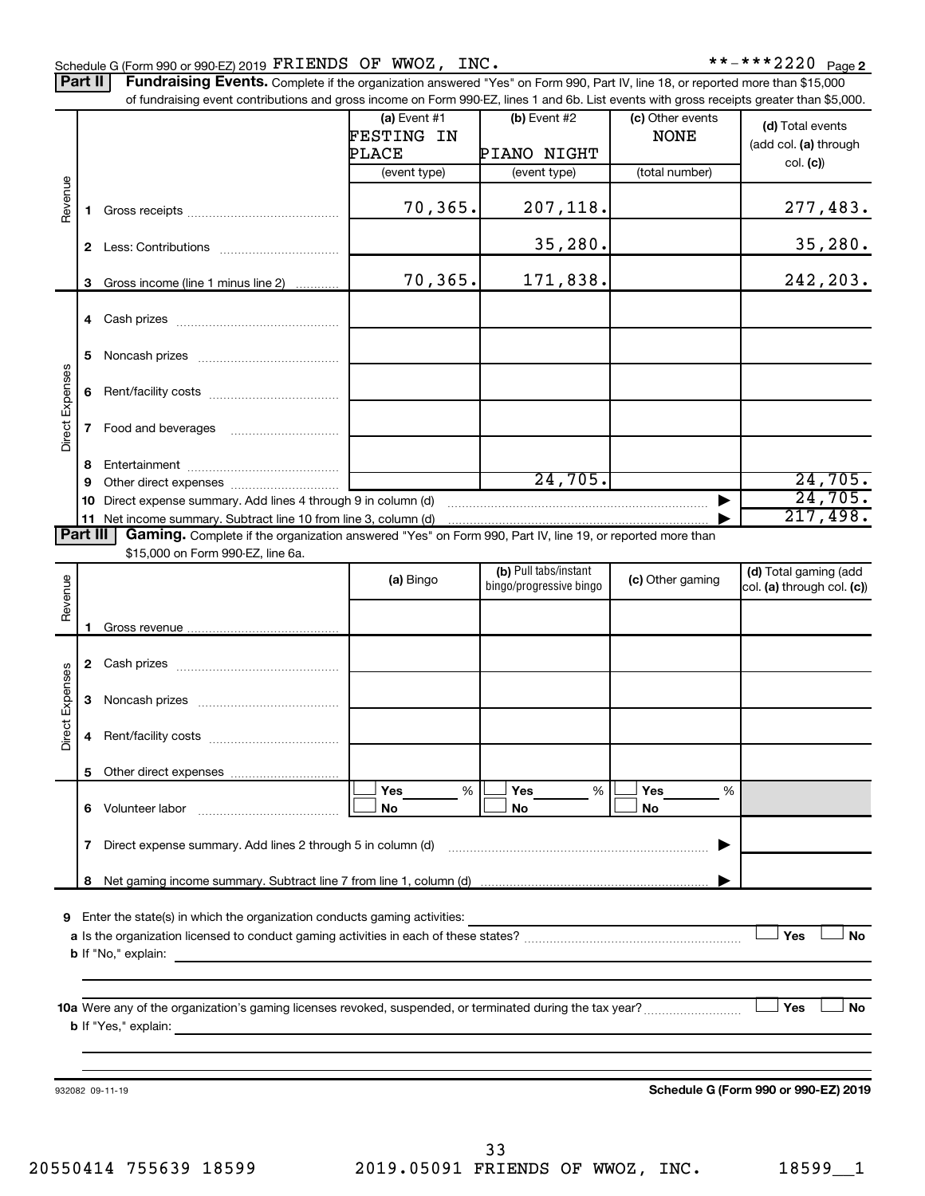Part II | Fundraising Events. Complete if the organization answered "Yes" on Form 990, Part IV, line 18, or reported more than \$15,000 of fundraising event contributions and gross income on Form 990-FZ. lines 1 and 6b. List events with gross receipts greater than \$5,000.

|                        |              | or fundraising event contributions and gross income on Form 990-EZ, lines T and 6D. List events with gross receipts greater than \$5,000.            |                |                                                  |                  |                                                     |
|------------------------|--------------|------------------------------------------------------------------------------------------------------------------------------------------------------|----------------|--------------------------------------------------|------------------|-----------------------------------------------------|
|                        |              |                                                                                                                                                      | (a) Event $#1$ | $(b)$ Event #2                                   | (c) Other events | (d) Total events                                    |
|                        |              |                                                                                                                                                      | FESTING IN     |                                                  | <b>NONE</b>      | (add col. (a) through                               |
|                        |              |                                                                                                                                                      | PLACE          | PIANO NIGHT                                      |                  | col. (c)                                            |
|                        |              |                                                                                                                                                      | (event type)   | (event type)                                     | (total number)   |                                                     |
| Revenue                | 1.           |                                                                                                                                                      | 70,365.        | 207,118.                                         |                  | 277,483.                                            |
|                        | 2            |                                                                                                                                                      |                | 35,280.                                          |                  | 35,280.                                             |
|                        | 3            | Gross income (line 1 minus line 2)                                                                                                                   | 70,365.        | 171,838.                                         |                  | 242,203.                                            |
|                        |              |                                                                                                                                                      |                |                                                  |                  |                                                     |
|                        | 5            |                                                                                                                                                      |                |                                                  |                  |                                                     |
|                        | 6            |                                                                                                                                                      |                |                                                  |                  |                                                     |
| Direct Expenses        | $\mathbf{7}$ |                                                                                                                                                      |                |                                                  |                  |                                                     |
|                        | 8            |                                                                                                                                                      |                |                                                  |                  |                                                     |
|                        | 9            |                                                                                                                                                      |                | 24,705.                                          |                  | 24,705.                                             |
|                        |              | 10 Direct expense summary. Add lines 4 through 9 in column (d)                                                                                       |                |                                                  |                  | 24,705.                                             |
|                        |              | 11 Net income summary. Subtract line 10 from line 3, column (d)                                                                                      |                |                                                  |                  | 217,498.                                            |
| Part III               |              | Gaming. Complete if the organization answered "Yes" on Form 990, Part IV, line 19, or reported more than                                             |                |                                                  |                  |                                                     |
|                        |              | \$15,000 on Form 990-EZ, line 6a.                                                                                                                    |                |                                                  |                  |                                                     |
| Revenue                |              |                                                                                                                                                      | (a) Bingo      | (b) Pull tabs/instant<br>bingo/progressive bingo | (c) Other gaming | (d) Total gaming (add<br>col. (a) through col. (c)) |
|                        |              |                                                                                                                                                      |                |                                                  |                  |                                                     |
|                        | 1.           |                                                                                                                                                      |                |                                                  |                  |                                                     |
|                        |              |                                                                                                                                                      |                |                                                  |                  |                                                     |
|                        |              |                                                                                                                                                      |                |                                                  |                  |                                                     |
| <b>Direct Expenses</b> | 3            |                                                                                                                                                      |                |                                                  |                  |                                                     |
|                        | 4            |                                                                                                                                                      |                |                                                  |                  |                                                     |
|                        |              |                                                                                                                                                      |                |                                                  |                  |                                                     |
|                        |              | 6 Volunteer labor                                                                                                                                    | Yes<br>%<br>No | %<br>Yes<br>No                                   | Yes<br>%<br>No   |                                                     |
|                        | 7            | Direct expense summary. Add lines 2 through 5 in column (d)                                                                                          |                |                                                  |                  |                                                     |
|                        | 8            |                                                                                                                                                      |                |                                                  |                  |                                                     |
|                        |              |                                                                                                                                                      |                |                                                  |                  |                                                     |
| 9                      |              | Enter the state(s) in which the organization conducts gaming activities:                                                                             |                |                                                  |                  |                                                     |
|                        |              |                                                                                                                                                      |                |                                                  |                  | Yes<br>No                                           |
|                        |              | <b>b</b> If "No," explain:                                                                                                                           |                |                                                  |                  |                                                     |
|                        |              |                                                                                                                                                      |                |                                                  |                  |                                                     |
|                        |              |                                                                                                                                                      |                |                                                  |                  |                                                     |
|                        |              | <b>b</b> If "Yes," explain:<br><u> 1989 - Johann Stein, september 1989 - Johann Stein, september 1989 - Johann Stein, september 1989 - Johann St</u> |                |                                                  |                  | Yes<br>No                                           |
|                        |              |                                                                                                                                                      |                |                                                  |                  |                                                     |
|                        |              |                                                                                                                                                      |                |                                                  |                  |                                                     |
|                        |              | 932082 09-11-19                                                                                                                                      |                |                                                  |                  | Schedule G (Form 990 or 990-EZ) 2019                |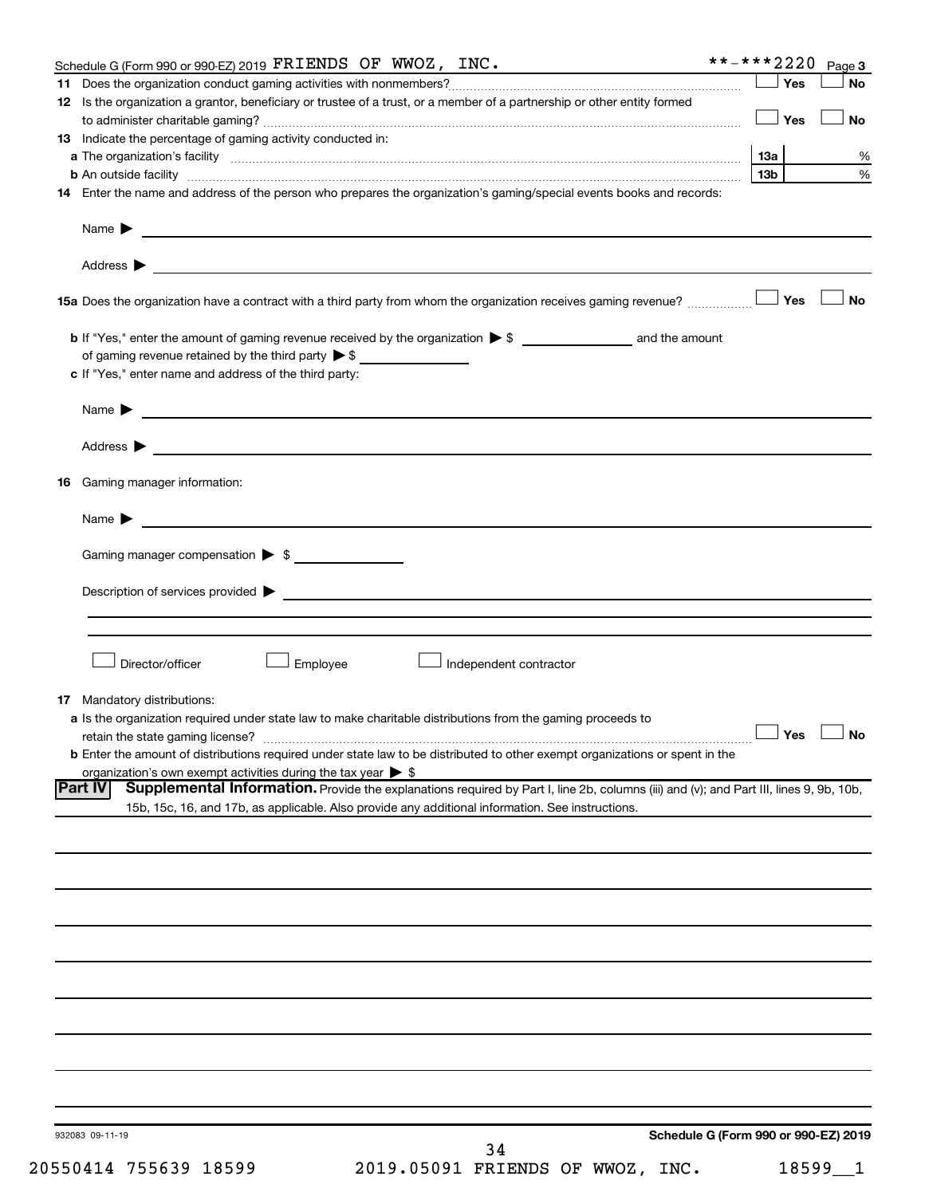| Yes<br>12 Is the organization a grantor, beneficiary or trustee of a trust, or a member of a partnership or other entity formed<br>Yes<br><b>13</b> Indicate the percentage of gaming activity conducted in:<br>1За<br>13 <sub>b</sub><br><b>b</b> An outside facility <i>www.communicality www.communicality.communicality www.communicality www.communicality.communicality www.communicality.com</i><br>Name $\blacktriangleright$<br><u> 1989 - Johann Barnett, fransk politik (d. 1989)</u><br>Yes<br>of gaming revenue retained by the third party $\triangleright$ \$<br>c If "Yes," enter name and address of the third party:<br><u>and the contract of the contract of the contract of the contract of the contract of the contract of the contract of</u><br>Name $\blacktriangleright$<br>Address $\blacktriangleright$<br><u>and the contract of the contract of the contract of the contract of the contract of the contract of the contract of</u><br>Gaming manager information:<br><u> 1989 - Johann Harry Harry Harry Harry Harry Harry Harry Harry Harry Harry Harry Harry Harry Harry Harry Harry</u><br>Name $\blacktriangleright$<br>Gaming manager compensation > \$<br>Director/officer<br>Employee<br>Independent contractor<br>a Is the organization required under state law to make charitable distributions from the gaming proceeds to<br>$\Box$ Yes $\Box$ No<br>retain the state gaming license?<br><b>b</b> Enter the amount of distributions required under state law to be distributed to other exempt organizations or spent in the<br>organization's own exempt activities during the tax year $\triangleright$ \$<br>Supplemental Information. Provide the explanations required by Part I, line 2b, columns (iii) and (v); and Part III, lines 9, 9b, 10b,<br>15b, 15c, 16, and 17b, as applicable. Also provide any additional information. See instructions.<br>Schedule G (Form 990 or 990-EZ) 2019 | Schedule G (Form 990 or 990-EZ) 2019 FRIENDS OF WWOZ, INC. | **-***2220 | Page 3    |
|-----------------------------------------------------------------------------------------------------------------------------------------------------------------------------------------------------------------------------------------------------------------------------------------------------------------------------------------------------------------------------------------------------------------------------------------------------------------------------------------------------------------------------------------------------------------------------------------------------------------------------------------------------------------------------------------------------------------------------------------------------------------------------------------------------------------------------------------------------------------------------------------------------------------------------------------------------------------------------------------------------------------------------------------------------------------------------------------------------------------------------------------------------------------------------------------------------------------------------------------------------------------------------------------------------------------------------------------------------------------------------------------------------------------------------------------------------------------------------------------------------------------------------------------------------------------------------------------------------------------------------------------------------------------------------------------------------------------------------------------------------------------------------------------------------------------------------------------------------------------------------------------------------------------------------------------------|------------------------------------------------------------|------------|-----------|
|                                                                                                                                                                                                                                                                                                                                                                                                                                                                                                                                                                                                                                                                                                                                                                                                                                                                                                                                                                                                                                                                                                                                                                                                                                                                                                                                                                                                                                                                                                                                                                                                                                                                                                                                                                                                                                                                                                                                               |                                                            |            | <b>No</b> |
|                                                                                                                                                                                                                                                                                                                                                                                                                                                                                                                                                                                                                                                                                                                                                                                                                                                                                                                                                                                                                                                                                                                                                                                                                                                                                                                                                                                                                                                                                                                                                                                                                                                                                                                                                                                                                                                                                                                                               |                                                            |            |           |
|                                                                                                                                                                                                                                                                                                                                                                                                                                                                                                                                                                                                                                                                                                                                                                                                                                                                                                                                                                                                                                                                                                                                                                                                                                                                                                                                                                                                                                                                                                                                                                                                                                                                                                                                                                                                                                                                                                                                               |                                                            |            | <b>No</b> |
|                                                                                                                                                                                                                                                                                                                                                                                                                                                                                                                                                                                                                                                                                                                                                                                                                                                                                                                                                                                                                                                                                                                                                                                                                                                                                                                                                                                                                                                                                                                                                                                                                                                                                                                                                                                                                                                                                                                                               |                                                            |            |           |
|                                                                                                                                                                                                                                                                                                                                                                                                                                                                                                                                                                                                                                                                                                                                                                                                                                                                                                                                                                                                                                                                                                                                                                                                                                                                                                                                                                                                                                                                                                                                                                                                                                                                                                                                                                                                                                                                                                                                               |                                                            |            |           |
| 14 Enter the name and address of the person who prepares the organization's gaming/special events books and records:                                                                                                                                                                                                                                                                                                                                                                                                                                                                                                                                                                                                                                                                                                                                                                                                                                                                                                                                                                                                                                                                                                                                                                                                                                                                                                                                                                                                                                                                                                                                                                                                                                                                                                                                                                                                                          |                                                            |            | %         |
|                                                                                                                                                                                                                                                                                                                                                                                                                                                                                                                                                                                                                                                                                                                                                                                                                                                                                                                                                                                                                                                                                                                                                                                                                                                                                                                                                                                                                                                                                                                                                                                                                                                                                                                                                                                                                                                                                                                                               |                                                            |            | %         |
|                                                                                                                                                                                                                                                                                                                                                                                                                                                                                                                                                                                                                                                                                                                                                                                                                                                                                                                                                                                                                                                                                                                                                                                                                                                                                                                                                                                                                                                                                                                                                                                                                                                                                                                                                                                                                                                                                                                                               |                                                            |            |           |
| 16<br><b>17</b> Mandatory distributions:                                                                                                                                                                                                                                                                                                                                                                                                                                                                                                                                                                                                                                                                                                                                                                                                                                                                                                                                                                                                                                                                                                                                                                                                                                                                                                                                                                                                                                                                                                                                                                                                                                                                                                                                                                                                                                                                                                      |                                                            |            |           |
| <b>Part IV</b>                                                                                                                                                                                                                                                                                                                                                                                                                                                                                                                                                                                                                                                                                                                                                                                                                                                                                                                                                                                                                                                                                                                                                                                                                                                                                                                                                                                                                                                                                                                                                                                                                                                                                                                                                                                                                                                                                                                                |                                                            |            |           |
|                                                                                                                                                                                                                                                                                                                                                                                                                                                                                                                                                                                                                                                                                                                                                                                                                                                                                                                                                                                                                                                                                                                                                                                                                                                                                                                                                                                                                                                                                                                                                                                                                                                                                                                                                                                                                                                                                                                                               |                                                            |            |           |
|                                                                                                                                                                                                                                                                                                                                                                                                                                                                                                                                                                                                                                                                                                                                                                                                                                                                                                                                                                                                                                                                                                                                                                                                                                                                                                                                                                                                                                                                                                                                                                                                                                                                                                                                                                                                                                                                                                                                               |                                                            |            |           |
|                                                                                                                                                                                                                                                                                                                                                                                                                                                                                                                                                                                                                                                                                                                                                                                                                                                                                                                                                                                                                                                                                                                                                                                                                                                                                                                                                                                                                                                                                                                                                                                                                                                                                                                                                                                                                                                                                                                                               |                                                            |            |           |
|                                                                                                                                                                                                                                                                                                                                                                                                                                                                                                                                                                                                                                                                                                                                                                                                                                                                                                                                                                                                                                                                                                                                                                                                                                                                                                                                                                                                                                                                                                                                                                                                                                                                                                                                                                                                                                                                                                                                               |                                                            |            | No        |
|                                                                                                                                                                                                                                                                                                                                                                                                                                                                                                                                                                                                                                                                                                                                                                                                                                                                                                                                                                                                                                                                                                                                                                                                                                                                                                                                                                                                                                                                                                                                                                                                                                                                                                                                                                                                                                                                                                                                               |                                                            |            |           |
|                                                                                                                                                                                                                                                                                                                                                                                                                                                                                                                                                                                                                                                                                                                                                                                                                                                                                                                                                                                                                                                                                                                                                                                                                                                                                                                                                                                                                                                                                                                                                                                                                                                                                                                                                                                                                                                                                                                                               |                                                            |            |           |
|                                                                                                                                                                                                                                                                                                                                                                                                                                                                                                                                                                                                                                                                                                                                                                                                                                                                                                                                                                                                                                                                                                                                                                                                                                                                                                                                                                                                                                                                                                                                                                                                                                                                                                                                                                                                                                                                                                                                               |                                                            |            |           |
|                                                                                                                                                                                                                                                                                                                                                                                                                                                                                                                                                                                                                                                                                                                                                                                                                                                                                                                                                                                                                                                                                                                                                                                                                                                                                                                                                                                                                                                                                                                                                                                                                                                                                                                                                                                                                                                                                                                                               |                                                            |            |           |
|                                                                                                                                                                                                                                                                                                                                                                                                                                                                                                                                                                                                                                                                                                                                                                                                                                                                                                                                                                                                                                                                                                                                                                                                                                                                                                                                                                                                                                                                                                                                                                                                                                                                                                                                                                                                                                                                                                                                               |                                                            |            |           |
|                                                                                                                                                                                                                                                                                                                                                                                                                                                                                                                                                                                                                                                                                                                                                                                                                                                                                                                                                                                                                                                                                                                                                                                                                                                                                                                                                                                                                                                                                                                                                                                                                                                                                                                                                                                                                                                                                                                                               |                                                            |            |           |
|                                                                                                                                                                                                                                                                                                                                                                                                                                                                                                                                                                                                                                                                                                                                                                                                                                                                                                                                                                                                                                                                                                                                                                                                                                                                                                                                                                                                                                                                                                                                                                                                                                                                                                                                                                                                                                                                                                                                               |                                                            |            |           |
|                                                                                                                                                                                                                                                                                                                                                                                                                                                                                                                                                                                                                                                                                                                                                                                                                                                                                                                                                                                                                                                                                                                                                                                                                                                                                                                                                                                                                                                                                                                                                                                                                                                                                                                                                                                                                                                                                                                                               |                                                            |            |           |
|                                                                                                                                                                                                                                                                                                                                                                                                                                                                                                                                                                                                                                                                                                                                                                                                                                                                                                                                                                                                                                                                                                                                                                                                                                                                                                                                                                                                                                                                                                                                                                                                                                                                                                                                                                                                                                                                                                                                               |                                                            |            |           |
|                                                                                                                                                                                                                                                                                                                                                                                                                                                                                                                                                                                                                                                                                                                                                                                                                                                                                                                                                                                                                                                                                                                                                                                                                                                                                                                                                                                                                                                                                                                                                                                                                                                                                                                                                                                                                                                                                                                                               |                                                            |            |           |
|                                                                                                                                                                                                                                                                                                                                                                                                                                                                                                                                                                                                                                                                                                                                                                                                                                                                                                                                                                                                                                                                                                                                                                                                                                                                                                                                                                                                                                                                                                                                                                                                                                                                                                                                                                                                                                                                                                                                               |                                                            |            |           |
|                                                                                                                                                                                                                                                                                                                                                                                                                                                                                                                                                                                                                                                                                                                                                                                                                                                                                                                                                                                                                                                                                                                                                                                                                                                                                                                                                                                                                                                                                                                                                                                                                                                                                                                                                                                                                                                                                                                                               |                                                            |            |           |
|                                                                                                                                                                                                                                                                                                                                                                                                                                                                                                                                                                                                                                                                                                                                                                                                                                                                                                                                                                                                                                                                                                                                                                                                                                                                                                                                                                                                                                                                                                                                                                                                                                                                                                                                                                                                                                                                                                                                               |                                                            |            |           |
|                                                                                                                                                                                                                                                                                                                                                                                                                                                                                                                                                                                                                                                                                                                                                                                                                                                                                                                                                                                                                                                                                                                                                                                                                                                                                                                                                                                                                                                                                                                                                                                                                                                                                                                                                                                                                                                                                                                                               |                                                            |            |           |
|                                                                                                                                                                                                                                                                                                                                                                                                                                                                                                                                                                                                                                                                                                                                                                                                                                                                                                                                                                                                                                                                                                                                                                                                                                                                                                                                                                                                                                                                                                                                                                                                                                                                                                                                                                                                                                                                                                                                               |                                                            |            |           |
|                                                                                                                                                                                                                                                                                                                                                                                                                                                                                                                                                                                                                                                                                                                                                                                                                                                                                                                                                                                                                                                                                                                                                                                                                                                                                                                                                                                                                                                                                                                                                                                                                                                                                                                                                                                                                                                                                                                                               |                                                            |            |           |
|                                                                                                                                                                                                                                                                                                                                                                                                                                                                                                                                                                                                                                                                                                                                                                                                                                                                                                                                                                                                                                                                                                                                                                                                                                                                                                                                                                                                                                                                                                                                                                                                                                                                                                                                                                                                                                                                                                                                               |                                                            |            |           |
|                                                                                                                                                                                                                                                                                                                                                                                                                                                                                                                                                                                                                                                                                                                                                                                                                                                                                                                                                                                                                                                                                                                                                                                                                                                                                                                                                                                                                                                                                                                                                                                                                                                                                                                                                                                                                                                                                                                                               |                                                            |            |           |
|                                                                                                                                                                                                                                                                                                                                                                                                                                                                                                                                                                                                                                                                                                                                                                                                                                                                                                                                                                                                                                                                                                                                                                                                                                                                                                                                                                                                                                                                                                                                                                                                                                                                                                                                                                                                                                                                                                                                               |                                                            |            |           |
|                                                                                                                                                                                                                                                                                                                                                                                                                                                                                                                                                                                                                                                                                                                                                                                                                                                                                                                                                                                                                                                                                                                                                                                                                                                                                                                                                                                                                                                                                                                                                                                                                                                                                                                                                                                                                                                                                                                                               |                                                            |            |           |
|                                                                                                                                                                                                                                                                                                                                                                                                                                                                                                                                                                                                                                                                                                                                                                                                                                                                                                                                                                                                                                                                                                                                                                                                                                                                                                                                                                                                                                                                                                                                                                                                                                                                                                                                                                                                                                                                                                                                               |                                                            |            |           |
|                                                                                                                                                                                                                                                                                                                                                                                                                                                                                                                                                                                                                                                                                                                                                                                                                                                                                                                                                                                                                                                                                                                                                                                                                                                                                                                                                                                                                                                                                                                                                                                                                                                                                                                                                                                                                                                                                                                                               |                                                            |            |           |
|                                                                                                                                                                                                                                                                                                                                                                                                                                                                                                                                                                                                                                                                                                                                                                                                                                                                                                                                                                                                                                                                                                                                                                                                                                                                                                                                                                                                                                                                                                                                                                                                                                                                                                                                                                                                                                                                                                                                               |                                                            |            |           |
|                                                                                                                                                                                                                                                                                                                                                                                                                                                                                                                                                                                                                                                                                                                                                                                                                                                                                                                                                                                                                                                                                                                                                                                                                                                                                                                                                                                                                                                                                                                                                                                                                                                                                                                                                                                                                                                                                                                                               |                                                            |            |           |
|                                                                                                                                                                                                                                                                                                                                                                                                                                                                                                                                                                                                                                                                                                                                                                                                                                                                                                                                                                                                                                                                                                                                                                                                                                                                                                                                                                                                                                                                                                                                                                                                                                                                                                                                                                                                                                                                                                                                               |                                                            |            |           |
|                                                                                                                                                                                                                                                                                                                                                                                                                                                                                                                                                                                                                                                                                                                                                                                                                                                                                                                                                                                                                                                                                                                                                                                                                                                                                                                                                                                                                                                                                                                                                                                                                                                                                                                                                                                                                                                                                                                                               |                                                            |            |           |
|                                                                                                                                                                                                                                                                                                                                                                                                                                                                                                                                                                                                                                                                                                                                                                                                                                                                                                                                                                                                                                                                                                                                                                                                                                                                                                                                                                                                                                                                                                                                                                                                                                                                                                                                                                                                                                                                                                                                               |                                                            |            |           |
|                                                                                                                                                                                                                                                                                                                                                                                                                                                                                                                                                                                                                                                                                                                                                                                                                                                                                                                                                                                                                                                                                                                                                                                                                                                                                                                                                                                                                                                                                                                                                                                                                                                                                                                                                                                                                                                                                                                                               |                                                            |            |           |
|                                                                                                                                                                                                                                                                                                                                                                                                                                                                                                                                                                                                                                                                                                                                                                                                                                                                                                                                                                                                                                                                                                                                                                                                                                                                                                                                                                                                                                                                                                                                                                                                                                                                                                                                                                                                                                                                                                                                               |                                                            |            |           |
|                                                                                                                                                                                                                                                                                                                                                                                                                                                                                                                                                                                                                                                                                                                                                                                                                                                                                                                                                                                                                                                                                                                                                                                                                                                                                                                                                                                                                                                                                                                                                                                                                                                                                                                                                                                                                                                                                                                                               |                                                            |            |           |
|                                                                                                                                                                                                                                                                                                                                                                                                                                                                                                                                                                                                                                                                                                                                                                                                                                                                                                                                                                                                                                                                                                                                                                                                                                                                                                                                                                                                                                                                                                                                                                                                                                                                                                                                                                                                                                                                                                                                               |                                                            |            |           |
|                                                                                                                                                                                                                                                                                                                                                                                                                                                                                                                                                                                                                                                                                                                                                                                                                                                                                                                                                                                                                                                                                                                                                                                                                                                                                                                                                                                                                                                                                                                                                                                                                                                                                                                                                                                                                                                                                                                                               |                                                            |            |           |
|                                                                                                                                                                                                                                                                                                                                                                                                                                                                                                                                                                                                                                                                                                                                                                                                                                                                                                                                                                                                                                                                                                                                                                                                                                                                                                                                                                                                                                                                                                                                                                                                                                                                                                                                                                                                                                                                                                                                               |                                                            |            |           |
|                                                                                                                                                                                                                                                                                                                                                                                                                                                                                                                                                                                                                                                                                                                                                                                                                                                                                                                                                                                                                                                                                                                                                                                                                                                                                                                                                                                                                                                                                                                                                                                                                                                                                                                                                                                                                                                                                                                                               |                                                            |            |           |
|                                                                                                                                                                                                                                                                                                                                                                                                                                                                                                                                                                                                                                                                                                                                                                                                                                                                                                                                                                                                                                                                                                                                                                                                                                                                                                                                                                                                                                                                                                                                                                                                                                                                                                                                                                                                                                                                                                                                               |                                                            |            |           |
|                                                                                                                                                                                                                                                                                                                                                                                                                                                                                                                                                                                                                                                                                                                                                                                                                                                                                                                                                                                                                                                                                                                                                                                                                                                                                                                                                                                                                                                                                                                                                                                                                                                                                                                                                                                                                                                                                                                                               |                                                            |            |           |
|                                                                                                                                                                                                                                                                                                                                                                                                                                                                                                                                                                                                                                                                                                                                                                                                                                                                                                                                                                                                                                                                                                                                                                                                                                                                                                                                                                                                                                                                                                                                                                                                                                                                                                                                                                                                                                                                                                                                               |                                                            |            |           |
|                                                                                                                                                                                                                                                                                                                                                                                                                                                                                                                                                                                                                                                                                                                                                                                                                                                                                                                                                                                                                                                                                                                                                                                                                                                                                                                                                                                                                                                                                                                                                                                                                                                                                                                                                                                                                                                                                                                                               |                                                            |            |           |
|                                                                                                                                                                                                                                                                                                                                                                                                                                                                                                                                                                                                                                                                                                                                                                                                                                                                                                                                                                                                                                                                                                                                                                                                                                                                                                                                                                                                                                                                                                                                                                                                                                                                                                                                                                                                                                                                                                                                               |                                                            |            |           |
|                                                                                                                                                                                                                                                                                                                                                                                                                                                                                                                                                                                                                                                                                                                                                                                                                                                                                                                                                                                                                                                                                                                                                                                                                                                                                                                                                                                                                                                                                                                                                                                                                                                                                                                                                                                                                                                                                                                                               |                                                            |            |           |
|                                                                                                                                                                                                                                                                                                                                                                                                                                                                                                                                                                                                                                                                                                                                                                                                                                                                                                                                                                                                                                                                                                                                                                                                                                                                                                                                                                                                                                                                                                                                                                                                                                                                                                                                                                                                                                                                                                                                               |                                                            |            |           |
|                                                                                                                                                                                                                                                                                                                                                                                                                                                                                                                                                                                                                                                                                                                                                                                                                                                                                                                                                                                                                                                                                                                                                                                                                                                                                                                                                                                                                                                                                                                                                                                                                                                                                                                                                                                                                                                                                                                                               |                                                            |            |           |
|                                                                                                                                                                                                                                                                                                                                                                                                                                                                                                                                                                                                                                                                                                                                                                                                                                                                                                                                                                                                                                                                                                                                                                                                                                                                                                                                                                                                                                                                                                                                                                                                                                                                                                                                                                                                                                                                                                                                               |                                                            |            |           |
|                                                                                                                                                                                                                                                                                                                                                                                                                                                                                                                                                                                                                                                                                                                                                                                                                                                                                                                                                                                                                                                                                                                                                                                                                                                                                                                                                                                                                                                                                                                                                                                                                                                                                                                                                                                                                                                                                                                                               |                                                            |            |           |
|                                                                                                                                                                                                                                                                                                                                                                                                                                                                                                                                                                                                                                                                                                                                                                                                                                                                                                                                                                                                                                                                                                                                                                                                                                                                                                                                                                                                                                                                                                                                                                                                                                                                                                                                                                                                                                                                                                                                               |                                                            |            |           |
|                                                                                                                                                                                                                                                                                                                                                                                                                                                                                                                                                                                                                                                                                                                                                                                                                                                                                                                                                                                                                                                                                                                                                                                                                                                                                                                                                                                                                                                                                                                                                                                                                                                                                                                                                                                                                                                                                                                                               |                                                            |            |           |
|                                                                                                                                                                                                                                                                                                                                                                                                                                                                                                                                                                                                                                                                                                                                                                                                                                                                                                                                                                                                                                                                                                                                                                                                                                                                                                                                                                                                                                                                                                                                                                                                                                                                                                                                                                                                                                                                                                                                               |                                                            |            |           |
|                                                                                                                                                                                                                                                                                                                                                                                                                                                                                                                                                                                                                                                                                                                                                                                                                                                                                                                                                                                                                                                                                                                                                                                                                                                                                                                                                                                                                                                                                                                                                                                                                                                                                                                                                                                                                                                                                                                                               |                                                            |            |           |
|                                                                                                                                                                                                                                                                                                                                                                                                                                                                                                                                                                                                                                                                                                                                                                                                                                                                                                                                                                                                                                                                                                                                                                                                                                                                                                                                                                                                                                                                                                                                                                                                                                                                                                                                                                                                                                                                                                                                               |                                                            |            |           |
|                                                                                                                                                                                                                                                                                                                                                                                                                                                                                                                                                                                                                                                                                                                                                                                                                                                                                                                                                                                                                                                                                                                                                                                                                                                                                                                                                                                                                                                                                                                                                                                                                                                                                                                                                                                                                                                                                                                                               |                                                            |            |           |
| 34                                                                                                                                                                                                                                                                                                                                                                                                                                                                                                                                                                                                                                                                                                                                                                                                                                                                                                                                                                                                                                                                                                                                                                                                                                                                                                                                                                                                                                                                                                                                                                                                                                                                                                                                                                                                                                                                                                                                            | 932083 09-11-19                                            |            |           |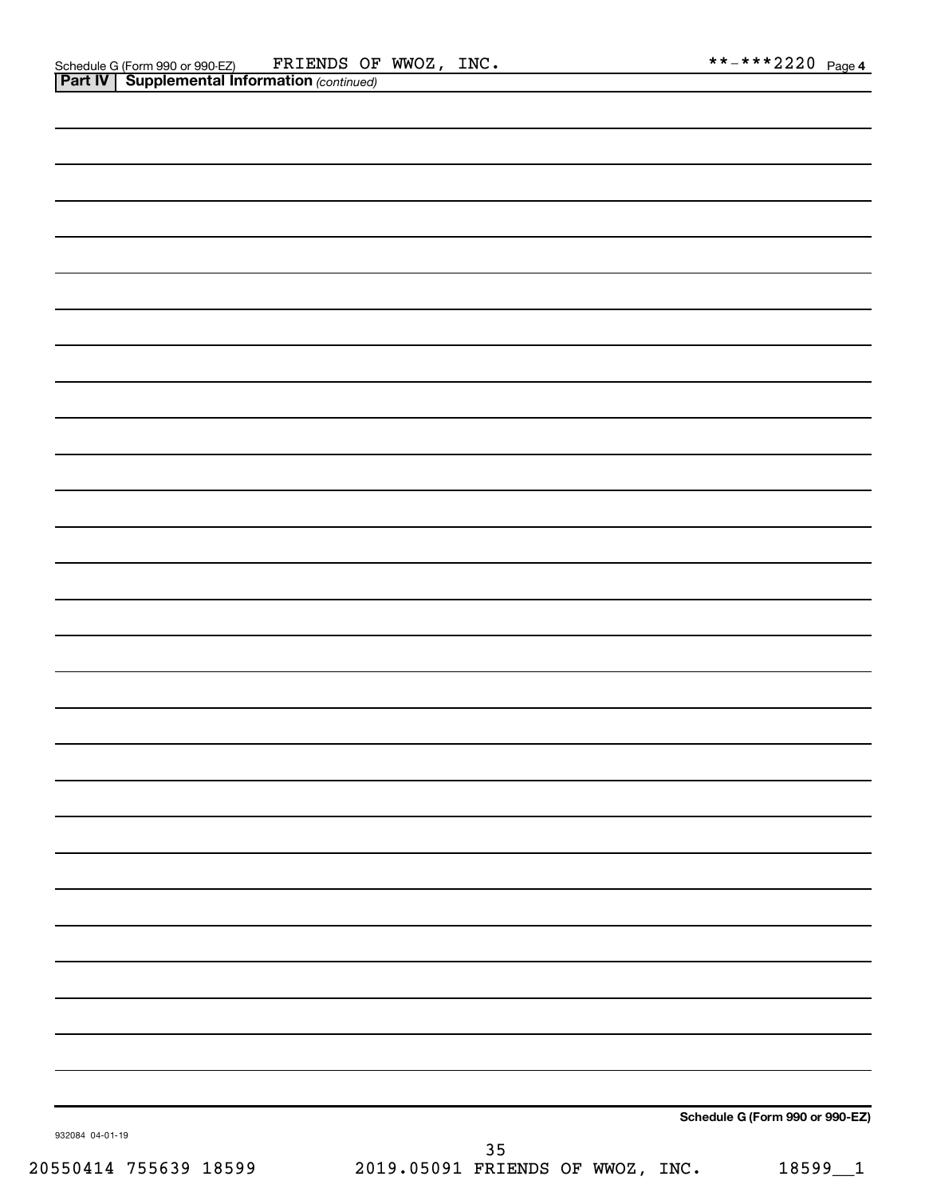|                 |                   | Schedule G (Form 990 or 990-EZ) |
|-----------------|-------------------|---------------------------------|
| 932084 04-01-19 | $\Omega$ $\Gamma$ |                                 |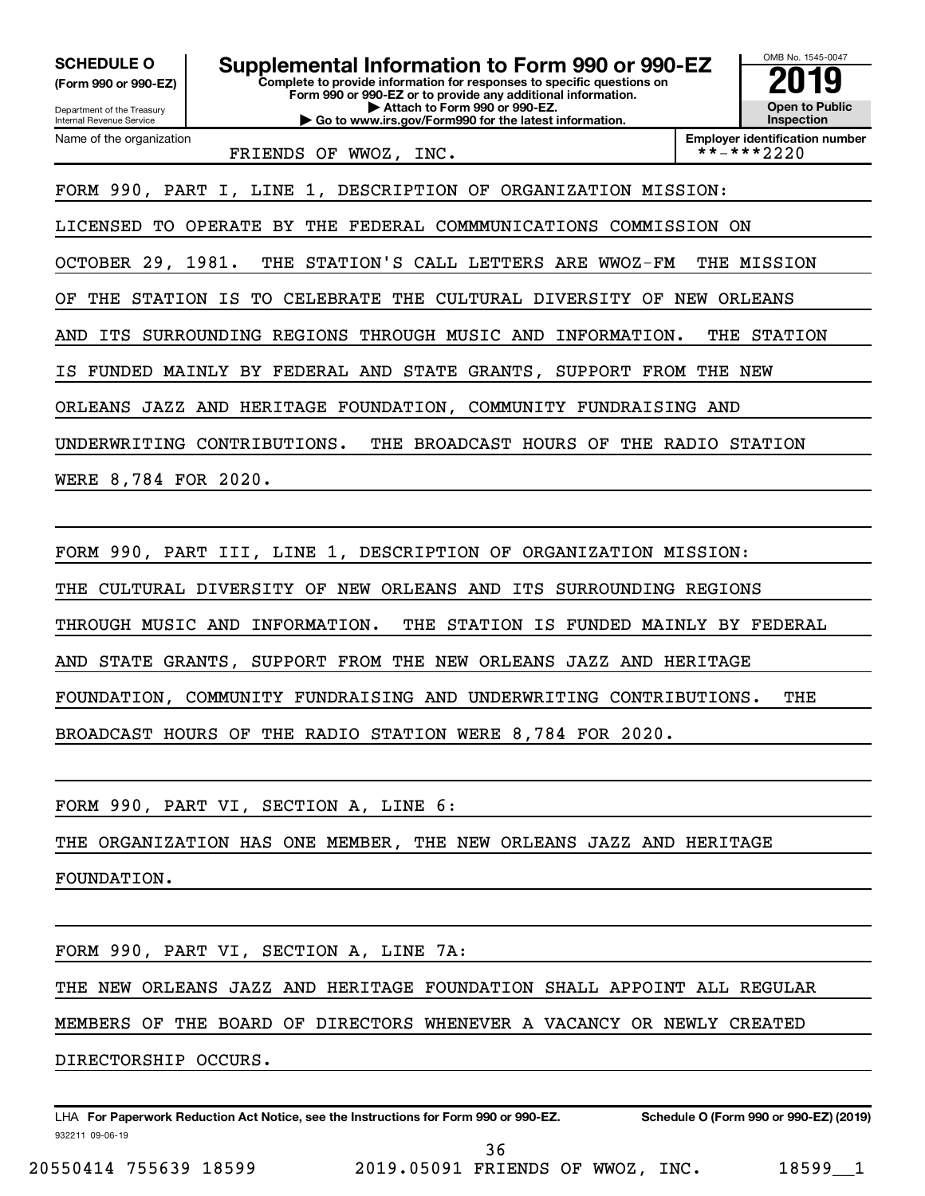**(Form 990 or 990-EZ)**

Department of the Treasury Internal Revenue Service

Name of the organization

**Complete to provide information for responses to specific questions on Form 990 or 990-EZ or to provide any additional information. | Attach to Form 990 or 990-EZ. | Go to www.irs.gov/Form990 for the latest information. SCHEDULE O Supplemental Information to Form 990 or 990-EZ 2019** 



FRIENDS OF WWOZ, INC.

FORM 990, PART I, LINE 1, DESCRIPTION OF ORGANIZATION MISSION:

LICENSED TO OPERATE BY THE FEDERAL COMMMUNICATIONS COMMISSION ON

OCTOBER 29, 1981. THE STATION'S CALL LETTERS ARE WWOZ-FM THE MISSION

OF THE STATION IS TO CELEBRATE THE CULTURAL DIVERSITY OF NEW ORLEANS

AND ITS SURROUNDING REGIONS THROUGH MUSIC AND INFORMATION. THE STATION

IS FUNDED MAINLY BY FEDERAL AND STATE GRANTS, SUPPORT FROM THE NEW

ORLEANS JAZZ AND HERITAGE FOUNDATION, COMMUNITY FUNDRAISING AND

UNDERWRITING CONTRIBUTIONS. THE BROADCAST HOURS OF THE RADIO STATION

WERE 8,784 FOR 2020.

FORM 990, PART III, LINE 1, DESCRIPTION OF ORGANIZATION MISSION:

THE CULTURAL DIVERSITY OF NEW ORLEANS AND ITS SURROUNDING REGIONS

THROUGH MUSIC AND INFORMATION. THE STATION IS FUNDED MAINLY BY FEDERAL

AND STATE GRANTS, SUPPORT FROM THE NEW ORLEANS JAZZ AND HERITAGE

FOUNDATION, COMMUNITY FUNDRAISING AND UNDERWRITING CONTRIBUTIONS. THE

BROADCAST HOURS OF THE RADIO STATION WERE 8,784 FOR 2020.

FORM 990, PART VI, SECTION A, LINE 6:

THE ORGANIZATION HAS ONE MEMBER, THE NEW ORLEANS JAZZ AND HERITAGE

FOUNDATION.

FORM 990, PART VI, SECTION A, LINE 7A:

THE NEW ORLEANS JAZZ AND HERITAGE FOUNDATION SHALL APPOINT ALL REGULAR

MEMBERS OF THE BOARD OF DIRECTORS WHENEVER A VACANCY OR NEWLY CREATED

DIRECTORSHIP OCCURS.

932211 09-06-19 LHA For Paperwork Reduction Act Notice, see the Instructions for Form 990 or 990-EZ. Schedule O (Form 990 or 990-EZ) (2019)

20550414 755639 18599 2019.05091 FRIENDS OF WWOZ, INC. 18599\_\_1 36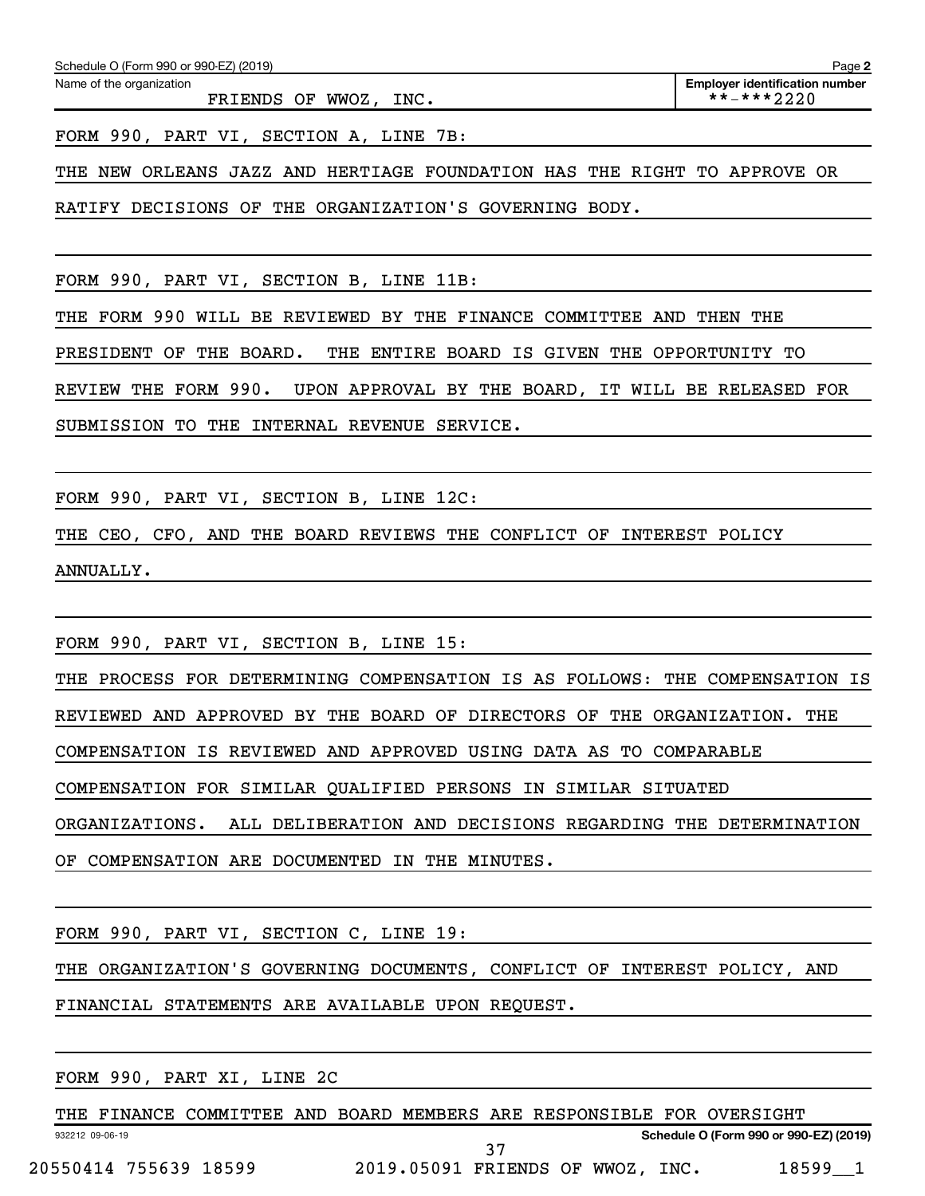FRIENDS OF WWOZ, INC. \*\*-\*\*\*2220

FORM 990, PART VI, SECTION A, LINE 7B:

THE NEW ORLEANS JAZZ AND HERTIAGE FOUNDATION HAS THE RIGHT TO APPROVE OR

RATIFY DECISIONS OF THE ORGANIZATION'S GOVERNING BODY.

FORM 990, PART VI, SECTION B, LINE 11B:

THE FORM 990 WILL BE REVIEWED BY THE FINANCE COMMITTEE AND THEN THE

PRESIDENT OF THE BOARD. THE ENTIRE BOARD IS GIVEN THE OPPORTUNITY TO

REVIEW THE FORM 990. UPON APPROVAL BY THE BOARD, IT WILL BE RELEASED FOR

SUBMISSION TO THE INTERNAL REVENUE SERVICE.

FORM 990, PART VI, SECTION B, LINE 12C:

THE CEO, CFO, AND THE BOARD REVIEWS THE CONFLICT OF INTEREST POLICY ANNUALLY.

FORM 990, PART VI, SECTION B, LINE 15:

THE PROCESS FOR DETERMINING COMPENSATION IS AS FOLLOWS: THE COMPENSATION IS REVIEWED AND APPROVED BY THE BOARD OF DIRECTORS OF THE ORGANIZATION. THE COMPENSATION IS REVIEWED AND APPROVED USING DATA AS TO COMPARABLE COMPENSATION FOR SIMILAR QUALIFIED PERSONS IN SIMILAR SITUATED ORGANIZATIONS. ALL DELIBERATION AND DECISIONS REGARDING THE DETERMINATION OF COMPENSATION ARE DOCUMENTED IN THE MINUTES.

FORM 990, PART VI, SECTION C, LINE 19:

THE ORGANIZATION'S GOVERNING DOCUMENTS, CONFLICT OF INTEREST POLICY, AND

FINANCIAL STATEMENTS ARE AVAILABLE UPON REQUEST.

FORM 990, PART XI, LINE 2C

932212 09-06-19 **Schedule O (Form 990 or 990-EZ) (2019)** THE FINANCE COMMITTEE AND BOARD MEMBERS ARE RESPONSIBLE FOR OVERSIGHT 20550414 755639 18599 2019.05091 FRIENDS OF WWOZ, INC. 18599\_\_1 37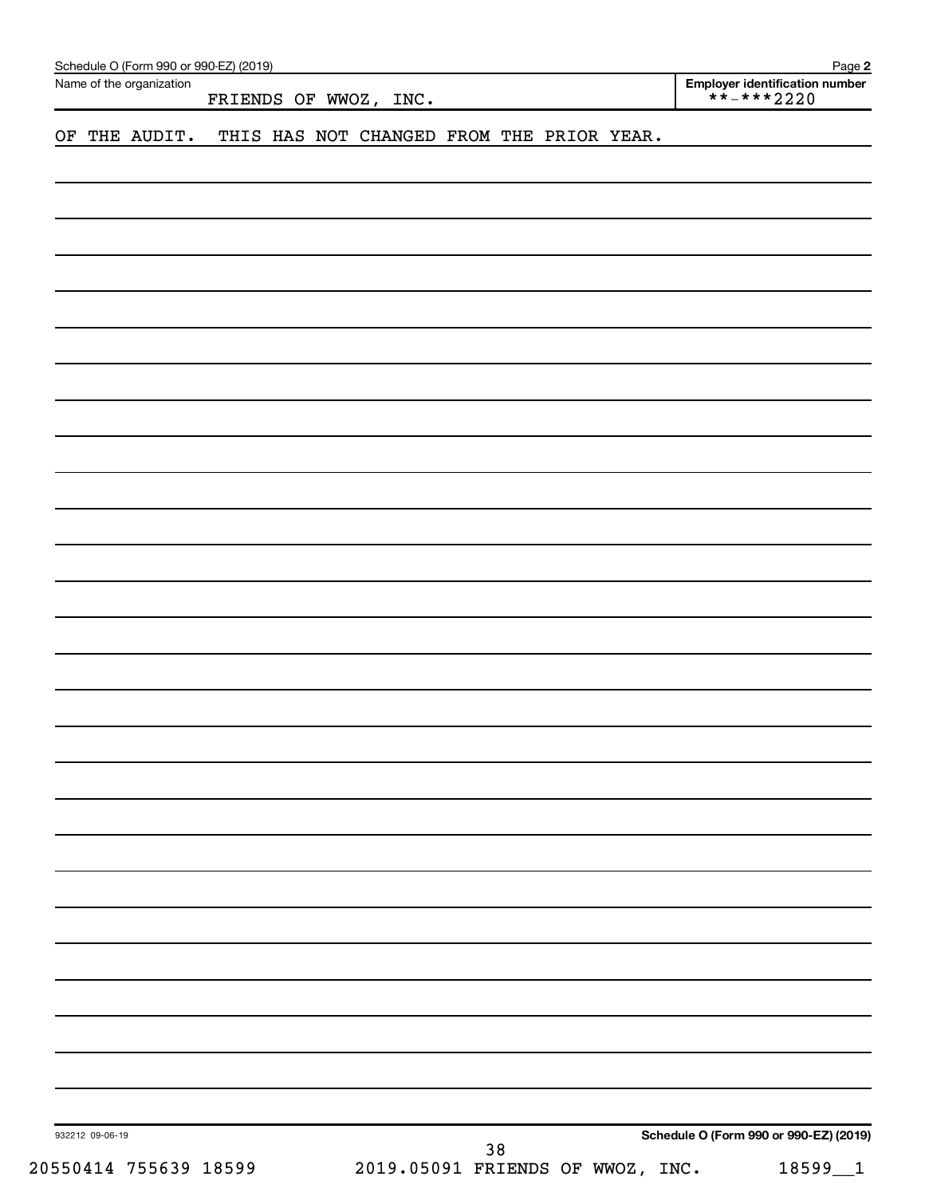| Name of the organization | FRIENDS OF WWOZ, INC.                     | Employer identification number<br>$\star\star$ - $\star\star\star$ 2220 |
|--------------------------|-------------------------------------------|-------------------------------------------------------------------------|
| THE AUDIT.<br>OF         | THIS HAS NOT CHANGED FROM THE PRIOR YEAR. |                                                                         |
|                          |                                           |                                                                         |
|                          |                                           |                                                                         |
|                          |                                           |                                                                         |
|                          |                                           |                                                                         |
|                          |                                           |                                                                         |
|                          |                                           |                                                                         |
|                          |                                           |                                                                         |
|                          |                                           |                                                                         |
|                          |                                           |                                                                         |
|                          |                                           |                                                                         |
|                          |                                           |                                                                         |
|                          |                                           |                                                                         |
|                          |                                           |                                                                         |
|                          |                                           |                                                                         |
|                          |                                           |                                                                         |
|                          |                                           |                                                                         |
|                          |                                           |                                                                         |
|                          |                                           |                                                                         |
|                          |                                           |                                                                         |
|                          |                                           |                                                                         |
|                          |                                           |                                                                         |
|                          |                                           |                                                                         |
|                          |                                           |                                                                         |
|                          |                                           |                                                                         |
|                          |                                           |                                                                         |
|                          |                                           |                                                                         |
|                          |                                           |                                                                         |
|                          |                                           |                                                                         |
|                          |                                           |                                                                         |
|                          |                                           |                                                                         |
|                          |                                           |                                                                         |
|                          |                                           |                                                                         |
|                          |                                           |                                                                         |
|                          |                                           |                                                                         |
|                          |                                           |                                                                         |
| 932212 09-06-19          |                                           | Schedule O (Form 990 or 990-EZ) (2019)                                  |
| 20550414 755639 18599    | $38$<br>2019.05091 FRIENDS OF WWOZ, INC.  | 18599_1                                                                 |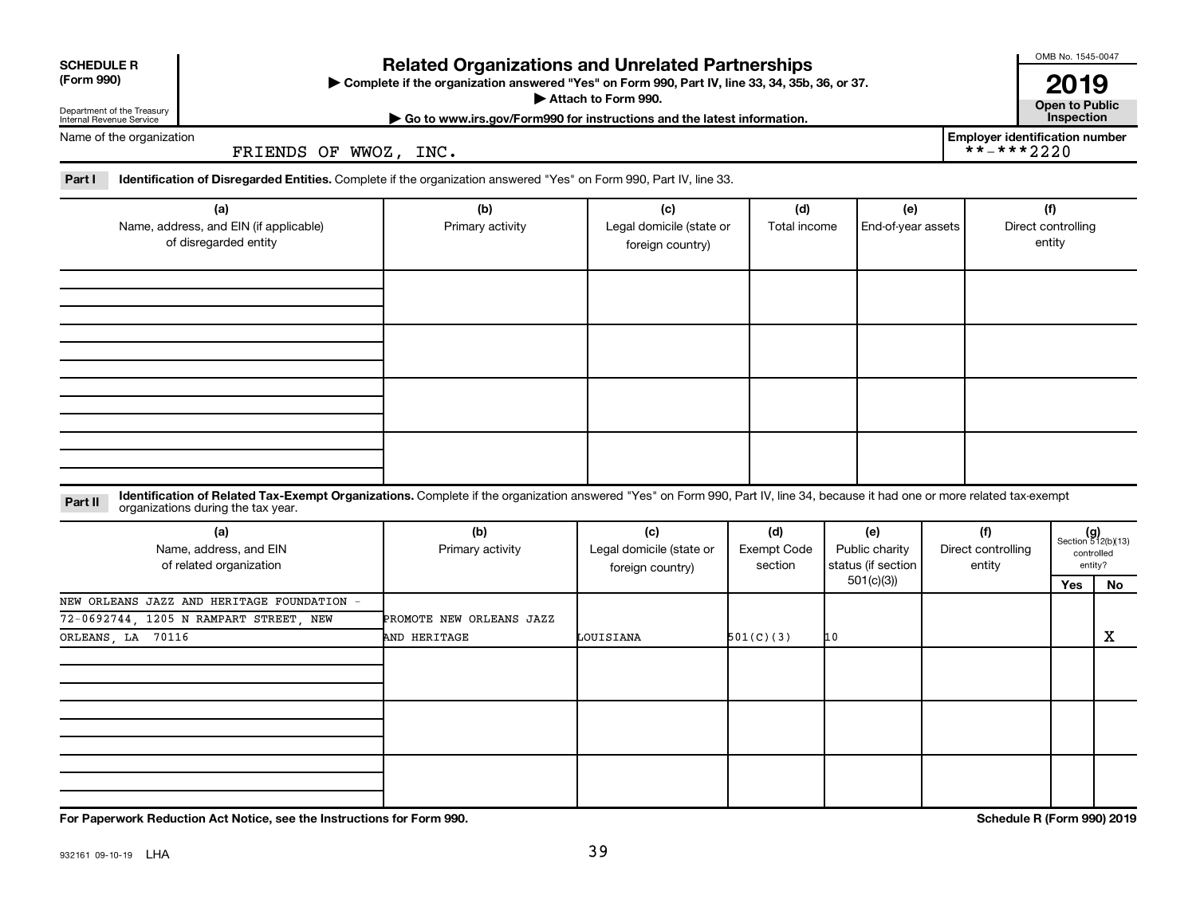| <b>SCHEDULE R</b><br>(Form 990)<br>Department of the Treasury<br>Internal Revenue Service                 |                                                                                                                                                                                                                    | OMB No. 1545-0047<br>2019<br><b>Open to Public</b><br>Inspection               |                                                     |                                      |                                                          |                                                     |     |                                                            |  |
|-----------------------------------------------------------------------------------------------------------|--------------------------------------------------------------------------------------------------------------------------------------------------------------------------------------------------------------------|--------------------------------------------------------------------------------|-----------------------------------------------------|--------------------------------------|----------------------------------------------------------|-----------------------------------------------------|-----|------------------------------------------------------------|--|
| Name of the organization                                                                                  | FRIENDS OF WWOZ, INC.                                                                                                                                                                                              | Go to www.irs.gov/Form990 for instructions and the latest information.         |                                                     |                                      |                                                          | <b>Employer identification number</b><br>**-***2220 |     |                                                            |  |
| Part I                                                                                                    | Identification of Disregarded Entities. Complete if the organization answered "Yes" on Form 990, Part IV, line 33.                                                                                                 |                                                                                |                                                     |                                      |                                                          |                                                     |     |                                                            |  |
| (a)<br>Name, address, and EIN (if applicable)<br>of disregarded entity                                    |                                                                                                                                                                                                                    | (b)<br>(c)<br>Primary activity<br>Legal domicile (state or<br>foreign country) |                                                     | (d)<br>Total income                  | (e)<br>End-of-year assets                                | Direct controlling<br>entity                        |     |                                                            |  |
|                                                                                                           |                                                                                                                                                                                                                    |                                                                                |                                                     |                                      |                                                          |                                                     |     |                                                            |  |
|                                                                                                           |                                                                                                                                                                                                                    |                                                                                |                                                     |                                      |                                                          |                                                     |     |                                                            |  |
| Part II                                                                                                   | Identification of Related Tax-Exempt Organizations. Complete if the organization answered "Yes" on Form 990, Part IV, line 34, because it had one or more related tax-exempt<br>organizations during the tax year. |                                                                                |                                                     |                                      |                                                          |                                                     |     |                                                            |  |
| (a)<br>Name, address, and EIN<br>of related organization                                                  |                                                                                                                                                                                                                    | (b)<br>Primary activity                                                        | (c)<br>Legal domicile (state or<br>foreign country) | (d)<br><b>Exempt Code</b><br>section | (e)<br>Public charity<br>status (if section<br>501(c)(3) | (f)<br>Direct controlling<br>entity                 | Yes | $(g)$<br>Section 512(b)(13)<br>controlled<br>entity?<br>No |  |
| NEW ORLEANS JAZZ AND HERITAGE FOUNDATION -<br>72-0692744, 1205 N RAMPART STREET, NEW<br>ORLEANS, LA 70116 |                                                                                                                                                                                                                    | PROMOTE NEW ORLEANS JAZZ<br>AND HERITAGE                                       | LOUISIANA                                           | 501(C)(3)                            | 10                                                       |                                                     |     | X                                                          |  |
|                                                                                                           |                                                                                                                                                                                                                    |                                                                                |                                                     |                                      |                                                          |                                                     |     |                                                            |  |
|                                                                                                           |                                                                                                                                                                                                                    |                                                                                |                                                     |                                      |                                                          |                                                     |     |                                                            |  |
|                                                                                                           |                                                                                                                                                                                                                    |                                                                                |                                                     |                                      |                                                          |                                                     |     |                                                            |  |

**For Paperwork Reduction Act Notice, see the Instructions for Form 990. Schedule R (Form 990) 2019**

OMB No. 1545-0047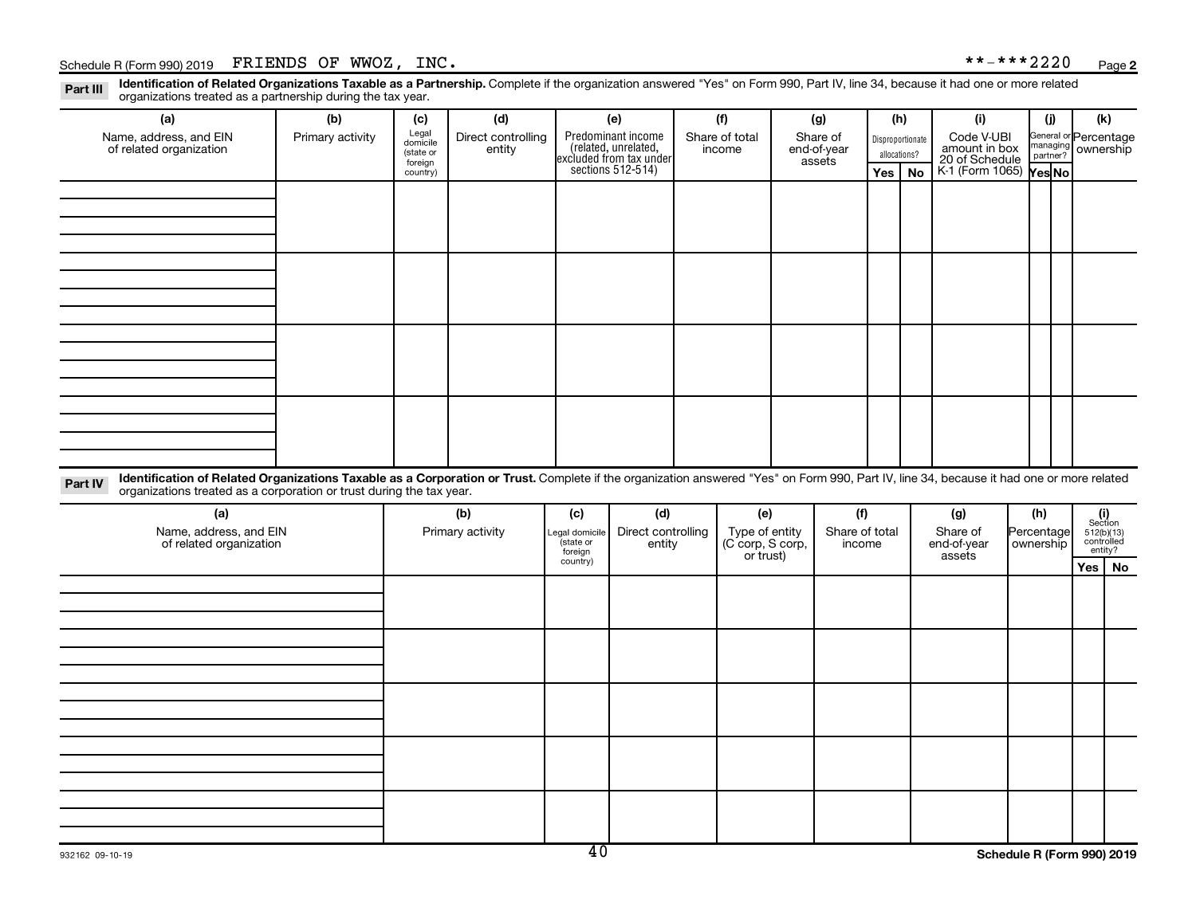### Schedule R (Form 990) 2019  $\,$  FRIENDS OF WWOZ, INC.  $\,$

Part III Identification of Related Organizations Taxable as a Partnership. Complete if the organization answered "Yes" on Form 990, Part IV, line 34, because it had one or more related<br>Read to the organizations tracted as organizations treated as a partnership during the tax year.

| organizations treated as a partnership during the tax year.                                                                                                                                                                                                                 |                  |                                           |                              |                                       |                                                                                           |  |                                                 |  |                                   |                                  |     |                                               |     |                         |                                             |    |
|-----------------------------------------------------------------------------------------------------------------------------------------------------------------------------------------------------------------------------------------------------------------------------|------------------|-------------------------------------------|------------------------------|---------------------------------------|-------------------------------------------------------------------------------------------|--|-------------------------------------------------|--|-----------------------------------|----------------------------------|-----|-----------------------------------------------|-----|-------------------------|---------------------------------------------|----|
| (a)                                                                                                                                                                                                                                                                         | (b)              | (c)                                       | (d)                          |                                       | (e)                                                                                       |  | (f)                                             |  | (g)                               |                                  | (h) | (i)                                           |     | (i)                     | (k)                                         |    |
| Name, address, and EIN<br>of related organization                                                                                                                                                                                                                           | Primary activity | Legal<br>domicile<br>(state or<br>foreign | Direct controlling<br>entity |                                       | Predominant income<br>related, unrelated,<br>excluded from tax under<br>sections 512-514) |  | Share of total<br>income                        |  | Share of<br>end-of-year<br>assets | Disproportionate<br>allocations? |     | Code V-UBI<br>amount in box<br>20 of Schedule |     |                         | General or Percentage<br>managing ownership |    |
|                                                                                                                                                                                                                                                                             |                  | country)                                  |                              |                                       |                                                                                           |  |                                                 |  |                                   | Yes                              | No  | K-1 (Form 1065) Yes No                        |     |                         |                                             |    |
|                                                                                                                                                                                                                                                                             |                  |                                           |                              |                                       |                                                                                           |  |                                                 |  |                                   |                                  |     |                                               |     |                         |                                             |    |
|                                                                                                                                                                                                                                                                             |                  |                                           |                              |                                       |                                                                                           |  |                                                 |  |                                   |                                  |     |                                               |     |                         |                                             |    |
|                                                                                                                                                                                                                                                                             |                  |                                           |                              |                                       |                                                                                           |  |                                                 |  |                                   |                                  |     |                                               |     |                         |                                             |    |
|                                                                                                                                                                                                                                                                             |                  |                                           |                              |                                       |                                                                                           |  |                                                 |  |                                   |                                  |     |                                               |     |                         |                                             |    |
|                                                                                                                                                                                                                                                                             |                  |                                           |                              |                                       |                                                                                           |  |                                                 |  |                                   |                                  |     |                                               |     |                         |                                             |    |
|                                                                                                                                                                                                                                                                             |                  |                                           |                              |                                       |                                                                                           |  |                                                 |  |                                   |                                  |     |                                               |     |                         |                                             |    |
|                                                                                                                                                                                                                                                                             |                  |                                           |                              |                                       |                                                                                           |  |                                                 |  |                                   |                                  |     |                                               |     |                         |                                             |    |
|                                                                                                                                                                                                                                                                             |                  |                                           |                              |                                       |                                                                                           |  |                                                 |  |                                   |                                  |     |                                               |     |                         |                                             |    |
|                                                                                                                                                                                                                                                                             |                  |                                           |                              |                                       |                                                                                           |  |                                                 |  |                                   |                                  |     |                                               |     |                         |                                             |    |
|                                                                                                                                                                                                                                                                             |                  |                                           |                              |                                       |                                                                                           |  |                                                 |  |                                   |                                  |     |                                               |     |                         |                                             |    |
|                                                                                                                                                                                                                                                                             |                  |                                           |                              |                                       |                                                                                           |  |                                                 |  |                                   |                                  |     |                                               |     |                         |                                             |    |
|                                                                                                                                                                                                                                                                             |                  |                                           |                              |                                       |                                                                                           |  |                                                 |  |                                   |                                  |     |                                               |     |                         |                                             |    |
|                                                                                                                                                                                                                                                                             |                  |                                           |                              |                                       |                                                                                           |  |                                                 |  |                                   |                                  |     |                                               |     |                         |                                             |    |
|                                                                                                                                                                                                                                                                             |                  |                                           |                              |                                       |                                                                                           |  |                                                 |  |                                   |                                  |     |                                               |     |                         |                                             |    |
| Identification of Related Organizations Taxable as a Corporation or Trust. Complete if the organization answered "Yes" on Form 990, Part IV, line 34, because it had one or more related<br>Part IV<br>organizations treated as a corporation or trust during the tax year. |                  |                                           |                              |                                       |                                                                                           |  |                                                 |  |                                   |                                  |     |                                               |     |                         |                                             |    |
| (a)                                                                                                                                                                                                                                                                         |                  |                                           | (b)                          | (c)                                   | (d)                                                                                       |  | (e)                                             |  | (f)                               |                                  |     | (g)                                           | (h) |                         | (i)<br>Section                              |    |
| Name, address, and EIN<br>of related organization                                                                                                                                                                                                                           |                  |                                           | Primary activity             | Legal domicile<br>state or<br>foreign | Direct controlling<br>entity                                                              |  | Type of entity<br>(C corp, S corp,<br>or trust) |  | Share of total<br>income          |                                  |     | Share of<br>end-of-year<br>assets             |     | Percentage<br>ownership | 512(b)(13)<br>controlled<br>entity?         |    |
|                                                                                                                                                                                                                                                                             |                  |                                           |                              | country)                              |                                                                                           |  |                                                 |  |                                   |                                  |     |                                               |     |                         | Yes                                         | No |
|                                                                                                                                                                                                                                                                             |                  |                                           |                              |                                       |                                                                                           |  |                                                 |  |                                   |                                  |     |                                               |     |                         |                                             |    |
|                                                                                                                                                                                                                                                                             |                  |                                           |                              |                                       |                                                                                           |  |                                                 |  |                                   |                                  |     |                                               |     |                         |                                             |    |
|                                                                                                                                                                                                                                                                             |                  |                                           |                              |                                       |                                                                                           |  |                                                 |  |                                   |                                  |     |                                               |     |                         |                                             |    |
|                                                                                                                                                                                                                                                                             |                  |                                           |                              |                                       |                                                                                           |  |                                                 |  |                                   |                                  |     |                                               |     |                         |                                             |    |
|                                                                                                                                                                                                                                                                             |                  |                                           |                              |                                       |                                                                                           |  |                                                 |  |                                   |                                  |     |                                               |     |                         |                                             |    |
|                                                                                                                                                                                                                                                                             |                  |                                           |                              |                                       |                                                                                           |  |                                                 |  |                                   |                                  |     |                                               |     |                         |                                             |    |
|                                                                                                                                                                                                                                                                             |                  |                                           |                              |                                       |                                                                                           |  |                                                 |  |                                   |                                  |     |                                               |     |                         |                                             |    |
|                                                                                                                                                                                                                                                                             |                  |                                           |                              |                                       |                                                                                           |  |                                                 |  |                                   |                                  |     |                                               |     |                         |                                             |    |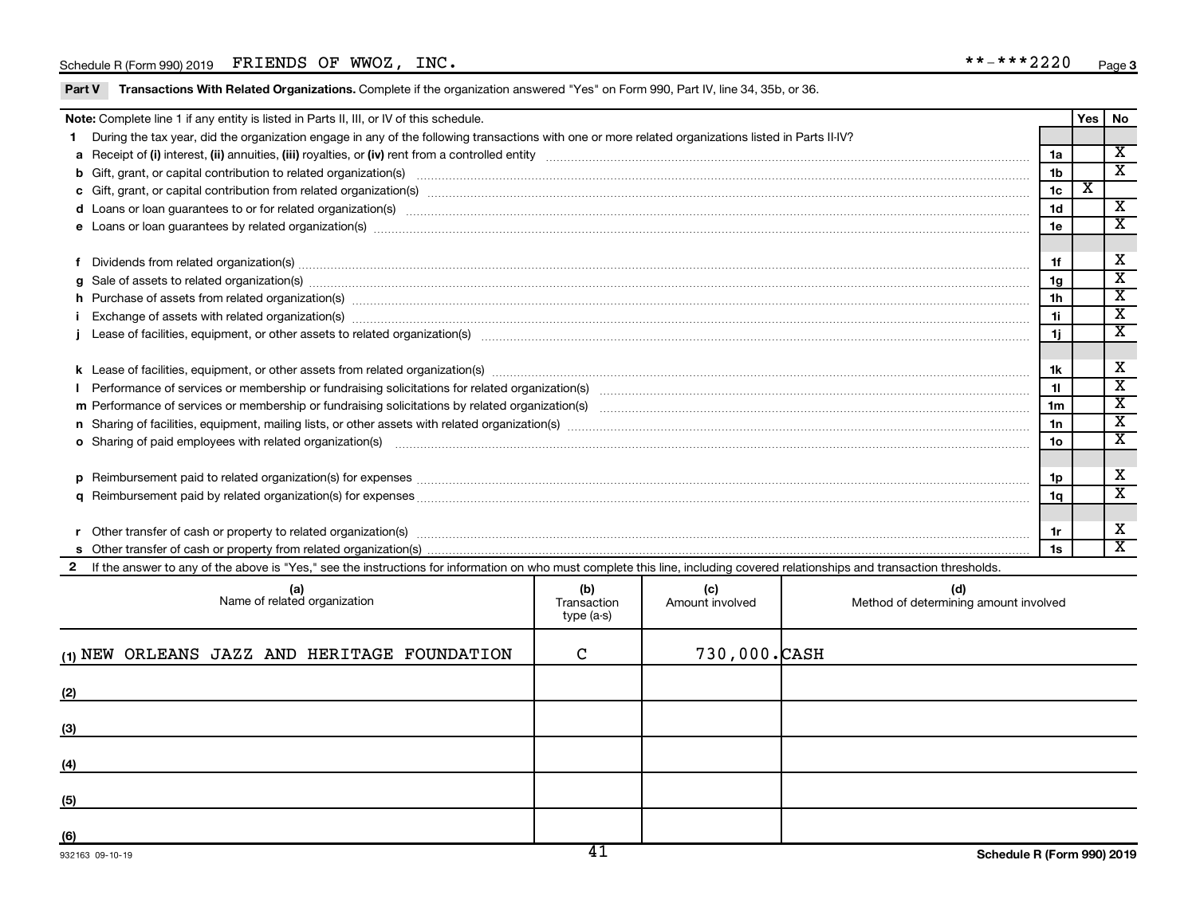|   | Note: Complete line 1 if any entity is listed in Parts II, III, or IV of this schedule.                                                                                                                                        |                 | Yes   No |                             |
|---|--------------------------------------------------------------------------------------------------------------------------------------------------------------------------------------------------------------------------------|-----------------|----------|-----------------------------|
|   | During the tax year, did the organization engage in any of the following transactions with one or more related organizations listed in Parts II-IV?                                                                            |                 |          |                             |
|   |                                                                                                                                                                                                                                | 1a              |          | $\overline{\mathbf{x}}$     |
|   |                                                                                                                                                                                                                                | 1 <sub>b</sub>  |          | $\mathbf x$                 |
|   |                                                                                                                                                                                                                                | 1 <sub>c</sub>  | x        |                             |
|   | d Loans or loan guarantees to or for related organization(s) www.communically.communically content to an analyzing content of the content of the content of the content of the content of the content of the content of the co | 1 <sub>d</sub>  |          | X                           |
|   |                                                                                                                                                                                                                                | 1e              |          | X                           |
|   |                                                                                                                                                                                                                                |                 |          |                             |
|   |                                                                                                                                                                                                                                | 1f              |          | х                           |
| a | Sale of assets to related organization(s) macrocommunically contained and contained and contained and contained and contained and contained and contained and contained and contained and contained and contained and containe | 1g              |          | $\overline{\textbf{x}}$     |
|   | h Purchase of assets from related organization(s) manufactured content to the content of the content of the content of the content of the content of the content of the content of the content of the content of the content o | 1 <sub>h</sub>  |          | $\overline{\textnormal{x}}$ |
|   |                                                                                                                                                                                                                                | 11              |          | $\overline{\text{x}}$       |
|   |                                                                                                                                                                                                                                | 1j              |          | $\mathbf x$                 |
|   |                                                                                                                                                                                                                                |                 |          |                             |
|   |                                                                                                                                                                                                                                | 1k              |          | х                           |
|   |                                                                                                                                                                                                                                | 11              |          | $\overline{\textbf{x}}$     |
|   |                                                                                                                                                                                                                                | 1 <sub>m</sub>  |          | $\overline{\textbf{x}}$     |
|   |                                                                                                                                                                                                                                | 1n              |          | $\overline{\textbf{X}}$     |
|   | o Sharing of paid employees with related organization(s) manufaction(s) and contain a substitution of the state or state or state or state or state or state or state or state or state or state or state or state or state or | 10 <sub>o</sub> |          | X                           |
|   |                                                                                                                                                                                                                                |                 |          |                             |
| D |                                                                                                                                                                                                                                | 1p              |          | х                           |
|   |                                                                                                                                                                                                                                | 1q              |          | $\mathbf{x}$                |
|   |                                                                                                                                                                                                                                |                 |          |                             |
|   |                                                                                                                                                                                                                                | 1r              |          | х                           |
|   |                                                                                                                                                                                                                                | 1s              |          | X                           |
|   | 2 If the answer to any of the above is "Yes," see the instructions for information on who must complete this line, including covered relationships and transaction thresholds.                                                 |                 |          |                             |

| (a)<br>Name of related organization          | (b)<br>Transaction<br>type (a-s) | (c)<br>Amount involved | (d)<br>Method of determining amount involved |
|----------------------------------------------|----------------------------------|------------------------|----------------------------------------------|
| (1) NEW ORLEANS JAZZ AND HERITAGE FOUNDATION | C                                | 730,000.CASH           |                                              |
| (2)                                          |                                  |                        |                                              |
| (3)                                          |                                  |                        |                                              |
| (4)                                          |                                  |                        |                                              |
| (5)                                          |                                  |                        |                                              |
| (6)<br>0.001000000000000                     | ⊿ "                              |                        | Cahadula D (Faum 000) 0040                   |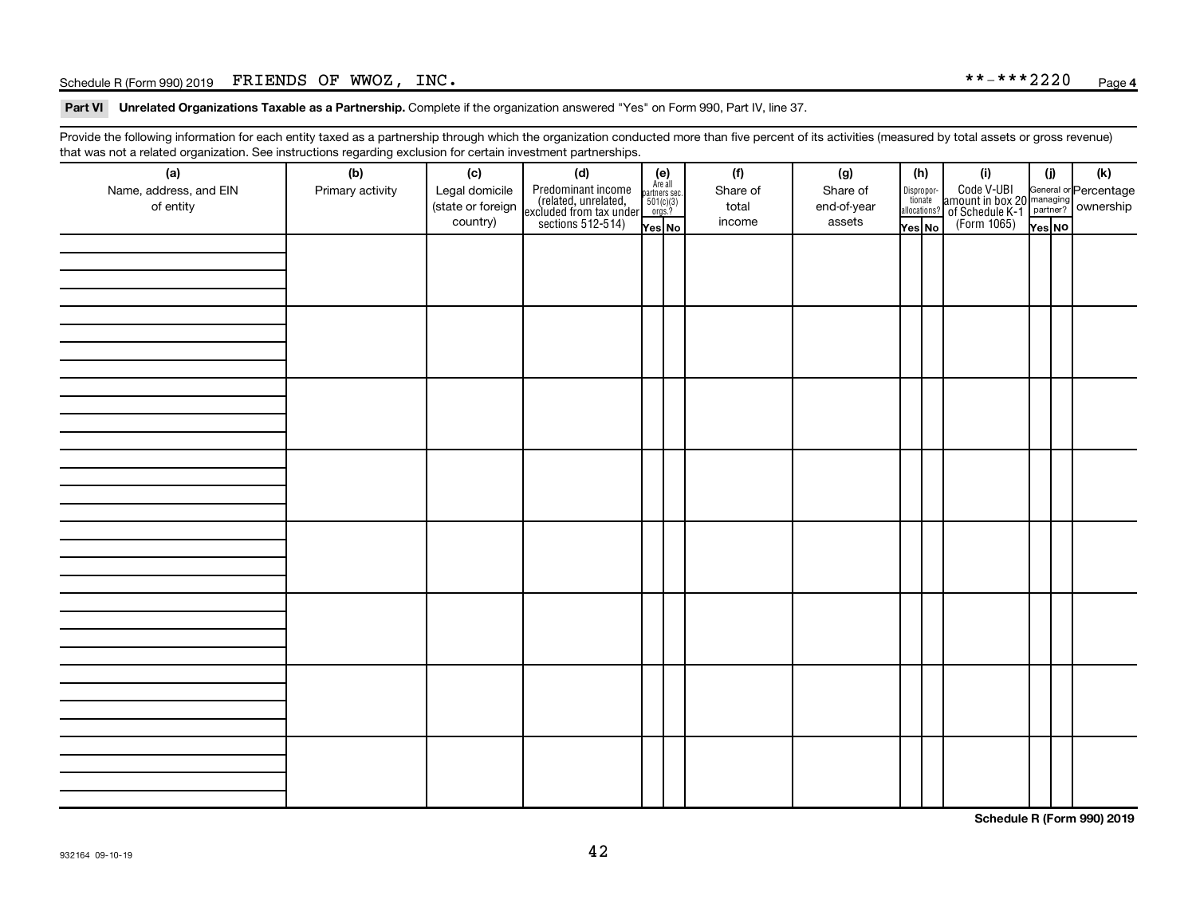### Schedule R (Form 990) 2019  $\,$  FRIENDS OF WWOZ, INC.  $\,$

Part VI Unrelated Organizations Taxable as a Partnership. Complete if the organization answered "Yes" on Form 990, Part IV, line 37.

Provide the following information for each entity taxed as a partnership through which the organization conducted more than five percent of its activities (measured by total assets or gross revenue) that was not a related organization. See instructions regarding exclusion for certain investment partnerships.

| <br>(a)                | (b)              | (c)               | . <b>. .</b><br><br>(d)                                                                    |                                                          |  | (f)      | (g)         | (h)                    | (i)                                                                                              | (i)    |  | (k) |  |  |  |  |  |  |  |  |  |  |  |  |  |
|------------------------|------------------|-------------------|--------------------------------------------------------------------------------------------|----------------------------------------------------------|--|----------|-------------|------------------------|--------------------------------------------------------------------------------------------------|--------|--|-----|--|--|--|--|--|--|--|--|--|--|--|--|--|
| Name, address, and EIN | Primary activity | Legal domicile    |                                                                                            | (e)<br>Are all<br>partners sec.<br>$501(c)(3)$<br>orgs.? |  | Share of | Share of    |                        |                                                                                                  |        |  |     |  |  |  |  |  |  |  |  |  |  |  |  |  |
| of entity              |                  | (state or foreign |                                                                                            |                                                          |  | total    | end-of-year | Dispropor-<br>tionate  |                                                                                                  |        |  |     |  |  |  |  |  |  |  |  |  |  |  |  |  |
|                        |                  | country)          | Predominant income<br>(related, unrelated,<br>excluded from tax under<br>sections 512-514) |                                                          |  | income   | assets      | allocations?<br>Yes No | Code V-UBI<br>amount in box 20 managing<br>of Schedule K-1<br>(Form 1065)<br>$\overline{Yes}$ No |        |  |     |  |  |  |  |  |  |  |  |  |  |  |  |  |
|                        |                  |                   |                                                                                            | Yes No                                                   |  |          |             |                        |                                                                                                  | Yes NO |  |     |  |  |  |  |  |  |  |  |  |  |  |  |  |
|                        |                  |                   |                                                                                            |                                                          |  |          |             |                        |                                                                                                  |        |  |     |  |  |  |  |  |  |  |  |  |  |  |  |  |
|                        |                  |                   |                                                                                            |                                                          |  |          |             |                        |                                                                                                  |        |  |     |  |  |  |  |  |  |  |  |  |  |  |  |  |
|                        |                  |                   |                                                                                            |                                                          |  |          |             |                        |                                                                                                  |        |  |     |  |  |  |  |  |  |  |  |  |  |  |  |  |
|                        |                  |                   |                                                                                            |                                                          |  |          |             |                        |                                                                                                  |        |  |     |  |  |  |  |  |  |  |  |  |  |  |  |  |
|                        |                  |                   |                                                                                            |                                                          |  |          |             |                        |                                                                                                  |        |  |     |  |  |  |  |  |  |  |  |  |  |  |  |  |
|                        |                  |                   |                                                                                            |                                                          |  |          |             |                        |                                                                                                  |        |  |     |  |  |  |  |  |  |  |  |  |  |  |  |  |
|                        |                  |                   |                                                                                            |                                                          |  |          |             |                        |                                                                                                  |        |  |     |  |  |  |  |  |  |  |  |  |  |  |  |  |
|                        |                  |                   |                                                                                            |                                                          |  |          |             |                        |                                                                                                  |        |  |     |  |  |  |  |  |  |  |  |  |  |  |  |  |
|                        |                  |                   |                                                                                            |                                                          |  |          |             |                        |                                                                                                  |        |  |     |  |  |  |  |  |  |  |  |  |  |  |  |  |
|                        |                  |                   |                                                                                            |                                                          |  |          |             |                        |                                                                                                  |        |  |     |  |  |  |  |  |  |  |  |  |  |  |  |  |
|                        |                  |                   |                                                                                            |                                                          |  |          |             |                        |                                                                                                  |        |  |     |  |  |  |  |  |  |  |  |  |  |  |  |  |
|                        |                  |                   |                                                                                            |                                                          |  |          |             |                        |                                                                                                  |        |  |     |  |  |  |  |  |  |  |  |  |  |  |  |  |
|                        |                  |                   |                                                                                            |                                                          |  |          |             |                        |                                                                                                  |        |  |     |  |  |  |  |  |  |  |  |  |  |  |  |  |
|                        |                  |                   |                                                                                            |                                                          |  |          |             |                        |                                                                                                  |        |  |     |  |  |  |  |  |  |  |  |  |  |  |  |  |
|                        |                  |                   |                                                                                            |                                                          |  |          |             |                        |                                                                                                  |        |  |     |  |  |  |  |  |  |  |  |  |  |  |  |  |
|                        |                  |                   |                                                                                            |                                                          |  |          |             |                        |                                                                                                  |        |  |     |  |  |  |  |  |  |  |  |  |  |  |  |  |
|                        |                  |                   |                                                                                            |                                                          |  |          |             |                        |                                                                                                  |        |  |     |  |  |  |  |  |  |  |  |  |  |  |  |  |
|                        |                  |                   |                                                                                            |                                                          |  |          |             |                        |                                                                                                  |        |  |     |  |  |  |  |  |  |  |  |  |  |  |  |  |
|                        |                  |                   |                                                                                            |                                                          |  |          |             |                        |                                                                                                  |        |  |     |  |  |  |  |  |  |  |  |  |  |  |  |  |
|                        |                  |                   |                                                                                            |                                                          |  |          |             |                        |                                                                                                  |        |  |     |  |  |  |  |  |  |  |  |  |  |  |  |  |
|                        |                  |                   |                                                                                            |                                                          |  |          |             |                        |                                                                                                  |        |  |     |  |  |  |  |  |  |  |  |  |  |  |  |  |
|                        |                  |                   |                                                                                            |                                                          |  |          |             |                        |                                                                                                  |        |  |     |  |  |  |  |  |  |  |  |  |  |  |  |  |
|                        |                  |                   |                                                                                            |                                                          |  |          |             |                        |                                                                                                  |        |  |     |  |  |  |  |  |  |  |  |  |  |  |  |  |
|                        |                  |                   |                                                                                            |                                                          |  |          |             |                        |                                                                                                  |        |  |     |  |  |  |  |  |  |  |  |  |  |  |  |  |
|                        |                  |                   |                                                                                            |                                                          |  |          |             |                        |                                                                                                  |        |  |     |  |  |  |  |  |  |  |  |  |  |  |  |  |
|                        |                  |                   |                                                                                            |                                                          |  |          |             |                        |                                                                                                  |        |  |     |  |  |  |  |  |  |  |  |  |  |  |  |  |
|                        |                  |                   |                                                                                            |                                                          |  |          |             |                        |                                                                                                  |        |  |     |  |  |  |  |  |  |  |  |  |  |  |  |  |
|                        |                  |                   |                                                                                            |                                                          |  |          |             |                        |                                                                                                  |        |  |     |  |  |  |  |  |  |  |  |  |  |  |  |  |
|                        |                  |                   |                                                                                            |                                                          |  |          |             |                        |                                                                                                  |        |  |     |  |  |  |  |  |  |  |  |  |  |  |  |  |
|                        |                  |                   |                                                                                            |                                                          |  |          |             |                        |                                                                                                  |        |  |     |  |  |  |  |  |  |  |  |  |  |  |  |  |
|                        |                  |                   |                                                                                            |                                                          |  |          |             |                        |                                                                                                  |        |  |     |  |  |  |  |  |  |  |  |  |  |  |  |  |
|                        |                  |                   |                                                                                            |                                                          |  |          |             |                        |                                                                                                  |        |  |     |  |  |  |  |  |  |  |  |  |  |  |  |  |
|                        |                  |                   |                                                                                            |                                                          |  |          |             |                        |                                                                                                  |        |  |     |  |  |  |  |  |  |  |  |  |  |  |  |  |
|                        |                  |                   |                                                                                            |                                                          |  |          |             |                        |                                                                                                  |        |  |     |  |  |  |  |  |  |  |  |  |  |  |  |  |
|                        |                  |                   |                                                                                            |                                                          |  |          |             |                        |                                                                                                  |        |  |     |  |  |  |  |  |  |  |  |  |  |  |  |  |

**Schedule R (Form 990) 2019**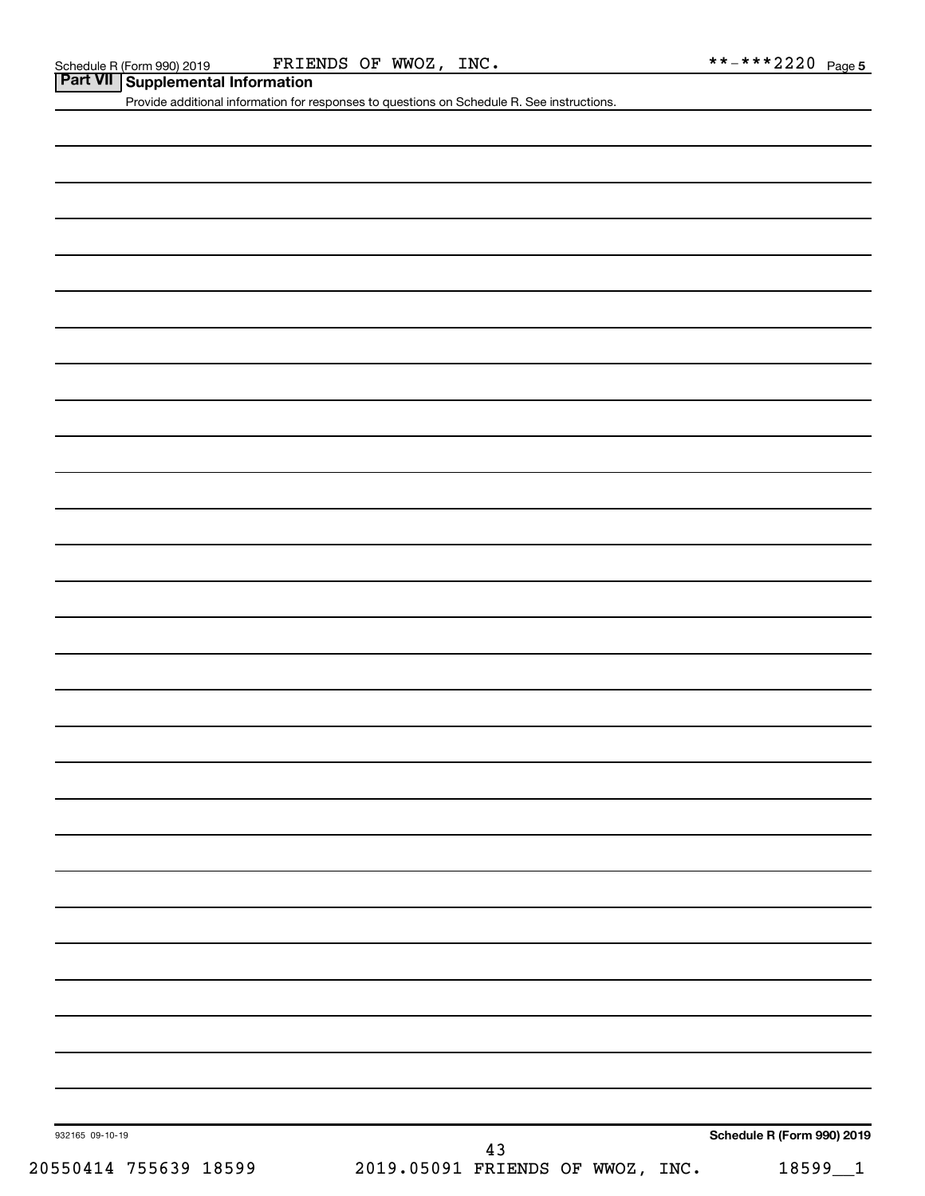### Schedule R (Form 990) 2019  $\qquad \qquad$  FRIENDS OF WWOZ, INC.  $\qquad \qquad \qquad \ast \ast \ast \ast 2220$  Page

**Part VII Schedule R (Form 990) 2019** FRIE

Provide additional information for responses to questions on Schedule R. See instructions.

932165 09-10-19

20550414 755639 18599 2019.05091 FRIENDS OF WWOZ, INC. 18599\_\_1 43

**Schedule R (Form 990) 2019**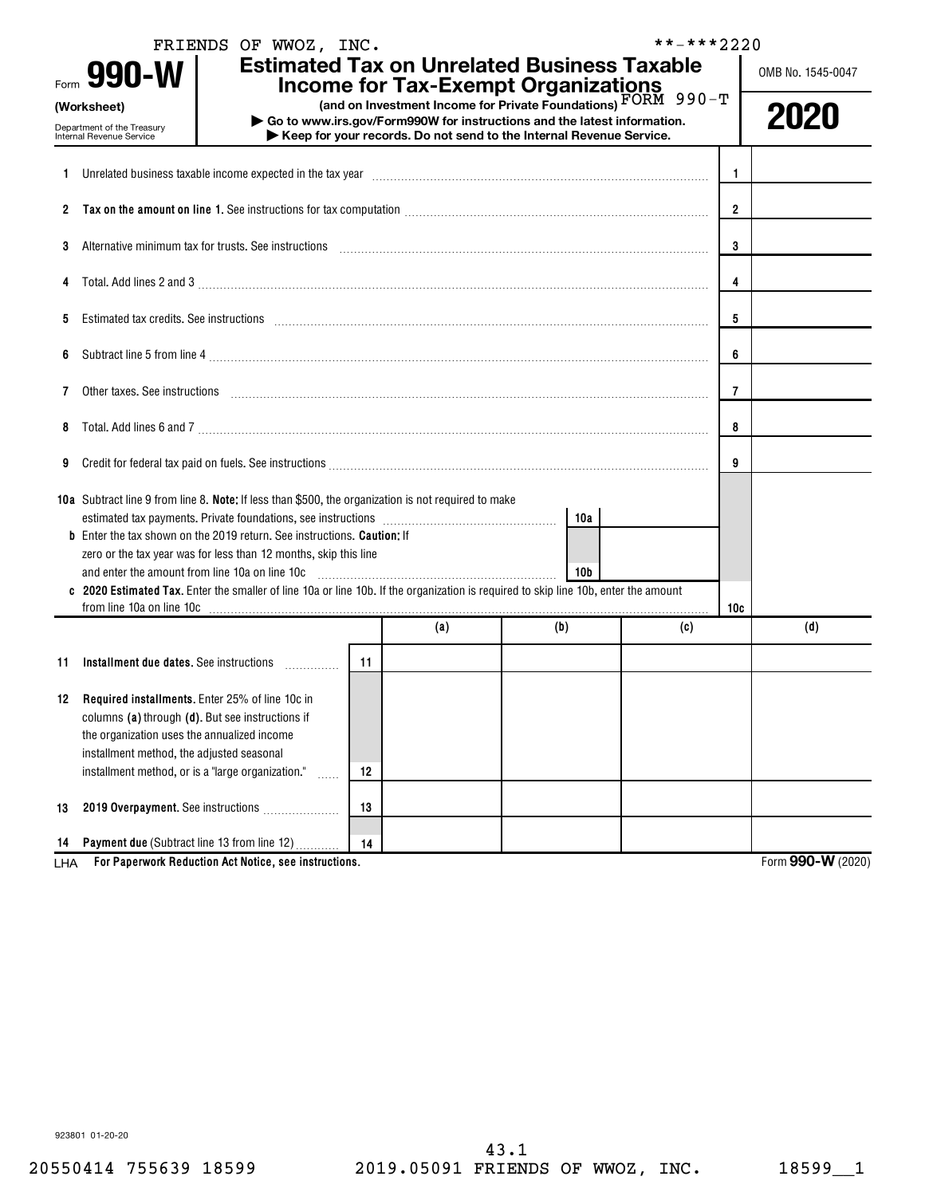|             |                                                                                                                                                                                                                                                         | FRIENDS OF WWOZ, INC. |    |                                                                                                                                                                   |     | **-***2220 |                |                   |
|-------------|---------------------------------------------------------------------------------------------------------------------------------------------------------------------------------------------------------------------------------------------------------|-----------------------|----|-------------------------------------------------------------------------------------------------------------------------------------------------------------------|-----|------------|----------------|-------------------|
| Form        | 990-W                                                                                                                                                                                                                                                   |                       |    | <b>Estimated Tax on Unrelated Business Taxable</b><br><b>Income for Tax-Exempt Organizations</b><br>(and on Investment Income for Private Foundations) FORM 990-T |     |            |                | OMB No. 1545-0047 |
| (Worksheet) | Department of the Treasury<br>Internal Revenue Service                                                                                                                                                                                                  |                       |    | Go to www.irs.gov/Form990W for instructions and the latest information.<br>Keep for your records. Do not send to the Internal Revenue Service.                    |     |            |                | 2020              |
| 1.          | Unrelated business taxable income expected in the tax year [11] matter incontinuum matter is the state income expected in the tax year [11] matter incommutation income state in the state of the state of the state in the st                          |                       |    |                                                                                                                                                                   |     |            | 1              |                   |
| 2           |                                                                                                                                                                                                                                                         |                       |    |                                                                                                                                                                   |     |            | $\overline{2}$ |                   |
| 3           | Alternative minimum tax for trusts. See instructions entitled and contain an according to the set of the set of the set of the set of the set of the set of the set of the set of the set of the set of the set of the set of                           |                       | 3  |                                                                                                                                                                   |     |            |                |                   |
|             |                                                                                                                                                                                                                                                         |                       |    |                                                                                                                                                                   |     |            | 4              |                   |
| 5           | Estimated tax credits. See instructions with an according contract to the set in the set in the set of the set of the set of the set of the set of the set of the set of the set of the set of the set of the set of the set o                          |                       |    |                                                                                                                                                                   |     |            | 5              |                   |
| 6           |                                                                                                                                                                                                                                                         |                       |    |                                                                                                                                                                   |     |            | 6              |                   |
| 7           |                                                                                                                                                                                                                                                         |                       | 7  |                                                                                                                                                                   |     |            |                |                   |
| 8           | Total. Add lines 6 and 7 [11] matter contract the contract of the contract of the contract of the contract of the contract of the contract of the contract of the contract of the contract of the contract of the contract of                           |                       | 8  |                                                                                                                                                                   |     |            |                |                   |
| 9           |                                                                                                                                                                                                                                                         |                       |    |                                                                                                                                                                   |     |            | 9              |                   |
|             | 10a Subtract line 9 from line 8. Note: If less than \$500, the organization is not required to make                                                                                                                                                     |                       |    |                                                                                                                                                                   | 10a |            |                |                   |
|             | <b>b</b> Enter the tax shown on the 2019 return. See instructions. Caution: If<br>zero or the tax year was for less than 12 months, skip this line<br>and enter the amount from line 10a on line 10c                                                    |                       |    |                                                                                                                                                                   |     |            |                |                   |
|             | c 2020 Estimated Tax. Enter the smaller of line 10a or line 10b. If the organization is required to skip line 10b, enter the amount                                                                                                                     |                       |    |                                                                                                                                                                   |     |            | 10c            |                   |
|             |                                                                                                                                                                                                                                                         |                       |    | (a)                                                                                                                                                               | (b) | (c)        |                | (d)               |
| 11          | Installment due dates. See instructions                                                                                                                                                                                                                 |                       | 11 |                                                                                                                                                                   |     |            |                |                   |
|             | 12 Required installments. Enter 25% of line 10c in<br>columns (a) through (d). But see instructions if<br>the organization uses the annualized income<br>installment method, the adjusted seasonal<br>installment method, or is a "large organization." | .                     | 12 |                                                                                                                                                                   |     |            |                |                   |
| 13          | 2019 Overpayment. See instructions                                                                                                                                                                                                                      |                       | 13 |                                                                                                                                                                   |     |            |                |                   |
| 14<br>LHA   | Payment due (Subtract line 13 from line 12)<br>For Paperwork Reduction Act Notice, see instructions.                                                                                                                                                    |                       | 14 |                                                                                                                                                                   |     |            |                | Form 990-W (2020) |

923801 01-20-20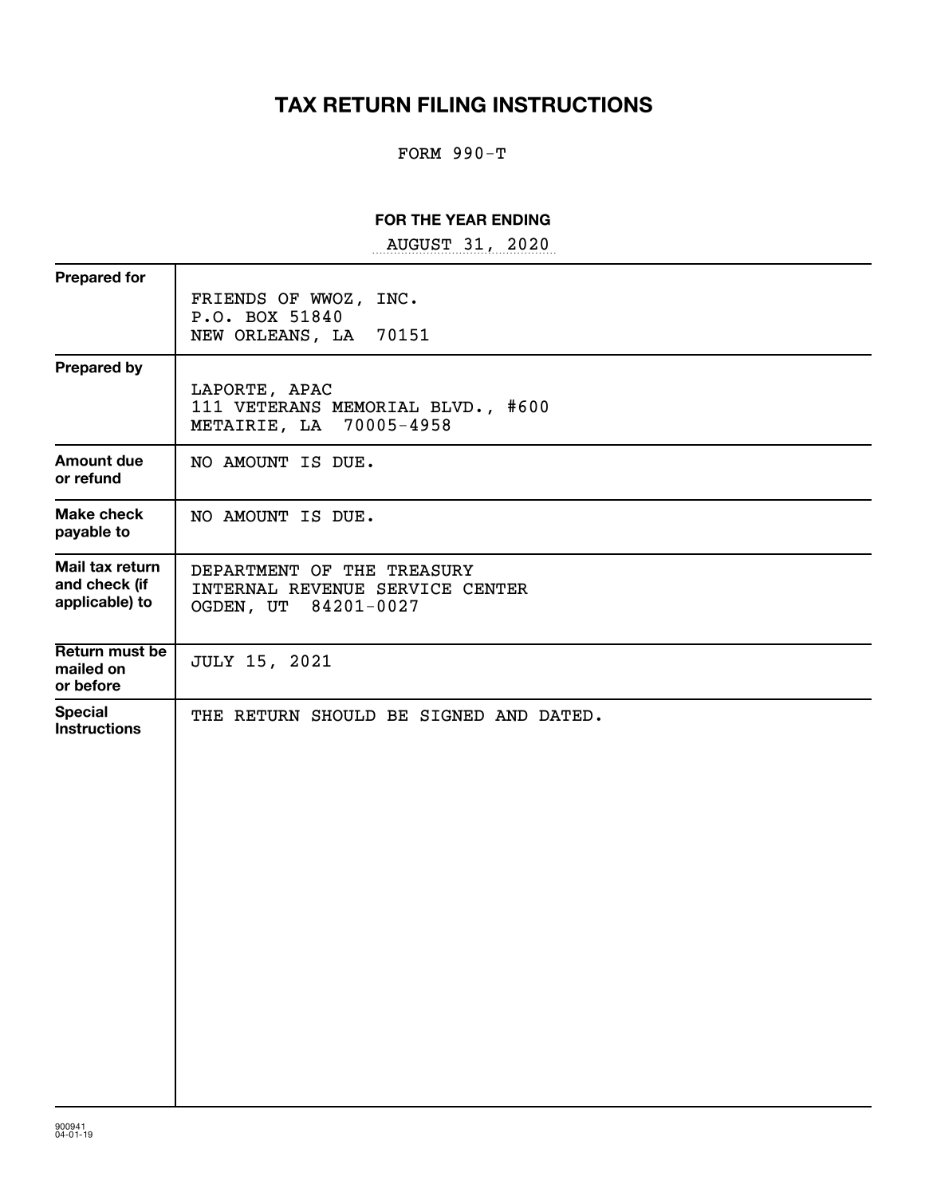# **TAX RETURN FILING INSTRUCTIONS**

# FORM 990-T

# **FOR THE YEAR ENDING**

~~~~~~~~~~~~~~~~~ AUGUST 31, 2020

| <b>Prepared for</b>                                |                                                                                       |
|----------------------------------------------------|---------------------------------------------------------------------------------------|
|                                                    | FRIENDS OF WWOZ, INC.<br>P.O. BOX 51840<br>NEW ORLEANS, LA<br>70151                   |
| <b>Prepared by</b>                                 | LAPORTE, APAC<br>111 VETERANS MEMORIAL BLVD., #600<br>METAIRIE, LA 70005-4958         |
| <b>Amount due</b><br>or refund                     | NO AMOUNT IS DUE.                                                                     |
| <b>Make check</b><br>payable to                    | NO AMOUNT IS DUE.                                                                     |
| Mail tax return<br>and check (if<br>applicable) to | DEPARTMENT OF THE TREASURY<br>INTERNAL REVENUE SERVICE CENTER<br>OGDEN, UT 84201-0027 |
| Return must be<br>mailed on<br>or before           | <b>JULY 15, 2021</b>                                                                  |
| <b>Special</b><br><b>Instructions</b>              | THE RETURN SHOULD BE SIGNED AND DATED.                                                |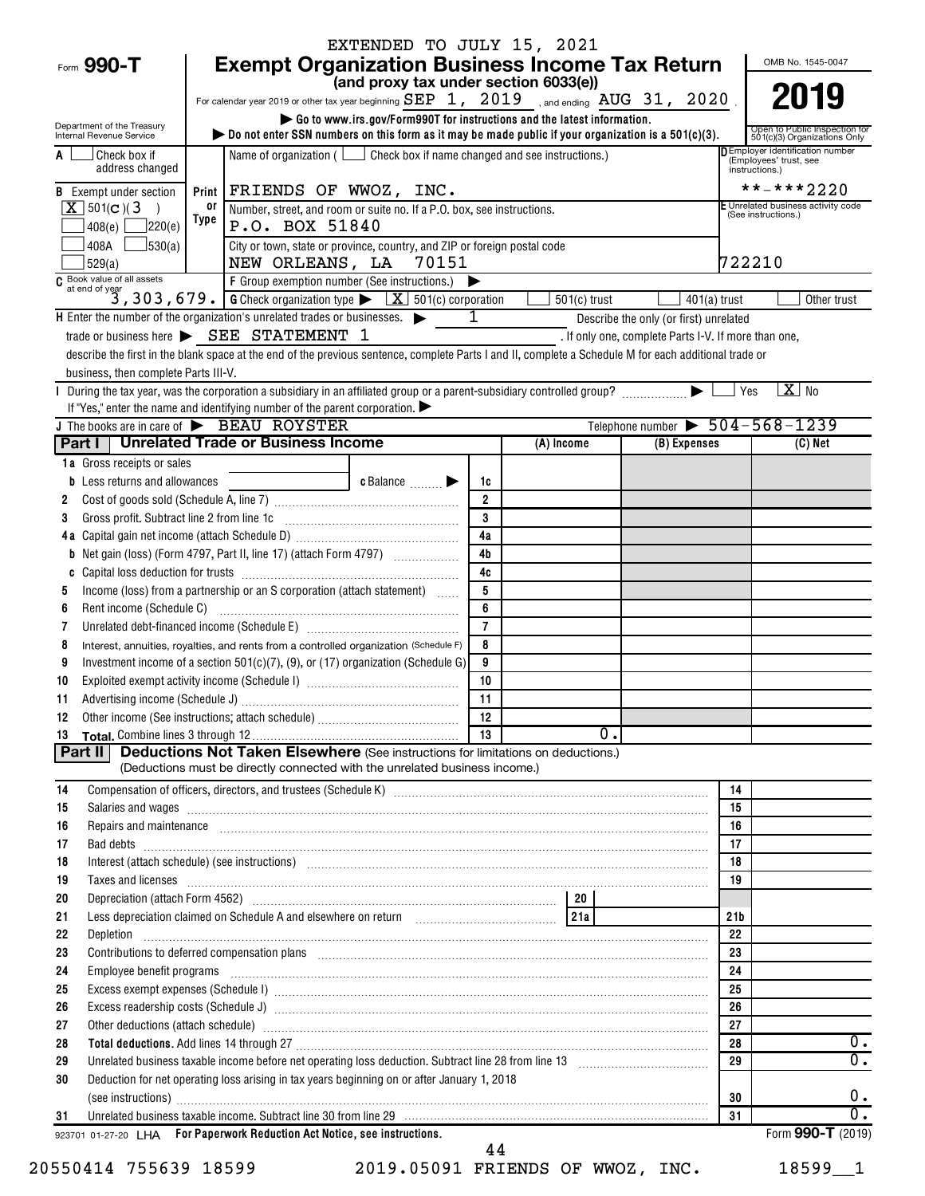|                                                                 | EXTENDED TO JULY 15, 2021                                                                                                                                                                                                           |                     |                  |                                                      |                                                            |
|-----------------------------------------------------------------|-------------------------------------------------------------------------------------------------------------------------------------------------------------------------------------------------------------------------------------|---------------------|------------------|------------------------------------------------------|------------------------------------------------------------|
| Form 990-T                                                      | <b>Exempt Organization Business Income Tax Return</b>                                                                                                                                                                               |                     |                  |                                                      | OMB No. 1545-0047                                          |
|                                                                 | (and proxy tax under section 6033(e))                                                                                                                                                                                               |                     |                  |                                                      |                                                            |
|                                                                 | For calendar year 2019 or other tax year beginning ${\tt SEP}$ 1, 2019 , and ending ${\tt AUG}$ 31, 2020 .                                                                                                                          |                     |                  |                                                      | 2019                                                       |
| Department of the Treasury                                      | Go to www.irs.gov/Form990T for instructions and the latest information.                                                                                                                                                             |                     |                  |                                                      | Open to Public Inspection for                              |
| Internal Revenue Service                                        | bo not enter SSN numbers on this form as it may be made public if your organization is a $501(c)(3)$ .                                                                                                                              |                     |                  |                                                      | 501(c)(3) Organizations Only                               |
| Check box if<br>A<br>address changed                            | Name of organization ( $\Box$ Check box if name changed and see instructions.)                                                                                                                                                      |                     |                  |                                                      | D Employer identification number<br>(Employees' trust, see |
|                                                                 |                                                                                                                                                                                                                                     |                     |                  |                                                      | instructions.)<br>**-***2220                               |
| <b>B</b> Exempt under section<br>$X$ 501(c)(3)<br>$\rightarrow$ | Print   FRIENDS OF WWOZ, INC.<br>or<br>Number, street, and room or suite no. If a P.O. box, see instructions.                                                                                                                       |                     |                  |                                                      | E Unrelated business activity code                         |
| 220(e) <br>408(e)                                               | Type<br>P.O. BOX 51840                                                                                                                                                                                                              |                     |                  |                                                      | (See instructions.)                                        |
| 408A $\Box$ 530(a)                                              | City or town, state or province, country, and ZIP or foreign postal code                                                                                                                                                            |                     |                  |                                                      |                                                            |
| 529(a)                                                          | NEW ORLEANS, LA 70151                                                                                                                                                                                                               |                     |                  |                                                      | 722210                                                     |
|                                                                 | $\overline{c}$ Book value of all assets<br>$\overline{c}$ at end of year<br>$\overline{3}$ , 303, 679. G Check organization type $\overline{X}$ 501(c) corporation                                                                  |                     |                  |                                                      |                                                            |
|                                                                 |                                                                                                                                                                                                                                     |                     | $501(c)$ trust   | 401(a) trust                                         | Other trust                                                |
|                                                                 | $H$ Enter the number of the organization's unrelated trades or businesses. $\blacktriangleright$                                                                                                                                    | $\mathbf{1}$        |                  | Describe the only (or first) unrelated               |                                                            |
|                                                                 | trade or business here $\triangleright$ SEE STATEMENT 1                                                                                                                                                                             |                     |                  | . If only one, complete Parts I-V. If more than one, |                                                            |
|                                                                 | describe the first in the blank space at the end of the previous sentence, complete Parts I and II, complete a Schedule M for each additional trade or                                                                              |                     |                  |                                                      |                                                            |
| business, then complete Parts III-V.                            |                                                                                                                                                                                                                                     |                     |                  |                                                      |                                                            |
|                                                                 |                                                                                                                                                                                                                                     |                     |                  |                                                      | $X$ No<br>  Yes                                            |
|                                                                 | If "Yes," enter the name and identifying number of the parent corporation.<br>J The books are in care of BEAU ROYSTER                                                                                                               |                     |                  | Telephone number $\triangleright$ 504-568-1239       |                                                            |
|                                                                 | Part I   Unrelated Trade or Business Income                                                                                                                                                                                         |                     | (A) Income       | (B) Expenses                                         | (C) Net                                                    |
| 1a Gross receipts or sales                                      |                                                                                                                                                                                                                                     |                     |                  |                                                      |                                                            |
| <b>b</b> Less returns and allowances                            | c Balance                                                                                                                                                                                                                           | 1c                  |                  |                                                      |                                                            |
| 2                                                               |                                                                                                                                                                                                                                     | $\overline{2}$      |                  |                                                      |                                                            |
| 3                                                               | Gross profit. Subtract line 2 from line 1c [11] [11] [12] [12] [13] [14] [15] [15] [15] [15] [15] [15] [15] [1                                                                                                                      | 3                   |                  |                                                      |                                                            |
|                                                                 |                                                                                                                                                                                                                                     | 4a                  |                  |                                                      |                                                            |
|                                                                 | <b>b</b> Net gain (loss) (Form 4797, Part II, line 17) (attach Form 4797)                                                                                                                                                           | 4 <sub>b</sub>      |                  |                                                      |                                                            |
| C                                                               |                                                                                                                                                                                                                                     | 4c                  |                  |                                                      |                                                            |
| 5                                                               | Income (loss) from a partnership or an S corporation (attach statement)                                                                                                                                                             | 5                   |                  |                                                      |                                                            |
| Rent income (Schedule C)<br>6                                   |                                                                                                                                                                                                                                     | 6<br>$\overline{7}$ |                  |                                                      |                                                            |
| 7<br>8                                                          | Interest, annuities, royalties, and rents from a controlled organization (Schedule F)                                                                                                                                               | 8                   |                  |                                                      |                                                            |
| 9                                                               | Investment income of a section $501(c)(7)$ , (9), or (17) organization (Schedule G)                                                                                                                                                 | 9                   |                  |                                                      |                                                            |
| 10                                                              |                                                                                                                                                                                                                                     | 10                  |                  |                                                      |                                                            |
| 11                                                              |                                                                                                                                                                                                                                     | 11                  |                  |                                                      |                                                            |
| 12                                                              |                                                                                                                                                                                                                                     | 12                  |                  |                                                      |                                                            |
| 13                                                              |                                                                                                                                                                                                                                     |                     | $\overline{0}$ . |                                                      |                                                            |
| Part II                                                         | <b>Deductions Not Taken Elsewhere</b> (See instructions for limitations on deductions.)                                                                                                                                             |                     |                  |                                                      |                                                            |
|                                                                 | (Deductions must be directly connected with the unrelated business income.)                                                                                                                                                         |                     |                  |                                                      |                                                            |
| 14                                                              |                                                                                                                                                                                                                                     |                     |                  | 14                                                   |                                                            |
| 15                                                              | Salaries and wages <b>construes and wages</b> construction and account of the construction of the construction of the construction of the construction of the construction of the construction of the construction of the construct |                     |                  | 15                                                   |                                                            |
| 16<br>17                                                        | Repairs and maintenance <i>[1] [1] [1] [1] [1] [1] [1] [1] [1] [1]</i> [1] <b>[1]</b> [1] <b>[1]</b> [1] <b>[1] [1] [1] [1] [1] [1] [1] [1] [1] [1] [1] [1] [1] [1] [1] [1] [1] [1] [1] [1] [1] [1]</b>                             |                     |                  | 16<br>17                                             |                                                            |
| 18                                                              | Interest (attach schedule) (see instructions) www.communications.communications.communications.com                                                                                                                                  |                     |                  | 18                                                   |                                                            |
| 19                                                              | Taxes and licenses <b>construction and construction of the construction</b> and construction of the construction of the                                                                                                             |                     |                  | 19                                                   |                                                            |
| 20                                                              |                                                                                                                                                                                                                                     |                     |                  |                                                      |                                                            |
| 21                                                              |                                                                                                                                                                                                                                     |                     |                  | 21 <sub>b</sub>                                      |                                                            |
| 22                                                              |                                                                                                                                                                                                                                     |                     |                  | 22                                                   |                                                            |
| 23                                                              | Contributions to deferred compensation plans [11] manufactured contributions to deferred compensation plans [1                                                                                                                      |                     |                  | 23                                                   |                                                            |
| 24                                                              |                                                                                                                                                                                                                                     |                     |                  | 24                                                   |                                                            |
| 25                                                              |                                                                                                                                                                                                                                     |                     |                  | 25                                                   |                                                            |
| 26                                                              |                                                                                                                                                                                                                                     |                     |                  | 26                                                   |                                                            |
| 27                                                              | Other deductions (attach schedule) manufacture and content to the content of the content of the content of the                                                                                                                      |                     |                  | 27<br>28                                             | $\overline{0}$ .                                           |
| 28<br>29                                                        | Total deductions. Add lines 14 through 27 [11] Martin Martin Martin Martin Martin Martin Martin Martin Martin Martin Martin Martin Martin Martin Martin Martin Martin Martin Martin Martin Martin Martin Martin Martin Martin       |                     |                  | 29                                                   | $\overline{0}$ .                                           |
| 30                                                              | Deduction for net operating loss arising in tax years beginning on or after January 1, 2018                                                                                                                                         |                     |                  |                                                      |                                                            |
|                                                                 | (see instructions) www.communications.com/inductions.com/inductions.com/inductions.com/inductions.com/inductions.com/inductions.com/inductions.com/inductions.com/inductions.com/inductions.com/inductions.com/inductions.com/      |                     |                  | 30                                                   | 0.                                                         |
| 31                                                              | Unrelated business taxable income. Subtract line 30 from line 29 manufacture containsation and contained business taxable income. Subtract line 30 from line 29 manufacture containsation and the US and the US and the US and      |                     |                  | 31                                                   | $\overline{\mathfrak{o}}$ .                                |
|                                                                 | 923701 01-27-20 LHA For Paperwork Reduction Act Notice, see instructions.                                                                                                                                                           |                     |                  |                                                      | Form 990-T (2019)                                          |
|                                                                 |                                                                                                                                                                                                                                     | 44                  |                  |                                                      |                                                            |

20550414 755639 18599 2019.05091 FRIENDS OF WWOZ, INC. 18599 1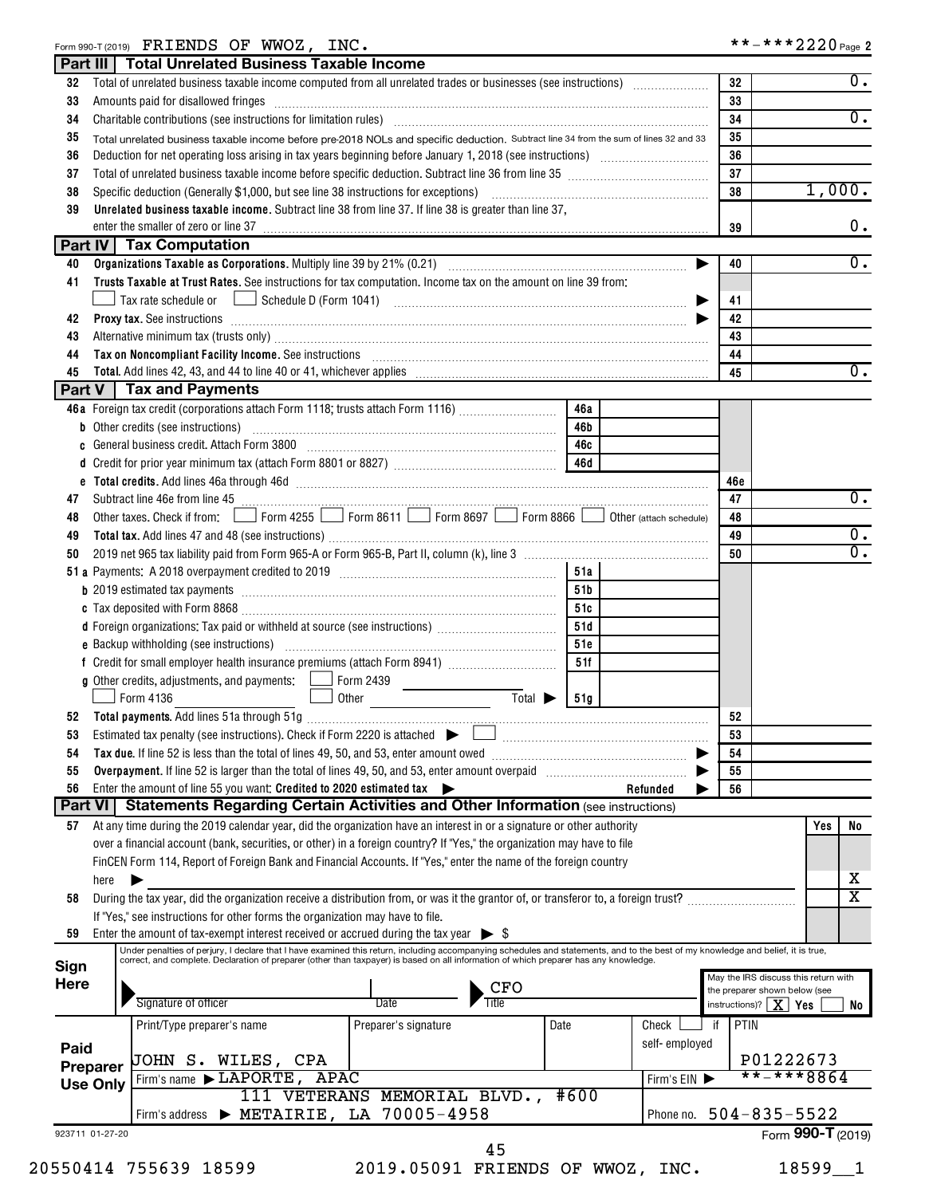# Form 990-T (2019) Page FRIENDS OF WWOZ, INC. \*\*-\*\*\*2220

|                                                     | Part III   Total Unrelated Business Taxable Income                                                                                    |                                                                                                                                                                                                                                                                                                                           |                                    |               |                                  |                                            |
|-----------------------------------------------------|---------------------------------------------------------------------------------------------------------------------------------------|---------------------------------------------------------------------------------------------------------------------------------------------------------------------------------------------------------------------------------------------------------------------------------------------------------------------------|------------------------------------|---------------|----------------------------------|--------------------------------------------|
| 32                                                  |                                                                                                                                       |                                                                                                                                                                                                                                                                                                                           |                                    |               | 32                               | $\overline{0}$ .                           |
| 33                                                  | Amounts paid for disallowed fringes                                                                                                   |                                                                                                                                                                                                                                                                                                                           |                                    |               | 33                               |                                            |
| 34                                                  |                                                                                                                                       |                                                                                                                                                                                                                                                                                                                           |                                    |               | 34                               | 0.                                         |
| 35                                                  | Total unrelated business taxable income before pre-2018 NOLs and specific deduction. Subtract line 34 from the sum of lines 32 and 33 | 35                                                                                                                                                                                                                                                                                                                        |                                    |               |                                  |                                            |
| 36                                                  |                                                                                                                                       |                                                                                                                                                                                                                                                                                                                           |                                    |               | 36                               |                                            |
| 37                                                  |                                                                                                                                       | 37                                                                                                                                                                                                                                                                                                                        |                                    |               |                                  |                                            |
| 38                                                  | Specific deduction (Generally \$1,000, but see line 38 instructions for exceptions)                                                   | 38                                                                                                                                                                                                                                                                                                                        | 1,000.                             |               |                                  |                                            |
| 39                                                  |                                                                                                                                       | Unrelated business taxable income. Subtract line 38 from line 37. If line 38 is greater than line 37,                                                                                                                                                                                                                     |                                    |               |                                  |                                            |
|                                                     | enter the smaller of zero or line 37                                                                                                  |                                                                                                                                                                                                                                                                                                                           |                                    |               | 39                               | 0.                                         |
|                                                     | Part IV   Tax Computation                                                                                                             |                                                                                                                                                                                                                                                                                                                           |                                    |               |                                  |                                            |
| 40                                                  |                                                                                                                                       |                                                                                                                                                                                                                                                                                                                           |                                    |               | 40<br>▶                          | $\overline{0}$ .                           |
| 41                                                  |                                                                                                                                       | Trusts Taxable at Trust Rates. See instructions for tax computation. Income tax on the amount on line 39 from:                                                                                                                                                                                                            |                                    |               |                                  |                                            |
|                                                     |                                                                                                                                       |                                                                                                                                                                                                                                                                                                                           |                                    |               | 41                               |                                            |
| 42                                                  |                                                                                                                                       | <b>Proxy tax.</b> See instructions <b>contained a contained a contained a contained a contained a contained a contained a contained a contained a contact of the contact of the contact of the contact of the contact of the contact </b>                                                                                 |                                    |               | 42                               |                                            |
| 43                                                  |                                                                                                                                       |                                                                                                                                                                                                                                                                                                                           |                                    |               | 43                               |                                            |
| 44                                                  |                                                                                                                                       | Tax on Noncompliant Facility Income. See instructions [11] The manufacture in the contract on Noncompliant Facility Income. See instructions [11] The manufacture in the set of the set of the set of the set of the set of th                                                                                            |                                    |               | 44                               |                                            |
| 45                                                  |                                                                                                                                       |                                                                                                                                                                                                                                                                                                                           |                                    |               | 45                               | 0.                                         |
|                                                     | Part V   Tax and Payments                                                                                                             |                                                                                                                                                                                                                                                                                                                           |                                    |               |                                  |                                            |
|                                                     |                                                                                                                                       | 46a Foreign tax credit (corporations attach Form 1118; trusts attach Form 1116)                                                                                                                                                                                                                                           | 46a                                |               |                                  |                                            |
|                                                     |                                                                                                                                       |                                                                                                                                                                                                                                                                                                                           | 46b                                |               |                                  |                                            |
|                                                     |                                                                                                                                       | General business credit. Attach Form 3800 [11] [11] Contract Contract Discover and Scheral Muslim Contract Discover and Scheral Muslim Contract Discover and Scheral Muslim Contract Discover and Scheral Muslim Contract Disc                                                                                            | 46c                                |               |                                  |                                            |
|                                                     |                                                                                                                                       |                                                                                                                                                                                                                                                                                                                           |                                    |               |                                  |                                            |
|                                                     |                                                                                                                                       | e Total credits. Add lines 46a through 46d [11] manufactures in the contract of the contract of the contract of the contract of the contract of the contract of the contract of the contract of the contract of the contract o                                                                                            |                                    |               | 46c                              |                                            |
| 47                                                  |                                                                                                                                       |                                                                                                                                                                                                                                                                                                                           |                                    |               | 47                               | 0.                                         |
| 48                                                  |                                                                                                                                       | Other taxes. Check if from: Form 4255 Form 8611 Form 8697 Form 8866 Other (attach schedule)                                                                                                                                                                                                                               |                                    |               | 48                               |                                            |
| 49                                                  |                                                                                                                                       |                                                                                                                                                                                                                                                                                                                           |                                    |               | 49                               | $0$ .                                      |
| 50                                                  |                                                                                                                                       |                                                                                                                                                                                                                                                                                                                           |                                    |               | 50                               | $\overline{0}$ .                           |
|                                                     |                                                                                                                                       |                                                                                                                                                                                                                                                                                                                           | 51a                                |               |                                  |                                            |
|                                                     |                                                                                                                                       |                                                                                                                                                                                                                                                                                                                           | 51 <sub>b</sub>                    |               |                                  |                                            |
|                                                     |                                                                                                                                       |                                                                                                                                                                                                                                                                                                                           | 51c                                |               |                                  |                                            |
|                                                     |                                                                                                                                       |                                                                                                                                                                                                                                                                                                                           | 51d                                |               |                                  |                                            |
|                                                     |                                                                                                                                       |                                                                                                                                                                                                                                                                                                                           | 51c                                |               |                                  |                                            |
|                                                     |                                                                                                                                       |                                                                                                                                                                                                                                                                                                                           | 51f                                |               |                                  |                                            |
|                                                     | <b>g</b> Other credits, adjustments, and payments: $\Box$ Form 2439                                                                   |                                                                                                                                                                                                                                                                                                                           |                                    |               |                                  |                                            |
|                                                     | Form 4136                                                                                                                             | Other                                                                                                                                                                                                                                                                                                                     | Total $\blacktriangleright$<br>51g |               |                                  |                                            |
|                                                     |                                                                                                                                       |                                                                                                                                                                                                                                                                                                                           |                                    |               | 52                               |                                            |
|                                                     |                                                                                                                                       |                                                                                                                                                                                                                                                                                                                           |                                    |               | 53                               |                                            |
| 54                                                  | Tax due. If line 52 is less than the total of lines 49, 50, and 53, enter amount owed                                                 |                                                                                                                                                                                                                                                                                                                           |                                    |               | 54                               |                                            |
| 55                                                  |                                                                                                                                       |                                                                                                                                                                                                                                                                                                                           |                                    |               | 55                               |                                            |
| 56<br>Part VI                                       | Enter the amount of line 55 you want: Credited to 2020 estimated tax                                                                  | <b>Statements Regarding Certain Activities and Other Information (see instructions)</b>                                                                                                                                                                                                                                   |                                    | Refunded      | 56                               |                                            |
|                                                     |                                                                                                                                       |                                                                                                                                                                                                                                                                                                                           |                                    |               |                                  |                                            |
| 57                                                  |                                                                                                                                       | At any time during the 2019 calendar year, did the organization have an interest in or a signature or other authority                                                                                                                                                                                                     |                                    |               |                                  | Yes<br>No                                  |
|                                                     |                                                                                                                                       | over a financial account (bank, securities, or other) in a foreign country? If "Yes," the organization may have to file                                                                                                                                                                                                   |                                    |               |                                  |                                            |
|                                                     |                                                                                                                                       | FinCEN Form 114, Report of Foreign Bank and Financial Accounts. If "Yes," enter the name of the foreign country                                                                                                                                                                                                           |                                    |               |                                  | х                                          |
| here<br>58                                          |                                                                                                                                       | During the tax year, did the organization receive a distribution from, or was it the grantor of, or transferor to, a foreign trust?                                                                                                                                                                                       |                                    |               |                                  | $\overline{\texttt{x}}$                    |
|                                                     | If "Yes," see instructions for other forms the organization may have to file.                                                         |                                                                                                                                                                                                                                                                                                                           |                                    |               |                                  |                                            |
|                                                     |                                                                                                                                       |                                                                                                                                                                                                                                                                                                                           |                                    |               |                                  |                                            |
|                                                     |                                                                                                                                       |                                                                                                                                                                                                                                                                                                                           |                                    |               |                                  |                                            |
| 59                                                  | Enter the amount of tax-exempt interest received or accrued during the tax year $\triangleright$ \$                                   |                                                                                                                                                                                                                                                                                                                           |                                    |               |                                  |                                            |
|                                                     |                                                                                                                                       | Under penalties of perjury, I declare that I have examined this return, including accompanying schedules and statements, and to the best of my knowledge and belief, it is true,<br>correct, and complete. Declaration of preparer (other than taxpayer) is based on all information of which preparer has any knowledge. |                                    |               |                                  |                                            |
|                                                     |                                                                                                                                       |                                                                                                                                                                                                                                                                                                                           |                                    |               |                                  |                                            |
|                                                     |                                                                                                                                       | CFO<br>Date                                                                                                                                                                                                                                                                                                               |                                    |               | the preparer shown below (see    |                                            |
|                                                     | Signature of officer                                                                                                                  |                                                                                                                                                                                                                                                                                                                           |                                    |               | instructions)? $\mid X \mid Yes$ |                                            |
|                                                     | Print/Type preparer's name                                                                                                            | Preparer's signature                                                                                                                                                                                                                                                                                                      | Date                               | Check         | <b>PTIN</b><br>if                |                                            |
|                                                     |                                                                                                                                       |                                                                                                                                                                                                                                                                                                                           |                                    | self-employed |                                  |                                            |
|                                                     | JOHN S. WILES, CPA                                                                                                                    |                                                                                                                                                                                                                                                                                                                           |                                    |               |                                  | P01222673                                  |
|                                                     | Firm's name > LAPORTE, APAC                                                                                                           |                                                                                                                                                                                                                                                                                                                           |                                    | Firm's EIN    |                                  | **-***8864                                 |
| Sign<br>Here<br>Paid<br>Preparer<br><b>Use Only</b> |                                                                                                                                       | 111 VETERANS MEMORIAL BLVD., #600                                                                                                                                                                                                                                                                                         |                                    |               |                                  | May the IRS discuss this return with<br>No |
| 923711 01-27-20                                     |                                                                                                                                       | Firm's address > METAIRIE, LA 70005-4958                                                                                                                                                                                                                                                                                  |                                    | Phone no.     | $504 - 835 - 5522$               | Form 990-T (2019)                          |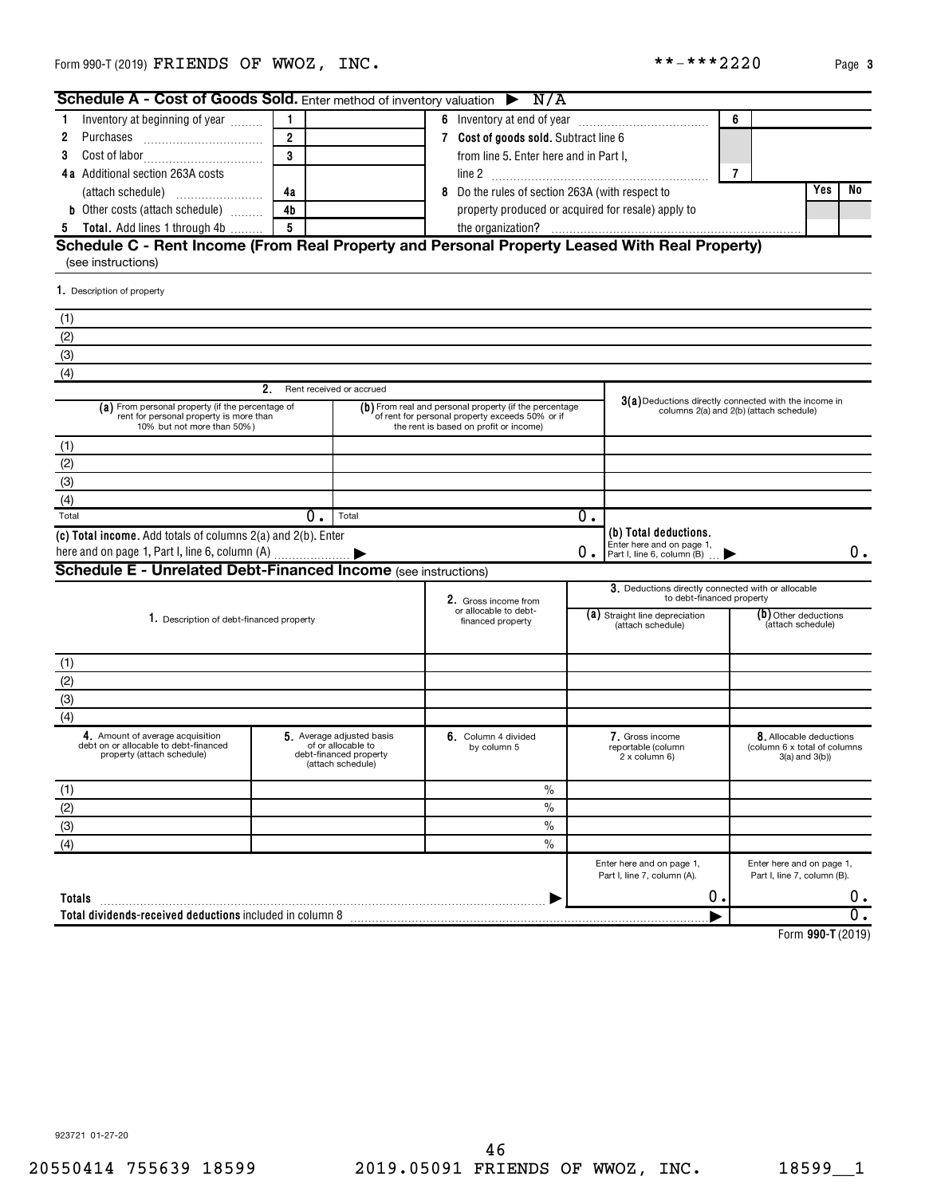| Schedule A - Cost of Goods Sold. Enter method of inventory valuation $\triangleright$ N/A                                 |                                                                                                                                                     |                                                                                                |                                                                                                  |    |                                                                                  |                |                                                                               |    |
|---------------------------------------------------------------------------------------------------------------------------|-----------------------------------------------------------------------------------------------------------------------------------------------------|------------------------------------------------------------------------------------------------|--------------------------------------------------------------------------------------------------|----|----------------------------------------------------------------------------------|----------------|-------------------------------------------------------------------------------|----|
| Inventory at beginning of year<br>1                                                                                       | 1                                                                                                                                                   |                                                                                                |                                                                                                  |    |                                                                                  | 6              |                                                                               |    |
| 2                                                                                                                         | $\overline{2}$                                                                                                                                      |                                                                                                | 7 Cost of goods sold. Subtract line 6                                                            |    |                                                                                  |                |                                                                               |    |
| 3                                                                                                                         | 3                                                                                                                                                   |                                                                                                | from line 5. Enter here and in Part I,                                                           |    |                                                                                  |                |                                                                               |    |
| 4a Additional section 263A costs                                                                                          |                                                                                                                                                     |                                                                                                |                                                                                                  |    |                                                                                  | $\overline{7}$ |                                                                               |    |
|                                                                                                                           | 4a                                                                                                                                                  |                                                                                                | 8 Do the rules of section 263A (with respect to                                                  |    |                                                                                  |                | Yes                                                                           | No |
| <b>b</b> Other costs (attach schedule)                                                                                    | 4b                                                                                                                                                  |                                                                                                | property produced or acquired for resale) apply to                                               |    |                                                                                  |                |                                                                               |    |
| 5 Total. Add lines 1 through 4b                                                                                           | $5\phantom{.0}$                                                                                                                                     |                                                                                                |                                                                                                  |    |                                                                                  |                |                                                                               |    |
| Schedule C - Rent Income (From Real Property and Personal Property Leased With Real Property)<br>(see instructions)       |                                                                                                                                                     |                                                                                                |                                                                                                  |    |                                                                                  |                |                                                                               |    |
| 1. Description of property                                                                                                |                                                                                                                                                     |                                                                                                |                                                                                                  |    |                                                                                  |                |                                                                               |    |
| (1)                                                                                                                       |                                                                                                                                                     |                                                                                                |                                                                                                  |    |                                                                                  |                |                                                                               |    |
| (2)                                                                                                                       |                                                                                                                                                     |                                                                                                |                                                                                                  |    |                                                                                  |                |                                                                               |    |
| (3)                                                                                                                       |                                                                                                                                                     |                                                                                                |                                                                                                  |    |                                                                                  |                |                                                                               |    |
| (4)                                                                                                                       |                                                                                                                                                     |                                                                                                |                                                                                                  |    |                                                                                  |                |                                                                               |    |
|                                                                                                                           | 2.                                                                                                                                                  | Rent received or accrued                                                                       |                                                                                                  |    |                                                                                  |                |                                                                               |    |
| (a) From personal property (if the percentage of<br>rent for personal property is more than<br>10% but not more than 50%) | (b) From real and personal property (if the percentage<br>of rent for personal property exceeds 50% or if<br>the rent is based on profit or income) |                                                                                                | 3(a) Deductions directly connected with the income in<br>columns 2(a) and 2(b) (attach schedule) |    |                                                                                  |                |                                                                               |    |
| (1)                                                                                                                       |                                                                                                                                                     |                                                                                                |                                                                                                  |    |                                                                                  |                |                                                                               |    |
| (2)                                                                                                                       |                                                                                                                                                     |                                                                                                |                                                                                                  |    |                                                                                  |                |                                                                               |    |
| (3)                                                                                                                       |                                                                                                                                                     |                                                                                                |                                                                                                  |    |                                                                                  |                |                                                                               |    |
| (4)                                                                                                                       |                                                                                                                                                     |                                                                                                |                                                                                                  |    |                                                                                  |                |                                                                               |    |
| Total                                                                                                                     | $0$ .                                                                                                                                               | Total                                                                                          |                                                                                                  | О. |                                                                                  |                |                                                                               |    |
| (c) Total income. Add totals of columns 2(a) and 2(b). Enter                                                              |                                                                                                                                                     |                                                                                                |                                                                                                  | О. | (b) Total deductions.<br>Enter here and on page 1,<br>Part I, line 6, column (B) |                |                                                                               | 0. |
| Schedule E - Unrelated Debt-Financed Income (see instructions)                                                            |                                                                                                                                                     |                                                                                                |                                                                                                  |    |                                                                                  |                |                                                                               |    |
|                                                                                                                           |                                                                                                                                                     |                                                                                                | 2. Gross income from                                                                             |    | 3. Deductions directly connected with or allocable<br>to debt-financed property  |                |                                                                               |    |
| 1. Description of debt-financed property                                                                                  |                                                                                                                                                     |                                                                                                | or allocable to debt-<br>financed property                                                       |    | (a) Straight line depreciation<br>(attach schedule)                              |                | (b) Other deductions<br>(attach schedule)                                     |    |
| (1)                                                                                                                       |                                                                                                                                                     |                                                                                                |                                                                                                  |    |                                                                                  |                |                                                                               |    |
| (2)                                                                                                                       |                                                                                                                                                     |                                                                                                |                                                                                                  |    |                                                                                  |                |                                                                               |    |
| (3)                                                                                                                       |                                                                                                                                                     |                                                                                                |                                                                                                  |    |                                                                                  |                |                                                                               |    |
| (4)                                                                                                                       |                                                                                                                                                     |                                                                                                |                                                                                                  |    |                                                                                  |                |                                                                               |    |
| 4. Amount of average acquisition<br>debt on or allocable to debt-financed<br>property (attach schedule)                   |                                                                                                                                                     | 5. Average adjusted basis<br>of or allocable to<br>debt-financed property<br>(attach schedule) | 6. Column 4 divided<br>by column 5                                                               |    | 7. Gross income<br>reportable (column<br>2 x column 6)                           |                | 8. Allocable deductions<br>(column 6 x total of columns)<br>$3(a)$ and $3(b)$ |    |
| (1)                                                                                                                       |                                                                                                                                                     |                                                                                                | $\frac{0}{0}$                                                                                    |    |                                                                                  |                |                                                                               |    |
| (2)                                                                                                                       |                                                                                                                                                     |                                                                                                | $\%$                                                                                             |    |                                                                                  |                |                                                                               |    |
| (3)                                                                                                                       |                                                                                                                                                     |                                                                                                | $\%$                                                                                             |    |                                                                                  |                |                                                                               |    |
| (4)                                                                                                                       |                                                                                                                                                     |                                                                                                | $\frac{0}{0}$                                                                                    |    |                                                                                  |                |                                                                               |    |
|                                                                                                                           |                                                                                                                                                     |                                                                                                |                                                                                                  |    | Enter here and on page 1,<br>Part I, line 7, column (A).                         |                | Enter here and on page 1,<br>Part I, line 7, column (B).                      |    |
| Totals                                                                                                                    |                                                                                                                                                     |                                                                                                |                                                                                                  |    | ο.                                                                               |                |                                                                               | 0. |
|                                                                                                                           |                                                                                                                                                     |                                                                                                |                                                                                                  |    |                                                                                  |                |                                                                               | О. |
|                                                                                                                           |                                                                                                                                                     |                                                                                                |                                                                                                  |    |                                                                                  |                | Form 990-T (2019)                                                             |    |

923721 01-27-20

 $***$   $***$  2220 Page 3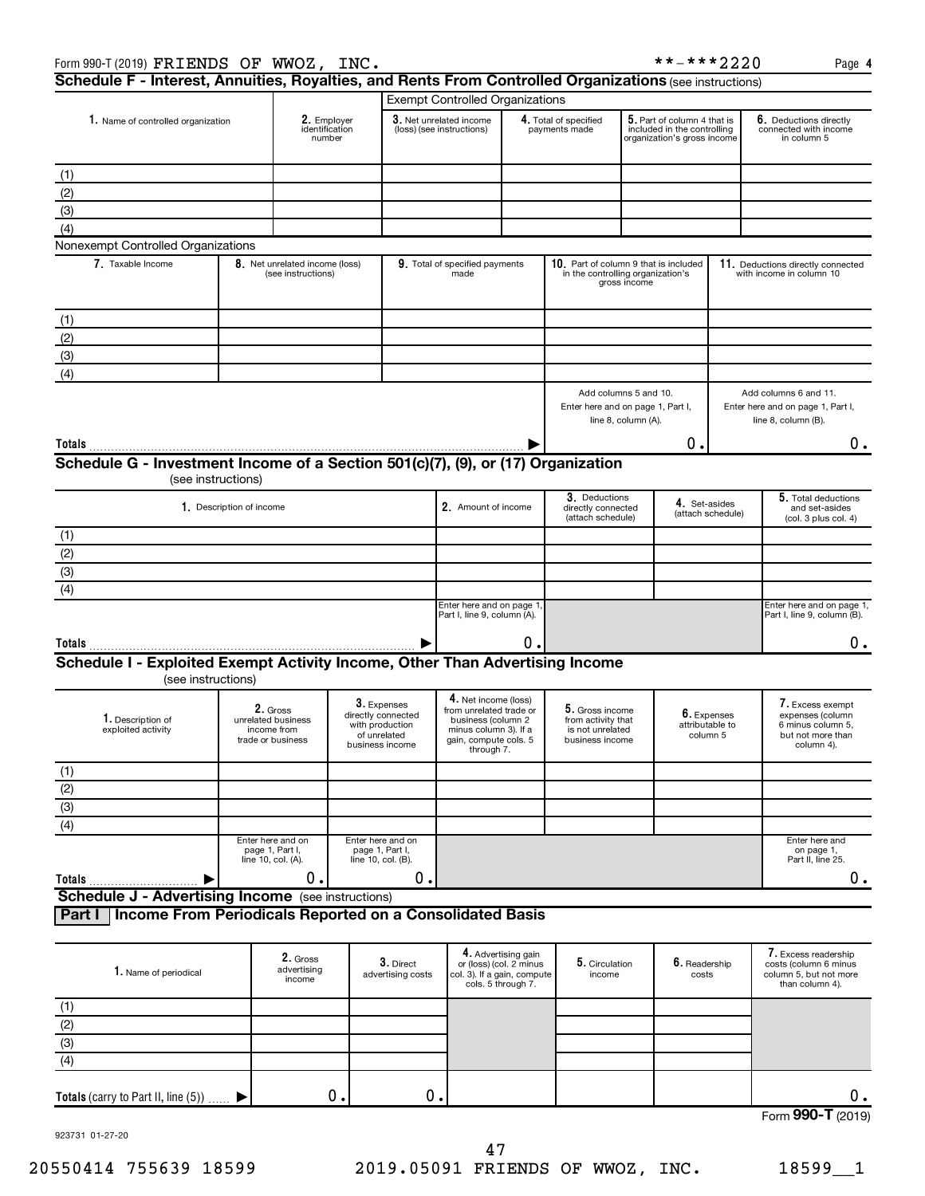|                                                                                                    |                          |                                                      |                                                                                         | <b>Exempt Controlled Organizations</b>                                                                                                |                                                                      |                                                                              |                                                                                           |                        |                                                                |                                                                                              |
|----------------------------------------------------------------------------------------------------|--------------------------|------------------------------------------------------|-----------------------------------------------------------------------------------------|---------------------------------------------------------------------------------------------------------------------------------------|----------------------------------------------------------------------|------------------------------------------------------------------------------|-------------------------------------------------------------------------------------------|------------------------|----------------------------------------------------------------|----------------------------------------------------------------------------------------------|
| 1. Name of controlled organization                                                                 |                          | 2. Employer<br>identification<br>number              |                                                                                         | 3. Net unrelated income<br>(loss) (see instructions)                                                                                  | 4. Total of specified<br>payments made                               |                                                                              | 5. Part of column 4 that is<br>included in the controlling<br>organization's gross income |                        | 6. Deductions directly<br>connected with income<br>in column 5 |                                                                                              |
|                                                                                                    |                          |                                                      |                                                                                         |                                                                                                                                       |                                                                      |                                                                              |                                                                                           |                        |                                                                |                                                                                              |
| (1)                                                                                                |                          |                                                      |                                                                                         |                                                                                                                                       |                                                                      |                                                                              |                                                                                           |                        |                                                                |                                                                                              |
| (2)                                                                                                |                          |                                                      |                                                                                         |                                                                                                                                       |                                                                      |                                                                              |                                                                                           |                        |                                                                |                                                                                              |
| (3)                                                                                                |                          |                                                      |                                                                                         |                                                                                                                                       |                                                                      |                                                                              |                                                                                           |                        |                                                                |                                                                                              |
| (4)                                                                                                |                          |                                                      |                                                                                         |                                                                                                                                       |                                                                      |                                                                              |                                                                                           |                        |                                                                |                                                                                              |
| Nonexempt Controlled Organizations                                                                 |                          |                                                      |                                                                                         |                                                                                                                                       |                                                                      |                                                                              |                                                                                           |                        |                                                                |                                                                                              |
| 7. Taxable Income                                                                                  |                          | 8. Net unrelated income (loss)<br>(see instructions) |                                                                                         | 9. Total of specified payments<br>made                                                                                                |                                                                      | 10. Part of column 9 that is included<br>in the controlling organization's   | gross income                                                                              |                        | 11.                                                            | Deductions directly connected<br>with income in column 10                                    |
| (1)                                                                                                |                          |                                                      |                                                                                         |                                                                                                                                       |                                                                      |                                                                              |                                                                                           |                        |                                                                |                                                                                              |
| (2)                                                                                                |                          |                                                      |                                                                                         |                                                                                                                                       |                                                                      |                                                                              |                                                                                           |                        |                                                                |                                                                                              |
| (3)                                                                                                |                          |                                                      |                                                                                         |                                                                                                                                       |                                                                      |                                                                              |                                                                                           |                        |                                                                |                                                                                              |
|                                                                                                    |                          |                                                      |                                                                                         |                                                                                                                                       |                                                                      |                                                                              |                                                                                           |                        |                                                                |                                                                                              |
| (4)                                                                                                |                          |                                                      |                                                                                         |                                                                                                                                       |                                                                      |                                                                              |                                                                                           |                        |                                                                |                                                                                              |
|                                                                                                    |                          |                                                      |                                                                                         |                                                                                                                                       |                                                                      | Add columns 5 and 10.<br>Enter here and on page 1, Part I,                   | line 8, column (A).                                                                       |                        |                                                                | Add columns 6 and 11.<br>Enter here and on page 1, Part I,<br>line 8, column (B).            |
|                                                                                                    |                          |                                                      |                                                                                         |                                                                                                                                       |                                                                      |                                                                              |                                                                                           | 0.                     |                                                                | О.                                                                                           |
| Schedule G - Investment Income of a Section 501(c)(7), (9), or (17) Organization                   |                          |                                                      |                                                                                         |                                                                                                                                       |                                                                      |                                                                              |                                                                                           |                        |                                                                |                                                                                              |
|                                                                                                    | (see instructions)       |                                                      |                                                                                         |                                                                                                                                       |                                                                      |                                                                              |                                                                                           |                        |                                                                |                                                                                              |
|                                                                                                    |                          |                                                      |                                                                                         |                                                                                                                                       |                                                                      |                                                                              |                                                                                           |                        |                                                                |                                                                                              |
|                                                                                                    | 1. Description of income |                                                      |                                                                                         | 2. Amount of income                                                                                                                   |                                                                      | 3. Deductions                                                                | directly connected<br>(attach schedule)                                                   |                        | 4. Set-asides<br>(attach schedule)                             | 5. Total deductions<br>and set-asides<br>(col. 3 plus col. 4)                                |
| (1)                                                                                                |                          |                                                      |                                                                                         |                                                                                                                                       |                                                                      |                                                                              |                                                                                           |                        |                                                                |                                                                                              |
| (2)                                                                                                |                          |                                                      |                                                                                         |                                                                                                                                       |                                                                      |                                                                              |                                                                                           |                        |                                                                |                                                                                              |
| $\overline{3}$                                                                                     |                          |                                                      |                                                                                         |                                                                                                                                       |                                                                      |                                                                              |                                                                                           |                        |                                                                |                                                                                              |
| (4)                                                                                                |                          |                                                      |                                                                                         |                                                                                                                                       |                                                                      |                                                                              |                                                                                           |                        |                                                                |                                                                                              |
|                                                                                                    |                          |                                                      |                                                                                         | Enter here and on page 1<br>Part I, line 9, column (A).                                                                               |                                                                      |                                                                              |                                                                                           |                        |                                                                | Enter here and on page 1,<br>Part I, line 9, column (B).                                     |
|                                                                                                    |                          |                                                      |                                                                                         |                                                                                                                                       | 0.                                                                   |                                                                              |                                                                                           |                        |                                                                | О.                                                                                           |
| Schedule I - Exploited Exempt Activity Income, Other Than Advertising Income<br>(see instructions) |                          |                                                      |                                                                                         |                                                                                                                                       |                                                                      |                                                                              |                                                                                           |                        |                                                                |                                                                                              |
| 1. Description of<br>exploited activity                                                            | trade or business        | 2. Gross<br>unrelated business<br>income from        | 3. Expenses<br>directly connected<br>with production<br>of unrelated<br>business income | 4. Net income (loss)<br>from unrelated trade or<br>business (column 2<br>minus column 3). If a<br>gain, compute cols. 5<br>through 7. |                                                                      | 5. Gross income<br>from activity that<br>is not unrelated<br>business income |                                                                                           |                        | 6. Expenses<br>attributable to<br>column 5                     | 7. Excess exempt<br>expenses (column<br>6 minus column 5,<br>but not more than<br>column 4). |
| (1)                                                                                                |                          |                                                      |                                                                                         |                                                                                                                                       |                                                                      |                                                                              |                                                                                           |                        |                                                                |                                                                                              |
| (2)                                                                                                |                          |                                                      |                                                                                         |                                                                                                                                       |                                                                      |                                                                              |                                                                                           |                        |                                                                |                                                                                              |
| $\overline{3}$                                                                                     |                          |                                                      |                                                                                         |                                                                                                                                       |                                                                      |                                                                              |                                                                                           |                        |                                                                |                                                                                              |
|                                                                                                    |                          |                                                      |                                                                                         |                                                                                                                                       |                                                                      |                                                                              |                                                                                           |                        |                                                                |                                                                                              |
| $\overline{(4)}$                                                                                   | Enter here and on        |                                                      | Enter here and on                                                                       |                                                                                                                                       |                                                                      |                                                                              |                                                                                           |                        |                                                                | Enter here and                                                                               |
|                                                                                                    | line 10, col. (A).       | page 1, Part I,                                      | page 1, Part I,<br>line 10, col. (B).                                                   |                                                                                                                                       |                                                                      |                                                                              |                                                                                           |                        |                                                                | on page 1,<br>Part II, line 25.                                                              |
| Totals                                                                                             |                          | 0.                                                   | 0.                                                                                      |                                                                                                                                       |                                                                      |                                                                              |                                                                                           |                        |                                                                | 0.                                                                                           |
| <b>Schedule J - Advertising Income</b> (see instructions)                                          |                          |                                                      |                                                                                         |                                                                                                                                       |                                                                      |                                                                              |                                                                                           |                        |                                                                |                                                                                              |
| Income From Periodicals Reported on a Consolidated Basis<br>Part I                                 |                          |                                                      |                                                                                         |                                                                                                                                       |                                                                      |                                                                              |                                                                                           |                        |                                                                |                                                                                              |
| 1. Name of periodical                                                                              |                          | 2. Gross<br>advertising<br>income                    | 3. Direct<br>advertising costs                                                          | col. 3). If a gain, compute                                                                                                           | 4. Advertising gain<br>or (loss) (col. 2 minus<br>cols. 5 through 7. | 5. Circulation<br>income                                                     |                                                                                           | 6. Readership<br>costs |                                                                | 7. Excess readership<br>costs (column 6 minus<br>column 5, but not more<br>than column 4).   |
| (1)                                                                                                |                          |                                                      |                                                                                         |                                                                                                                                       |                                                                      |                                                                              |                                                                                           |                        |                                                                |                                                                                              |
|                                                                                                    |                          |                                                      |                                                                                         |                                                                                                                                       |                                                                      |                                                                              |                                                                                           |                        |                                                                |                                                                                              |
| $\overline{(2)}$                                                                                   |                          |                                                      |                                                                                         |                                                                                                                                       |                                                                      |                                                                              |                                                                                           |                        |                                                                |                                                                                              |
| $\overline{(3)}$                                                                                   |                          |                                                      |                                                                                         |                                                                                                                                       |                                                                      |                                                                              |                                                                                           |                        |                                                                |                                                                                              |
| $\overline{(4)}$                                                                                   |                          |                                                      |                                                                                         |                                                                                                                                       |                                                                      |                                                                              |                                                                                           |                        |                                                                |                                                                                              |

Form (2019) **990-T** 0. 0. 0. 0.

923731 01-27-20

**Totals** (carry to Part II, line  $(5)$ )  $\ldots$ .

 $\blacktriangleright$ 

|--|--|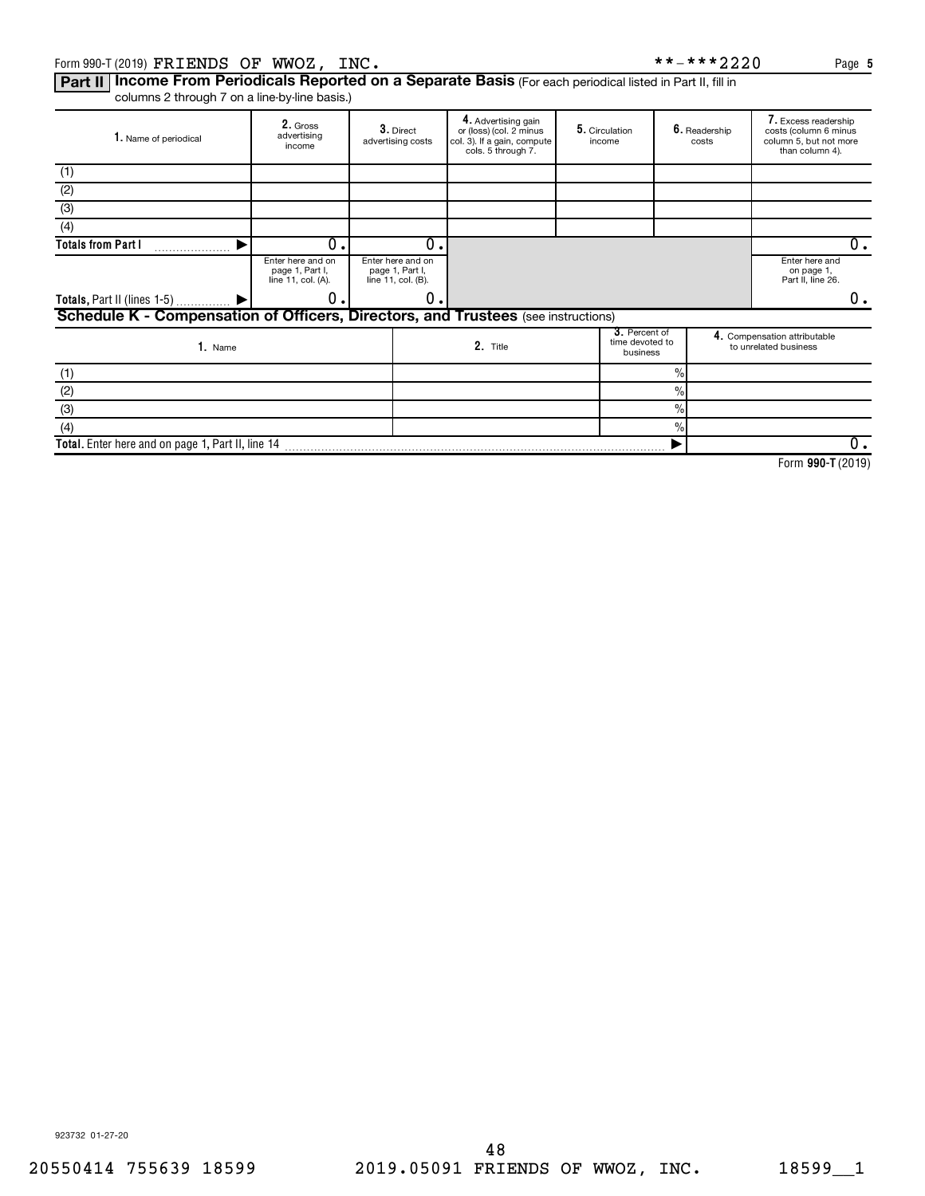#### Form 990-T (2019)  $\texttt{FRI} \texttt{ENDS}$   $\texttt{OF}$   $\texttt{WWOZ}$  ,  $\texttt{INC.}$   $\texttt{PACS}$  ,  $\texttt{PACS}$  ,  $\texttt{PACS}$  ,  $\texttt{PACS}$ FRIENDS OF WWOZ, INC. \*\*-\*\*\*2220

Part II | Income From Periodicals Reported on a Separate Basis (For each periodical listed in Part II, fill in columns 2 through 7 on a line-by-line basis.)

| 1. Name of periodical                                                                    | 2. Gross<br>advertising<br>income                                                                                        |  | $3.$ Direct<br>advertising costs | 4. Advertising gain<br>or (loss) (col. 2 minus<br>col. 3). If a gain, compute<br>cols. 5 through 7. |  | 5. Circulation<br>income                          |               | 6. Readership<br>costs | 7. Excess readership<br>costs (column 6 minus<br>column 5, but not more<br>than column 4). |
|------------------------------------------------------------------------------------------|--------------------------------------------------------------------------------------------------------------------------|--|----------------------------------|-----------------------------------------------------------------------------------------------------|--|---------------------------------------------------|---------------|------------------------|--------------------------------------------------------------------------------------------|
| (1)                                                                                      |                                                                                                                          |  |                                  |                                                                                                     |  |                                                   |               |                        |                                                                                            |
| (2)                                                                                      |                                                                                                                          |  |                                  |                                                                                                     |  |                                                   |               |                        |                                                                                            |
| (3)                                                                                      |                                                                                                                          |  |                                  |                                                                                                     |  |                                                   |               |                        |                                                                                            |
| $\overline{(4)}$                                                                         |                                                                                                                          |  |                                  |                                                                                                     |  |                                                   |               |                        |                                                                                            |
| <b>Totals from Part I</b>                                                                | Ο.                                                                                                                       |  | $\Omega$                         |                                                                                                     |  |                                                   |               |                        | 0.                                                                                         |
|                                                                                          | Enter here and on<br>Enter here and on<br>page 1, Part I,<br>page 1, Part I,<br>line 11, col. (A).<br>line 11, col. (B). |  |                                  |                                                                                                     |  | Enter here and<br>on page 1,<br>Part II, line 26. |               |                        |                                                                                            |
| Totals, Part II (lines 1-5)  ▶                                                           | О.                                                                                                                       |  | 0                                |                                                                                                     |  |                                                   |               |                        | 0.                                                                                         |
| <b>Schedule K - Compensation of Officers, Directors, and Trustees</b> (see instructions) |                                                                                                                          |  |                                  |                                                                                                     |  |                                                   |               |                        |                                                                                            |
| 1. Name                                                                                  |                                                                                                                          |  |                                  | 2. Title                                                                                            |  | 3. Percent of<br>time devoted to<br>business      |               |                        | 4. Compensation attributable<br>to unrelated business                                      |
| (1)                                                                                      |                                                                                                                          |  |                                  |                                                                                                     |  |                                                   | $\%$          |                        |                                                                                            |
| (2)                                                                                      |                                                                                                                          |  |                                  |                                                                                                     |  |                                                   | $\frac{0}{0}$ |                        |                                                                                            |
| (3)                                                                                      |                                                                                                                          |  |                                  |                                                                                                     |  |                                                   | $\frac{0}{0}$ |                        |                                                                                            |
| (4)                                                                                      |                                                                                                                          |  |                                  |                                                                                                     |  |                                                   | $\frac{0}{0}$ |                        |                                                                                            |
| Total. Enter here and on page 1, Part II, line 14                                        |                                                                                                                          |  |                                  |                                                                                                     |  |                                                   |               |                        | $0$ .                                                                                      |

**990-T**  Form (2019)

923732 01-27-20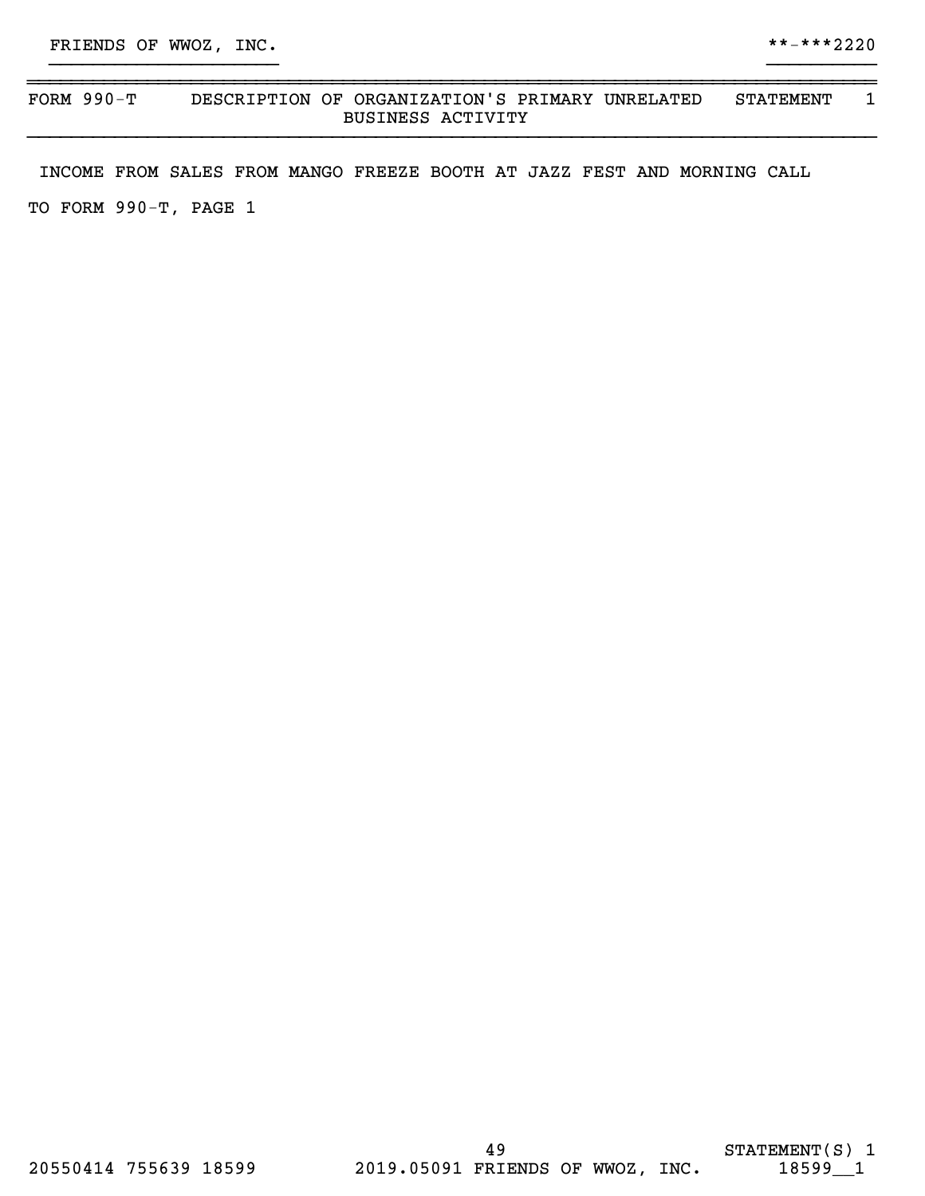## ~~~~~~~~~~~~~~~~~~~~~~~~~~~~~~~~~~~~~~~~~~~~~~~~~~~~~~~~~~~~~~~~~~~~~~~~~~~~~~ FORM 990-T DESCRIPTION OF ORGANIZATION'S PRIMARY UNRELATED STATEMENT 1 BUSINESS ACTIVITY }}}}}}}}}}}}}}}}}}}}}}}}}}}}}}}}}}}}}}}}}}}}}}}}}}}}}}}}}}}}}}}}}}}}}}}}}}}}}}

}}}}}}}}}}}}}}}}}}}}} }}}}}}}}}}

INCOME FROM SALES FROM MANGO FREEZE BOOTH AT JAZZ FEST AND MORNING CALL

TO FORM 990-T, PAGE 1